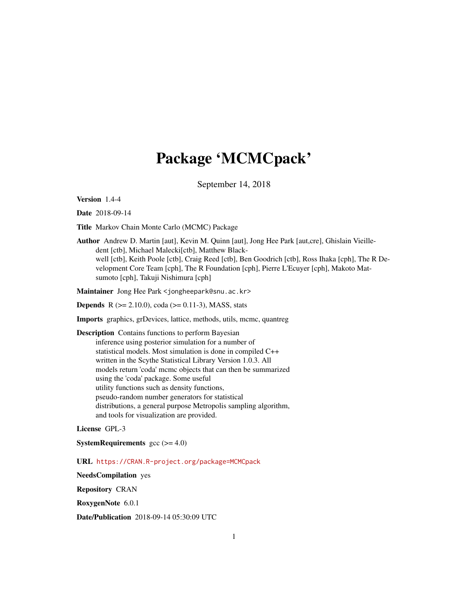# Package 'MCMCpack'

September 14, 2018

<span id="page-0-0"></span>Version 1.4-4

Date 2018-09-14

Title Markov Chain Monte Carlo (MCMC) Package

Author Andrew D. Martin [aut], Kevin M. Quinn [aut], Jong Hee Park [aut,cre], Ghislain Vieilledent [ctb], Michael Malecki[ctb], Matthew Blackwell [ctb], Keith Poole [ctb], Craig Reed [ctb], Ben Goodrich [ctb], Ross Ihaka [cph], The R Development Core Team [cph], The R Foundation [cph], Pierre L'Ecuyer [cph], Makoto Matsumoto [cph], Takuji Nishimura [cph]

Maintainer Jong Hee Park <jongheepark@snu.ac.kr>

**Depends** R ( $>= 2.10.0$ ), coda ( $>= 0.11-3$ ), MASS, stats

Imports graphics, grDevices, lattice, methods, utils, mcmc, quantreg

Description Contains functions to perform Bayesian inference using posterior simulation for a number of statistical models. Most simulation is done in compiled C++ written in the Scythe Statistical Library Version 1.0.3. All models return 'coda' mcmc objects that can then be summarized using the 'coda' package. Some useful utility functions such as density functions, pseudo-random number generators for statistical distributions, a general purpose Metropolis sampling algorithm, and tools for visualization are provided.

License GPL-3

**SystemRequirements**  $\text{gcc} (= 4.0)$ 

URL <https://CRAN.R-project.org/package=MCMCpack>

NeedsCompilation yes

Repository CRAN

RoxygenNote 6.0.1

Date/Publication 2018-09-14 05:30:09 UTC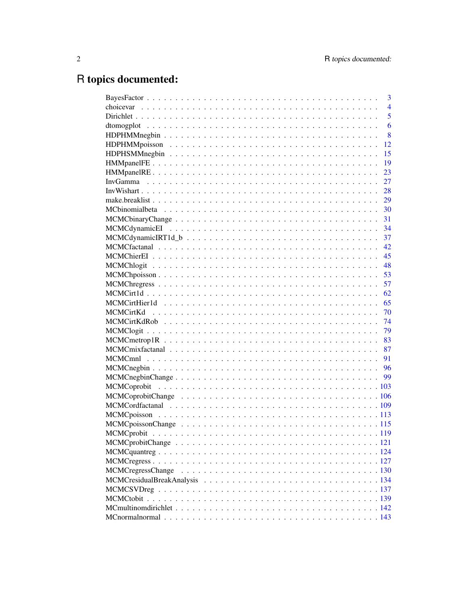# R topics documented:

| 3              |
|----------------|
| $\overline{4}$ |
| $\overline{5}$ |
| 6              |
| 8              |
| 12             |
| 15             |
| 19             |
| 23             |
| 27             |
| 28             |
| 29             |
| 30             |
| 31             |
| 34             |
|                |
|                |
|                |
|                |
|                |
|                |
|                |
|                |
|                |
|                |
|                |
|                |
|                |
|                |
|                |
|                |
|                |
|                |
|                |
|                |
|                |
|                |
|                |
|                |
|                |
|                |
|                |
|                |
|                |
|                |
|                |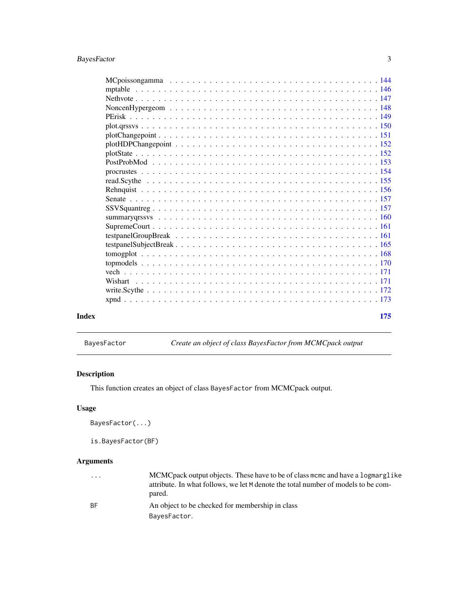<span id="page-2-0"></span>

| Index | 175 |  |
|-------|-----|--|
|       |     |  |

| BayesFactor |  |  |
|-------------|--|--|
|-------------|--|--|

BayesFactor *Create an object of class BayesFactor from MCMCpack output*

# Description

This function creates an object of class BayesFactor from MCMCpack output.

# Usage

BayesFactor(...)

is.BayesFactor(BF)

| $\cdot$ $\cdot$ $\cdot$ | MCMC pack output objects. These have to be of class mome and have a logmarglike   |
|-------------------------|-----------------------------------------------------------------------------------|
|                         | attribute. In what follows, we let M denote the total number of models to be com- |
|                         | pared.                                                                            |
| -RF                     | An object to be checked for membership in class                                   |
|                         | BayesFactor.                                                                      |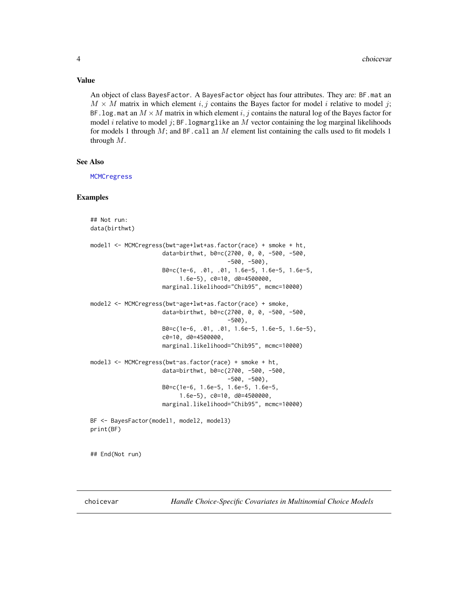#### Value

An object of class BayesFactor. A BayesFactor object has four attributes. They are: BF.mat an  $M \times M$  matrix in which element i, j contains the Bayes factor for model i relative to model j; BF. log. mat an  $M \times M$  matrix in which element i, j contains the natural log of the Bayes factor for model *i* relative to model *j*; BF. logmarglike an *M* vector containing the log marginal likelihoods for models 1 through  $M$ ; and BF.call an  $M$  element list containing the calls used to fit models 1 through  $M$ .

#### See Also

**[MCMCregress](#page-126-1)** 

#### Examples

```
## Not run:
data(birthwt)
model1 <- MCMCregress(bwt~age+lwt+as.factor(race) + smoke + ht,
                     data=birthwt, b0=c(2700, 0, 0, -500, -500,
                                        -500, -500,
                     B0=c(1e-6, .01, .01, 1.6e-5, 1.6e-5, 1.6e-5,
                          1.6e-5), c0=10, d0=4500000,
                     marginal.likelihood="Chib95", mcmc=10000)
model2 <- MCMCregress(bwt~age+lwt+as.factor(race) + smoke,
                     data=birthwt, b0=c(2700, 0, 0, -500, -500,
                                        -500),
                     B0=c(1e-6, .01, .01, 1.6e-5, 1.6e-5, 1.6e-5),
                     c0=10, d0=4500000,
                     marginal.likelihood="Chib95", mcmc=10000)
model3 <- MCMCregress(bwt~as.factor(race) + smoke + ht,
                     data=birthwt, b0=c(2700, -500, -500,
                                        -500, -500),
                     B0=c(1e-6, 1.6e-5, 1.6e-5, 1.6e-5,
                          1.6e-5), c0=10, d0=4500000,
                     marginal.likelihood="Chib95", mcmc=10000)
BF <- BayesFactor(model1, model2, model3)
print(BF)
## End(Not run)
```
choicevar *Handle Choice-Specific Covariates in Multinomial Choice Models*

<span id="page-3-0"></span>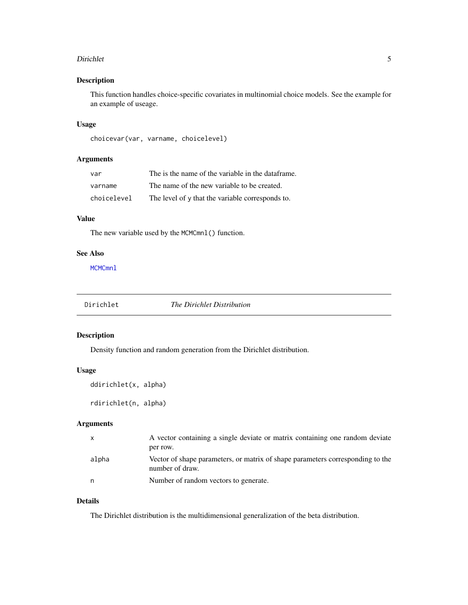#### <span id="page-4-0"></span>Dirichlet 5

# Description

This function handles choice-specific covariates in multinomial choice models. See the example for an example of useage.

# Usage

choicevar(var, varname, choicelevel)

# Arguments

| var         | The is the name of the variable in the dataframe. |
|-------------|---------------------------------------------------|
| varname     | The name of the new variable to be created.       |
| choicelevel | The level of y that the variable corresponds to.  |

# Value

The new variable used by the MCMCmnl() function.

### See Also

MCMCmn1

| Dirichlet | The Dirichlet Distribution |
|-----------|----------------------------|
|           |                            |

# Description

Density function and random generation from the Dirichlet distribution.

#### Usage

```
ddirichlet(x, alpha)
```
rdirichlet(n, alpha)

# Arguments

|       | A vector containing a single deviate or matrix containing one random deviate                      |
|-------|---------------------------------------------------------------------------------------------------|
|       | per row.                                                                                          |
| alpha | Vector of shape parameters, or matrix of shape parameters corresponding to the<br>number of draw. |
| n     | Number of random vectors to generate.                                                             |

# Details

The Dirichlet distribution is the multidimensional generalization of the beta distribution.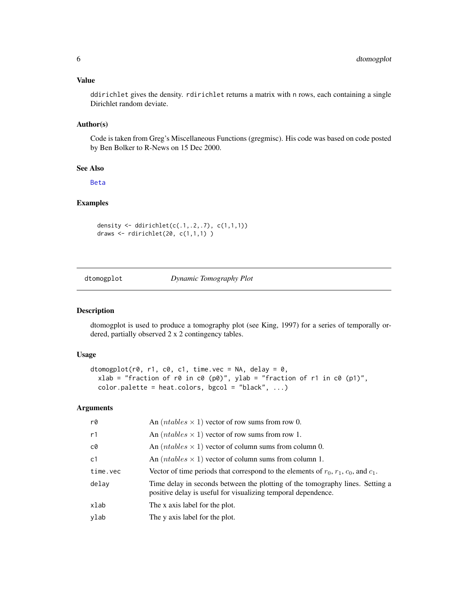# <span id="page-5-0"></span>Value

ddirichlet gives the density. rdirichlet returns a matrix with n rows, each containing a single Dirichlet random deviate.

# Author(s)

Code is taken from Greg's Miscellaneous Functions (gregmisc). His code was based on code posted by Ben Bolker to R-News on 15 Dec 2000.

# See Also

[Beta](#page-0-0)

# Examples

```
density <- ddirichlet(c(.1,.2,.7), c(1,1,1))
draws \le rdirichlet(20, c(1,1,1))
```
dtomogplot *Dynamic Tomography Plot*

# Description

dtomogplot is used to produce a tomography plot (see King, 1997) for a series of temporally ordered, partially observed 2 x 2 contingency tables.

#### Usage

```
dtomogplot(r0, r1, c0, c1, time.vec = NA, delay = 0,
 xlab = "fraction of r0 in c0 (p0)", ylab = "fraction of r1 in c0 (p1)",
  color.path color.path = heat.colors, bgcol = "black", ...)
```

| r0       | An $(ntables \times 1)$ vector of row sums from row 0.                                                                                         |
|----------|------------------------------------------------------------------------------------------------------------------------------------------------|
| r1       | An $(ntables \times 1)$ vector of row sums from row 1.                                                                                         |
| c0       | An $(ntables \times 1)$ vector of column sums from column 0.                                                                                   |
| c1       | An $(ntables \times 1)$ vector of column sums from column 1.                                                                                   |
| time.vec | Vector of time periods that correspond to the elements of $r_0$ , $r_1$ , $c_0$ , and $c_1$ .                                                  |
| delay    | Time delay in seconds between the plotting of the tomography lines. Setting a<br>positive delay is useful for visualizing temporal dependence. |
| xlab     | The x axis label for the plot.                                                                                                                 |
| ylab     | The y axis label for the plot.                                                                                                                 |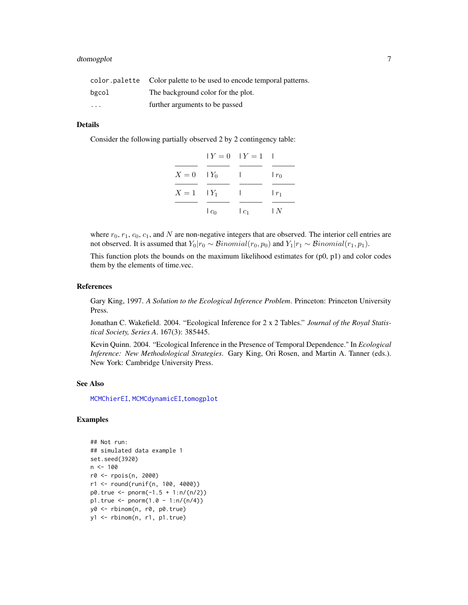# dtomogplot 7

|          | color palette Color palette to be used to encode temporal patterns. |
|----------|---------------------------------------------------------------------|
| bgcol    | The background color for the plot.                                  |
| $\cdots$ | further arguments to be passed                                      |

#### Details

Consider the following partially observed 2 by 2 contingency table:

|                  |         | $Y = 0$ $Y = 1$ 1 |                       |
|------------------|---------|-------------------|-----------------------|
|                  |         |                   |                       |
| $X=0$ $\mid Y_0$ |         | $\mathbf{I}$      | $r_0$                 |
| $X=1$ $ Y_1 $    |         | $\mathbf{L}$      | $\lfloor r_1 \rfloor$ |
|                  | $ c_0 $ | $ c_1 $           | ΙN                    |

where  $r_0$ ,  $r_1$ ,  $c_0$ ,  $c_1$ , and N are non-negative integers that are observed. The interior cell entries are not observed. It is assumed that  $Y_0|r_0 \sim Binomial(r_0, p_0)$  and  $Y_1|r_1 \sim Binomial(r_1, p_1)$ .

This function plots the bounds on the maximum likelihood estimates for  $(p0, p1)$  and color codes them by the elements of time.vec.

#### References

Gary King, 1997. *A Solution to the Ecological Inference Problem*. Princeton: Princeton University Press.

Jonathan C. Wakefield. 2004. "Ecological Inference for 2 x 2 Tables." *Journal of the Royal Statistical Society, Series A*. 167(3): 385445.

Kevin Quinn. 2004. "Ecological Inference in the Presence of Temporal Dependence." In *Ecological Inference: New Methodological Strategies*. Gary King, Ori Rosen, and Martin A. Tanner (eds.). New York: Cambridge University Press.

#### See Also

[MCMChierEI](#page-44-1), [MCMCdynamicEI](#page-33-1),[tomogplot](#page-167-1)

# Examples

```
## Not run:
## simulated data example 1
set.seed(3920)
n < -100r0 <- rpois(n, 2000)
r1 <- round(runif(n, 100, 4000))
p0. true < -pnorm(-1.5 + 1:n/(n/2))p1. true < - pnorm(1.0 - 1:n/(n/4))y0 <- rbinom(n, r0, p0.true)
y1 <- rbinom(n, r1, p1.true)
```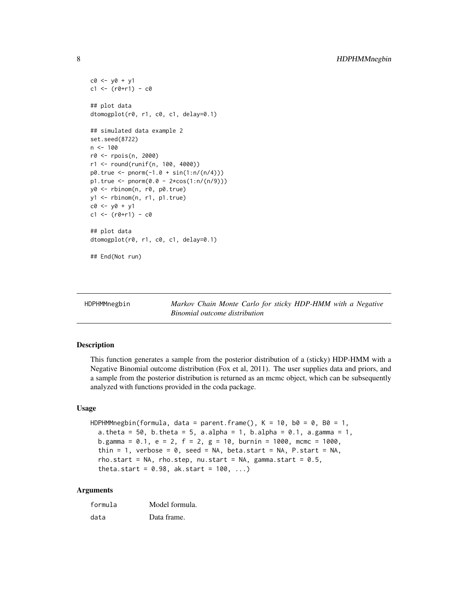```
c0 \le -y0 + y1c1 <- (r0+r1) - c0## plot data
dtomogplot(r0, r1, c0, c1, delay=0.1)
## simulated data example 2
set.seed(8722)
n < - 100r0 <- rpois(n, 2000)
r1 <- round(runif(n, 100, 4000))
p0.true <- pnorm(-1.0 + sin(1:n/(n/4)))
p1. true < - pnorm(0.0 - 2*cos(1:n/(n/9))))y0 <- rbinom(n, r0, p0.true)
y1 <- rbinom(n, r1, p1.true)
c0 <- y0 + y1
c1 < - (r0+r1) - c0## plot data
dtomogplot(r0, r1, c0, c1, delay=0.1)
## End(Not run)
```
<span id="page-7-1"></span>

| HDPHMMnegbin |  |
|--------------|--|
|--------------|--|

Markov Chain Monte Carlo for sticky HDP-HMM with a Negative *Binomial outcome distribution*

#### Description

This function generates a sample from the posterior distribution of a (sticky) HDP-HMM with a Negative Binomial outcome distribution (Fox et al, 2011). The user supplies data and priors, and a sample from the posterior distribution is returned as an mcmc object, which can be subsequently analyzed with functions provided in the coda package.

#### Usage

```
HDPHMMnegbin(formula, data = parent.frame(), K = 10, b0 = 0, B0 = 1,
  a.theta = 50, b.theta = 5, a.alpha = 1, b.alpha = 0.1, a.gamma = 1,
 b.gamma = 0.1, e = 2, f = 2, g = 10, burnin = 1000, mcmc = 1000,
  thin = 1, verbose = 0, seed = NA, beta.start = NA, P.start = NA,
  rho.start = NA, rho.step, nu.start = NA, gamma.start = 0.5,
  theta.start = 0.98, ak.start = 100, ...)
```

| formula | Model formula. |
|---------|----------------|
| data    | Data frame.    |

<span id="page-7-0"></span>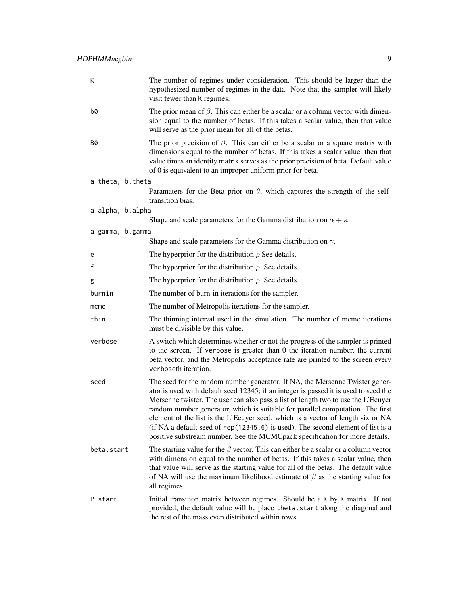| К                | The number of regimes under consideration. This should be larger than the<br>hypothesized number of regimes in the data. Note that the sampler will likely<br>visit fewer than K regimes.                                                                                                                                                                                                                                                                                                                                                                                                         |
|------------------|---------------------------------------------------------------------------------------------------------------------------------------------------------------------------------------------------------------------------------------------------------------------------------------------------------------------------------------------------------------------------------------------------------------------------------------------------------------------------------------------------------------------------------------------------------------------------------------------------|
| b0               | The prior mean of $\beta$ . This can either be a scalar or a column vector with dimen-<br>sion equal to the number of betas. If this takes a scalar value, then that value<br>will serve as the prior mean for all of the betas.                                                                                                                                                                                                                                                                                                                                                                  |
| B0               | The prior precision of $\beta$ . This can either be a scalar or a square matrix with<br>dimensions equal to the number of betas. If this takes a scalar value, then that<br>value times an identity matrix serves as the prior precision of beta. Default value<br>of 0 is equivalent to an improper uniform prior for beta.                                                                                                                                                                                                                                                                      |
| a.theta, b.theta |                                                                                                                                                                                                                                                                                                                                                                                                                                                                                                                                                                                                   |
|                  | Paramaters for the Beta prior on $\theta$ , which captures the strength of the self-<br>transition bias.                                                                                                                                                                                                                                                                                                                                                                                                                                                                                          |
| a.alpha, b.alpha |                                                                                                                                                                                                                                                                                                                                                                                                                                                                                                                                                                                                   |
|                  | Shape and scale parameters for the Gamma distribution on $\alpha + \kappa$ .                                                                                                                                                                                                                                                                                                                                                                                                                                                                                                                      |
| a.gamma, b.gamma | Shape and scale parameters for the Gamma distribution on $\gamma$ .                                                                                                                                                                                                                                                                                                                                                                                                                                                                                                                               |
| e                | The hyperprior for the distribution $\rho$ See details.                                                                                                                                                                                                                                                                                                                                                                                                                                                                                                                                           |
| f                | The hyperprior for the distribution $\rho$ . See details.                                                                                                                                                                                                                                                                                                                                                                                                                                                                                                                                         |
|                  |                                                                                                                                                                                                                                                                                                                                                                                                                                                                                                                                                                                                   |
| g                | The hyperprior for the distribution $\rho$ . See details.                                                                                                                                                                                                                                                                                                                                                                                                                                                                                                                                         |
| burnin           | The number of burn-in iterations for the sampler.                                                                                                                                                                                                                                                                                                                                                                                                                                                                                                                                                 |
| $m$ $cm$ $c$     | The number of Metropolis iterations for the sampler.                                                                                                                                                                                                                                                                                                                                                                                                                                                                                                                                              |
| thin             | The thinning interval used in the simulation. The number of mcmc iterations<br>must be divisible by this value.                                                                                                                                                                                                                                                                                                                                                                                                                                                                                   |
| verbose          | A switch which determines whether or not the progress of the sampler is printed<br>to the screen. If verbose is greater than 0 the iteration number, the current<br>beta vector, and the Metropolis acceptance rate are printed to the screen every<br>verboseth iteration.                                                                                                                                                                                                                                                                                                                       |
| seed             | The seed for the random number generator. If NA, the Mersenne Twister gener-<br>ator is used with default seed 12345; if an integer is passed it is used to seed the<br>Mersenne twister. The user can also pass a list of length two to use the L'Ecuyer<br>random number generator, which is suitable for parallel computation. The first<br>element of the list is the L'Ecuyer seed, which is a vector of length six or NA<br>(if NA a default seed of rep(12345, 6) is used). The second element of list is a<br>positive substream number. See the MCMCpack specification for more details. |
| beta.start       | The starting value for the $\beta$ vector. This can either be a scalar or a column vector<br>with dimension equal to the number of betas. If this takes a scalar value, then<br>that value will serve as the starting value for all of the betas. The default value<br>of NA will use the maximum likelihood estimate of $\beta$ as the starting value for<br>all regimes.                                                                                                                                                                                                                        |
| P.start          | Initial transition matrix between regimes. Should be a K by K matrix. If not<br>provided, the default value will be place theta. start along the diagonal and<br>the rest of the mass even distributed within rows.                                                                                                                                                                                                                                                                                                                                                                               |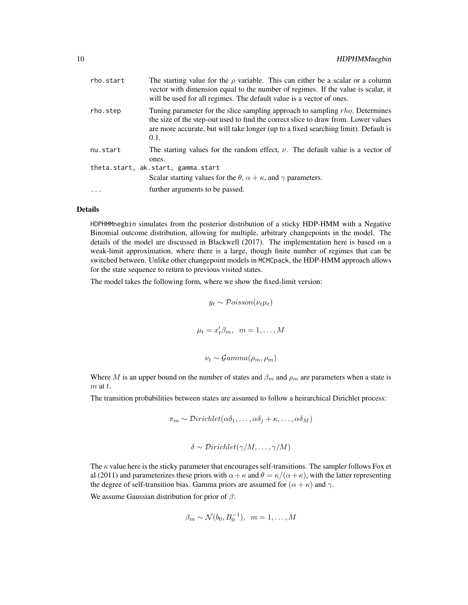| rho.start | The starting value for the $\rho$ variable. This can either be a scalar or a column<br>vector with dimension equal to the number of regimes. If the value is scalar, it<br>will be used for all regimes. The default value is a vector of ones.                   |  |
|-----------|-------------------------------------------------------------------------------------------------------------------------------------------------------------------------------------------------------------------------------------------------------------------|--|
| rho.step  | Tuning parameter for the slice sampling approach to sampling rho. Determines<br>the size of the step-out used to find the correct slice to draw from. Lower values<br>are more accurate, but will take longer (up to a fixed searching limit). Default is<br>0.1. |  |
| nu.start  | The starting values for the random effect, $\nu$ . The default value is a vector of<br>ones.                                                                                                                                                                      |  |
|           | theta.start, ak.start, gamma.start<br>Scalar starting values for the $\theta$ , $\alpha + \kappa$ , and $\gamma$ parameters.                                                                                                                                      |  |
| $\ddots$  | further arguments to be passed.                                                                                                                                                                                                                                   |  |

#### Details

HDPHMMnegbin simulates from the posterior distribution of a sticky HDP-HMM with a Negative Binomial outcome distribution, allowing for multiple, arbitrary changepoints in the model. The details of the model are discussed in Blackwell (2017). The implementation here is based on a weak-limit approximation, where there is a large, though finite number of regimes that can be switched between. Unlike other changepoint models in MCMCpack, the HDP-HMM approach allows for the state sequence to return to previous visited states.

The model takes the following form, where we show the fixed-limit version:

$$
y_t \sim \mathcal{Poisson}(\nu_t \mu_t)
$$
  

$$
\mu_t = x_t' \beta_m, \quad m = 1, ..., M
$$
  

$$
\nu_t \sim \mathcal{G}amma(\rho_m, \rho_m)
$$

Where M is an upper bound on the number of states and  $\beta_m$  and  $\rho_m$  are parameters when a state is  $m$  at  $t$ .

The transition probabilities between states are assumed to follow a heirarchical Dirichlet process:

$$
\pi_m \sim Dirichlet(\alpha\delta_1,\ldots,\alpha\delta_j+\kappa,\ldots,\alpha\delta_M)
$$

$$
\delta \sim Dirichlet(\gamma/M, \ldots, \gamma/M)
$$

The  $\kappa$  value here is the sticky parameter that encourages self-transitions. The sampler follows Fox et al (2011) and parameterizes these priors with  $\alpha + \kappa$  and  $\theta = \kappa/(\alpha + \kappa)$ , with the latter representing the degree of self-transition bias. Gamma priors are assumed for  $(\alpha + \kappa)$  and  $\gamma$ .

We assume Gaussian distribution for prior of  $\beta$ :

$$
\beta_m \sim \mathcal{N}(b_0, B_0^{-1}), \quad m = 1, \dots, M
$$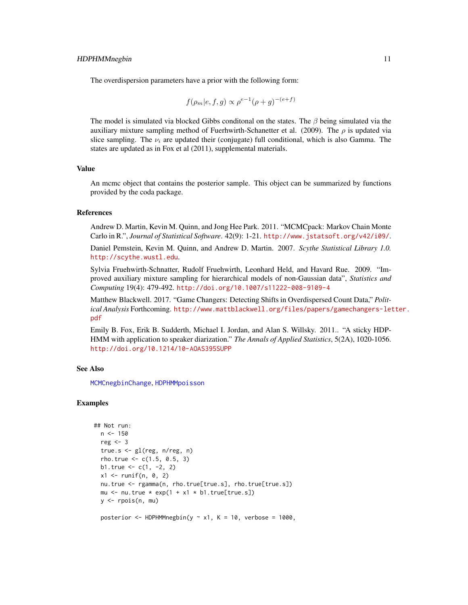The overdispersion parameters have a prior with the following form:

$$
f(\rho_m|e, f, g) \propto \rho^{e-1} (\rho + g)^{-(e+f)}
$$

The model is simulated via blocked Gibbs conditional on the states. The  $\beta$  being simulated via the auxiliary mixture sampling method of Fuerhwirth-Schanetter et al. (2009). The  $\rho$  is updated via slice sampling. The  $\nu_i$  are updated their (conjugate) full conditional, which is also Gamma. The states are updated as in Fox et al (2011), supplemental materials.

#### Value

An mcmc object that contains the posterior sample. This object can be summarized by functions provided by the coda package.

#### **References**

Andrew D. Martin, Kevin M. Quinn, and Jong Hee Park. 2011. "MCMCpack: Markov Chain Monte Carlo in R.", *Journal of Statistical Software*. 42(9): 1-21. <http://www.jstatsoft.org/v42/i09/>.

Daniel Pemstein, Kevin M. Quinn, and Andrew D. Martin. 2007. *Scythe Statistical Library 1.0.* <http://scythe.wustl.edu>.

Sylvia Fruehwirth-Schnatter, Rudolf Fruehwirth, Leonhard Held, and Havard Rue. 2009. "Improved auxiliary mixture sampling for hierarchical models of non-Gaussian data", *Statistics and Computing* 19(4): 479-492. <http://doi.org/10.1007/s11222-008-9109-4>

Matthew Blackwell. 2017. "Game Changers: Detecting Shifts in Overdispersed Count Data," *Political Analysis* Forthcoming. [http://www.mattblackwell.org/files/papers/gamechangers-let](http://www.mattblackwell.org/files/papers/gamechangers-letter.pdf)ter. [pdf](http://www.mattblackwell.org/files/papers/gamechangers-letter.pdf)

Emily B. Fox, Erik B. Sudderth, Michael I. Jordan, and Alan S. Willsky. 2011.. "A sticky HDP-HMM with application to speaker diarization." *The Annals of Applied Statistics*, 5(2A), 1020-1056. <http://doi.org/10.1214/10-AOAS395SUPP>

# See Also

[MCMCnegbinChange](#page-98-1), [HDPHMMpoisson](#page-11-1)

#### Examples

```
## Not run:
 n < -150reg <- 3
  true.s <- gl(reg, n/reg, n)
 rho.true <-c(1.5, 0.5, 3)b1.true <-c(1, -2, 2)x1 \leftarrow runif(n, 0, 2)nu.true <- rgamma(n, rho.true[true.s], rho.true[true.s])
 mu \le nu.true * exp(1 + x1 * b1.true[true.s])
 y <- rpois(n, mu)
 posterior \leq HDPHMMnegbin(y \sim x1, K = 10, verbose = 1000,
```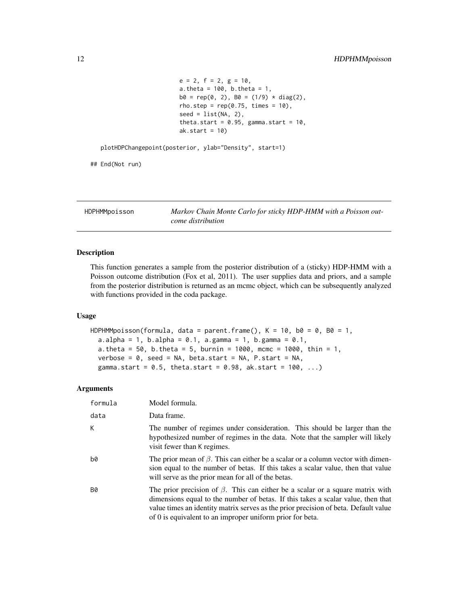```
e = 2, f = 2, g = 10,
a.theta = 100, b.theta = 1,
b0 = rep(0, 2), B0 = (1/9) * diag(2),rho.step = rep(0.75, times = 10),
seed = list(NA, 2),theta.start = 0.95, gamma.start = 10,
ak.start = 10)
```
<span id="page-11-0"></span>plotHDPChangepoint(posterior, ylab="Density", start=1)

## End(Not run)

<span id="page-11-1"></span>HDPHMMpoisson *Markov Chain Monte Carlo for sticky HDP-HMM with a Poisson outcome distribution*

# Description

This function generates a sample from the posterior distribution of a (sticky) HDP-HMM with a Poisson outcome distribution (Fox et al, 2011). The user supplies data and priors, and a sample from the posterior distribution is returned as an mcmc object, which can be subsequently analyzed with functions provided in the coda package.

#### Usage

```
HDPHMMpoisson(formula, data = parent.frame(), K = 10, b0 = 0, B0 = 1,
 a.alpha = 1, b.alpha = 0.1, a.gamma = 1, b.gamma = 0.1,
 a.theta = 50, b.theta = 5, burnin = 1000, mcmc = 1000, thin = 1,
 verbose = 0, seed = NA, beta.start = NA, P.start = NA,
  gamma.start = 0.5, theta.start = 0.98, ak.start = 100, ...)
```

| formula   | Model formula.                                                                                                                                                                                                                                                                                                               |
|-----------|------------------------------------------------------------------------------------------------------------------------------------------------------------------------------------------------------------------------------------------------------------------------------------------------------------------------------|
| data      | Data frame.                                                                                                                                                                                                                                                                                                                  |
| K         | The number of regimes under consideration. This should be larger than the<br>hypothesized number of regimes in the data. Note that the sampler will likely<br>visit fewer than K regimes.                                                                                                                                    |
| b0        | The prior mean of $\beta$ . This can either be a scalar or a column vector with dimen-<br>sion equal to the number of betas. If this takes a scalar value, then that value<br>will serve as the prior mean for all of the betas.                                                                                             |
| <b>B0</b> | The prior precision of $\beta$ . This can either be a scalar or a square matrix with<br>dimensions equal to the number of betas. If this takes a scalar value, then that<br>value times an identity matrix serves as the prior precision of beta. Default value<br>of 0 is equivalent to an improper uniform prior for beta. |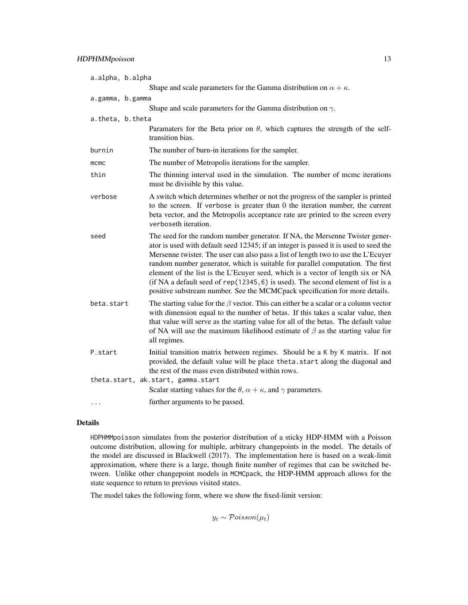|                  | a.alpha, b.alpha                                                                                                                                                                                                                                                                                                                                                                                                                                                                                                                                                                                    |  |  |
|------------------|-----------------------------------------------------------------------------------------------------------------------------------------------------------------------------------------------------------------------------------------------------------------------------------------------------------------------------------------------------------------------------------------------------------------------------------------------------------------------------------------------------------------------------------------------------------------------------------------------------|--|--|
|                  | Shape and scale parameters for the Gamma distribution on $\alpha + \kappa$ .                                                                                                                                                                                                                                                                                                                                                                                                                                                                                                                        |  |  |
| a.gamma, b.gamma |                                                                                                                                                                                                                                                                                                                                                                                                                                                                                                                                                                                                     |  |  |
|                  | Shape and scale parameters for the Gamma distribution on $\gamma$ .                                                                                                                                                                                                                                                                                                                                                                                                                                                                                                                                 |  |  |
| a.theta, b.theta |                                                                                                                                                                                                                                                                                                                                                                                                                                                                                                                                                                                                     |  |  |
|                  | Paramaters for the Beta prior on $\theta$ , which captures the strength of the self-<br>transition bias.                                                                                                                                                                                                                                                                                                                                                                                                                                                                                            |  |  |
| burnin           | The number of burn-in iterations for the sampler.                                                                                                                                                                                                                                                                                                                                                                                                                                                                                                                                                   |  |  |
| mcmc             | The number of Metropolis iterations for the sampler.                                                                                                                                                                                                                                                                                                                                                                                                                                                                                                                                                |  |  |
| thin             | The thinning interval used in the simulation. The number of mcmc iterations<br>must be divisible by this value.                                                                                                                                                                                                                                                                                                                                                                                                                                                                                     |  |  |
| verbose          | A switch which determines whether or not the progress of the sampler is printed<br>to the screen. If verbose is greater than 0 the iteration number, the current<br>beta vector, and the Metropolis acceptance rate are printed to the screen every<br>verboseth iteration.                                                                                                                                                                                                                                                                                                                         |  |  |
| seed             | The seed for the random number generator. If NA, the Mersenne Twister gener-<br>ator is used with default seed 12345; if an integer is passed it is used to seed the<br>Mersenne twister. The user can also pass a list of length two to use the L'Ecuyer<br>random number generator, which is suitable for parallel computation. The first<br>element of the list is the L'Ecuyer seed, which is a vector of length six or NA<br>(if NA a default seed of $rep(12345, 6)$ is used). The second element of list is a<br>positive substream number. See the MCMCpack specification for more details. |  |  |
| beta.start       | The starting value for the $\beta$ vector. This can either be a scalar or a column vector<br>with dimension equal to the number of betas. If this takes a scalar value, then<br>that value will serve as the starting value for all of the betas. The default value<br>of NA will use the maximum likelihood estimate of $\beta$ as the starting value for<br>all regimes.                                                                                                                                                                                                                          |  |  |
| P.start          | Initial transition matrix between regimes. Should be a K by K matrix. If not<br>provided, the default value will be place theta. start along the diagonal and<br>the rest of the mass even distributed within rows.                                                                                                                                                                                                                                                                                                                                                                                 |  |  |
|                  | theta.start, ak.start, gamma.start<br>Scalar starting values for the $\theta$ , $\alpha + \kappa$ , and $\gamma$ parameters.                                                                                                                                                                                                                                                                                                                                                                                                                                                                        |  |  |
| $\cdots$         | further arguments to be passed.                                                                                                                                                                                                                                                                                                                                                                                                                                                                                                                                                                     |  |  |
|                  |                                                                                                                                                                                                                                                                                                                                                                                                                                                                                                                                                                                                     |  |  |

# Details

HDPHMMpoisson simulates from the posterior distribution of a sticky HDP-HMM with a Poisson outcome distribution, allowing for multiple, arbitrary changepoints in the model. The details of the model are discussed in Blackwell (2017). The implementation here is based on a weak-limit approximation, where there is a large, though finite number of regimes that can be switched between. Unlike other changepoint models in MCMCpack, the HDP-HMM approach allows for the state sequence to return to previous visited states.

The model takes the following form, where we show the fixed-limit version:

 $y_t \sim \mathcal{Poisson}(\mu_t)$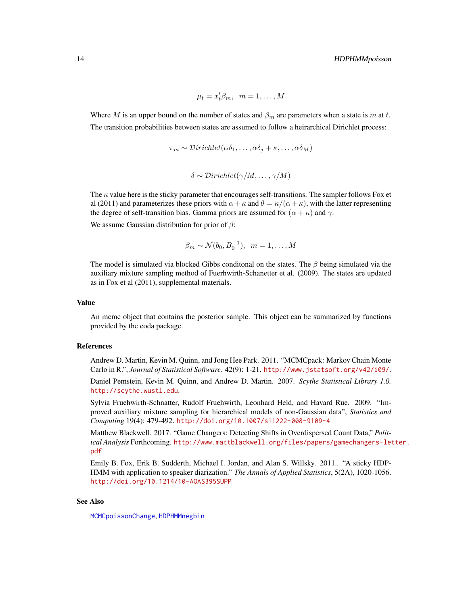$\mu_t = x_t' \beta_m, \ \ m = 1, \ldots, M$ 

Where M is an upper bound on the number of states and  $\beta_m$  are parameters when a state is m at t. The transition probabilities between states are assumed to follow a heirarchical Dirichlet process:

$$
\pi_m \sim \mathcal{D}irichlet(\alpha\delta_1,\ldots,\alpha\delta_j+\kappa,\ldots,\alpha\delta_M)
$$

```
\delta \sim Dirichlet(\gamma/M, \ldots, \gamma/M)
```
The  $\kappa$  value here is the sticky parameter that encourages self-transitions. The sampler follows Fox et al (2011) and parameterizes these priors with  $\alpha + \kappa$  and  $\theta = \kappa/(\alpha + \kappa)$ , with the latter representing the degree of self-transition bias. Gamma priors are assumed for  $(\alpha + \kappa)$  and  $\gamma$ .

We assume Gaussian distribution for prior of  $\beta$ :

$$
\beta_m \sim \mathcal{N}(b_0, B_0^{-1}), \quad m = 1, \dots, M
$$

The model is simulated via blocked Gibbs conditional on the states. The  $\beta$  being simulated via the auxiliary mixture sampling method of Fuerhwirth-Schanetter et al. (2009). The states are updated as in Fox et al (2011), supplemental materials.

# Value

An mcmc object that contains the posterior sample. This object can be summarized by functions provided by the coda package.

#### References

Andrew D. Martin, Kevin M. Quinn, and Jong Hee Park. 2011. "MCMCpack: Markov Chain Monte Carlo in R.", *Journal of Statistical Software*. 42(9): 1-21. <http://www.jstatsoft.org/v42/i09/>.

Daniel Pemstein, Kevin M. Quinn, and Andrew D. Martin. 2007. *Scythe Statistical Library 1.0.* <http://scythe.wustl.edu>.

Sylvia Fruehwirth-Schnatter, Rudolf Fruehwirth, Leonhard Held, and Havard Rue. 2009. "Improved auxiliary mixture sampling for hierarchical models of non-Gaussian data", *Statistics and Computing* 19(4): 479-492. <http://doi.org/10.1007/s11222-008-9109-4>

Matthew Blackwell. 2017. "Game Changers: Detecting Shifts in Overdispersed Count Data," *Political Analysis* Forthcoming. [http://www.mattblackwell.org/files/papers/gamechangers-let](http://www.mattblackwell.org/files/papers/gamechangers-letter.pdf)ter. [pdf](http://www.mattblackwell.org/files/papers/gamechangers-letter.pdf)

Emily B. Fox, Erik B. Sudderth, Michael I. Jordan, and Alan S. Willsky. 2011.. "A sticky HDP-HMM with application to speaker diarization." *The Annals of Applied Statistics*, 5(2A), 1020-1056. <http://doi.org/10.1214/10-AOAS395SUPP>

#### See Also

[MCMCpoissonChange](#page-114-1), [HDPHMMnegbin](#page-7-1)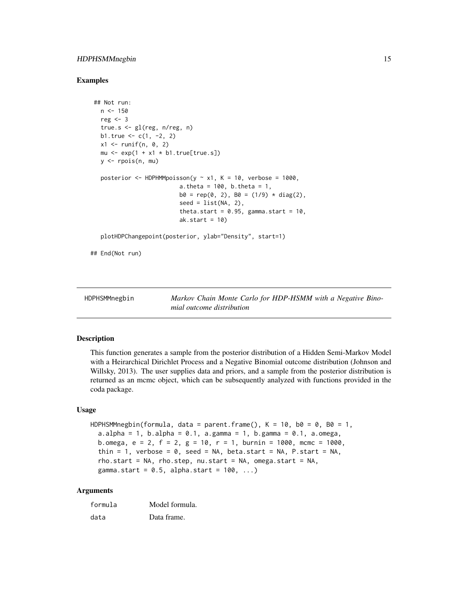# <span id="page-14-0"></span>HDPHSMMnegbin 15

#### Examples

```
## Not run:
 n < -150reg <-3true.s <- gl(reg, n/reg, n)
  b1.true <-c(1, -2, 2)x1 \leftarrow \text{runif}(n, 0, 2)mu \leq - \exp(1 + x_1) \cdot \text{b1}.true[true.s])
  y \leq - rpois(n, mu)
  posterior \leq HDPHMMpoisson(y \sim x1, K = 10, verbose = 1000,
                           a.theta = 100, b.theta = 1,
                           b0 = rep(0, 2), B0 = (1/9) * diag(2),seed = list(NA, 2),
                           theta.start = 0.95, gamma.start = 10,
                           ak.start = 10)
  plotHDPChangepoint(posterior, ylab="Density", start=1)
```
## End(Not run)

HDPHSMMnegbin *Markov Chain Monte Carlo for HDP-HSMM with a Negative Binomial outcome distribution*

### Description

This function generates a sample from the posterior distribution of a Hidden Semi-Markov Model with a Heirarchical Dirichlet Process and a Negative Binomial outcome distribution (Johnson and Willsky, 2013). The user supplies data and priors, and a sample from the posterior distribution is returned as an mcmc object, which can be subsequently analyzed with functions provided in the coda package.

#### Usage

```
HDPHSMMnegbin(formula, data = parent.frame(), K = 10, b0 = 0, B0 = 1,
  a.alpha = 1, b.alpha = 0.1, a.gamma = 1, b.gamma = 0.1, a.omega,
  b.omega, e = 2, f = 2, g = 10, r = 1, burnin = 1000, mcmc = 1000,
  thin = 1, verbose = 0, seed = NA, beta.start = NA, P.start = NA,
  rho.start = NA, rho.step, nu.start = NA, omega.start = NA,
  gamma.start = 0.5, alpha.start = 100, ...)
```

| formula | Model formula. |
|---------|----------------|
| data    | Data frame.    |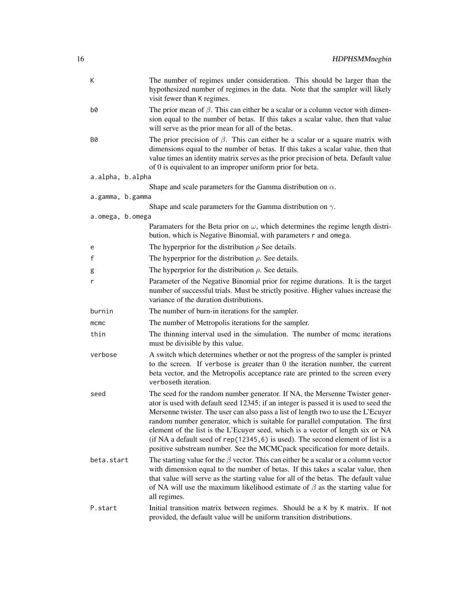| К                | The number of regimes under consideration. This should be larger than the<br>hypothesized number of regimes in the data. Note that the sampler will likely<br>visit fewer than K regimes.                                                                                                                                                                                                                                                                                                                                                                                                           |  |
|------------------|-----------------------------------------------------------------------------------------------------------------------------------------------------------------------------------------------------------------------------------------------------------------------------------------------------------------------------------------------------------------------------------------------------------------------------------------------------------------------------------------------------------------------------------------------------------------------------------------------------|--|
| b0               | The prior mean of $\beta$ . This can either be a scalar or a column vector with dimen-<br>sion equal to the number of betas. If this takes a scalar value, then that value<br>will serve as the prior mean for all of the betas.                                                                                                                                                                                                                                                                                                                                                                    |  |
| B0               | The prior precision of $\beta$ . This can either be a scalar or a square matrix with<br>dimensions equal to the number of betas. If this takes a scalar value, then that<br>value times an identity matrix serves as the prior precision of beta. Default value<br>of 0 is equivalent to an improper uniform prior for beta.                                                                                                                                                                                                                                                                        |  |
| a.alpha, b.alpha |                                                                                                                                                                                                                                                                                                                                                                                                                                                                                                                                                                                                     |  |
|                  | Shape and scale parameters for the Gamma distribution on $\alpha$ .                                                                                                                                                                                                                                                                                                                                                                                                                                                                                                                                 |  |
| a.gamma, b.gamma |                                                                                                                                                                                                                                                                                                                                                                                                                                                                                                                                                                                                     |  |
|                  | Shape and scale parameters for the Gamma distribution on $\gamma$ .                                                                                                                                                                                                                                                                                                                                                                                                                                                                                                                                 |  |
| a.omega, b.omega | Paramaters for the Beta prior on $\omega$ , which determines the regime length distri-<br>bution, which is Negative Binomial, with parameters r and omega.                                                                                                                                                                                                                                                                                                                                                                                                                                          |  |
| e                | The hyperprior for the distribution $\rho$ See details.                                                                                                                                                                                                                                                                                                                                                                                                                                                                                                                                             |  |
| f                | The hyperprior for the distribution $\rho$ . See details.                                                                                                                                                                                                                                                                                                                                                                                                                                                                                                                                           |  |
| g                | The hyperprior for the distribution $\rho$ . See details.                                                                                                                                                                                                                                                                                                                                                                                                                                                                                                                                           |  |
| r                | Parameter of the Negative Binomial prior for regime durations. It is the target<br>number of successful trials. Must be strictly positive. Higher values increase the<br>variance of the duration distributions.                                                                                                                                                                                                                                                                                                                                                                                    |  |
| burnin           | The number of burn-in iterations for the sampler.                                                                                                                                                                                                                                                                                                                                                                                                                                                                                                                                                   |  |
| mcmc             | The number of Metropolis iterations for the sampler.                                                                                                                                                                                                                                                                                                                                                                                                                                                                                                                                                |  |
| thin             | The thinning interval used in the simulation. The number of mcmc iterations<br>must be divisible by this value.                                                                                                                                                                                                                                                                                                                                                                                                                                                                                     |  |
| verbose          | A switch which determines whether or not the progress of the sampler is printed<br>to the screen. If verbose is greater than 0 the iteration number, the current<br>beta vector, and the Metropolis acceptance rate are printed to the screen every<br>verboseth iteration.                                                                                                                                                                                                                                                                                                                         |  |
| seed             | The seed for the random number generator. If NA, the Mersenne Twister gener-<br>ator is used with default seed 12345; if an integer is passed it is used to seed the<br>Mersenne twister. The user can also pass a list of length two to use the L'Ecuyer<br>random number generator, which is suitable for parallel computation. The first<br>element of the list is the L'Ecuyer seed, which is a vector of length six or NA<br>(if NA a default seed of $rep(12345, 6)$ is used). The second element of list is a<br>positive substream number. See the MCMCpack specification for more details. |  |
| beta.start       | The starting value for the $\beta$ vector. This can either be a scalar or a column vector<br>with dimension equal to the number of betas. If this takes a scalar value, then<br>that value will serve as the starting value for all of the betas. The default value<br>of NA will use the maximum likelihood estimate of $\beta$ as the starting value for<br>all regimes.                                                                                                                                                                                                                          |  |
| P.start          | Initial transition matrix between regimes. Should be a K by K matrix. If not<br>provided, the default value will be uniform transition distributions.                                                                                                                                                                                                                                                                                                                                                                                                                                               |  |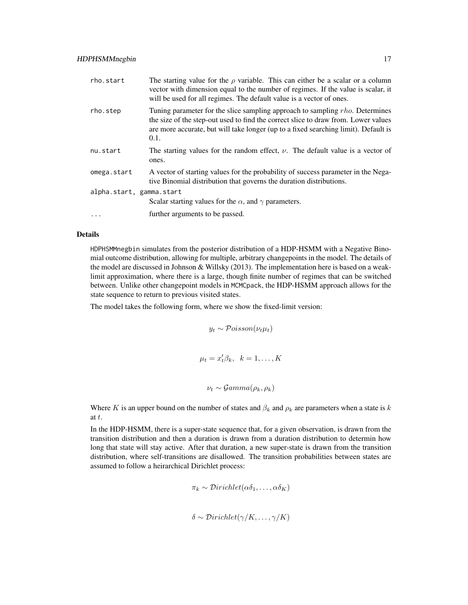| rho.start                | The starting value for the $\rho$ variable. This can either be a scalar or a column<br>vector with dimension equal to the number of regimes. If the value is scalar, it<br>will be used for all regimes. The default value is a vector of ones.                   |
|--------------------------|-------------------------------------------------------------------------------------------------------------------------------------------------------------------------------------------------------------------------------------------------------------------|
| rho.step                 | Tuning parameter for the slice sampling approach to sampling rho. Determines<br>the size of the step-out used to find the correct slice to draw from. Lower values<br>are more accurate, but will take longer (up to a fixed searching limit). Default is<br>0.1. |
| nu.start                 | The starting values for the random effect, $\nu$ . The default value is a vector of<br>ones.                                                                                                                                                                      |
| omega.start              | A vector of starting values for the probability of success parameter in the Nega-<br>tive Binomial distribution that governs the duration distributions.                                                                                                          |
| alpha.start, gamma.start | Scalar starting values for the $\alpha$ , and $\gamma$ parameters.                                                                                                                                                                                                |
| $\cdots$                 | further arguments to be passed.                                                                                                                                                                                                                                   |

### Details

HDPHSMMnegbin simulates from the posterior distribution of a HDP-HSMM with a Negative Binomial outcome distribution, allowing for multiple, arbitrary changepoints in the model. The details of the model are discussed in Johnson & Willsky (2013). The implementation here is based on a weaklimit approximation, where there is a large, though finite number of regimes that can be switched between. Unlike other changepoint models in MCMCpack, the HDP-HSMM approach allows for the state sequence to return to previous visited states.

The model takes the following form, where we show the fixed-limit version:

$$
y_t \sim \mathcal{Poisson}(\nu_t \mu_t)
$$
  

$$
\mu_t = x_t' \beta_k, \quad k = 1, ..., K
$$
  

$$
\nu_t \sim \mathcal{G}amma(\rho_k, \rho_k)
$$

Where K is an upper bound on the number of states and  $\beta_k$  and  $\rho_k$  are parameters when a state is k at t.

In the HDP-HSMM, there is a super-state sequence that, for a given observation, is drawn from the transition distribution and then a duration is drawn from a duration distribution to determin how long that state will stay active. After that duration, a new super-state is drawn from the transition distribution, where self-transitions are disallowed. The transition probabilities between states are assumed to follow a heirarchical Dirichlet process:

$$
\pi_k \sim Dirichlet(\alpha \delta_1, \ldots, \alpha \delta_K)
$$

$$
\delta \sim Dirichlet(\gamma/K, \ldots, \gamma/K)
$$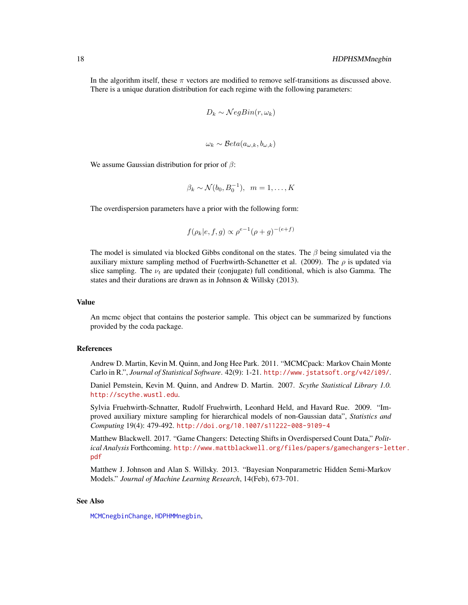In the algorithm itself, these  $\pi$  vectors are modified to remove self-transitions as discussed above. There is a unique duration distribution for each regime with the following parameters:

$$
D_k \sim \mathcal{N}egBin(r, \omega_k)
$$

$$
\omega_k \sim \mathcal{B}eta(a_{\omega,k}, b_{\omega,k})
$$

We assume Gaussian distribution for prior of  $\beta$ :

$$
\beta_k \sim \mathcal{N}(b_0, B_0^{-1}), \ \ m = 1, \dots, K
$$

The overdispersion parameters have a prior with the following form:

$$
f(\rho_k|e, f, g) \propto \rho^{e-1} (\rho + g)^{-(e+f)}
$$

The model is simulated via blocked Gibbs conditional on the states. The  $\beta$  being simulated via the auxiliary mixture sampling method of Fuerhwirth-Schanetter et al. (2009). The  $\rho$  is updated via slice sampling. The  $\nu_t$  are updated their (conjugate) full conditional, which is also Gamma. The states and their durations are drawn as in Johnson & Willsky (2013).

#### Value

An mcmc object that contains the posterior sample. This object can be summarized by functions provided by the coda package.

## References

Andrew D. Martin, Kevin M. Quinn, and Jong Hee Park. 2011. "MCMCpack: Markov Chain Monte Carlo in R.", *Journal of Statistical Software*. 42(9): 1-21. <http://www.jstatsoft.org/v42/i09/>.

Daniel Pemstein, Kevin M. Quinn, and Andrew D. Martin. 2007. *Scythe Statistical Library 1.0.* <http://scythe.wustl.edu>.

Sylvia Fruehwirth-Schnatter, Rudolf Fruehwirth, Leonhard Held, and Havard Rue. 2009. "Improved auxiliary mixture sampling for hierarchical models of non-Gaussian data", *Statistics and Computing* 19(4): 479-492. <http://doi.org/10.1007/s11222-008-9109-4>

Matthew Blackwell. 2017. "Game Changers: Detecting Shifts in Overdispersed Count Data," *Political Analysis* Forthcoming. [http://www.mattblackwell.org/files/papers/gamechangers-let](http://www.mattblackwell.org/files/papers/gamechangers-letter.pdf)ter. [pdf](http://www.mattblackwell.org/files/papers/gamechangers-letter.pdf)

Matthew J. Johnson and Alan S. Willsky. 2013. "Bayesian Nonparametric Hidden Semi-Markov Models." *Journal of Machine Learning Research*, 14(Feb), 673-701.

# See Also

[MCMCnegbinChange](#page-98-1), [HDPHMMnegbin](#page-7-1),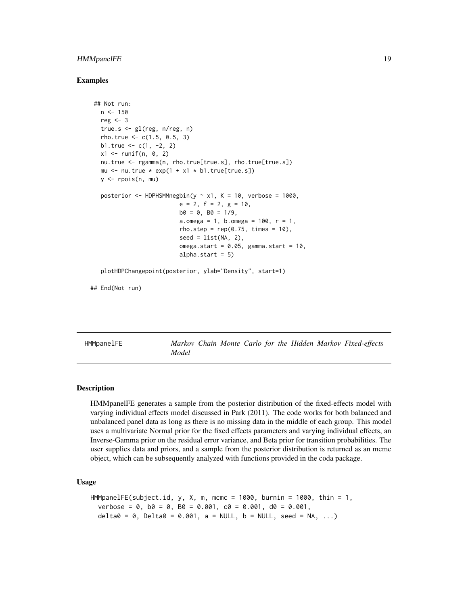# <span id="page-18-0"></span>HMMpanelFE 19

# Examples

```
## Not run:
 n < -150reg <-3true.s <- gl(reg, n/reg, n)
 rho.true <-c(1.5, 0.5, 3)b1.true <-c(1, -2, 2)x1 \leftarrow runif(n, 0, 2)nu.true <- rgamma(n, rho.true[true.s], rho.true[true.s])
 mu \le nu.true * exp(1 + x1 * b1.true[true.s])
 y \leftarrow \text{rpois}(n, mu)posterior \leq HDPHSMMnegbin(y \sim x1, K = 10, verbose = 1000,
                          e = 2, f = 2, g = 10,b0 = 0, B0 = 1/9,
                          a.omega = 1, b.omega = 100, r = 1,
                          rho.step = rep(0.75, times = 10),
                          seed = list(NA, 2),
                          omega.start = 0.05, gamma.start = 10,
                          alpha.start = 5)plotHDPChangepoint(posterior, ylab="Density", start=1)
```
## End(Not run)

HMMpanelFE *Markov Chain Monte Carlo for the Hidden Markov Fixed-effects Model*

#### Description

HMMpanelFE generates a sample from the posterior distribution of the fixed-effects model with varying individual effects model discussed in Park (2011). The code works for both balanced and unbalanced panel data as long as there is no missing data in the middle of each group. This model uses a multivariate Normal prior for the fixed effects parameters and varying individual effects, an Inverse-Gamma prior on the residual error variance, and Beta prior for transition probabilities. The user supplies data and priors, and a sample from the posterior distribution is returned as an mcmc object, which can be subsequently analyzed with functions provided in the coda package.

# Usage

```
HMMpanelFE(subject.id, y, X, m, mcmc = 1000, burnin = 1000, thin = 1,
  verbose = 0, b0 = 0, B0 = 0.001, c0 = 0.001, d0 = 0.001,
  delta = 0, Delta0 = 0.001, a = NULL, b = NULL, seed = NA, ...)
```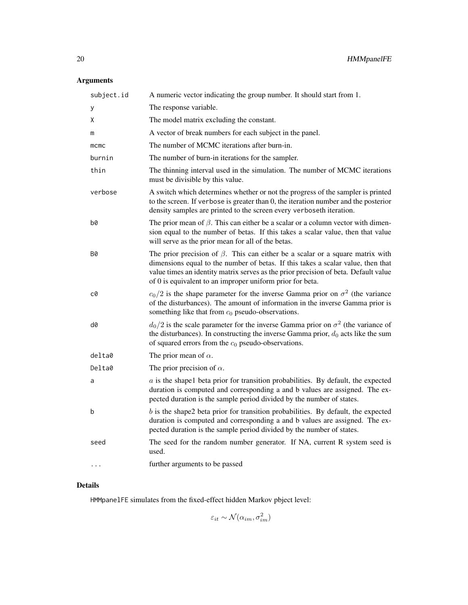# Arguments

| subject.id | A numeric vector indicating the group number. It should start from 1.                                                                                                                                                                                                                                                        |  |
|------------|------------------------------------------------------------------------------------------------------------------------------------------------------------------------------------------------------------------------------------------------------------------------------------------------------------------------------|--|
| у          | The response variable.                                                                                                                                                                                                                                                                                                       |  |
| X          | The model matrix excluding the constant.                                                                                                                                                                                                                                                                                     |  |
| m          | A vector of break numbers for each subject in the panel.                                                                                                                                                                                                                                                                     |  |
| mcmc       | The number of MCMC iterations after burn-in.                                                                                                                                                                                                                                                                                 |  |
| burnin     | The number of burn-in iterations for the sampler.                                                                                                                                                                                                                                                                            |  |
| thin       | The thinning interval used in the simulation. The number of MCMC iterations<br>must be divisible by this value.                                                                                                                                                                                                              |  |
| verbose    | A switch which determines whether or not the progress of the sampler is printed<br>to the screen. If verbose is greater than 0, the iteration number and the posterior<br>density samples are printed to the screen every verboseth iteration.                                                                               |  |
| b0         | The prior mean of $\beta$ . This can either be a scalar or a column vector with dimen-<br>sion equal to the number of betas. If this takes a scalar value, then that value<br>will serve as the prior mean for all of the betas.                                                                                             |  |
| <b>B0</b>  | The prior precision of $\beta$ . This can either be a scalar or a square matrix with<br>dimensions equal to the number of betas. If this takes a scalar value, then that<br>value times an identity matrix serves as the prior precision of beta. Default value<br>of 0 is equivalent to an improper uniform prior for beta. |  |
| c0         | $c_0/2$ is the shape parameter for the inverse Gamma prior on $\sigma^2$ (the variance<br>of the disturbances). The amount of information in the inverse Gamma prior is<br>something like that from $c_0$ pseudo-observations.                                                                                               |  |
| d0         | $d_0/2$ is the scale parameter for the inverse Gamma prior on $\sigma^2$ (the variance of<br>the disturbances). In constructing the inverse Gamma prior, $d_0$ acts like the sum<br>of squared errors from the $c_0$ pseudo-observations.                                                                                    |  |
| delta0     | The prior mean of $\alpha$ .                                                                                                                                                                                                                                                                                                 |  |
| Delta0     | The prior precision of $\alpha$ .                                                                                                                                                                                                                                                                                            |  |
| a          | $a$ is the shapel beta prior for transition probabilities. By default, the expected<br>duration is computed and corresponding a and b values are assigned. The ex-<br>pected duration is the sample period divided by the number of states.                                                                                  |  |
| b          | $b$ is the shape2 beta prior for transition probabilities. By default, the expected<br>duration is computed and corresponding a and b values are assigned. The ex-<br>pected duration is the sample period divided by the number of states.                                                                                  |  |
| seed       | The seed for the random number generator. If NA, current R system seed is<br>used.                                                                                                                                                                                                                                           |  |
|            | further arguments to be passed                                                                                                                                                                                                                                                                                               |  |

# Details

HMMpanelFE simulates from the fixed-effect hidden Markov pbject level:

 $\varepsilon_{it} \sim \mathcal{N}(\alpha_{im}, \sigma_{im}^2)$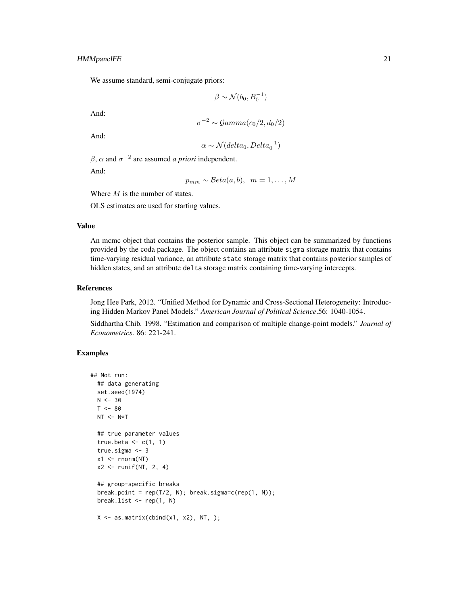# HMMpanelFE 21

We assume standard, semi-conjugate priors:

$$
\beta \sim \mathcal{N}(b_0, B_0^{-1})
$$

And:

$$
\sigma^{-2} \sim \mathcal{Gamma}(c_0/2, d_0/2)
$$

And:

$$
\alpha \sim \mathcal{N}(delta_0, Delta_0^{-1})
$$

 $\beta$ ,  $\alpha$  and  $\sigma^{-2}$  are assumed *a priori* independent.

And:

$$
p_{mm} \sim \mathcal{B}eta(a, b), \ \ m = 1, \ldots, M
$$

Where  $M$  is the number of states.

OLS estimates are used for starting values.

# Value

An mcmc object that contains the posterior sample. This object can be summarized by functions provided by the coda package. The object contains an attribute sigma storage matrix that contains time-varying residual variance, an attribute state storage matrix that contains posterior samples of hidden states, and an attribute delta storage matrix containing time-varying intercepts.

#### References

Jong Hee Park, 2012. "Unified Method for Dynamic and Cross-Sectional Heterogeneity: Introducing Hidden Markov Panel Models." *American Journal of Political Science*.56: 1040-1054.

Siddhartha Chib. 1998. "Estimation and comparison of multiple change-point models." *Journal of Econometrics*. 86: 221-241.

# Examples

```
## Not run:
  ## data generating
  set.seed(1974)
  N < -30T < -80NT < - N*T## true parameter values
  true.beta \leq c(1, 1)true.sigma <- 3
  x1 \leftarrow \text{rnorm}(NT)x2 \le runif(NT, 2, 4)
  ## group-specific breaks
  break.point = rep(T/2, N); break.sigma=c(rep(1, N));
  break.list <- rep(1, N)
  X \leftarrow \text{as_matrix}(\text{cbind}(x1, x2), NT, );
```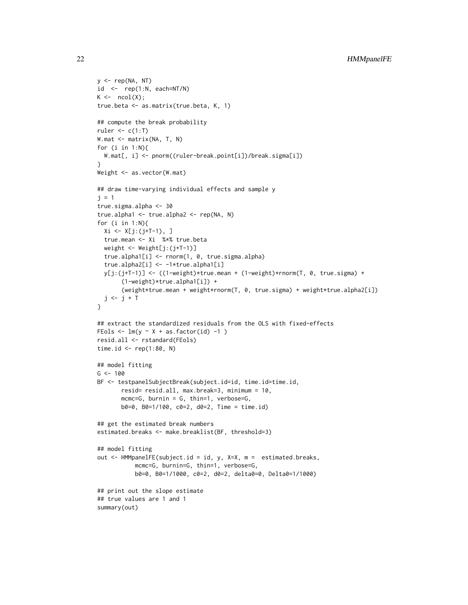```
y \leq -rep(NA, NT)id \leq rep(1:N, each=NT/N)
K \leftarrow \text{ncol}(X);true.beta <- as.matrix(true.beta, K, 1)
## compute the break probability
ruler \leq c(1:T)W.mat <- matrix(NA, T, N)
for (i in 1:N){
 W.mat[, i] <- pnorm((ruler-break.point[i])/break.sigma[i])
}
Weight <- as.vector(W.mat)
## draw time-varying individual effects and sample y
j = 1true.sigma.alpha <- 30
true.alpha1 <- true.alpha2 <- rep(NA, N)
for (i in 1:N){
 Xi <- X[j:(j+T-1), ]
 true.mean <- Xi %*% true.beta
  weight <- Weight[j:(j+T-1)]
  true.alpha1[i] <- rnorm(1, 0, true.sigma.alpha)
  true.alpha2[i] <- -1*true.alpha1[i]
  y[j:(j+T-1)] <- ((1-weight)*true.mean + (1-weight)*rnorm(T, 0, true.sigma) +
       (1-weight)*true.alpha1[i]) +
       (weight*true.mean + weight*rnorm(T, 0, true.sigma) + weight*true.alpha2[i])
  j \leftarrow j + T}
## extract the standardized residuals from the OLS with fixed-effects
FEols \leq lm(y \sim X + as.factor(id) -1 )
resid.all <- rstandard(FEols)
time.id \leq rep(1:80, N)
## model fitting
G < -100BF <- testpanelSubjectBreak(subject.id=id, time.id=time.id,
       resid= resid.all, max.break=3, minimum = 10,
       mcmc=G, burnin = G, thin=1, verbose=G,
       b0=0, B0=1/100, c0=2, d0=2, Time = time.id)
## get the estimated break numbers
estimated.breaks <- make.breaklist(BF, threshold=3)
## model fitting
out <- HMMpanelFE(subject.id = id, y, X=X, m = estimated.breaks,
           mcmc=G, burnin=G, thin=1, verbose=G,
           b0=0, B0=1/1000, c0=2, d0=2, delta0=0, Delta0=1/1000)
## print out the slope estimate
## true values are 1 and 1
summary(out)
```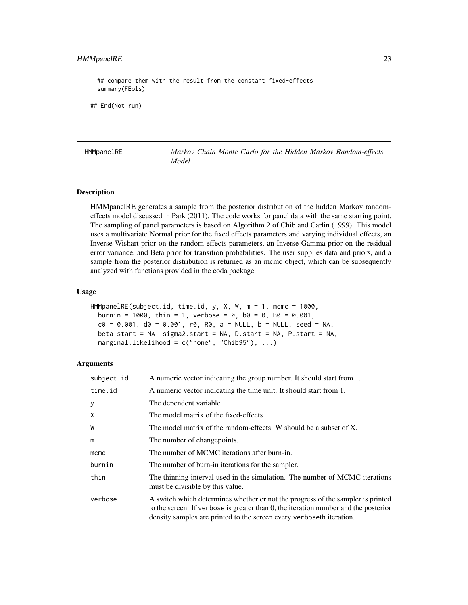# <span id="page-22-0"></span>HMMpanelRE 23

## compare them with the result from the constant fixed-effects summary(FEols)

## End(Not run)

HMMpanelRE *Markov Chain Monte Carlo for the Hidden Markov Random-effects Model*

#### Description

HMMpanelRE generates a sample from the posterior distribution of the hidden Markov randomeffects model discussed in Park (2011). The code works for panel data with the same starting point. The sampling of panel parameters is based on Algorithm 2 of Chib and Carlin (1999). This model uses a multivariate Normal prior for the fixed effects parameters and varying individual effects, an Inverse-Wishart prior on the random-effects parameters, an Inverse-Gamma prior on the residual error variance, and Beta prior for transition probabilities. The user supplies data and priors, and a sample from the posterior distribution is returned as an mcmc object, which can be subsequently analyzed with functions provided in the coda package.

#### Usage

```
HMMpanelRE(subject.id, time.id, y, X, W, m = 1, mcmc = 1000,
 burnin = 1000, thin = 1, verbose = 0, b0 = 0, B0 = 0.001,
  c0 = 0.001, d0 = 0.001, r0, R0, a = NULL, b = NULL, seed = NA,
 beta.start = NA, sigma2.start = NA, D.start = NA, P.start = NA,
 marginal.likelihood = c("none", "Chib95"), ...)
```

| subject.id | A numeric vector indicating the group number. It should start from 1.                                                                                                                                                                          |  |
|------------|------------------------------------------------------------------------------------------------------------------------------------------------------------------------------------------------------------------------------------------------|--|
| time.id    | A numeric vector indicating the time unit. It should start from 1.                                                                                                                                                                             |  |
| У          | The dependent variable                                                                                                                                                                                                                         |  |
| X          | The model matrix of the fixed-effects                                                                                                                                                                                                          |  |
| W          | The model matrix of the random-effects. W should be a subset of X.                                                                                                                                                                             |  |
| m          | The number of changepoints.                                                                                                                                                                                                                    |  |
| mcmc       | The number of MCMC iterations after burn-in.                                                                                                                                                                                                   |  |
| burnin     | The number of burn-in iterations for the sampler.                                                                                                                                                                                              |  |
| thin       | The thinning interval used in the simulation. The number of MCMC iterations<br>must be divisible by this value.                                                                                                                                |  |
| verbose    | A switch which determines whether or not the progress of the sampler is printed<br>to the screen. If verbose is greater than 0, the iteration number and the posterior<br>density samples are printed to the screen every verboseth iteration. |  |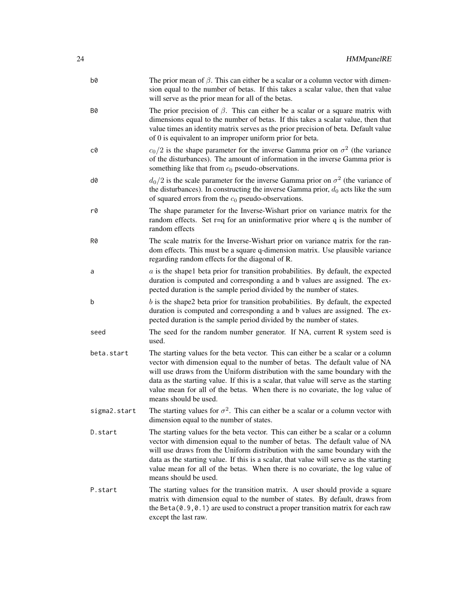| b0           | The prior mean of $\beta$ . This can either be a scalar or a column vector with dimen-<br>sion equal to the number of betas. If this takes a scalar value, then that value<br>will serve as the prior mean for all of the betas.                                                                                                                                                                                                                    |
|--------------|-----------------------------------------------------------------------------------------------------------------------------------------------------------------------------------------------------------------------------------------------------------------------------------------------------------------------------------------------------------------------------------------------------------------------------------------------------|
| B0           | The prior precision of $\beta$ . This can either be a scalar or a square matrix with<br>dimensions equal to the number of betas. If this takes a scalar value, then that<br>value times an identity matrix serves as the prior precision of beta. Default value<br>of 0 is equivalent to an improper uniform prior for beta.                                                                                                                        |
| c0           | $c_0/2$ is the shape parameter for the inverse Gamma prior on $\sigma^2$ (the variance<br>of the disturbances). The amount of information in the inverse Gamma prior is<br>something like that from $c_0$ pseudo-observations.                                                                                                                                                                                                                      |
| d0           | $d_0/2$ is the scale parameter for the inverse Gamma prior on $\sigma^2$ (the variance of<br>the disturbances). In constructing the inverse Gamma prior, $d_0$ acts like the sum<br>of squared errors from the $c_0$ pseudo-observations.                                                                                                                                                                                                           |
| r0           | The shape parameter for the Inverse-Wishart prior on variance matrix for the<br>random effects. Set $r=q$ for an uninformative prior where $q$ is the number of<br>random effects                                                                                                                                                                                                                                                                   |
| R0           | The scale matrix for the Inverse-Wishart prior on variance matrix for the ran-<br>dom effects. This must be a square q-dimension matrix. Use plausible variance<br>regarding random effects for the diagonal of R.                                                                                                                                                                                                                                  |
| a            | $a$ is the shape1 beta prior for transition probabilities. By default, the expected<br>duration is computed and corresponding a and b values are assigned. The ex-<br>pected duration is the sample period divided by the number of states.                                                                                                                                                                                                         |
| b            | $b$ is the shape2 beta prior for transition probabilities. By default, the expected<br>duration is computed and corresponding a and b values are assigned. The ex-<br>pected duration is the sample period divided by the number of states.                                                                                                                                                                                                         |
| seed         | The seed for the random number generator. If NA, current R system seed is<br>used.                                                                                                                                                                                                                                                                                                                                                                  |
| beta.start   | The starting values for the beta vector. This can either be a scalar or a column<br>vector with dimension equal to the number of betas. The default value of NA<br>will use draws from the Uniform distribution with the same boundary with the<br>data as the starting value. If this is a scalar, that value will serve as the starting<br>value mean for all of the betas. When there is no covariate, the log value of<br>means should be used. |
| sigma2.start | The starting values for $\sigma^2$ . This can either be a scalar or a column vector with<br>dimension equal to the number of states.                                                                                                                                                                                                                                                                                                                |
| D.start      | The starting values for the beta vector. This can either be a scalar or a column<br>vector with dimension equal to the number of betas. The default value of NA<br>will use draws from the Uniform distribution with the same boundary with the<br>data as the starting value. If this is a scalar, that value will serve as the starting<br>value mean for all of the betas. When there is no covariate, the log value of<br>means should be used. |
| P.start      | The starting values for the transition matrix. A user should provide a square<br>matrix with dimension equal to the number of states. By default, draws from<br>the Beta $(0.9, 0.1)$ are used to construct a proper transition matrix for each raw<br>except the last raw.                                                                                                                                                                         |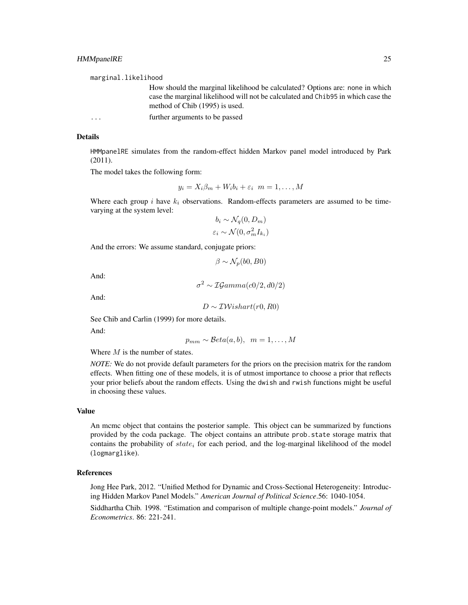marginal.likelihood

How should the marginal likelihood be calculated? Options are: none in which case the marginal likelihood will not be calculated and Chib95 in which case the method of Chib (1995) is used.

... further arguments to be passed

#### Details

HMMpanelRE simulates from the random-effect hidden Markov panel model introduced by Park (2011).

The model takes the following form:

$$
y_i = X_i \beta_m + W_i b_i + \varepsilon_i \ \ m = 1, \dots, M
$$

Where each group i have  $k_i$  observations. Random-effects parameters are assumed to be timevarying at the system level:

$$
b_i \sim \mathcal{N}_q(0, D_m)
$$

$$
\varepsilon_i \sim \mathcal{N}(0, \sigma_m^2 I_{k_i})
$$

And the errors: We assume standard, conjugate priors:

$$
\beta \sim \mathcal{N}_p(b0, B0)
$$

And:

$$
\sigma^2 \sim \mathcal{IG}amma(c0/2, d0/2)
$$

And:

 $D \sim \mathcal{IW}$ ishart(r0, R0)

See Chib and Carlin (1999) for more details.

And:

 $p_{mm} \sim \mathcal{B}eta(a, b), \ \ m = 1, \ldots, M$ 

Where  $M$  is the number of states.

*NOTE:* We do not provide default parameters for the priors on the precision matrix for the random effects. When fitting one of these models, it is of utmost importance to choose a prior that reflects your prior beliefs about the random effects. Using the dwish and rwish functions might be useful in choosing these values.

#### Value

An mcmc object that contains the posterior sample. This object can be summarized by functions provided by the coda package. The object contains an attribute prob.state storage matrix that contains the probability of  $state_i$  for each period, and the log-marginal likelihood of the model (logmarglike).

# References

Jong Hee Park, 2012. "Unified Method for Dynamic and Cross-Sectional Heterogeneity: Introducing Hidden Markov Panel Models." *American Journal of Political Science*.56: 1040-1054.

Siddhartha Chib. 1998. "Estimation and comparison of multiple change-point models." *Journal of Econometrics*. 86: 221-241.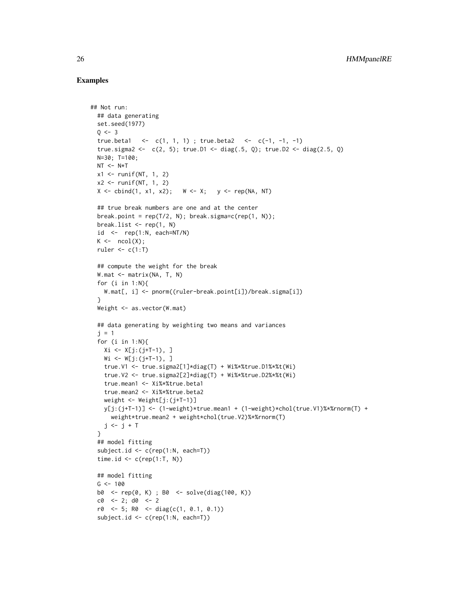# Examples

```
## Not run:
 ## data generating
 set.seed(1977)
 Q \le -3true.beta1 <- c(1, 1, 1); true.beta2 <- c(-1, -1, -1)
 true.sigma2 <- c(2, 5); true.D1 <- diag(.5, Q); true.D2 <- diag(2.5, Q)
 N=30; T=100;
 NT < - N*Tx1 \leftarrow runif(NT, 1, 2)x2 \le runif(NT, 1, 2)
 X \le - \text{cbind}(1, x1, x2); W \le - \chi; y \le - \text{rep}(NA, NT)## true break numbers are one and at the center
 break.point = rep(T/2, N); break.sigma=c(rep(1, N));
 break.list <- rep(1, N)
 id \leq rep(1:N, each=NT/N)
 K \leftarrow \text{ncol}(X);ruler \leq c(1:T)
 ## compute the weight for the break
 W.mat <- matrix(NA, T, N)
 for (i in 1:N){
   W.mat[, i] <- pnorm((ruler-break.point[i])/break.sigma[i])
 }
 Weight <- as.vector(W.mat)
 ## data generating by weighting two means and variances
 i = 1for (i in 1:N){
   Xi <- X[j:(j+T-1), ]
   Wi <- W[j:(j+T-1), ]true.V1 <- true.sigma2[1]*diag(T) + Wi%*%true.D1%*%t(Wi)
    true.V2 <- true.sigma2[2]*diag(T) + Wi%*%true.D2%*%t(Wi)
    true.mean1 <- Xi%*%true.beta1
    true.mean2 <- Xi%*%true.beta2
   weight <- Weight[j:(j+T-1)]
   y[j:(j+T-1)] <- (1-weight)*true.mean1 + (1-weight)*chol(true.V1)%*%rnorm(T) +
     weight*true.mean2 + weight*chol(true.V2)%*%rnorm(T)
   j \leftarrow j + T}
 ## model fitting
 subject.id <- c(rep(1:N, each=T))
 time.id \leq c(rep(1:T, N))
 ## model fitting
 G <- 100
 b0 <- rep(0, K) ; B0 <- solve(diag(100, K))
 c0 < -2; d0 <-2r0 \le -5; R0 \le - diag(c(1, 0.1, 0.1))
 subject.id <- c(rep(1:N, each=T))
```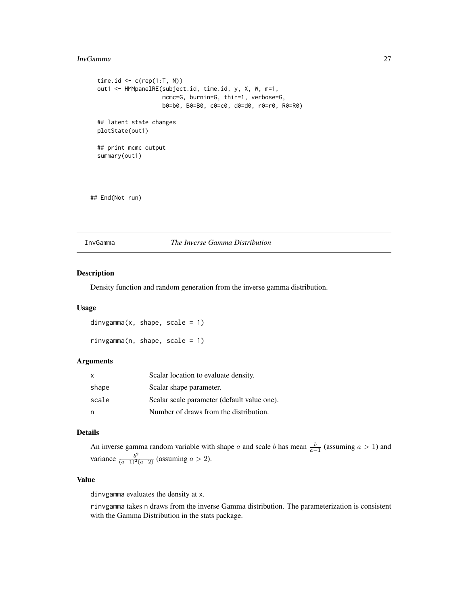#### <span id="page-26-0"></span>InvGamma 27

```
time.id \leq c(rep(1:T, N))
out1 <- HMMpanelRE(subject.id, time.id, y, X, W, m=1,
                   mcmc=G, burnin=G, thin=1, verbose=G,
                   b0=b0, B0=B0, c0=c0, d0=d0, r0=r0, R0=R0)
## latent state changes
plotState(out1)
## print mcmc output
summary(out1)
```
## End(Not run)

InvGamma *The Inverse Gamma Distribution*

# Description

Density function and random generation from the inverse gamma distribution.

#### Usage

```
divgamma(x, shape, scale = 1)
```

```
rinvgamma(n, shape, scale = 1)
```
# Arguments

| $\mathsf{x}$ | Scalar location to evaluate density.        |
|--------------|---------------------------------------------|
| shape        | Scalar shape parameter.                     |
| scale        | Scalar scale parameter (default value one). |
| n            | Number of draws from the distribution.      |

# Details

An inverse gamma random variable with shape a and scale b has mean  $\frac{b}{a-1}$  (assuming  $a > 1$ ) and variance  $\frac{b^2}{(a-1)^2(a-2)}$  (assuming  $a > 2$ ).

#### Value

dinvgamma evaluates the density at x.

rinvgamma takes n draws from the inverse Gamma distribution. The parameterization is consistent with the Gamma Distribution in the stats package.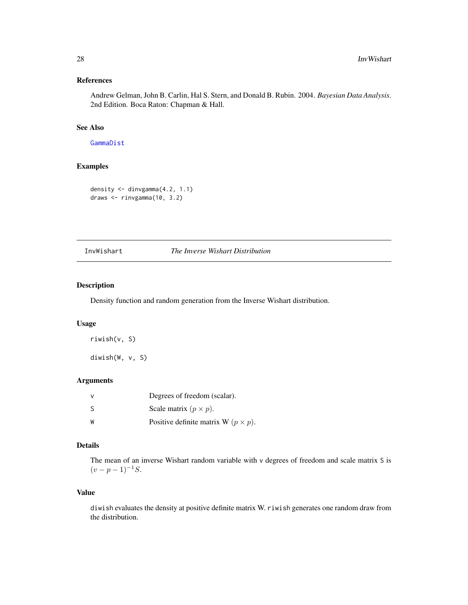# <span id="page-27-0"></span>References

Andrew Gelman, John B. Carlin, Hal S. Stern, and Donald B. Rubin. 2004. *Bayesian Data Analysis*. 2nd Edition. Boca Raton: Chapman & Hall.

# See Also

[GammaDist](#page-0-0)

# Examples

```
density <- dinvgamma(4.2, 1.1)
draws <- rinvgamma(10, 3.2)
```
# InvWishart *The Inverse Wishart Distribution*

# Description

Density function and random generation from the Inverse Wishart distribution.

# Usage

```
riwish(v, S)
```
diwish(W, v, S)

# Arguments

|     | Degrees of freedom (scalar).                 |
|-----|----------------------------------------------|
| - S | Scale matrix $(p \times p)$ .                |
| W   | Positive definite matrix W ( $p \times p$ ). |

# Details

The mean of an inverse Wishart random variable with v degrees of freedom and scale matrix S is  $(v - p - 1)^{-1}S$ .

# Value

diwish evaluates the density at positive definite matrix W. riwish generates one random draw from the distribution.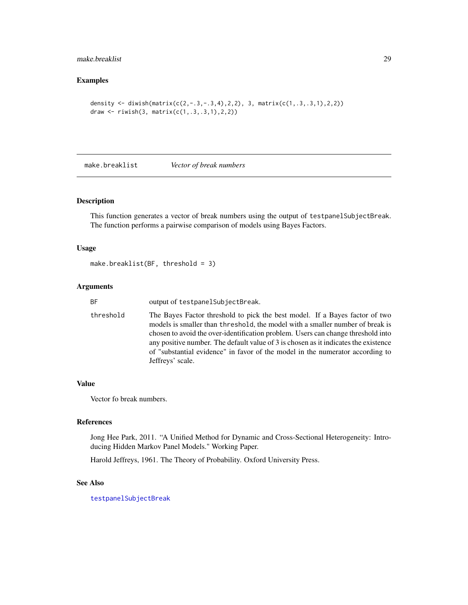# <span id="page-28-0"></span>make.breaklist 29

# Examples

```
density <- diwish(matrix(c(2,-.3,-.3,4),2,2), 3, matrix(c(1,.3,.3,1),2,2))
draw <- riwish(3, matrix(c(1,.3,.3,1),2,2))
```
make.breaklist *Vector of break numbers*

# Description

This function generates a vector of break numbers using the output of testpanelSubjectBreak. The function performs a pairwise comparison of models using Bayes Factors.

# Usage

```
make.breaklist(BF, threshold = 3)
```
# Arguments

| ВF        | output of testpanelSubjectBreak.                                                                                                                                                                                                                                                                                                                                                                                                             |
|-----------|----------------------------------------------------------------------------------------------------------------------------------------------------------------------------------------------------------------------------------------------------------------------------------------------------------------------------------------------------------------------------------------------------------------------------------------------|
| threshold | The Bayes Factor threshold to pick the best model. If a Bayes factor of two<br>models is smaller than threshold, the model with a smaller number of break is<br>chosen to avoid the over-identification problem. Users can change threshold into<br>any positive number. The default value of 3 is chosen as it indicates the existence<br>of "substantial evidence" in favor of the model in the numerator according to<br>Jeffreys' scale. |
|           |                                                                                                                                                                                                                                                                                                                                                                                                                                              |

# Value

Vector fo break numbers.

# References

Jong Hee Park, 2011. "A Unified Method for Dynamic and Cross-Sectional Heterogeneity: Introducing Hidden Markov Panel Models." Working Paper.

Harold Jeffreys, 1961. The Theory of Probability. Oxford University Press.

# See Also

[testpanelSubjectBreak](#page-164-1)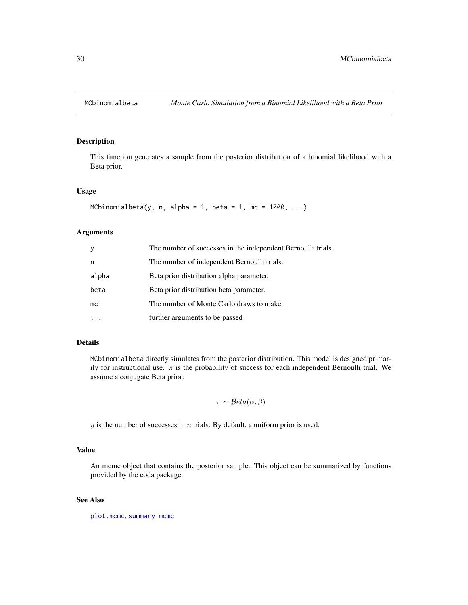<span id="page-29-0"></span>

#### Description

This function generates a sample from the posterior distribution of a binomial likelihood with a Beta prior.

#### Usage

```
MCbinomialbeta(y, n, alpha = 1, beta = 1, mc = 1000, \ldots)
```
# Arguments

| y     | The number of successes in the independent Bernoulli trials. |  |  |
|-------|--------------------------------------------------------------|--|--|
| n     | The number of independent Bernoulli trials.                  |  |  |
| alpha | Beta prior distribution alpha parameter.                     |  |  |
| beta  | Beta prior distribution beta parameter.                      |  |  |
| mc.   | The number of Monte Carlo draws to make.                     |  |  |
|       | further arguments to be passed                               |  |  |

#### Details

MCbinomialbeta directly simulates from the posterior distribution. This model is designed primarily for instructional use.  $\pi$  is the probability of success for each independent Bernoulli trial. We assume a conjugate Beta prior:

$$
\pi \sim \mathcal{B}eta(\alpha, \beta)
$$

 $y$  is the number of successes in  $n$  trials. By default, a uniform prior is used.

#### Value

An mcmc object that contains the posterior sample. This object can be summarized by functions provided by the coda package.

# See Also

[plot.mcmc](#page-0-0), [summary.mcmc](#page-0-0)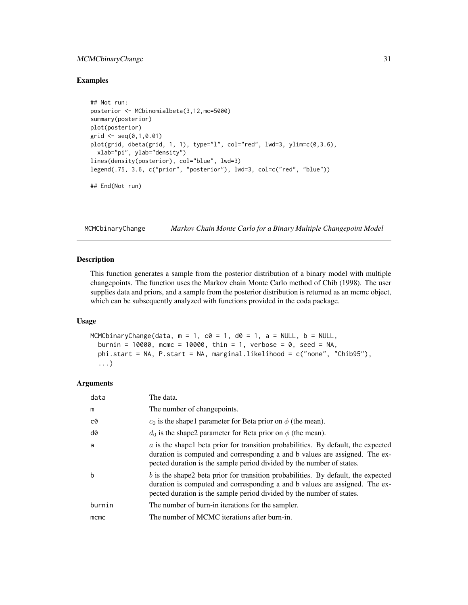# <span id="page-30-0"></span>MCMCbinaryChange 31

#### Examples

```
## Not run:
posterior <- MCbinomialbeta(3,12,mc=5000)
summary(posterior)
plot(posterior)
grid \leq seq(0,1,0.01)plot(grid, dbeta(grid, 1, 1), type="l", col="red", lwd=3, ylim=c(0,3.6),
  xlab="pi", ylab="density")
lines(density(posterior), col="blue", lwd=3)
legend(.75, 3.6, c("prior", "posterior"), lwd=3, col=c("red", "blue"))
## End(Not run)
```
MCMCbinaryChange *Markov Chain Monte Carlo for a Binary Multiple Changepoint Model*

#### Description

This function generates a sample from the posterior distribution of a binary model with multiple changepoints. The function uses the Markov chain Monte Carlo method of Chib (1998). The user supplies data and priors, and a sample from the posterior distribution is returned as an mcmc object, which can be subsequently analyzed with functions provided in the coda package.

#### Usage

```
MCMCbinaryChange(data, m = 1, c0 = 1, d0 = 1, a = NULL, b = NULL,
  burnin = 10000, mcmc = 10000, thin = 1, verbose = 0, seed = NA,
  phi.start = NA, P.start = NA, marginal.likelihood = c("none", "Chib95"),
  ...)
```

| data   | The data.                                                                                                                                                                                                                                   |
|--------|---------------------------------------------------------------------------------------------------------------------------------------------------------------------------------------------------------------------------------------------|
| m      | The number of changepoints.                                                                                                                                                                                                                 |
| c0     | $c_0$ is the shapel parameter for Beta prior on $\phi$ (the mean).                                                                                                                                                                          |
| d0     | $d_0$ is the shape2 parameter for Beta prior on $\phi$ (the mean).                                                                                                                                                                          |
| a      | $a$ is the shapel beta prior for transition probabilities. By default, the expected<br>duration is computed and corresponding a and b values are assigned. The ex-<br>pected duration is the sample period divided by the number of states. |
| b      | $b$ is the shape2 beta prior for transition probabilities. By default, the expected<br>duration is computed and corresponding a and b values are assigned. The ex-<br>pected duration is the sample period divided by the number of states. |
| burnin | The number of burn-in iterations for the sampler.                                                                                                                                                                                           |
| mcmc   | The number of MCMC iterations after burn-in.                                                                                                                                                                                                |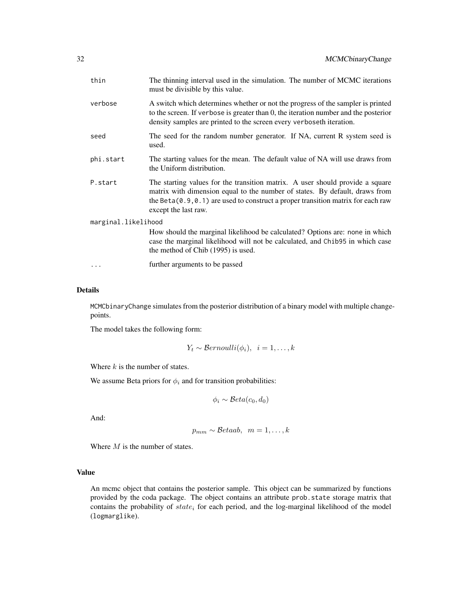| thin                | The thinning interval used in the simulation. The number of MCMC iterations<br>must be divisible by this value.                                                                                                                                                             |  |  |
|---------------------|-----------------------------------------------------------------------------------------------------------------------------------------------------------------------------------------------------------------------------------------------------------------------------|--|--|
| verbose             | A switch which determines whether or not the progress of the sampler is printed<br>to the screen. If verbose is greater than 0, the iteration number and the posterior<br>density samples are printed to the screen every verboseth iteration.                              |  |  |
| seed                | The seed for the random number generator. If NA, current R system seed is<br>used.                                                                                                                                                                                          |  |  |
| phi.start           | The starting values for the mean. The default value of NA will use draws from<br>the Uniform distribution.                                                                                                                                                                  |  |  |
| P.start             | The starting values for the transition matrix. A user should provide a square<br>matrix with dimension equal to the number of states. By default, draws from<br>the Beta $(0.9, 0.1)$ are used to construct a proper transition matrix for each raw<br>except the last raw. |  |  |
| marginal.likelihood |                                                                                                                                                                                                                                                                             |  |  |
|                     | How should the marginal likelihood be calculated? Options are: none in which<br>case the marginal likelihood will not be calculated, and Chib95 in which case<br>the method of Chib (1995) is used.                                                                         |  |  |
| $\cdots$            | further arguments to be passed                                                                                                                                                                                                                                              |  |  |

#### Details

MCMCbinaryChange simulates from the posterior distribution of a binary model with multiple changepoints.

The model takes the following form:

$$
Y_t \sim Bernoulli(\phi_i), \ \ i=1,\ldots,k
$$

Where  $k$  is the number of states.

We assume Beta priors for  $\phi_i$  and for transition probabilities:

$$
\phi_i \sim \mathcal{B}eta(c_0, d_0)
$$

And:

$$
p_{mm} \sim \mathcal{B}etaab, \ \ m=1,\ldots,k
$$

Where  $M$  is the number of states.

# Value

An mcmc object that contains the posterior sample. This object can be summarized by functions provided by the coda package. The object contains an attribute prob.state storage matrix that contains the probability of  $state_i$  for each period, and the log-marginal likelihood of the model (logmarglike).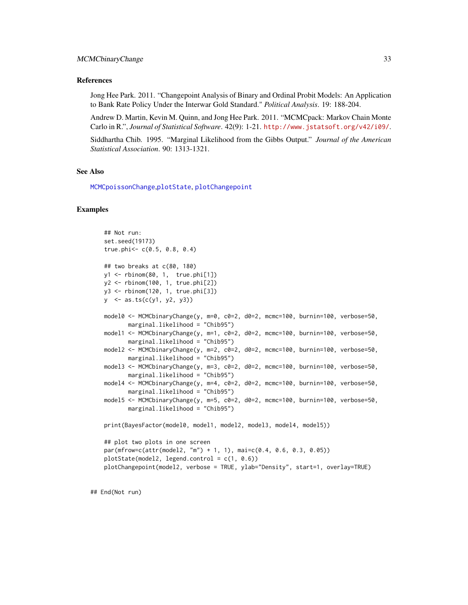#### References

Jong Hee Park. 2011. "Changepoint Analysis of Binary and Ordinal Probit Models: An Application to Bank Rate Policy Under the Interwar Gold Standard." *Political Analysis*. 19: 188-204.

Andrew D. Martin, Kevin M. Quinn, and Jong Hee Park. 2011. "MCMCpack: Markov Chain Monte Carlo in R.", *Journal of Statistical Software*. 42(9): 1-21. <http://www.jstatsoft.org/v42/i09/>.

Siddhartha Chib. 1995. "Marginal Likelihood from the Gibbs Output." *Journal of the American Statistical Association*. 90: 1313-1321.

# See Also

[MCMCpoissonChange](#page-114-1),[plotState](#page-151-1), [plotChangepoint](#page-150-1)

#### Examples

```
## Not run:
set.seed(19173)
true.phi<- c(0.5, 0.8, 0.4)
## two breaks at c(80, 180)
y1 <- rbinom(80, 1, true.phi[1])
y2 <- rbinom(100, 1, true.phi[2])
y3 <- rbinom(120, 1, true.phi[3])
y \le - as.ts(c(y1, y2, y3))
model0 <- MCMCbinaryChange(y, m=0, c0=2, d0=2, mcmc=100, burnin=100, verbose=50,
      marginal.likelihood = "Chib95")
model1 <- MCMCbinaryChange(y, m=1, c0=2, d0=2, mcmc=100, burnin=100, verbose=50,
       marginal.likelihood = "Chib95")
model2 <- MCMCbinaryChange(y, m=2, c0=2, d0=2, mcmc=100, burnin=100, verbose=50,
       marginal.likelihood = "Chib95")
model3 <- MCMCbinaryChange(y, m=3, c0=2, d0=2, mcmc=100, burnin=100, verbose=50,
       marginal.likelihood = "Chib95")
model4 <- MCMCbinaryChange(y, m=4, c0=2, d0=2, mcmc=100, burnin=100, verbose=50,
       marginal.likelihood = "Chib95")
model5 <- MCMCbinaryChange(y, m=5, c0=2, d0=2, mcmc=100, burnin=100, verbose=50,
       marginal.likelihood = "Chib95")
print(BayesFactor(model0, model1, model2, model3, model4, model5))
## plot two plots in one screen
par(mfrow=c(attr(model2, "m") + 1, 1), mai=c(0.4, 0.6, 0.3, 0.05))
plotState(model2, legend.control = c(1, 0.6))
plotChangepoint(model2, verbose = TRUE, ylab="Density", start=1, overlay=TRUE)
```
## End(Not run)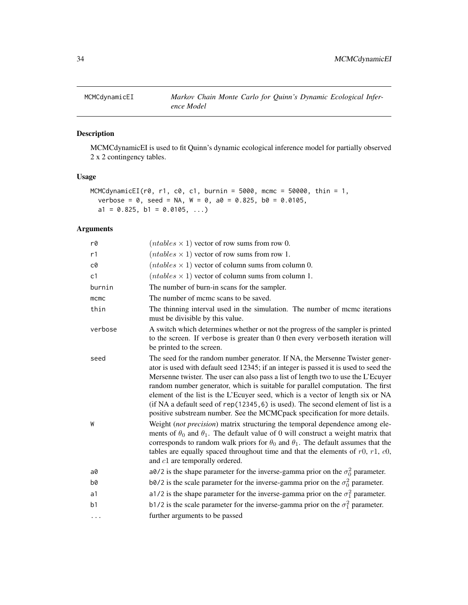<span id="page-33-1"></span><span id="page-33-0"></span>

# Description

MCMCdynamicEI is used to fit Quinn's dynamic ecological inference model for partially observed 2 x 2 contingency tables.

# Usage

```
MCMCdynamicEI(r0, r1, c0, c1, burnin = 5000, mcmc = 50000, thin = 1,
  verbose = 0, seed = NA, W = 0, a0 = 0.825, b0 = 0.0105,
 a1 = 0.825, b1 = 0.0105, ...)
```

| r0             | $(ntables \times 1)$ vector of row sums from row 0.                                                                                                                                                                                                                                                                                                                                                                                                                                                                                                                                               |  |  |
|----------------|---------------------------------------------------------------------------------------------------------------------------------------------------------------------------------------------------------------------------------------------------------------------------------------------------------------------------------------------------------------------------------------------------------------------------------------------------------------------------------------------------------------------------------------------------------------------------------------------------|--|--|
| r1             | $(ntables \times 1)$ vector of row sums from row 1.                                                                                                                                                                                                                                                                                                                                                                                                                                                                                                                                               |  |  |
| c0             | $(ntables \times 1)$ vector of column sums from column 0.                                                                                                                                                                                                                                                                                                                                                                                                                                                                                                                                         |  |  |
| c1             | $(ntables \times 1)$ vector of column sums from column 1.                                                                                                                                                                                                                                                                                                                                                                                                                                                                                                                                         |  |  |
| burnin         | The number of burn-in scans for the sampler.                                                                                                                                                                                                                                                                                                                                                                                                                                                                                                                                                      |  |  |
| mcmc           | The number of mcmc scans to be saved.                                                                                                                                                                                                                                                                                                                                                                                                                                                                                                                                                             |  |  |
| thin           | The thinning interval used in the simulation. The number of mcmc iterations<br>must be divisible by this value.                                                                                                                                                                                                                                                                                                                                                                                                                                                                                   |  |  |
| verbose        | A switch which determines whether or not the progress of the sampler is printed<br>to the screen. If verbose is greater than 0 then every verboseth iteration will<br>be printed to the screen.                                                                                                                                                                                                                                                                                                                                                                                                   |  |  |
| seed           | The seed for the random number generator. If NA, the Mersenne Twister gener-<br>ator is used with default seed 12345; if an integer is passed it is used to seed the<br>Mersenne twister. The user can also pass a list of length two to use the L'Ecuyer<br>random number generator, which is suitable for parallel computation. The first<br>element of the list is the L'Ecuyer seed, which is a vector of length six or NA<br>(if NA a default seed of rep(12345, 6) is used). The second element of list is a<br>positive substream number. See the MCMCpack specification for more details. |  |  |
| W              | Weight (not precision) matrix structuring the temporal dependence among ele-<br>ments of $\theta_0$ and $\theta_1$ . The default value of 0 will construct a weight matrix that<br>corresponds to random walk priors for $\theta_0$ and $\theta_1$ . The default assumes that the<br>tables are equally spaced throughout time and that the elements of $r0$ , $r1$ , $c0$ ,<br>and $c1$ are temporally ordered.                                                                                                                                                                                  |  |  |
| a0             | a0/2 is the shape parameter for the inverse-gamma prior on the $\sigma_0^2$ parameter.                                                                                                                                                                                                                                                                                                                                                                                                                                                                                                            |  |  |
| b0             | b0/2 is the scale parameter for the inverse-gamma prior on the $\sigma_0^2$ parameter.                                                                                                                                                                                                                                                                                                                                                                                                                                                                                                            |  |  |
| a1             | a1/2 is the shape parameter for the inverse-gamma prior on the $\sigma_1^2$ parameter.                                                                                                                                                                                                                                                                                                                                                                                                                                                                                                            |  |  |
| b <sub>1</sub> | b1/2 is the scale parameter for the inverse-gamma prior on the $\sigma_1^2$ parameter.                                                                                                                                                                                                                                                                                                                                                                                                                                                                                                            |  |  |
| .              | further arguments to be passed                                                                                                                                                                                                                                                                                                                                                                                                                                                                                                                                                                    |  |  |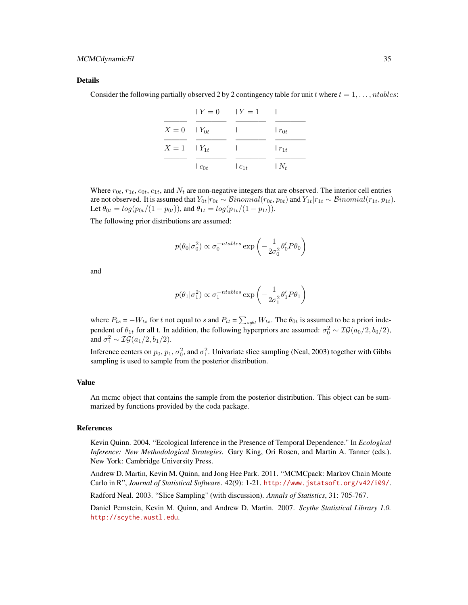#### Details

Consider the following partially observed 2 by 2 contingency table for unit t where  $t = 1, \ldots, n$  tables:

|                    | $Y = 0$ $Y = 1$ |          |            |
|--------------------|-----------------|----------|------------|
| $X = 0$ $Y_{0t}$   |                 |          | $r_{0t}$   |
| $X = 1$ $ Y_{1t} $ |                 |          | $r_{1t}$   |
|                    | $c_{0t}$        | $c_{1t}$ | $\mid N_t$ |

Where  $r_{0t}$ ,  $r_{1t}$ ,  $c_{0t}$ ,  $c_{1t}$ , and  $N_t$  are non-negative integers that are observed. The interior cell entries are not observed. It is assumed that  $Y_{0t}|r_{0t} \sim Binomial(r_{0t}, p_{0t})$  and  $Y_{1t}|r_{1t} \sim Binomial(r_{1t}, p_{1t})$ . Let  $\theta_{0t} = log(p_{0t}/(1-p_{0t}))$ , and  $\theta_{1t} = log(p_{1t}/(1-p_{1t}))$ .

The following prior distributions are assumed:

$$
p(\theta_0|\sigma_0^2) \propto \sigma_0^{-ntables} \exp\left(-\frac{1}{2\sigma_0^2} \theta_0' P \theta_0\right)
$$

and

$$
p(\theta_1|\sigma_1^2) \propto \sigma_1^{-ntables} \exp\left(-\frac{1}{2\sigma_1^2}\theta_1'P\theta_1\right)
$$

where  $P_{ts} = -W_{ts}$  for t not equal to s and  $P_{tt} = \sum_{s \neq t} W_{ts}$ . The  $\theta_{0t}$  is assumed to be a priori independent of  $\theta_{1t}$  for all t. In addition, the following hyperpriors are assumed:  $\sigma_0^2 \sim \mathcal{IG}(a_0/2, b_0/2)$ , and  $\sigma_1^2 \sim \mathcal{IG}(a_1/2, b_1/2)$ .

Inference centers on  $p_0$ ,  $p_1$ ,  $\sigma_0^2$ , and  $\sigma_1^2$ . Univariate slice sampling (Neal, 2003) together with Gibbs sampling is used to sample from the posterior distribution.

#### Value

An mcmc object that contains the sample from the posterior distribution. This object can be summarized by functions provided by the coda package.

# **References**

Kevin Quinn. 2004. "Ecological Inference in the Presence of Temporal Dependence." In *Ecological Inference: New Methodological Strategies*. Gary King, Ori Rosen, and Martin A. Tanner (eds.). New York: Cambridge University Press.

Andrew D. Martin, Kevin M. Quinn, and Jong Hee Park. 2011. "MCMCpack: Markov Chain Monte Carlo in R", *Journal of Statistical Software*. 42(9): 1-21. <http://www.jstatsoft.org/v42/i09/>.

Radford Neal. 2003. "Slice Sampling" (with discussion). *Annals of Statistics*, 31: 705-767.

Daniel Pemstein, Kevin M. Quinn, and Andrew D. Martin. 2007. *Scythe Statistical Library 1.0.* <http://scythe.wustl.edu>.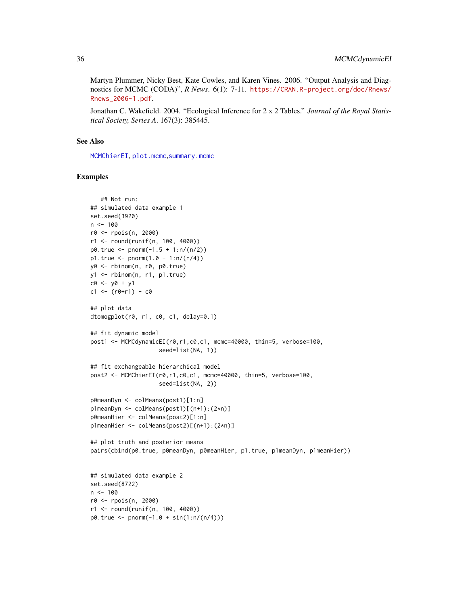Martyn Plummer, Nicky Best, Kate Cowles, and Karen Vines. 2006. "Output Analysis and Diagnostics for MCMC (CODA)", *R News*. 6(1): 7-11. [https://CRAN.R-project.org/doc/Rnews/](https://CRAN.R-project.org/doc/Rnews/Rnews_2006-1.pdf) [Rnews\\_2006-1.pdf](https://CRAN.R-project.org/doc/Rnews/Rnews_2006-1.pdf).

Jonathan C. Wakefield. 2004. "Ecological Inference for 2 x 2 Tables." *Journal of the Royal Statistical Society, Series A*. 167(3): 385445.

# See Also

[MCMChierEI](#page-44-1), [plot.mcmc](#page-0-0),[summary.mcmc](#page-0-0)

# Examples

```
## Not run:
## simulated data example 1
set.seed(3920)
n < -100r0 <- rpois(n, 2000)
r1 <- round(runif(n, 100, 4000))
p0. true < -pnorm(-1.5 + 1:n/(n/2))p1. true < - pnorm(1.0 - 1:n/(n/4))y0 <- rbinom(n, r0, p0.true)
y1 <- rbinom(n, r1, p1.true)
c0 <- y0 + y1
c1 \le (r0+r1) - c0## plot data
dtomogplot(r0, r1, c0, c1, delay=0.1)
## fit dynamic model
post1 <- MCMCdynamicEI(r0,r1,c0,c1, mcmc=40000, thin=5, verbose=100,
                    seed=list(NA, 1))
## fit exchangeable hierarchical model
post2 <- MCMChierEI(r0,r1,c0,c1, mcmc=40000, thin=5, verbose=100,
                    seed=list(NA, 2))
p0meanDyn <- colMeans(post1)[1:n]
p1meanDyn <- colMeans(post1)[(n+1):(2*n)]
p0meanHier <- colMeans(post2)[1:n]
p1meanHier <- colMeans(post2)[(n+1):(2*n)]
## plot truth and posterior means
pairs(cbind(p0.true, p0meanDyn, p0meanHier, p1.true, p1meanDyn, p1meanHier))
## simulated data example 2
set.seed(8722)
n < - 100r0 <- rpois(n, 2000)
r1 <- round(runif(n, 100, 4000))
p0. true < -pnorm(-1.0 + sin(1:n/(n/4)))
```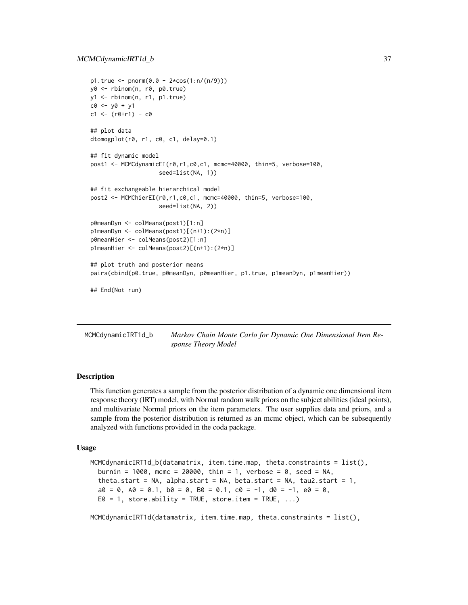```
p1. true < - pnorm(0.0 - 2*cos(1:n/(n/9))))y0 <- rbinom(n, r0, p0.true)
y1 <- rbinom(n, r1, p1.true)
c0 <- y0 + y1
c1 \le - (r0+r1) - c0## plot data
dtomogplot(r0, r1, c0, c1, delay=0.1)
## fit dynamic model
post1 <- MCMCdynamicEI(r0,r1,c0,c1, mcmc=40000, thin=5, verbose=100,
                    seed=list(NA, 1))
## fit exchangeable hierarchical model
post2 <- MCMChierEI(r0,r1,c0,c1, mcmc=40000, thin=5, verbose=100,
                    seed=list(NA, 2))
p0meanDyn <- colMeans(post1)[1:n]
p1meanDyn <- colMeans(post1)[(n+1):(2*n)]
p0meanHier <- colMeans(post2)[1:n]
p1meanHier <- colMeans(post2)[(n+1):(2*n)]
## plot truth and posterior means
pairs(cbind(p0.true, p0meanDyn, p0meanHier, p1.true, p1meanDyn, p1meanHier))
## End(Not run)
```
MCMCdynamicIRT1d\_b *Markov Chain Monte Carlo for Dynamic One Dimensional Item Response Theory Model*

## Description

This function generates a sample from the posterior distribution of a dynamic one dimensional item response theory (IRT) model, with Normal random walk priors on the subject abilities (ideal points), and multivariate Normal priors on the item parameters. The user supplies data and priors, and a sample from the posterior distribution is returned as an mcmc object, which can be subsequently analyzed with functions provided in the coda package.

#### Usage

```
MCMCdynamicIRT1d_b(datamatrix, item.time.map, theta.constraints = list(),
  burnin = 1000, mcmc = 20000, thin = 1, verbose = 0, seed = NA,
  theta.start = NA, alpha.start = NA, beta.start = NA, tau2.start = 1,
  a0 = 0, A0 = 0.1, b0 = 0, B0 = 0.1, c0 = -1, d0 = -1, e0 = 0.
 E0 = 1, store.ability = TRUE, store.item = TRUE, \ldots)
```
MCMCdynamicIRT1d(datamatrix, item.time.map, theta.constraints =  $list()$ ,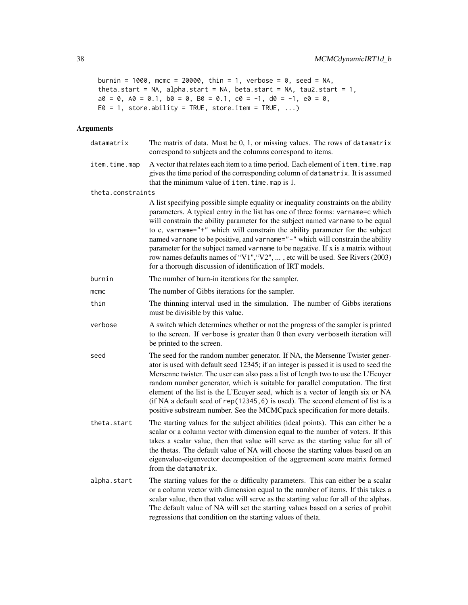```
burnin = 1000, mcmc = 20000, thin = 1, verbose = 0, seed = NA,
theta.start = NA, alpha.start = NA, beta.start = NA, tau2.start = 1,
a0 = 0, A0 = 0.1, b0 = 0, B0 = 0.1, c0 = -1, d0 = -1, e0 = 0,
E0 = 1, store.ability = TRUE, store.item = TRUE, \ldots)
```

| datamatrix        | The matrix of data. Must be $0, 1$ , or missing values. The rows of datamatrix<br>correspond to subjects and the columns correspond to items.                                                                                                                                                                                                                                                                                                                                                                                                                                                                                                                 |  |
|-------------------|---------------------------------------------------------------------------------------------------------------------------------------------------------------------------------------------------------------------------------------------------------------------------------------------------------------------------------------------------------------------------------------------------------------------------------------------------------------------------------------------------------------------------------------------------------------------------------------------------------------------------------------------------------------|--|
| item.time.map     | A vector that relates each item to a time period. Each element of item. time. map<br>gives the time period of the corresponding column of datamatrix. It is assumed<br>that the minimum value of item. time. map is 1.                                                                                                                                                                                                                                                                                                                                                                                                                                        |  |
| theta.constraints |                                                                                                                                                                                                                                                                                                                                                                                                                                                                                                                                                                                                                                                               |  |
|                   | A list specifying possible simple equality or inequality constraints on the ability<br>parameters. A typical entry in the list has one of three forms: varname=c which<br>will constrain the ability parameter for the subject named varname to be equal<br>to c, varname="+" which will constrain the ability parameter for the subject<br>named varname to be positive, and varname="-" which will constrain the ability<br>parameter for the subject named varname to be negative. If x is a matrix without<br>row names defaults names of "V1", "V2", , etc will be used. See Rivers (2003)<br>for a thorough discussion of identification of IRT models. |  |
| burnin            | The number of burn-in iterations for the sampler.                                                                                                                                                                                                                                                                                                                                                                                                                                                                                                                                                                                                             |  |
| $m$ cmc           | The number of Gibbs iterations for the sampler.                                                                                                                                                                                                                                                                                                                                                                                                                                                                                                                                                                                                               |  |
| thin              | The thinning interval used in the simulation. The number of Gibbs iterations<br>must be divisible by this value.                                                                                                                                                                                                                                                                                                                                                                                                                                                                                                                                              |  |
| verbose           | A switch which determines whether or not the progress of the sampler is printed<br>to the screen. If verbose is greater than 0 then every verboseth iteration will<br>be printed to the screen.                                                                                                                                                                                                                                                                                                                                                                                                                                                               |  |
| seed              | The seed for the random number generator. If NA, the Mersenne Twister gener-<br>ator is used with default seed 12345; if an integer is passed it is used to seed the<br>Mersenne twister. The user can also pass a list of length two to use the L'Ecuyer<br>random number generator, which is suitable for parallel computation. The first<br>element of the list is the L'Ecuyer seed, which is a vector of length six or NA<br>(if NA a default seed of $rep(12345, 6)$ is used). The second element of list is a<br>positive substream number. See the MCMCpack specification for more details.                                                           |  |
| theta.start       | The starting values for the subject abilities (ideal points). This can either be a<br>scalar or a column vector with dimension equal to the number of voters. If this<br>takes a scalar value, then that value will serve as the starting value for all of<br>the thetas. The default value of NA will choose the starting values based on an<br>eigenvalue-eigenvector decomposition of the aggreement score matrix formed<br>from the datamatrix.                                                                                                                                                                                                           |  |
| alpha.start       | The starting values for the $\alpha$ difficulty parameters. This can either be a scalar<br>or a column vector with dimension equal to the number of items. If this takes a<br>scalar value, then that value will serve as the starting value for all of the alphas.<br>The default value of NA will set the starting values based on a series of probit<br>regressions that condition on the starting values of theta.                                                                                                                                                                                                                                        |  |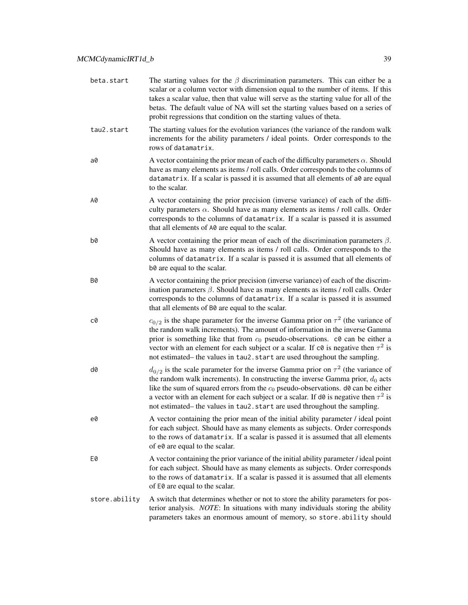| beta.start    | The starting values for the $\beta$ discrimination parameters. This can either be a<br>scalar or a column vector with dimension equal to the number of items. If this<br>takes a scalar value, then that value will serve as the starting value for all of the<br>betas. The default value of NA will set the starting values based on a series of<br>probit regressions that condition on the starting values of theta.                        |
|---------------|-------------------------------------------------------------------------------------------------------------------------------------------------------------------------------------------------------------------------------------------------------------------------------------------------------------------------------------------------------------------------------------------------------------------------------------------------|
| tau2.start    | The starting values for the evolution variances (the variance of the random walk<br>increments for the ability parameters / ideal points. Order corresponds to the<br>rows of datamatrix.                                                                                                                                                                                                                                                       |
| a0            | A vector containing the prior mean of each of the difficulty parameters $\alpha$ . Should<br>have as many elements as items / roll calls. Order corresponds to the columns of<br>datamatrix. If a scalar is passed it is assumed that all elements of a0 are equal<br>to the scalar.                                                                                                                                                            |
| A0            | A vector containing the prior precision (inverse variance) of each of the diffi-<br>culty parameters $\alpha$ . Should have as many elements as items / roll calls. Order<br>corresponds to the columns of datamatrix. If a scalar is passed it is assumed<br>that all elements of A0 are equal to the scalar.                                                                                                                                  |
| b0            | A vector containing the prior mean of each of the discrimination parameters $\beta$ .<br>Should have as many elements as items / roll calls. Order corresponds to the<br>columns of datamatrix. If a scalar is passed it is assumed that all elements of<br>b0 are equal to the scalar.                                                                                                                                                         |
| B0            | A vector containing the prior precision (inverse variance) of each of the discrim-<br>ination parameters $\beta$ . Should have as many elements as items / roll calls. Order<br>corresponds to the columns of datamatrix. If a scalar is passed it is assumed<br>that all elements of B0 are equal to the scalar.                                                                                                                               |
| c0            | $c_{0/2}$ is the shape parameter for the inverse Gamma prior on $\tau^2$ (the variance of<br>the random walk increments). The amount of information in the inverse Gamma<br>prior is something like that from $c_0$ pseudo-observations. $c_0$ can be either a<br>vector with an element for each subject or a scalar. If $c\theta$ is negative then $\tau^2$ is<br>not estimated– the values in tau2. start are used throughout the sampling.  |
| d0            | $d_{0/2}$ is the scale parameter for the inverse Gamma prior on $\tau^2$ (the variance of<br>the random walk increments). In constructing the inverse Gamma prior, $d_0$ acts<br>like the sum of squared errors from the $c_0$ pseudo-observations. d0 can be either<br>a vector with an element for each subject or a scalar. If d0 is negative then $\tau^2$ is<br>not estimated- the values in tau2. start are used throughout the sampling. |
| e0            | A vector containing the prior mean of the initial ability parameter / ideal point<br>for each subject. Should have as many elements as subjects. Order corresponds<br>to the rows of datamatrix. If a scalar is passed it is assumed that all elements<br>of e0 are equal to the scalar.                                                                                                                                                        |
| E0            | A vector containing the prior variance of the initial ability parameter / ideal point<br>for each subject. Should have as many elements as subjects. Order corresponds<br>to the rows of datamatrix. If a scalar is passed it is assumed that all elements<br>of E0 are equal to the scalar.                                                                                                                                                    |
| store.ability | A switch that determines whether or not to store the ability parameters for pos-<br>terior analysis. NOTE: In situations with many individuals storing the ability<br>parameters takes an enormous amount of memory, so store. ability should                                                                                                                                                                                                   |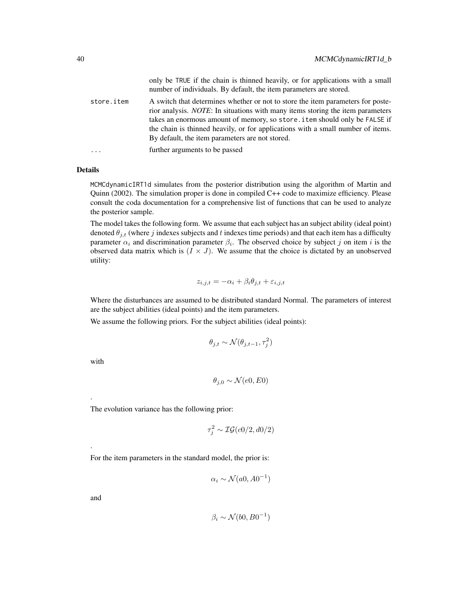|            | only be TRUE if the chain is thinned heavily, or for applications with a small<br>number of individuals. By default, the item parameters are stored.                                                                                                                                                                                                                                           |
|------------|------------------------------------------------------------------------------------------------------------------------------------------------------------------------------------------------------------------------------------------------------------------------------------------------------------------------------------------------------------------------------------------------|
| store.item | A switch that determines whether or not to store the item parameters for poste-<br>rior analysis. <i>NOTE</i> : In situations with many items storing the item parameters<br>takes an enormous amount of memory, so store . item should only be FALSE if<br>the chain is thinned heavily, or for applications with a small number of items.<br>By default, the item parameters are not stored. |
| $\cdots$   | further arguments to be passed                                                                                                                                                                                                                                                                                                                                                                 |

MCMCdynamicIRT1d simulates from the posterior distribution using the algorithm of Martin and Quinn (2002). The simulation proper is done in compiled C++ code to maximize efficiency. Please consult the coda documentation for a comprehensive list of functions that can be used to analyze the posterior sample.

The model takes the following form. We assume that each subject has an subject ability (ideal point) denoted  $\theta_{i,t}$  (where j indexes subjects and t indexes time periods) and that each item has a difficulty parameter  $\alpha_i$  and discrimination parameter  $\beta_i$ . The observed choice by subject j on item i is the observed data matrix which is  $(I \times J)$ . We assume that the choice is dictated by an unobserved utility:

$$
z_{i,j,t} = -\alpha_i + \beta_i \theta_{j,t} + \varepsilon_{i,j,t}
$$

Where the disturbances are assumed to be distributed standard Normal. The parameters of interest are the subject abilities (ideal points) and the item parameters.

We assume the following priors. For the subject abilities (ideal points):

$$
\theta_{j,t} \sim \mathcal{N}(\theta_{j,t-1}, \tau_j^2)
$$

with

.

.

$$
\theta_{j,0} \sim \mathcal{N}(e0,E0)
$$

The evolution variance has the following prior:

$$
\tau_j^2 \sim \mathcal{IG}(c0/2, d0/2)
$$

For the item parameters in the standard model, the prior is:

$$
\alpha_i \sim \mathcal{N}(a0, A0^{-1})
$$

and

$$
\beta_i \sim \mathcal{N}(b0, B0^{-1})
$$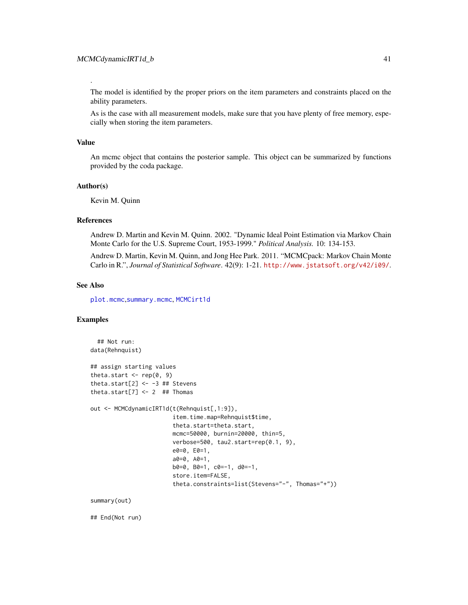The model is identified by the proper priors on the item parameters and constraints placed on the ability parameters.

As is the case with all measurement models, make sure that you have plenty of free memory, especially when storing the item parameters.

### Value

.

An mcmc object that contains the posterior sample. This object can be summarized by functions provided by the coda package.

# Author(s)

Kevin M. Quinn

## References

Andrew D. Martin and Kevin M. Quinn. 2002. "Dynamic Ideal Point Estimation via Markov Chain Monte Carlo for the U.S. Supreme Court, 1953-1999." *Political Analysis.* 10: 134-153.

Andrew D. Martin, Kevin M. Quinn, and Jong Hee Park. 2011. "MCMCpack: Markov Chain Monte Carlo in R.", *Journal of Statistical Software*. 42(9): 1-21. <http://www.jstatsoft.org/v42/i09/>.

# See Also

[plot.mcmc](#page-0-0),[summary.mcmc](#page-0-0), [MCMCirt1d](#page-61-0)

## Examples

```
## Not run:
data(Rehnquist)
## assign starting values
theta.start \leq rep(0, 9)
theta.start[2] <- -3 ## Stevens
theta.start[7] <- 2 ## Thomas
out <- MCMCdynamicIRT1d(t(Rehnquist[,1:9]),
                        item.time.map=Rehnquist$time,
                        theta.start=theta.start,
                        mcmc=50000, burnin=20000, thin=5,
                        verbose=500, tau2.start=rep(0.1, 9),
                        e0=0, E0=1,
                        a0=0, A0=1,
                        b0=0, B0=1, c0=-1, d0=-1,
                        store.item=FALSE,
                        theta.constraints=list(Stevens="-", Thomas="+"))
```
summary(out)

## End(Not run)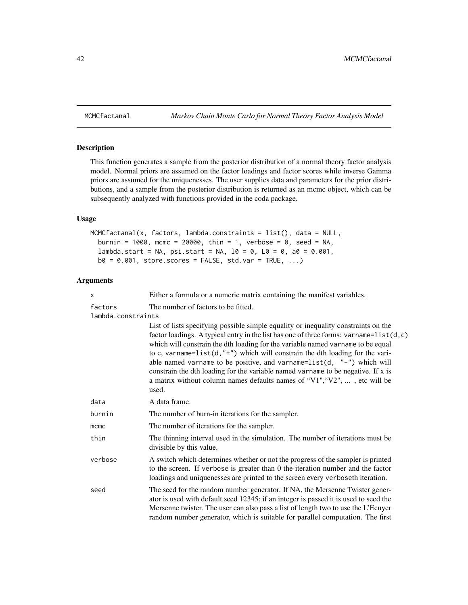# Description

This function generates a sample from the posterior distribution of a normal theory factor analysis model. Normal priors are assumed on the factor loadings and factor scores while inverse Gamma priors are assumed for the uniquenesses. The user supplies data and parameters for the prior distributions, and a sample from the posterior distribution is returned as an mcmc object, which can be subsequently analyzed with functions provided in the coda package.

# Usage

```
MCMCfactanal(x, factors, lambda.constraints = list(), data = NULL,
  burnin = 1000, mcmc = 20000, thin = 1, verbose = 0, seed = NA,
  lambda. start = NA, psi. start = NA, 10 = 0, L0 = 0, a0 = 0.001,b0 = 0.001, store.scores = FALSE, std.var = TRUE, ...)
```

| x                  | Either a formula or a numeric matrix containing the manifest variables.                                                                                                                                                                                                                                                                                                                                                                                                                                                                                                                                         |  |  |
|--------------------|-----------------------------------------------------------------------------------------------------------------------------------------------------------------------------------------------------------------------------------------------------------------------------------------------------------------------------------------------------------------------------------------------------------------------------------------------------------------------------------------------------------------------------------------------------------------------------------------------------------------|--|--|
| factors            | The number of factors to be fitted.                                                                                                                                                                                                                                                                                                                                                                                                                                                                                                                                                                             |  |  |
| lambda.constraints |                                                                                                                                                                                                                                                                                                                                                                                                                                                                                                                                                                                                                 |  |  |
|                    | List of lists specifying possible simple equality or inequality constraints on the<br>factor loadings. A typical entry in the list has one of three forms: varname= $list(d, c)$<br>which will constrain the dth loading for the variable named varname to be equal<br>to c, varname= $list(d, "+")$ which will constrain the dth loading for the vari-<br>able named varname to be positive, and varname= $list(d, "-'")$ which will<br>constrain the dth loading for the variable named varname to be negative. If x is<br>a matrix without column names defaults names of "V1", "V2", , etc will be<br>used. |  |  |
| data               | A data frame.                                                                                                                                                                                                                                                                                                                                                                                                                                                                                                                                                                                                   |  |  |
| burnin             | The number of burn-in iterations for the sampler.                                                                                                                                                                                                                                                                                                                                                                                                                                                                                                                                                               |  |  |
| $m$ c $m$ c        | The number of iterations for the sampler.                                                                                                                                                                                                                                                                                                                                                                                                                                                                                                                                                                       |  |  |
| thin               | The thinning interval used in the simulation. The number of iterations must be<br>divisible by this value.                                                                                                                                                                                                                                                                                                                                                                                                                                                                                                      |  |  |
| verbose            | A switch which determines whether or not the progress of the sampler is printed<br>to the screen. If verbose is greater than 0 the iteration number and the factor<br>loadings and uniquenesses are printed to the screen every verboseth iteration.                                                                                                                                                                                                                                                                                                                                                            |  |  |
| seed               | The seed for the random number generator. If NA, the Mersenne Twister gener-<br>ator is used with default seed 12345; if an integer is passed it is used to seed the<br>Mersenne twister. The user can also pass a list of length two to use the L'Ecuyer<br>random number generator, which is suitable for parallel computation. The first                                                                                                                                                                                                                                                                     |  |  |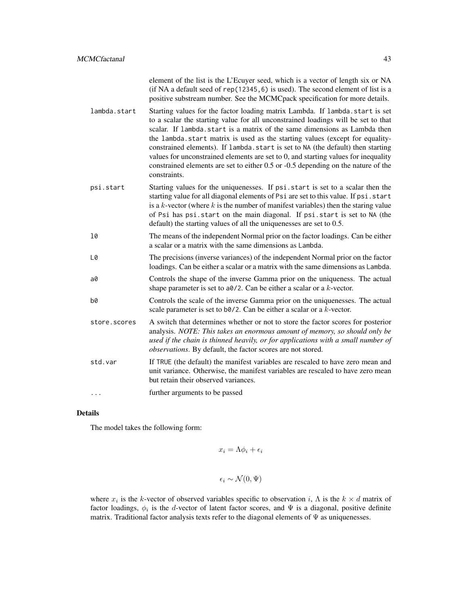element of the list is the L'Ecuyer seed, which is a vector of length six or NA (if NA a default seed of rep(12345,6) is used). The second element of list is a positive substream number. See the MCMCpack specification for more details.

- lambda.start Starting values for the factor loading matrix Lambda. If lambda.start is set to a scalar the starting value for all unconstrained loadings will be set to that scalar. If lambda.start is a matrix of the same dimensions as Lambda then the lambda.start matrix is used as the starting values (except for equalityconstrained elements). If lambda.start is set to NA (the default) then starting values for unconstrained elements are set to 0, and starting values for inequality constrained elements are set to either 0.5 or -0.5 depending on the nature of the constraints.
- psi.start Starting values for the uniquenesses. If psi.start is set to a scalar then the starting value for all diagonal elements of Psi are set to this value. If psi.start is a  $k$ -vector (where  $k$  is the number of manifest variables) then the staring value of Psi has psi.start on the main diagonal. If psi.start is set to NA (the default) the starting values of all the uniquenesses are set to 0.5.
- l0 The means of the independent Normal prior on the factor loadings. Can be either a scalar or a matrix with the same dimensions as Lambda.
- L0 The precisions (inverse variances) of the independent Normal prior on the factor loadings. Can be either a scalar or a matrix with the same dimensions as Lambda.
- a0 Controls the shape of the inverse Gamma prior on the uniqueness. The actual shape parameter is set to  $a\theta/2$ . Can be either a scalar or a k-vector.
- b0 Controls the scale of the inverse Gamma prior on the uniquenesses. The actual scale parameter is set to b0/2. Can be either a scalar or a k-vector.
- store.scores A switch that determines whether or not to store the factor scores for posterior analysis. *NOTE: This takes an enormous amount of memory, so should only be used if the chain is thinned heavily, or for applications with a small number of observations*. By default, the factor scores are not stored.
- std.var If TRUE (the default) the manifest variables are rescaled to have zero mean and unit variance. Otherwise, the manifest variables are rescaled to have zero mean but retain their observed variances.
- ... further arguments to be passed

#### Details

The model takes the following form:

$$
x_i = \Lambda \phi_i + \epsilon_i
$$

$$
\epsilon_i \sim \mathcal{N}(0, \Psi)
$$

where  $x_i$  is the k-vector of observed variables specific to observation i,  $\Lambda$  is the  $k \times d$  matrix of factor loadings,  $\phi_i$  is the d-vector of latent factor scores, and  $\Psi$  is a diagonal, positive definite matrix. Traditional factor analysis texts refer to the diagonal elements of  $\Psi$  as uniquenesses.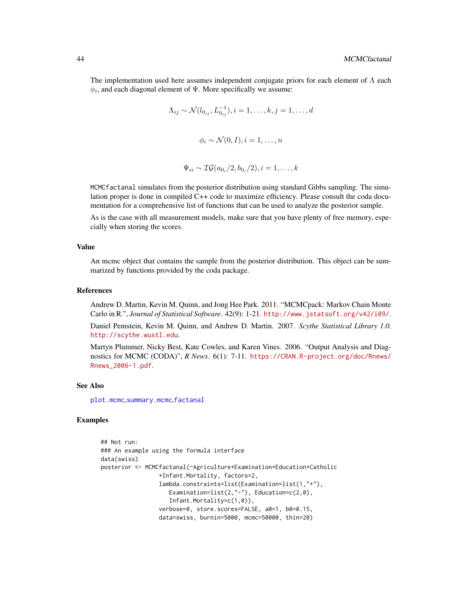The implementation used here assumes independent conjugate priors for each element of  $\Lambda$  each  $\phi_i$ , and each diagonal element of  $\Psi$ . More specifically we assume:

$$
\Lambda_{ij} \sim \mathcal{N}(l_{0_{ij}}, L_{0_{ij}}^{-1}), i = 1, \dots, k, j = 1, \dots, d
$$
  

$$
\phi_i \sim \mathcal{N}(0, I), i = 1, \dots, n
$$

$$
\Psi_{ii} \sim \mathcal{IG}(a_{0_i}/2, b_{0_i}/2), i = 1, \dots, k
$$

MCMCfactanal simulates from the posterior distribution using standard Gibbs sampling. The simulation proper is done in compiled C++ code to maximize efficiency. Please consult the coda documentation for a comprehensive list of functions that can be used to analyze the posterior sample.

As is the case with all measurement models, make sure that you have plenty of free memory, especially when storing the scores.

#### Value

An mcmc object that contains the sample from the posterior distribution. This object can be summarized by functions provided by the coda package.

### References

Andrew D. Martin, Kevin M. Quinn, and Jong Hee Park. 2011. "MCMCpack: Markov Chain Monte Carlo in R.", *Journal of Statistical Software*. 42(9): 1-21. <http://www.jstatsoft.org/v42/i09/>.

Daniel Pemstein, Kevin M. Quinn, and Andrew D. Martin. 2007. *Scythe Statistical Library 1.0.* <http://scythe.wustl.edu>.

Martyn Plummer, Nicky Best, Kate Cowles, and Karen Vines. 2006. "Output Analysis and Diagnostics for MCMC (CODA)", *R News*. 6(1): 7-11. [https://CRAN.R-project.org/doc/Rnews/](https://CRAN.R-project.org/doc/Rnews/Rnews_2006-1.pdf) [Rnews\\_2006-1.pdf](https://CRAN.R-project.org/doc/Rnews/Rnews_2006-1.pdf).

#### See Also

[plot.mcmc](#page-0-0),[summary.mcmc](#page-0-0),[factanal](#page-0-0)

# Examples

```
## Not run:
### An example using the formula interface
data(swiss)
posterior <- MCMCfactanal(~Agriculture+Examination+Education+Catholic
                 +Infant.Mortality, factors=2,
                 lambda.constraints=list(Examination=list(1,"+"),
                    Examination=list(2,"-"), Education=c(2,0),
                    Infant.Mortality=c(1,0)),
                 verbose=0, store.scores=FALSE, a0=1, b0=0.15,
                 data=swiss, burnin=5000, mcmc=50000, thin=20)
```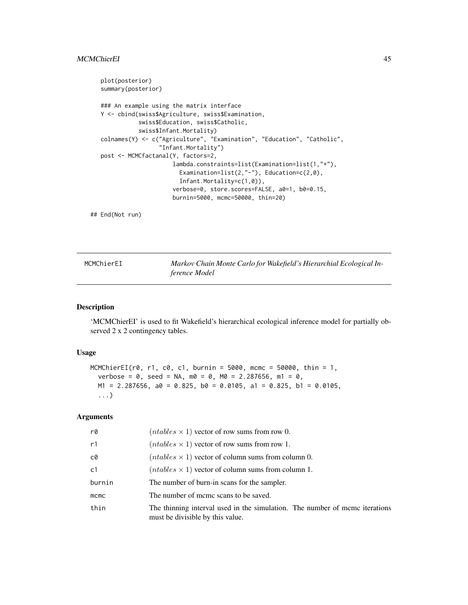```
plot(posterior)
summary(posterior)
### An example using the matrix interface
Y <- cbind(swiss$Agriculture, swiss$Examination,
           swiss$Education, swiss$Catholic,
           swiss$Infant.Mortality)
colnames(Y) <- c("Agriculture", "Examination", "Education", "Catholic",
                 "Infant.Mortality")
post <- MCMCfactanal(Y, factors=2,
                     lambda.constraints=list(Examination=list(1,"+"),
                       Examination=list(2,"-"), Education=c(2,0),
                       Infant.Mortality=c(1,0)),
                     verbose=0, store.scores=FALSE, a0=1, b0=0.15,
                     burnin=5000, mcmc=50000, thin=20)
```
## End(Not run)

| MCMChierEI | Markov Chain Monte Carlo for Wakefield's Hierarchial Ecological In- |
|------------|---------------------------------------------------------------------|
|            | ference Model                                                       |

# Description

'MCMChierEI' is used to fit Wakefield's hierarchical ecological inference model for partially observed 2 x 2 contingency tables.

### Usage

```
MCMChierEI(r0, r1, c0, c1, burnin = 5000, mcmc = 50000, thin = 1,
 verbose = 0, seed = NA, m0 = 0, M0 = 2.287656, m1 = 0,
 M1 = 2.287656, a0 = 0.825, b0 = 0.0105, a1 = 0.825, b1 = 0.0105,
  ...)
```

| r0     | $(ntables \times 1)$ vector of row sums from row 0.                                                             |
|--------|-----------------------------------------------------------------------------------------------------------------|
| r1     | $(ntables \times 1)$ vector of row sums from row 1.                                                             |
| c0     | $(ntables \times 1)$ vector of column sums from column 0.                                                       |
| c1     | $(ntables \times 1)$ vector of column sums from column 1.                                                       |
| burnin | The number of burn-in scans for the sampler.                                                                    |
| mcmc   | The number of meme scans to be saved.                                                                           |
| thin   | The thinning interval used in the simulation. The number of mcmc iterations<br>must be divisible by this value. |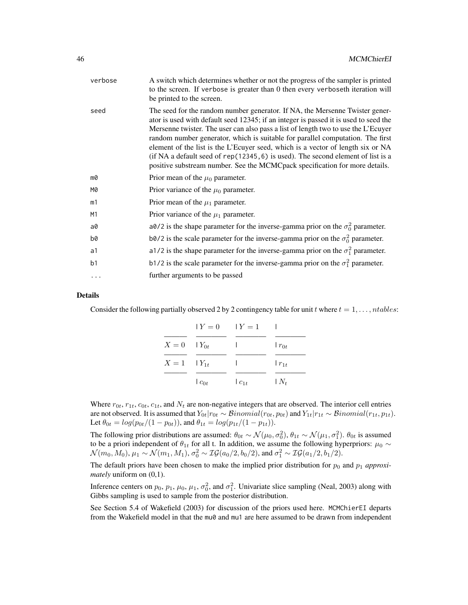| verbose        | A switch which determines whether or not the progress of the sampler is printed<br>to the screen. If verbose is greater than 0 then every verboseth iteration will<br>be printed to the screen.                                                                                                                                                                                                                                                                                                                                                                                                     |
|----------------|-----------------------------------------------------------------------------------------------------------------------------------------------------------------------------------------------------------------------------------------------------------------------------------------------------------------------------------------------------------------------------------------------------------------------------------------------------------------------------------------------------------------------------------------------------------------------------------------------------|
| seed           | The seed for the random number generator. If NA, the Mersenne Twister gener-<br>ator is used with default seed 12345; if an integer is passed it is used to seed the<br>Mersenne twister. The user can also pass a list of length two to use the L'Ecuyer<br>random number generator, which is suitable for parallel computation. The first<br>element of the list is the L'Ecuyer seed, which is a vector of length six or NA<br>(if NA a default seed of $rep(12345, 6)$ is used). The second element of list is a<br>positive substream number. See the MCMCpack specification for more details. |
| m0             | Prior mean of the $\mu_0$ parameter.                                                                                                                                                                                                                                                                                                                                                                                                                                                                                                                                                                |
| M0             | Prior variance of the $\mu_0$ parameter.                                                                                                                                                                                                                                                                                                                                                                                                                                                                                                                                                            |
| m1             | Prior mean of the $\mu_1$ parameter.                                                                                                                                                                                                                                                                                                                                                                                                                                                                                                                                                                |
| M1             | Prior variance of the $\mu_1$ parameter.                                                                                                                                                                                                                                                                                                                                                                                                                                                                                                                                                            |
| a0             | a0/2 is the shape parameter for the inverse-gamma prior on the $\sigma_0^2$ parameter.                                                                                                                                                                                                                                                                                                                                                                                                                                                                                                              |
| b0             | b0/2 is the scale parameter for the inverse-gamma prior on the $\sigma_0^2$ parameter.                                                                                                                                                                                                                                                                                                                                                                                                                                                                                                              |
| a1             | a1/2 is the shape parameter for the inverse-gamma prior on the $\sigma_1^2$ parameter.                                                                                                                                                                                                                                                                                                                                                                                                                                                                                                              |
| b <sub>1</sub> | b1/2 is the scale parameter for the inverse-gamma prior on the $\sigma_1^2$ parameter.                                                                                                                                                                                                                                                                                                                                                                                                                                                                                                              |
| $\cdots$       | further arguments to be passed                                                                                                                                                                                                                                                                                                                                                                                                                                                                                                                                                                      |
|                |                                                                                                                                                                                                                                                                                                                                                                                                                                                                                                                                                                                                     |

Consider the following partially observed 2 by 2 contingency table for unit t where  $t = 1, \ldots, n tables$ :

|                    | $Y = 0$ $Y = 1$ |          |            |
|--------------------|-----------------|----------|------------|
| $X = 0$ $Y_{0t}$   |                 |          | $r_{0t}$   |
| $X = 1$ $ Y_{1t} $ |                 |          | $r_{1t}$   |
|                    | $c_{0t}$        | $c_{1t}$ | $\mid N_t$ |

Where  $r_{0t}$ ,  $r_{1t}$ ,  $c_{0t}$ ,  $c_{1t}$ , and  $N_t$  are non-negative integers that are observed. The interior cell entries are not observed. It is assumed that  $Y_{0t}|r_{0t} \sim Binomial(r_{0t}, p_{0t})$  and  $Y_{1t}|r_{1t} \sim Binomial(r_{1t}, p_{1t})$ . Let  $\theta_{0t} = \log(p_{0t}/(1 - p_{0t}))$ , and  $\theta_{1t} = \log(p_{1t}/(1 - p_{1t}))$ .

The following prior distributions are assumed:  $\theta_{0t} \sim \mathcal{N}(\mu_0, \sigma_0^2), \theta_{1t} \sim \mathcal{N}(\mu_1, \sigma_1^2)$ .  $\theta_{0t}$  is assumed to be a priori independent of  $\theta_{1t}$  for all t. In addition, we assume the following hyperpriors:  $\mu_0 \sim$  $\mathcal{N}(m_0, M_0), \mu_1 \sim \mathcal{N}(m_1, M_1), \sigma_0^2 \sim \mathcal{IG}(a_0/2, b_0/2), \text{ and } \sigma_1^2 \sim \mathcal{IG}(a_1/2, b_1/2).$ 

The default priors have been chosen to make the implied prior distribution for  $p_0$  and  $p_1$  *approximately* uniform on (0,1).

Inference centers on  $p_0$ ,  $p_1$ ,  $\mu_0$ ,  $\mu_1$ ,  $\sigma_0^2$ , and  $\sigma_1^2$ . Univariate slice sampling (Neal, 2003) along with Gibbs sampling is used to sample from the posterior distribution.

See Section 5.4 of Wakefield (2003) for discussion of the priors used here. MCMChierEI departs from the Wakefield model in that the mu0 and mu1 are here assumed to be drawn from independent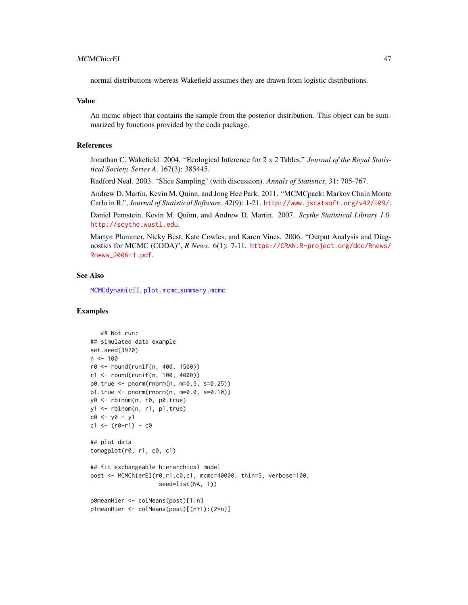# MCMChierEI 47

normal distributions whereas Wakefield assumes they are drawn from logistic distributions.

## Value

An mcmc object that contains the sample from the posterior distribution. This object can be summarized by functions provided by the coda package.

## References

Jonathan C. Wakefield. 2004. "Ecological Inference for 2 x 2 Tables." *Journal of the Royal Statistical Society, Series A*. 167(3): 385445.

Radford Neal. 2003. "Slice Sampling" (with discussion). *Annals of Statistics*, 31: 705-767.

Andrew D. Martin, Kevin M. Quinn, and Jong Hee Park. 2011. "MCMCpack: Markov Chain Monte Carlo in R.", *Journal of Statistical Software*. 42(9): 1-21. <http://www.jstatsoft.org/v42/i09/>.

Daniel Pemstein, Kevin M. Quinn, and Andrew D. Martin. 2007. *Scythe Statistical Library 1.0.* <http://scythe.wustl.edu>.

Martyn Plummer, Nicky Best, Kate Cowles, and Karen Vines. 2006. "Output Analysis and Diagnostics for MCMC (CODA)", *R News*. 6(1): 7-11. [https://CRAN.R-project.org/doc/Rnews/](https://CRAN.R-project.org/doc/Rnews/Rnews_2006-1.pdf) [Rnews\\_2006-1.pdf](https://CRAN.R-project.org/doc/Rnews/Rnews_2006-1.pdf).

### See Also

[MCMCdynamicEI](#page-33-0), [plot.mcmc](#page-0-0),[summary.mcmc](#page-0-0)

# Examples

```
## Not run:
## simulated data example
set.seed(3920)
n < -100r0 <- round(runif(n, 400, 1500))
r1 <- round(runif(n, 100, 4000))
p0.true <- pnorm(rnorm(n, m=0.5, s=0.25))
p1.true <- pnorm(rnorm(n, m=0.0, s=0.10))
y0 <- rbinom(n, r0, p0.true)
y1 <- rbinom(n, r1, p1.true)
c0 \le -y0 + y1c1 \le - (r0+r1) - c0## plot data
tomogplot(r0, r1, c0, c1)## fit exchangeable hierarchical model
post <- MCMChierEI(r0,r1,c0,c1, mcmc=40000, thin=5, verbose=100,
                    seed=list(NA, 1))
p0meanHier <- colMeans(post)[1:n]
p1meanHier <- colMeans(post)[(n+1):(2*n)]
```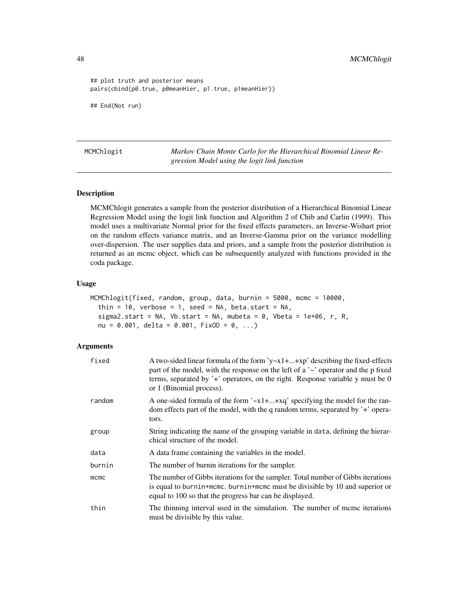48 MCMChlogit

```
## plot truth and posterior means
pairs(cbind(p0.true, p0meanHier, p1.true, p1meanHier))
## End(Not run)
```
MCMChlogit *Markov Chain Monte Carlo for the Hierarchical Binomial Linear Regression Model using the logit link function*

## Description

MCMChlogit generates a sample from the posterior distribution of a Hierarchical Binomial Linear Regression Model using the logit link function and Algorithm 2 of Chib and Carlin (1999). This model uses a multivariate Normal prior for the fixed effects parameters, an Inverse-Wishart prior on the random effects variance matrix, and an Inverse-Gamma prior on the variance modelling over-dispersion. The user supplies data and priors, and a sample from the posterior distribution is returned as an mcmc object, which can be subsequently analyzed with functions provided in the coda package.

#### Usage

```
MCMChlogit(fixed, random, group, data, burnin = 5000, mcmc = 10000,
  thin = 10, verbose = 1, seed = NA, beta.start = NA,
  sigma2.start = NA, Vb.start = NA, mubeta = \theta, Vbeta = 1e+06, r, R,
  nu = 0.001, delta = 0.001, FixOD = 0, ...)
```

| fixed  | A two-sided linear formula of the form $y \sim x1 +  + xp'$ describing the fixed-effects<br>part of the model, with the response on the left of a $\sim$ operator and the p fixed<br>terms, separated by $\dot{ }$ + $\dot{ }$ operators, on the right. Response variable y must be 0<br>or 1 (Binomial process). |
|--------|-------------------------------------------------------------------------------------------------------------------------------------------------------------------------------------------------------------------------------------------------------------------------------------------------------------------|
| random | A one-sided formula of the form $\lambda x_1 + \ldots + x_q$ specifying the model for the ran-<br>dom effects part of the model, with the q random terms, separated by '+' opera-<br>tors.                                                                                                                        |
| group  | String indicating the name of the grouping variable in data, defining the hierar-<br>chical structure of the model.                                                                                                                                                                                               |
| data   | A data frame containing the variables in the model.                                                                                                                                                                                                                                                               |
| burnin | The number of burnin iterations for the sampler.                                                                                                                                                                                                                                                                  |
| mcmc   | The number of Gibbs iterations for the sampler. Total number of Gibbs iterations<br>is equal to burnin+mcmc. burnin+mcmc must be divisible by 10 and superior or<br>equal to 100 so that the progress bar can be displayed.                                                                                       |
| thin   | The thinning interval used in the simulation. The number of mcmc iterations<br>must be divisible by this value.                                                                                                                                                                                                   |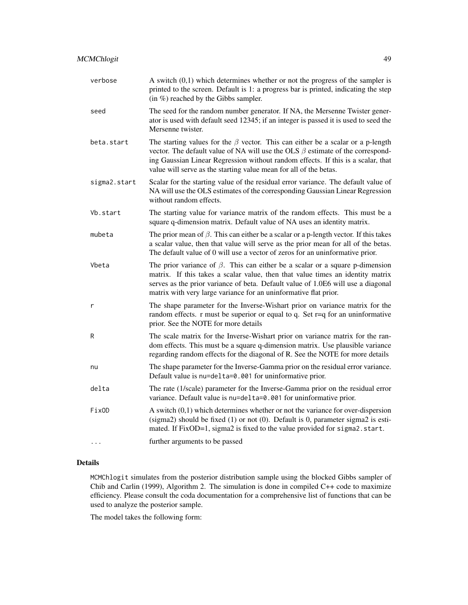| verbose      | A switch $(0,1)$ which determines whether or not the progress of the sampler is<br>printed to the screen. Default is 1: a progress bar is printed, indicating the step<br>$(in %)$ reached by the Gibbs sampler.                                                                                                                       |
|--------------|----------------------------------------------------------------------------------------------------------------------------------------------------------------------------------------------------------------------------------------------------------------------------------------------------------------------------------------|
| seed         | The seed for the random number generator. If NA, the Mersenne Twister gener-<br>ator is used with default seed 12345; if an integer is passed it is used to seed the<br>Mersenne twister.                                                                                                                                              |
| beta.start   | The starting values for the $\beta$ vector. This can either be a scalar or a p-length<br>vector. The default value of NA will use the OLS $\beta$ estimate of the correspond-<br>ing Gaussian Linear Regression without random effects. If this is a scalar, that<br>value will serve as the starting value mean for all of the betas. |
| sigma2.start | Scalar for the starting value of the residual error variance. The default value of<br>NA will use the OLS estimates of the corresponding Gaussian Linear Regression<br>without random effects.                                                                                                                                         |
| Vb.start     | The starting value for variance matrix of the random effects. This must be a<br>square q-dimension matrix. Default value of NA uses an identity matrix.                                                                                                                                                                                |
| mubeta       | The prior mean of $\beta$ . This can either be a scalar or a p-length vector. If this takes<br>a scalar value, then that value will serve as the prior mean for all of the betas.<br>The default value of 0 will use a vector of zeros for an uninformative prior.                                                                     |
| Vbeta        | The prior variance of $\beta$ . This can either be a scalar or a square p-dimension<br>matrix. If this takes a scalar value, then that value times an identity matrix<br>serves as the prior variance of beta. Default value of 1.0E6 will use a diagonal<br>matrix with very large variance for an uninformative flat prior.          |
| r            | The shape parameter for the Inverse-Wishart prior on variance matrix for the<br>random effects. $r$ must be superior or equal to q. Set $r=q$ for an uninformative<br>prior. See the NOTE for more details                                                                                                                             |
| R            | The scale matrix for the Inverse-Wishart prior on variance matrix for the ran-<br>dom effects. This must be a square q-dimension matrix. Use plausible variance<br>regarding random effects for the diagonal of R. See the NOTE for more details                                                                                       |
| nu           | The shape parameter for the Inverse-Gamma prior on the residual error variance.<br>Default value is nu=delta=0.001 for uninformative prior.                                                                                                                                                                                            |
| delta        | The rate (1/scale) parameter for the Inverse-Gamma prior on the residual error<br>variance. Default value is nu=delta=0.001 for uninformative prior.                                                                                                                                                                                   |
| FixOD        | A switch $(0,1)$ which determines whether or not the variance for over-dispersion<br>(sigma2) should be fixed $(1)$ or not $(0)$ . Default is 0, parameter sigma2 is esti-<br>mated. If FixOD=1, sigma2 is fixed to the value provided for sigma2.start.                                                                               |
| $\cdots$     | further arguments to be passed                                                                                                                                                                                                                                                                                                         |

MCMChlogit simulates from the posterior distribution sample using the blocked Gibbs sampler of Chib and Carlin (1999), Algorithm 2. The simulation is done in compiled C++ code to maximize efficiency. Please consult the coda documentation for a comprehensive list of functions that can be used to analyze the posterior sample.

The model takes the following form: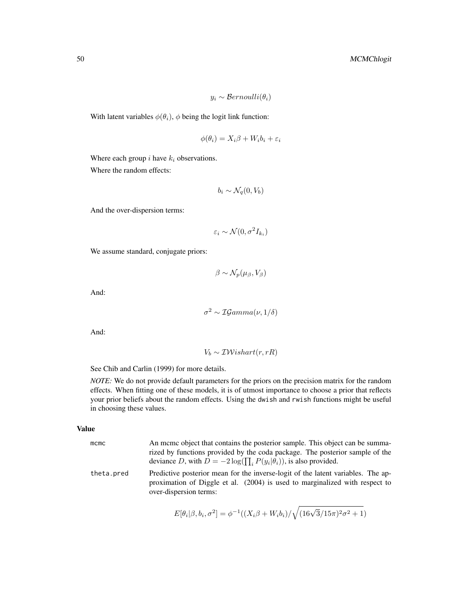$$
y_i \sim Bernoulli(\theta_i)
$$

With latent variables  $\phi(\theta_i)$ ,  $\phi$  being the logit link function:

$$
\phi(\theta_i) = X_i \beta + W_i b_i + \varepsilon_i
$$

Where each group  $i$  have  $k_i$  observations. Where the random effects:

$$
b_i \sim \mathcal{N}_q(0, V_b)
$$

And the over-dispersion terms:

$$
\varepsilon_i \sim \mathcal{N}(0, \sigma^2 I_{k_i})
$$

We assume standard, conjugate priors:

 $\beta \sim \mathcal{N}_p(\mu_\beta, V_\beta)$ 

And:

$$
\sigma^2 \sim \mathcal{IG}amma(\nu, 1/\delta)
$$

And:

$$
V_b \sim \mathcal{IW} ishart(r, rR)
$$

See Chib and Carlin (1999) for more details.

*NOTE:* We do not provide default parameters for the priors on the precision matrix for the random effects. When fitting one of these models, it is of utmost importance to choose a prior that reflects your prior beliefs about the random effects. Using the dwish and rwish functions might be useful in choosing these values.

# Value

| $m$ cmc    | An meme object that contains the posterior sample. This object can be summa-<br>rized by functions provided by the coda package. The posterior sample of the<br>deviance D, with $D = -2 \log(\prod_i P(y_i \theta_i))$ , is also provided. |
|------------|---------------------------------------------------------------------------------------------------------------------------------------------------------------------------------------------------------------------------------------------|
| theta.pred | Predictive posterior mean for the inverse-logit of the latent variables. The ap-<br>proximation of Diggle et al. (2004) is used to marginalized with respect to<br>over-dispersion terms:                                                   |

$$
E[\theta_i|\beta, b_i, \sigma^2] = \phi^{-1}((X_i\beta + W_i b_i)/\sqrt{(16\sqrt{3}/15\pi)^2\sigma^2 + 1})
$$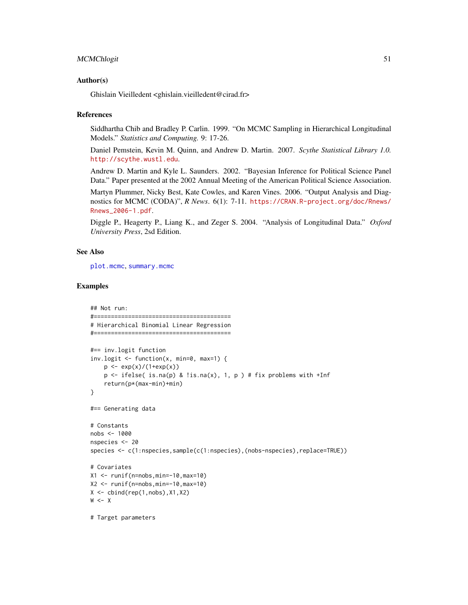### MCMChlogit 51

### Author(s)

Ghislain Vieilledent <ghislain.vieilledent@cirad.fr>

#### References

Siddhartha Chib and Bradley P. Carlin. 1999. "On MCMC Sampling in Hierarchical Longitudinal Models." *Statistics and Computing.* 9: 17-26.

Daniel Pemstein, Kevin M. Quinn, and Andrew D. Martin. 2007. *Scythe Statistical Library 1.0.* <http://scythe.wustl.edu>.

Andrew D. Martin and Kyle L. Saunders. 2002. "Bayesian Inference for Political Science Panel Data." Paper presented at the 2002 Annual Meeting of the American Political Science Association.

Martyn Plummer, Nicky Best, Kate Cowles, and Karen Vines. 2006. "Output Analysis and Diagnostics for MCMC (CODA)", *R News*. 6(1): 7-11. [https://CRAN.R-project.org/doc/Rnews/](https://CRAN.R-project.org/doc/Rnews/Rnews_2006-1.pdf) [Rnews\\_2006-1.pdf](https://CRAN.R-project.org/doc/Rnews/Rnews_2006-1.pdf).

Diggle P., Heagerty P., Liang K., and Zeger S. 2004. "Analysis of Longitudinal Data." *Oxford University Press*, 2sd Edition.

## See Also

[plot.mcmc](#page-0-0), [summary.mcmc](#page-0-0)

### Examples

```
## Not run:
#========================================
# Hierarchical Binomial Linear Regression
#========================================
#== inv.logit function
inv.logit \leq function(x, min=0, max=1) {
    p \leq -exp(x)/(1+exp(x))p \leftarrow ifelse( is.na(p) & !is.na(x), 1, p ) # fix problems with +Inf
    return(p*(max-min)+min)
}
#== Generating data
# Constants
nobs <- 1000
nspecies <- 20
species <- c(1:nspecies,sample(c(1:nspecies),(nobs-nspecies),replace=TRUE))
# Covariates
X1 <- runif(n=nobs,min=-10,max=10)
X2 \le - runif(n=nobs, min=-10, max=10)
X \leftarrow \text{cbind}(\text{rep}(1, \text{nobs}), X1, X2)W < - X# Target parameters
```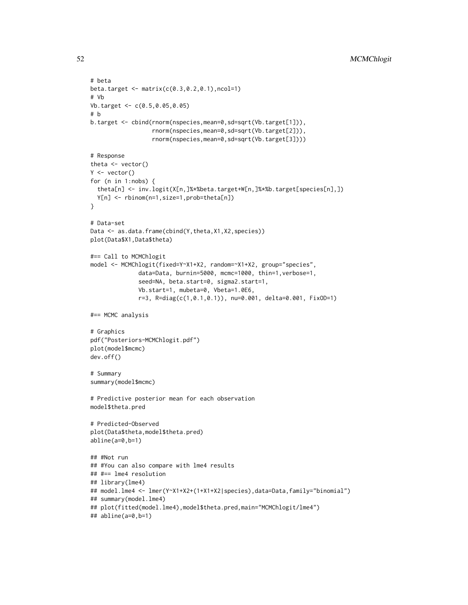```
# beta
beta.target <- matrix(c(0.3,0.2,0.1),ncol=1)
# Vb
Vb.target <- c(0.5,0.05,0.05)
# b
b.target <- cbind(rnorm(nspecies,mean=0,sd=sqrt(Vb.target[1])),
                  rnorm(nspecies,mean=0,sd=sqrt(Vb.target[2])),
                  rnorm(nspecies,mean=0,sd=sqrt(Vb.target[3])))
# Response
theta <- vector()
Y \leftarrow vector()for (n in 1:nobs) {
  theta[n] <- inv.logit(X[n,]%*%beta.target+W[n,]%*%b.target[species[n],])
  Y[n] <- rbinom(n=1,size=1,prob=theta[n])
}
# Data-set
Data <- as.data.frame(cbind(Y,theta,X1,X2,species))
plot(Data$X1,Data$theta)
#== Call to MCMChlogit
model <- MCMChlogit(fixed=Y~X1+X2, random=~X1+X2, group="species",
              data=Data, burnin=5000, mcmc=1000, thin=1,verbose=1,
              seed=NA, beta.start=0, sigma2.start=1,
              Vb.start=1, mubeta=0, Vbeta=1.0E6,
              r=3, R=diag(c(1,0.1,0.1)), nu=0.001, delta=0.001, FixOD=1)
#== MCMC analysis
# Graphics
pdf("Posteriors-MCMChlogit.pdf")
plot(model$mcmc)
dev.off()
# Summary
summary(model$mcmc)
# Predictive posterior mean for each observation
model$theta.pred
# Predicted-Observed
plot(Data$theta,model$theta.pred)
abline(a=0,b=1)
## #Not run
## #You can also compare with lme4 results
## #== lme4 resolution
## library(lme4)
## model.lme4 <- lmer(Y~X1+X2+(1+X1+X2|species),data=Data,family="binomial")
## summary(model.lme4)
## plot(fitted(model.lme4),model$theta.pred,main="MCMChlogit/lme4")
## abline(a=0,b=1)
```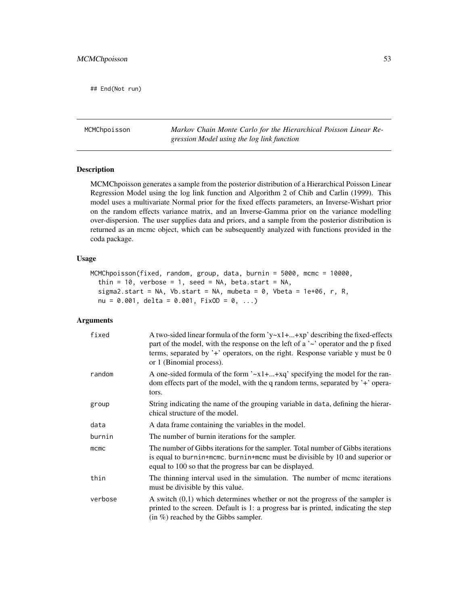## End(Not run)

MCMChpoisson *Markov Chain Monte Carlo for the Hierarchical Poisson Linear Regression Model using the log link function*

# Description

MCMChpoisson generates a sample from the posterior distribution of a Hierarchical Poisson Linear Regression Model using the log link function and Algorithm 2 of Chib and Carlin (1999). This model uses a multivariate Normal prior for the fixed effects parameters, an Inverse-Wishart prior on the random effects variance matrix, and an Inverse-Gamma prior on the variance modelling over-dispersion. The user supplies data and priors, and a sample from the posterior distribution is returned as an mcmc object, which can be subsequently analyzed with functions provided in the coda package.

### Usage

```
MCMChpoisson(fixed, random, group, data, burnin = 5000, mcmc = 10000,
  thin = 10, verbose = 1, seed = NA, beta.start = NA,
  sigma2.start = NA, Vb.start = NA, mubeta = 0, Vbeta = 1e+06, r, R,
  nu = 0.001, delta = 0.001, FixOD = 0, ...)
```

| fixed   | A two-sided linear formula of the form 'y~ $x1 +  + xp$ ' describing the fixed-effects<br>part of the model, with the response on the left of a $\sim$ operator and the p fixed<br>terms, separated by $\dot{ }$ + $\dot{ }$ operators, on the right. Response variable y must be 0<br>or 1 (Binomial process). |
|---------|-----------------------------------------------------------------------------------------------------------------------------------------------------------------------------------------------------------------------------------------------------------------------------------------------------------------|
| random  | A one-sided formula of the form $\lambda x_1 + \ldots + x_q$ specifying the model for the ran-<br>dom effects part of the model, with the q random terms, separated by $\dot{ }$ + $\dot{ }$ opera-<br>tors.                                                                                                    |
| group   | String indicating the name of the grouping variable in data, defining the hierar-<br>chical structure of the model.                                                                                                                                                                                             |
| data    | A data frame containing the variables in the model.                                                                                                                                                                                                                                                             |
| burnin  | The number of burnin iterations for the sampler.                                                                                                                                                                                                                                                                |
| mcmc    | The number of Gibbs iterations for the sampler. Total number of Gibbs iterations<br>is equal to burnin+mcmc. burnin+mcmc must be divisible by 10 and superior or<br>equal to 100 so that the progress bar can be displayed.                                                                                     |
| thin    | The thinning interval used in the simulation. The number of mcmc iterations<br>must be divisible by this value.                                                                                                                                                                                                 |
| verbose | A switch $(0,1)$ which determines whether or not the progress of the sampler is<br>printed to the screen. Default is 1: a progress bar is printed, indicating the step<br>$(in \%)$ reached by the Gibbs sampler.                                                                                               |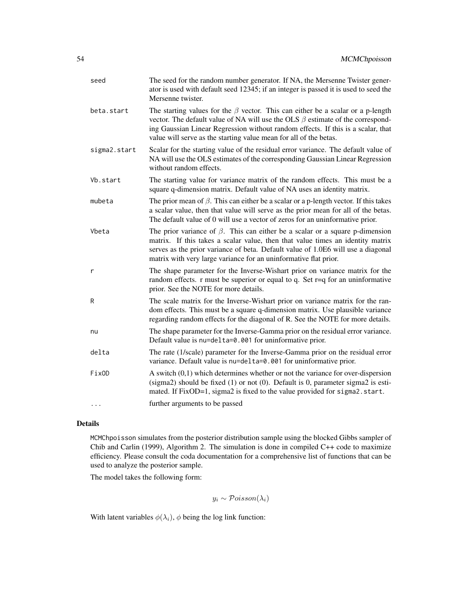| seed         | The seed for the random number generator. If NA, the Mersenne Twister gener-<br>ator is used with default seed 12345; if an integer is passed it is used to seed the<br>Mersenne twister.                                                                                                                                              |
|--------------|----------------------------------------------------------------------------------------------------------------------------------------------------------------------------------------------------------------------------------------------------------------------------------------------------------------------------------------|
| beta.start   | The starting values for the $\beta$ vector. This can either be a scalar or a p-length<br>vector. The default value of NA will use the OLS $\beta$ estimate of the correspond-<br>ing Gaussian Linear Regression without random effects. If this is a scalar, that<br>value will serve as the starting value mean for all of the betas. |
| sigma2.start | Scalar for the starting value of the residual error variance. The default value of<br>NA will use the OLS estimates of the corresponding Gaussian Linear Regression<br>without random effects.                                                                                                                                         |
| Vb.start     | The starting value for variance matrix of the random effects. This must be a<br>square q-dimension matrix. Default value of NA uses an identity matrix.                                                                                                                                                                                |
| mubeta       | The prior mean of $\beta$ . This can either be a scalar or a p-length vector. If this takes<br>a scalar value, then that value will serve as the prior mean for all of the betas.<br>The default value of 0 will use a vector of zeros for an uninformative prior.                                                                     |
| Vbeta        | The prior variance of $\beta$ . This can either be a scalar or a square p-dimension<br>matrix. If this takes a scalar value, then that value times an identity matrix<br>serves as the prior variance of beta. Default value of 1.0E6 will use a diagonal<br>matrix with very large variance for an uninformative flat prior.          |
| r            | The shape parameter for the Inverse-Wishart prior on variance matrix for the<br>random effects. $r$ must be superior or equal to q. Set $r=q$ for an uninformative<br>prior. See the NOTE for more details.                                                                                                                            |
| R            | The scale matrix for the Inverse-Wishart prior on variance matrix for the ran-<br>dom effects. This must be a square q-dimension matrix. Use plausible variance<br>regarding random effects for the diagonal of R. See the NOTE for more details.                                                                                      |
| nu           | The shape parameter for the Inverse-Gamma prior on the residual error variance.<br>Default value is nu=delta=0.001 for uninformative prior.                                                                                                                                                                                            |
| delta        | The rate (1/scale) parameter for the Inverse-Gamma prior on the residual error<br>variance. Default value is nu=delta=0.001 for uninformative prior.                                                                                                                                                                                   |
| FixOD        | A switch $(0,1)$ which determines whether or not the variance for over-dispersion<br>(sigma2) should be fixed (1) or not (0). Default is 0, parameter sigma2 is esti-<br>mated. If FixOD=1, sigma2 is fixed to the value provided for sigma2. start.                                                                                   |
| $\cdots$     | further arguments to be passed                                                                                                                                                                                                                                                                                                         |

MCMChpoisson simulates from the posterior distribution sample using the blocked Gibbs sampler of Chib and Carlin (1999), Algorithm 2. The simulation is done in compiled C++ code to maximize efficiency. Please consult the coda documentation for a comprehensive list of functions that can be used to analyze the posterior sample.

The model takes the following form:

$$
y_i \sim \mathcal{Poisson}(\lambda_i)
$$

With latent variables  $\phi(\lambda_i)$ ,  $\phi$  being the log link function: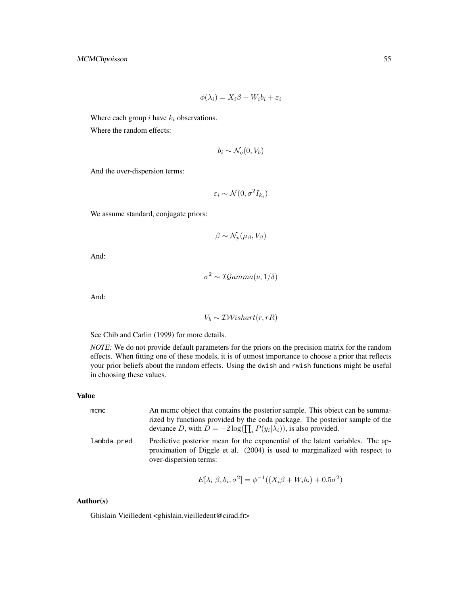$$
\phi(\lambda_i) = X_i \beta + W_i b_i + \varepsilon_i
$$

Where each group  $i$  have  $k_i$  observations.

Where the random effects:

$$
b_i \sim \mathcal{N}_q(0, V_b)
$$

And the over-dispersion terms:

$$
\varepsilon_i \sim \mathcal{N}(0, \sigma^2 I_{k_i})
$$

We assume standard, conjugate priors:

$$
\beta \sim \mathcal{N}_p(\mu_\beta, V_\beta)
$$

And:

$$
\sigma^2 \sim \mathcal{IG}amma(\nu, 1/\delta)
$$

And:

$$
V_b \sim \mathcal{IW} is hart(r, rR)
$$

See Chib and Carlin (1999) for more details.

*NOTE:* We do not provide default parameters for the priors on the precision matrix for the random effects. When fitting one of these models, it is of utmost importance to choose a prior that reflects your prior beliefs about the random effects. Using the dwish and rwish functions might be useful in choosing these values.

# Value

| mcmc        | An meme object that contains the posterior sample. This object can be summa-<br>rized by functions provided by the coda package. The posterior sample of the<br>deviance D, with $D = -2 \log(\prod_i P(y_i \lambda_i))$ , is also provided. |
|-------------|----------------------------------------------------------------------------------------------------------------------------------------------------------------------------------------------------------------------------------------------|
| lambda.pred | Predictive posterior mean for the exponential of the latent variables. The ap-<br>proximation of Diggle et al. (2004) is used to marginalized with respect to<br>over-dispersion terms:                                                      |

$$
E[\lambda_i|\beta, b_i, \sigma^2] = \phi^{-1}((X_i\beta + W_i b_i) + 0.5\sigma^2)
$$

# Author(s)

Ghislain Vieilledent <ghislain.vieilledent@cirad.fr>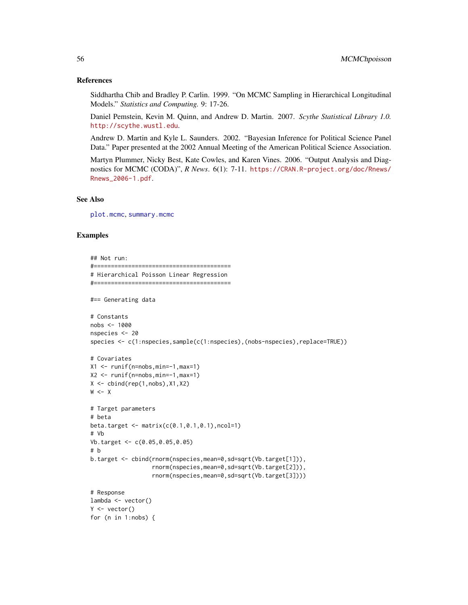### References

Siddhartha Chib and Bradley P. Carlin. 1999. "On MCMC Sampling in Hierarchical Longitudinal Models." *Statistics and Computing.* 9: 17-26.

Daniel Pemstein, Kevin M. Quinn, and Andrew D. Martin. 2007. *Scythe Statistical Library 1.0.* <http://scythe.wustl.edu>.

Andrew D. Martin and Kyle L. Saunders. 2002. "Bayesian Inference for Political Science Panel Data." Paper presented at the 2002 Annual Meeting of the American Political Science Association.

Martyn Plummer, Nicky Best, Kate Cowles, and Karen Vines. 2006. "Output Analysis and Diagnostics for MCMC (CODA)", *R News*. 6(1): 7-11. [https://CRAN.R-project.org/doc/Rnews/](https://CRAN.R-project.org/doc/Rnews/Rnews_2006-1.pdf) [Rnews\\_2006-1.pdf](https://CRAN.R-project.org/doc/Rnews/Rnews_2006-1.pdf).

### See Also

[plot.mcmc](#page-0-0), [summary.mcmc](#page-0-0)

### Examples

```
## Not run:
#========================================
# Hierarchical Poisson Linear Regression
#========================================
#== Generating data
# Constants
nobs <- 1000
nspecies <- 20
species <- c(1:nspecies,sample(c(1:nspecies),(nobs-nspecies),replace=TRUE))
# Covariates
X1 \leftarrow runif(n=nobs,min=-1,max=1)X2 <- runif(n=nobs,min=-1,max=1)
X \leftarrow \text{cbind}(\text{rep}(1, \text{nobs}), X1, X2)W < - X# Target parameters
# beta
beta.target <- matrix(c(0.1,0.1,0.1),ncol=1)
# Vb
Vb.target <- c(0.05,0.05,0.05)
# b
b.target <- cbind(rnorm(nspecies,mean=0,sd=sqrt(Vb.target[1])),
                   rnorm(nspecies,mean=0,sd=sqrt(Vb.target[2])),
                   rnorm(nspecies,mean=0,sd=sqrt(Vb.target[3])))
# Response
lambda <- vector()
Y \leftarrow vector()for (n in 1:nobs) {
```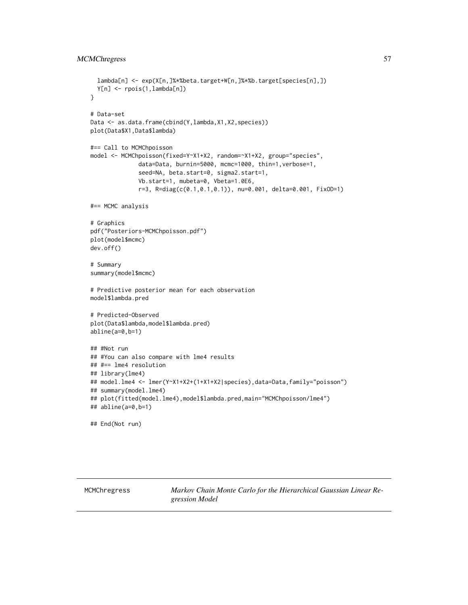```
lambda[n] <- exp(X[n,]%*%beta.target+W[n,]%*%b.target[species[n],])
 Y[n] <- rpois(1,lambda[n])
}
# Data-set
Data <- as.data.frame(cbind(Y,lambda,X1,X2,species))
plot(Data$X1,Data$lambda)
#== Call to MCMChpoisson
model <- MCMChpoisson(fixed=Y~X1+X2, random=~X1+X2, group="species",
              data=Data, burnin=5000, mcmc=1000, thin=1,verbose=1,
              seed=NA, beta.start=0, sigma2.start=1,
              Vb.start=1, mubeta=0, Vbeta=1.0E6,
              r=3, R=diag(c(0.1,0.1,0.1)), nu=0.001, delta=0.001, FixOD=1)
#== MCMC analysis
# Graphics
pdf("Posteriors-MCMChpoisson.pdf")
plot(model$mcmc)
dev.off()
# Summary
summary(model$mcmc)
# Predictive posterior mean for each observation
model$lambda.pred
# Predicted-Observed
plot(Data$lambda,model$lambda.pred)
abline(a=0,b=1)
## #Not run
## #You can also compare with lme4 results
## #== lme4 resolution
## library(lme4)
## model.lme4 <- lmer(Y~X1+X2+(1+X1+X2|species),data=Data,family="poisson")
## summary(model.lme4)
## plot(fitted(model.lme4),model$lambda.pred,main="MCMChpoisson/lme4")
## abline(a=0,b=1)
## End(Not run)
```
MCMChregress *Markov Chain Monte Carlo for the Hierarchical Gaussian Linear Regression Model*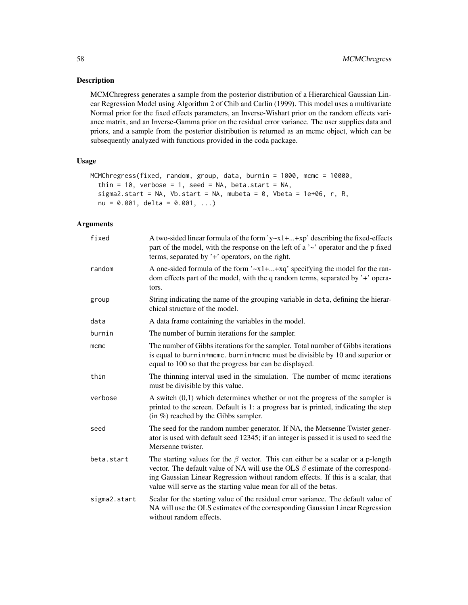# Description

MCMChregress generates a sample from the posterior distribution of a Hierarchical Gaussian Linear Regression Model using Algorithm 2 of Chib and Carlin (1999). This model uses a multivariate Normal prior for the fixed effects parameters, an Inverse-Wishart prior on the random effects variance matrix, and an Inverse-Gamma prior on the residual error variance. The user supplies data and priors, and a sample from the posterior distribution is returned as an mcmc object, which can be subsequently analyzed with functions provided in the coda package.

### Usage

```
MCMChregress(fixed, random, group, data, burnin = 1000, mcmc = 10000,
  thin = 10, verbose = 1, seed = NA, beta.start = NA,
  sigma2.start = NA, Vb.start = NA, mubeta = 0, Vbeta = 1e+06, r, R,
 nu = 0.001, delta = 0.001, ...)
```

| fixed        | A two-sided linear formula of the form 'y~x1++xp' describing the fixed-effects<br>part of the model, with the response on the left of a $\sim$ operator and the p fixed<br>terms, separated by '+' operators, on the right.                                                                                                            |
|--------------|----------------------------------------------------------------------------------------------------------------------------------------------------------------------------------------------------------------------------------------------------------------------------------------------------------------------------------------|
| random       | A one-sided formula of the form $\alpha$ 1++xq' specifying the model for the ran-<br>dom effects part of the model, with the q random terms, separated by '+' opera-<br>tors.                                                                                                                                                          |
| group        | String indicating the name of the grouping variable in data, defining the hierar-<br>chical structure of the model.                                                                                                                                                                                                                    |
| data         | A data frame containing the variables in the model.                                                                                                                                                                                                                                                                                    |
| burnin       | The number of burnin iterations for the sampler.                                                                                                                                                                                                                                                                                       |
| $m$ cmc      | The number of Gibbs iterations for the sampler. Total number of Gibbs iterations<br>is equal to burnin+mcmc. burnin+mcmc must be divisible by 10 and superior or<br>equal to 100 so that the progress bar can be displayed.                                                                                                            |
| thin         | The thinning interval used in the simulation. The number of mcmc iterations<br>must be divisible by this value.                                                                                                                                                                                                                        |
| verbose      | A switch $(0,1)$ which determines whether or not the progress of the sampler is<br>printed to the screen. Default is 1: a progress bar is printed, indicating the step<br>$(in \%)$ reached by the Gibbs sampler.                                                                                                                      |
| seed         | The seed for the random number generator. If NA, the Mersenne Twister gener-<br>ator is used with default seed 12345; if an integer is passed it is used to seed the<br>Mersenne twister.                                                                                                                                              |
| beta.start   | The starting values for the $\beta$ vector. This can either be a scalar or a p-length<br>vector. The default value of NA will use the OLS $\beta$ estimate of the correspond-<br>ing Gaussian Linear Regression without random effects. If this is a scalar, that<br>value will serve as the starting value mean for all of the betas. |
| sigma2.start | Scalar for the starting value of the residual error variance. The default value of<br>NA will use the OLS estimates of the corresponding Gaussian Linear Regression<br>without random effects.                                                                                                                                         |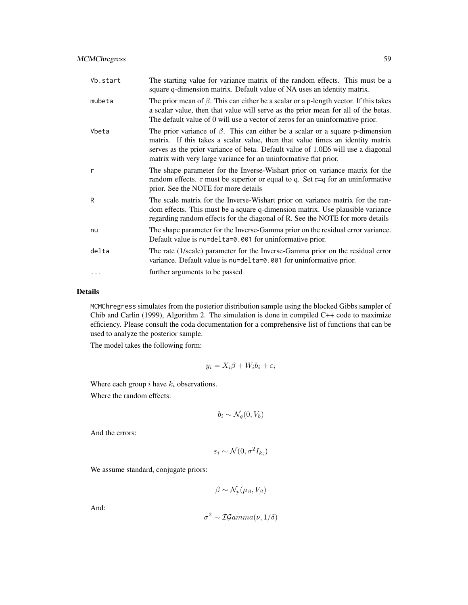| Vb.start | The starting value for variance matrix of the random effects. This must be a<br>square q-dimension matrix. Default value of NA uses an identity matrix.                                                                                                                                                                       |
|----------|-------------------------------------------------------------------------------------------------------------------------------------------------------------------------------------------------------------------------------------------------------------------------------------------------------------------------------|
| mubeta   | The prior mean of $\beta$ . This can either be a scalar or a p-length vector. If this takes<br>a scalar value, then that value will serve as the prior mean for all of the betas.<br>The default value of 0 will use a vector of zeros for an uninformative prior.                                                            |
| Vbeta    | The prior variance of $\beta$ . This can either be a scalar or a square p-dimension<br>matrix. If this takes a scalar value, then that value times an identity matrix<br>serves as the prior variance of beta. Default value of 1.0E6 will use a diagonal<br>matrix with very large variance for an uninformative flat prior. |
| r        | The shape parameter for the Inverse-Wishart prior on variance matrix for the<br>random effects. $r$ must be superior or equal to q. Set $r=q$ for an uninformative<br>prior. See the NOTE for more details                                                                                                                    |
| R        | The scale matrix for the Inverse-Wishart prior on variance matrix for the ran-<br>dom effects. This must be a square q-dimension matrix. Use plausible variance<br>regarding random effects for the diagonal of R. See the NOTE for more details                                                                              |
| nu       | The shape parameter for the Inverse-Gamma prior on the residual error variance.<br>Default value is nu=delta=0.001 for uninformative prior.                                                                                                                                                                                   |
| delta    | The rate (1/scale) parameter for the Inverse-Gamma prior on the residual error<br>variance. Default value is nu=delta=0.001 for uninformative prior.                                                                                                                                                                          |
|          | further arguments to be passed                                                                                                                                                                                                                                                                                                |

MCMChregress simulates from the posterior distribution sample using the blocked Gibbs sampler of Chib and Carlin (1999), Algorithm 2. The simulation is done in compiled C++ code to maximize efficiency. Please consult the coda documentation for a comprehensive list of functions that can be used to analyze the posterior sample.

The model takes the following form:

$$
y_i = X_i \beta + W_i b_i + \varepsilon_i
$$

Where each group  $i$  have  $k_i$  observations.

Where the random effects:

$$
b_i \sim \mathcal{N}_q(0, V_b)
$$

And the errors:

$$
\varepsilon_i \sim \mathcal{N}(0, \sigma^2 I_{k_i})
$$

We assume standard, conjugate priors:

$$
\beta \sim \mathcal{N}_p(\mu_\beta, V_\beta)
$$

And:

$$
\sigma^2 \sim \mathcal{IG}amma(\nu, 1/\delta)
$$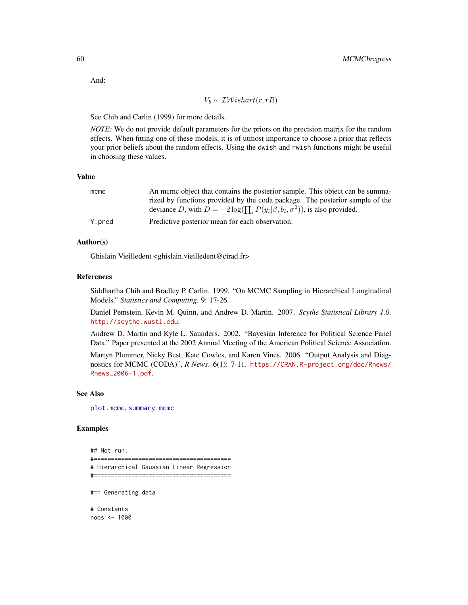And:

$$
V_b \sim \mathcal{IW} is hart(r, rR)
$$

See Chib and Carlin (1999) for more details.

*NOTE:* We do not provide default parameters for the priors on the precision matrix for the random effects. When fitting one of these models, it is of utmost importance to choose a prior that reflects your prior beliefs about the random effects. Using the dwish and rwish functions might be useful in choosing these values.

### Value

| mcmc   | An meme object that contains the posterior sample. This object can be summa-              |
|--------|-------------------------------------------------------------------------------------------|
|        | rized by functions provided by the coda package. The posterior sample of the              |
|        | deviance D, with $D = -2 \log(\prod_i P(y_i   \beta, b_i, \sigma^2))$ , is also provided. |
| Y.pred | Predictive posterior mean for each observation.                                           |

### Author(s)

Ghislain Vieilledent <ghislain.vieilledent@cirad.fr>

## References

Siddhartha Chib and Bradley P. Carlin. 1999. "On MCMC Sampling in Hierarchical Longitudinal Models." *Statistics and Computing.* 9: 17-26.

Daniel Pemstein, Kevin M. Quinn, and Andrew D. Martin. 2007. *Scythe Statistical Library 1.0.* <http://scythe.wustl.edu>.

Andrew D. Martin and Kyle L. Saunders. 2002. "Bayesian Inference for Political Science Panel Data." Paper presented at the 2002 Annual Meeting of the American Political Science Association.

Martyn Plummer, Nicky Best, Kate Cowles, and Karen Vines. 2006. "Output Analysis and Diagnostics for MCMC (CODA)", *R News*. 6(1): 7-11. [https://CRAN.R-project.org/doc/Rnews/](https://CRAN.R-project.org/doc/Rnews/Rnews_2006-1.pdf) [Rnews\\_2006-1.pdf](https://CRAN.R-project.org/doc/Rnews/Rnews_2006-1.pdf).

### See Also

[plot.mcmc](#page-0-0), [summary.mcmc](#page-0-0)

# Examples

## Not run: #======================================== # Hierarchical Gaussian Linear Regression #======================================== #== Generating data # Constants nobs <- 1000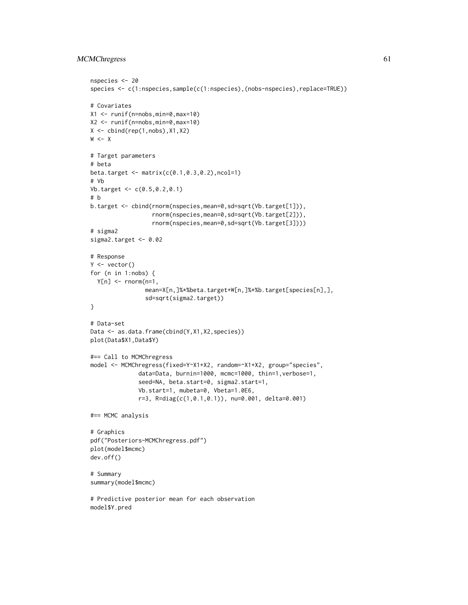# MCMChregress 61

```
nspecies <- 20
species <- c(1:nspecies,sample(c(1:nspecies),(nobs-nspecies),replace=TRUE))
# Covariates
X1 <- runif(n=nobs,min=0,max=10)
X2 <- runif(n=nobs,min=0,max=10)
X \leftarrow \text{cbind}(\text{rep}(1, \text{nobs}), X1, X2)W < - X# Target parameters
# beta
beta.target <- matrix(c(0.1,0.3,0.2),ncol=1)
# Vb
Vb.target <- c(0.5,0.2,0.1)
# b
b.target <- cbind(rnorm(nspecies,mean=0,sd=sqrt(Vb.target[1])),
                  rnorm(nspecies,mean=0,sd=sqrt(Vb.target[2])),
                  rnorm(nspecies,mean=0,sd=sqrt(Vb.target[3])))
# sigma2
sigma2.target <- 0.02
# Response
Y <- vector()
for (n in 1:nobs) {
  Y[n] <- rnorm(n=1,
                mean=X[n,]%*%beta.target+W[n,]%*%b.target[species[n],],
                sd=sqrt(sigma2.target))
}
# Data-set
Data <- as.data.frame(cbind(Y,X1,X2,species))
plot(Data$X1,Data$Y)
#== Call to MCMChregress
model <- MCMChregress(fixed=Y~X1+X2, random=~X1+X2, group="species",
              data=Data, burnin=1000, mcmc=1000, thin=1,verbose=1,
              seed=NA, beta.start=0, sigma2.start=1,
              Vb.start=1, mubeta=0, Vbeta=1.0E6,
              r=3, R=diag(c(1,0.1,0.1)), nu=0.001, delta=0.001)
#== MCMC analysis
# Graphics
pdf("Posteriors-MCMChregress.pdf")
plot(model$mcmc)
dev.off()
# Summary
summary(model$mcmc)
# Predictive posterior mean for each observation
model$Y.pred
```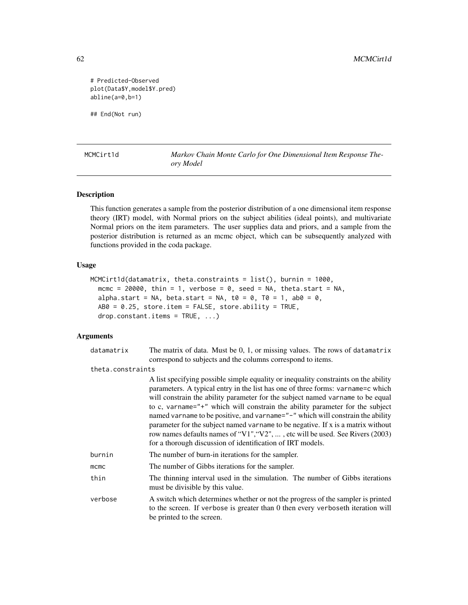# Predicted-Observed plot(Data\$Y,model\$Y.pred) abline(a=0,b=1)

## End(Not run)

<span id="page-61-0"></span>MCMCirt1d *Markov Chain Monte Carlo for One Dimensional Item Response Theory Model*

## Description

This function generates a sample from the posterior distribution of a one dimensional item response theory (IRT) model, with Normal priors on the subject abilities (ideal points), and multivariate Normal priors on the item parameters. The user supplies data and priors, and a sample from the posterior distribution is returned as an mcmc object, which can be subsequently analyzed with functions provided in the coda package.

# Usage

```
MCMCirt1d(datamatrix, theta.constraints = list(), burnin = 1000,
 mcmc = 20000, thin = 1, verbose = 0, seed = NA, theta.start = NA,
  alpha.start = NA, beta.start = NA, t0 = 0, T0 = 1, ab0 = 0,
  AB0 = 0.25, store.item = FALSE, store.ability = TRUE,
  drop.constant.items = TRUE, ...)
```

| datamatrix        | The matrix of data. Must be 0, 1, or missing values. The rows of datamatrix<br>correspond to subjects and the columns correspond to items.                                                                                                                                                                                                                                                                                                                                                                                                                                                                                                                     |
|-------------------|----------------------------------------------------------------------------------------------------------------------------------------------------------------------------------------------------------------------------------------------------------------------------------------------------------------------------------------------------------------------------------------------------------------------------------------------------------------------------------------------------------------------------------------------------------------------------------------------------------------------------------------------------------------|
|                   |                                                                                                                                                                                                                                                                                                                                                                                                                                                                                                                                                                                                                                                                |
| theta.constraints |                                                                                                                                                                                                                                                                                                                                                                                                                                                                                                                                                                                                                                                                |
|                   | A list specifying possible simple equality or inequality constraints on the ability<br>parameters. A typical entry in the list has one of three forms: varname=c which<br>will constrain the ability parameter for the subject named varname to be equal<br>to c, varname="+" which will constrain the ability parameter for the subject<br>named varname to be positive, and varname="-" which will constrain the ability<br>parameter for the subject named variance to be negative. If x is a matrix without<br>row names defaults names of "V1", "V2", , etc will be used. See Rivers (2003)<br>for a thorough discussion of identification of IRT models. |
| burnin            | The number of burn-in iterations for the sampler.                                                                                                                                                                                                                                                                                                                                                                                                                                                                                                                                                                                                              |
| mcmc              | The number of Gibbs iterations for the sampler.                                                                                                                                                                                                                                                                                                                                                                                                                                                                                                                                                                                                                |
| thin              | The thinning interval used in the simulation. The number of Gibbs iterations<br>must be divisible by this value.                                                                                                                                                                                                                                                                                                                                                                                                                                                                                                                                               |
| verbose           | A switch which determines whether or not the progress of the sampler is printed<br>to the screen. If verbose is greater than 0 then every verboseth iteration will<br>be printed to the screen.                                                                                                                                                                                                                                                                                                                                                                                                                                                                |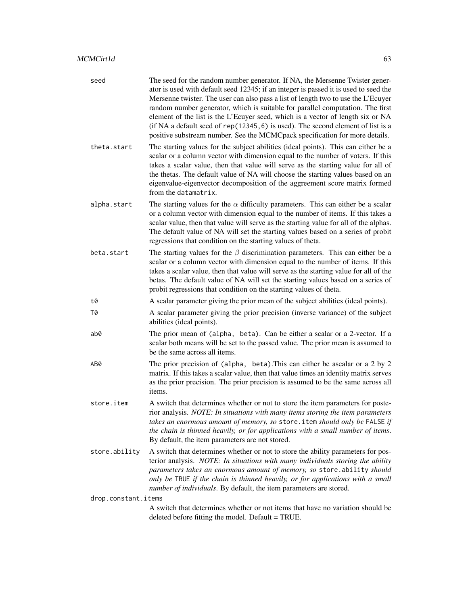| seed                | The seed for the random number generator. If NA, the Mersenne Twister gener-<br>ator is used with default seed 12345; if an integer is passed it is used to seed the<br>Mersenne twister. The user can also pass a list of length two to use the L'Ecuyer<br>random number generator, which is suitable for parallel computation. The first<br>element of the list is the L'Ecuyer seed, which is a vector of length six or NA<br>(if NA a default seed of rep(12345, 6) is used). The second element of list is a<br>positive substream number. See the MCMCpack specification for more details. |  |
|---------------------|---------------------------------------------------------------------------------------------------------------------------------------------------------------------------------------------------------------------------------------------------------------------------------------------------------------------------------------------------------------------------------------------------------------------------------------------------------------------------------------------------------------------------------------------------------------------------------------------------|--|
| theta.start         | The starting values for the subject abilities (ideal points). This can either be a<br>scalar or a column vector with dimension equal to the number of voters. If this<br>takes a scalar value, then that value will serve as the starting value for all of<br>the thetas. The default value of NA will choose the starting values based on an<br>eigenvalue-eigenvector decomposition of the aggreement score matrix formed<br>from the datamatrix.                                                                                                                                               |  |
| alpha.start         | The starting values for the $\alpha$ difficulty parameters. This can either be a scalar<br>or a column vector with dimension equal to the number of items. If this takes a<br>scalar value, then that value will serve as the starting value for all of the alphas.<br>The default value of NA will set the starting values based on a series of probit<br>regressions that condition on the starting values of theta.                                                                                                                                                                            |  |
| beta.start          | The starting values for the $\beta$ discrimination parameters. This can either be a<br>scalar or a column vector with dimension equal to the number of items. If this<br>takes a scalar value, then that value will serve as the starting value for all of the<br>betas. The default value of NA will set the starting values based on a series of<br>probit regressions that condition on the starting values of theta.                                                                                                                                                                          |  |
| t0                  | A scalar parameter giving the prior mean of the subject abilities (ideal points).                                                                                                                                                                                                                                                                                                                                                                                                                                                                                                                 |  |
| Т0                  | A scalar parameter giving the prior precision (inverse variance) of the subject<br>abilities (ideal points).                                                                                                                                                                                                                                                                                                                                                                                                                                                                                      |  |
| ab0                 | The prior mean of (alpha, beta). Can be either a scalar or a 2-vector. If a<br>scalar both means will be set to the passed value. The prior mean is assumed to<br>be the same across all items.                                                                                                                                                                                                                                                                                                                                                                                                   |  |
| AB0                 | The prior precision of (alpha, beta). This can either be ascalar or a 2 by 2<br>matrix. If this takes a scalar value, then that value times an identity matrix serves<br>as the prior precision. The prior precision is assumed to be the same across all<br>items.                                                                                                                                                                                                                                                                                                                               |  |
| store.item          | A switch that determines whether or not to store the item parameters for poste-<br>rior analysis. NOTE: In situations with many items storing the item parameters<br>takes an enormous amount of memory, so store. item should only be FALSE if<br>the chain is thinned heavily, or for applications with a small number of items.<br>By default, the item parameters are not stored.                                                                                                                                                                                                             |  |
| store.ability       | A switch that determines whether or not to store the ability parameters for pos-<br>terior analysis. NOTE: In situations with many individuals storing the ability<br>parameters takes an enormous amount of memory, so store. ability should<br>only be TRUE if the chain is thinned heavily, or for applications with a small<br>number of individuals. By default, the item parameters are stored.                                                                                                                                                                                             |  |
| drop.constant.items |                                                                                                                                                                                                                                                                                                                                                                                                                                                                                                                                                                                                   |  |
|                     | A switch that determines whether or not items that have no variation should be<br>deleted before fitting the model. Default = TRUE.                                                                                                                                                                                                                                                                                                                                                                                                                                                               |  |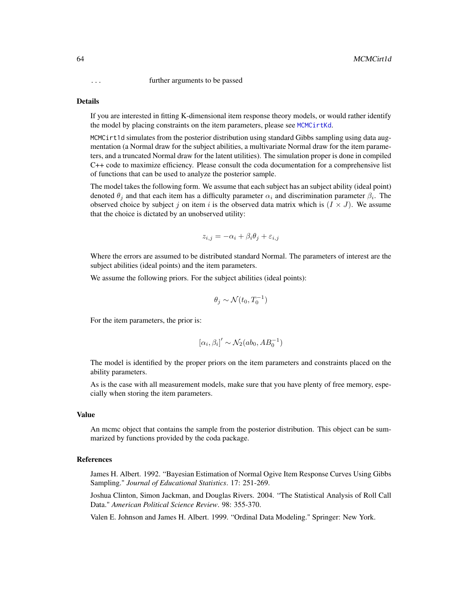... further arguments to be passed

### Details

If you are interested in fitting K-dimensional item response theory models, or would rather identify the model by placing constraints on the item parameters, please see [MCMCirtKd](#page-69-0).

MCMCirt1d simulates from the posterior distribution using standard Gibbs sampling using data augmentation (a Normal draw for the subject abilities, a multivariate Normal draw for the item parameters, and a truncated Normal draw for the latent utilities). The simulation proper is done in compiled C++ code to maximize efficiency. Please consult the coda documentation for a comprehensive list of functions that can be used to analyze the posterior sample.

The model takes the following form. We assume that each subject has an subject ability (ideal point) denoted  $\theta_j$  and that each item has a difficulty parameter  $\alpha_i$  and discrimination parameter  $\beta_i$ . The observed choice by subject j on item i is the observed data matrix which is  $(I \times J)$ . We assume that the choice is dictated by an unobserved utility:

$$
z_{i,j} = -\alpha_i + \beta_i \theta_j + \varepsilon_{i,j}
$$

Where the errors are assumed to be distributed standard Normal. The parameters of interest are the subject abilities (ideal points) and the item parameters.

We assume the following priors. For the subject abilities (ideal points):

$$
\theta_j \sim \mathcal{N}(t_0,T_0^{-1})
$$

For the item parameters, the prior is:

$$
[\alpha_i,\beta_i]'\sim\mathcal{N}_2(ab_0,AB_0^{-1})
$$

The model is identified by the proper priors on the item parameters and constraints placed on the ability parameters.

As is the case with all measurement models, make sure that you have plenty of free memory, especially when storing the item parameters.

#### Value

An mcmc object that contains the sample from the posterior distribution. This object can be summarized by functions provided by the coda package.

#### References

James H. Albert. 1992. "Bayesian Estimation of Normal Ogive Item Response Curves Using Gibbs Sampling." *Journal of Educational Statistics*. 17: 251-269.

Joshua Clinton, Simon Jackman, and Douglas Rivers. 2004. "The Statistical Analysis of Roll Call Data." *American Political Science Review*. 98: 355-370.

Valen E. Johnson and James H. Albert. 1999. "Ordinal Data Modeling." Springer: New York.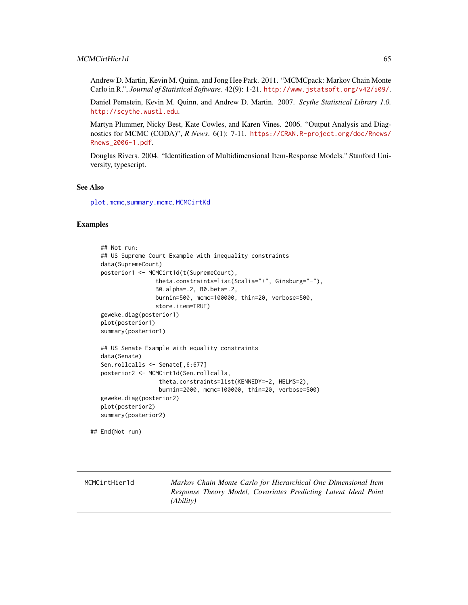# MCMCirtHier1d 65

Andrew D. Martin, Kevin M. Quinn, and Jong Hee Park. 2011. "MCMCpack: Markov Chain Monte Carlo in R.", *Journal of Statistical Software*. 42(9): 1-21. <http://www.jstatsoft.org/v42/i09/>.

Daniel Pemstein, Kevin M. Quinn, and Andrew D. Martin. 2007. *Scythe Statistical Library 1.0.* <http://scythe.wustl.edu>.

Martyn Plummer, Nicky Best, Kate Cowles, and Karen Vines. 2006. "Output Analysis and Diagnostics for MCMC (CODA)", *R News*. 6(1): 7-11. [https://CRAN.R-project.org/doc/Rnews/](https://CRAN.R-project.org/doc/Rnews/Rnews_2006-1.pdf) [Rnews\\_2006-1.pdf](https://CRAN.R-project.org/doc/Rnews/Rnews_2006-1.pdf).

Douglas Rivers. 2004. "Identification of Multidimensional Item-Response Models." Stanford University, typescript.

#### See Also

[plot.mcmc](#page-0-0),[summary.mcmc](#page-0-0), [MCMCirtKd](#page-69-0)

## Examples

```
## Not run:
## US Supreme Court Example with inequality constraints
data(SupremeCourt)
posterior1 <- MCMCirt1d(t(SupremeCourt),
                theta.constraints=list(Scalia="+", Ginsburg="-"),
                B0.alpha=.2, B0.beta=.2,
                burnin=500, mcmc=100000, thin=20, verbose=500,
                store.item=TRUE)
geweke.diag(posterior1)
plot(posterior1)
summary(posterior1)
## US Senate Example with equality constraints
data(Senate)
Sen.rollcalls <- Senate[,6:677]
posterior2 <- MCMCirt1d(Sen.rollcalls,
                 theta.constraints=list(KENNEDY=-2, HELMS=2),
                 burnin=2000, mcmc=100000, thin=20, verbose=500)
geweke.diag(posterior2)
plot(posterior2)
summary(posterior2)
```
## End(Not run)

MCMCirtHier1d *Markov Chain Monte Carlo for Hierarchical One Dimensional Item Response Theory Model, Covariates Predicting Latent Ideal Point (Ability)*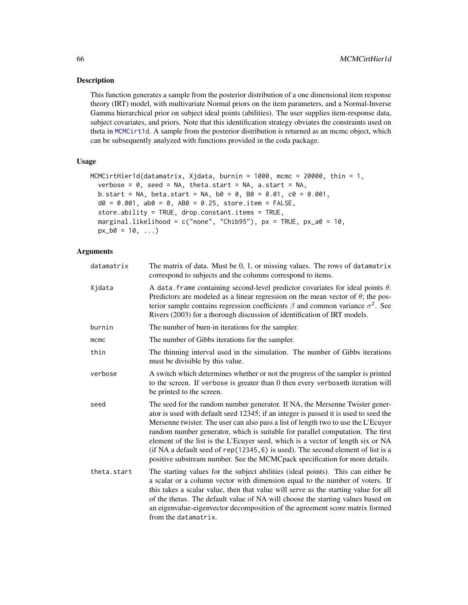### Description

This function generates a sample from the posterior distribution of a one dimensional item response theory (IRT) model, with multivariate Normal priors on the item parameters, and a Normal-Inverse Gamma hierarchical prior on subject ideal points (abilities). The user supplies item-response data, subject covariates, and priors. Note that this identification strategy obviates the constraints used on theta in [MCMCirt1d](#page-61-0). A sample from the posterior distribution is returned as an mcmc object, which can be subsequently analyzed with functions provided in the coda package.

### Usage

```
MCMCirtHier1d(datamatrix, Xjdata, burnin = 1000, mcmc = 20000, thin = 1,
  verbose = 0, seed = NA, theta.start = NA, a.start = NA,
 b. start = NA, beta.start = NA, b0 = 0, B0 = 0.01, c0 = 0.001,d0 = 0.001, d0 = 0, AB0 = 0.25, store.item = FALSE,
  store.ability = TRUE, drop.constant.items = TRUE,
  marginal.likelihood = c("none", "Chib95"), px = TRUE, px_a0 = 10,px_b0 = 10, ...
```

| datamatrix  | The matrix of data. Must be $0, 1$ , or missing values. The rows of datamatrix<br>correspond to subjects and the columns correspond to items.                                                                                                                                                                                                                                                                                                                                                                                                                                                       |
|-------------|-----------------------------------------------------------------------------------------------------------------------------------------------------------------------------------------------------------------------------------------------------------------------------------------------------------------------------------------------------------------------------------------------------------------------------------------------------------------------------------------------------------------------------------------------------------------------------------------------------|
| Xjdata      | A data frame containing second-level predictor covariates for ideal points $\theta$ .<br>Predictors are modeled as a linear regression on the mean vector of $\theta$ ; the pos-<br>terior sample contains regression coefficients $\beta$ and common variance $\sigma^2$ . See<br>Rivers (2003) for a thorough discussion of identification of IRT models.                                                                                                                                                                                                                                         |
| burnin      | The number of burn-in iterations for the sampler.                                                                                                                                                                                                                                                                                                                                                                                                                                                                                                                                                   |
| mcmc        | The number of Gibbs iterations for the sampler.                                                                                                                                                                                                                                                                                                                                                                                                                                                                                                                                                     |
| thin        | The thinning interval used in the simulation. The number of Gibbs iterations<br>must be divisible by this value.                                                                                                                                                                                                                                                                                                                                                                                                                                                                                    |
| verbose     | A switch which determines whether or not the progress of the sampler is printed<br>to the screen. If verbose is greater than 0 then every verboseth iteration will<br>be printed to the screen.                                                                                                                                                                                                                                                                                                                                                                                                     |
| seed        | The seed for the random number generator. If NA, the Mersenne Twister gener-<br>ator is used with default seed 12345; if an integer is passed it is used to seed the<br>Mersenne twister. The user can also pass a list of length two to use the L'Ecuyer<br>random number generator, which is suitable for parallel computation. The first<br>element of the list is the L'Ecuyer seed, which is a vector of length six or NA<br>(if NA a default seed of $rep(12345, 6)$ is used). The second element of list is a<br>positive substream number. See the MCMCpack specification for more details. |
| theta.start | The starting values for the subject abilities (ideal points). This can either be<br>a scalar or a column vector with dimension equal to the number of voters. If<br>this takes a scalar value, then that value will serve as the starting value for all<br>of the thetas. The default value of NA will choose the starting values based on<br>an eigenvalue-eigenvector decomposition of the agreement score matrix formed<br>from the datamatrix.                                                                                                                                                  |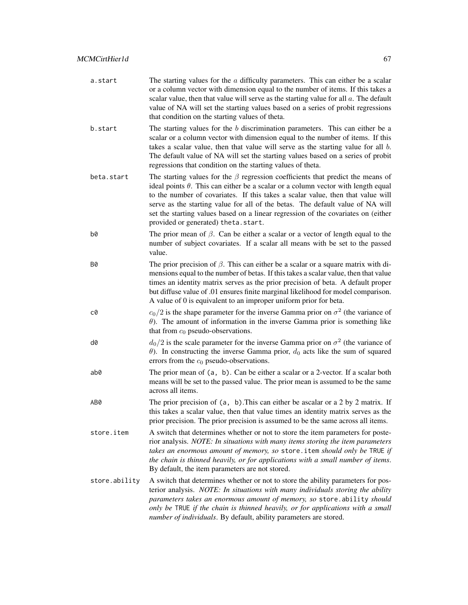| a.start       | The starting values for the $\alpha$ difficulty parameters. This can either be a scalar<br>or a column vector with dimension equal to the number of items. If this takes a<br>scalar value, then that value will serve as the starting value for all $a$ . The default<br>value of NA will set the starting values based on a series of probit regressions<br>that condition on the starting values of theta.                                                                      |
|---------------|------------------------------------------------------------------------------------------------------------------------------------------------------------------------------------------------------------------------------------------------------------------------------------------------------------------------------------------------------------------------------------------------------------------------------------------------------------------------------------|
| b.start       | The starting values for the $b$ discrimination parameters. This can either be a<br>scalar or a column vector with dimension equal to the number of items. If this<br>takes a scalar value, then that value will serve as the starting value for all $b$ .<br>The default value of NA will set the starting values based on a series of probit<br>regressions that condition on the starting values of theta.                                                                       |
| beta.start    | The starting values for the $\beta$ regression coefficients that predict the means of<br>ideal points $\theta$ . This can either be a scalar or a column vector with length equal<br>to the number of covariates. If this takes a scalar value, then that value will<br>serve as the starting value for all of the betas. The default value of NA will<br>set the starting values based on a linear regression of the covariates on (either<br>provided or generated) theta.start. |
| b0            | The prior mean of $\beta$ . Can be either a scalar or a vector of length equal to the<br>number of subject covariates. If a scalar all means with be set to the passed<br>value.                                                                                                                                                                                                                                                                                                   |
| Β0            | The prior precision of $\beta$ . This can either be a scalar or a square matrix with di-<br>mensions equal to the number of betas. If this takes a scalar value, then that value<br>times an identity matrix serves as the prior precision of beta. A default proper<br>but diffuse value of .01 ensures finite marginal likelihood for model comparison.<br>A value of 0 is equivalent to an improper uniform prior for beta.                                                     |
| c0            | $c_0/2$ is the shape parameter for the inverse Gamma prior on $\sigma^2$ (the variance of<br>$\theta$ ). The amount of information in the inverse Gamma prior is something like<br>that from $c_0$ pseudo-observations.                                                                                                                                                                                                                                                            |
| d0            | $d_0/2$ is the scale parameter for the inverse Gamma prior on $\sigma^2$ (the variance of<br>$\theta$ ). In constructing the inverse Gamma prior, $d_0$ acts like the sum of squared<br>errors from the $c_0$ pseudo-observations.                                                                                                                                                                                                                                                 |
| ab0           | The prior mean of (a, b). Can be either a scalar or a 2-vector. If a scalar both<br>means will be set to the passed value. The prior mean is assumed to be the same<br>across all items.                                                                                                                                                                                                                                                                                           |
| AB0           | The prior precision of $(a, b)$ . This can either be ascalar or a 2 by 2 matrix. If<br>this takes a scalar value, then that value times an identity matrix serves as the<br>prior precision. The prior precision is assumed to be the same across all items.                                                                                                                                                                                                                       |
| store.item    | A switch that determines whether or not to store the item parameters for poste-<br>rior analysis. NOTE: In situations with many items storing the item parameters<br>takes an enormous amount of memory, so store. item should only be TRUE if<br>the chain is thinned heavily, or for applications with a small number of items.<br>By default, the item parameters are not stored.                                                                                               |
| store.ability | A switch that determines whether or not to store the ability parameters for pos-<br>terior analysis. NOTE: In situations with many individuals storing the ability<br>parameters takes an enormous amount of memory, so store ability should<br>only be TRUE if the chain is thinned heavily, or for applications with a small<br>number of individuals. By default, ability parameters are stored.                                                                                |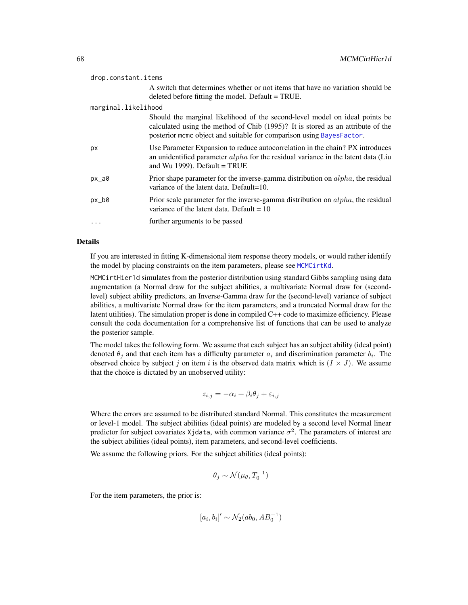| drop.constant.items |                     |                                                                                                                                                                                                                                        |
|---------------------|---------------------|----------------------------------------------------------------------------------------------------------------------------------------------------------------------------------------------------------------------------------------|
|                     |                     | A switch that determines whether or not items that have no variation should be<br>deleted before fitting the model. Default = TRUE.                                                                                                    |
|                     | marginal.likelihood |                                                                                                                                                                                                                                        |
|                     |                     | Should the marginal likelihood of the second-level model on ideal points be<br>calculated using the method of Chib (1995)? It is stored as an attribute of the<br>posterior mcmc object and suitable for comparison using BayesFactor. |
|                     | рx                  | Use Parameter Expansion to reduce autocorrelation in the chain? PX introduces<br>an unidentified parameter $alpha$ for the residual variance in the latent data (Liu<br>and Wu 1999). Default = $TRUE$                                 |
|                     | $px_aa0$            | Prior shape parameter for the inverse-gamma distribution on $alpha$ , the residual<br>variance of the latent data. Default=10.                                                                                                         |
|                     | $px_b0$             | Prior scale parameter for the inverse-gamma distribution on $alpha$ , the residual<br>variance of the latent data. Default $= 10$                                                                                                      |
|                     | .                   | further arguments to be passed                                                                                                                                                                                                         |

If you are interested in fitting K-dimensional item response theory models, or would rather identify the model by placing constraints on the item parameters, please see [MCMCirtKd](#page-69-0).

MCMCirtHier1d simulates from the posterior distribution using standard Gibbs sampling using data augmentation (a Normal draw for the subject abilities, a multivariate Normal draw for (secondlevel) subject ability predictors, an Inverse-Gamma draw for the (second-level) variance of subject abilities, a multivariate Normal draw for the item parameters, and a truncated Normal draw for the latent utilities). The simulation proper is done in compiled C++ code to maximize efficiency. Please consult the coda documentation for a comprehensive list of functions that can be used to analyze the posterior sample.

The model takes the following form. We assume that each subject has an subject ability (ideal point) denoted  $\theta_j$  and that each item has a difficulty parameter  $a_i$  and discrimination parameter  $b_i$ . The observed choice by subject j on item i is the observed data matrix which is  $(I \times J)$ . We assume that the choice is dictated by an unobserved utility:

$$
z_{i,j} = -\alpha_i + \beta_i \theta_j + \varepsilon_{i,j}
$$

Where the errors are assumed to be distributed standard Normal. This constitutes the measurement or level-1 model. The subject abilities (ideal points) are modeled by a second level Normal linear predictor for subject covariates Xjdata, with common variance  $\sigma^2$ . The parameters of interest are the subject abilities (ideal points), item parameters, and second-level coefficients.

We assume the following priors. For the subject abilities (ideal points):

$$
\theta_j \sim \mathcal{N}(\mu_\theta, T_0^{-1})
$$

For the item parameters, the prior is:

$$
[a_i, b_i]' \sim \mathcal{N}_2(ab_0, AB_0^{-1})
$$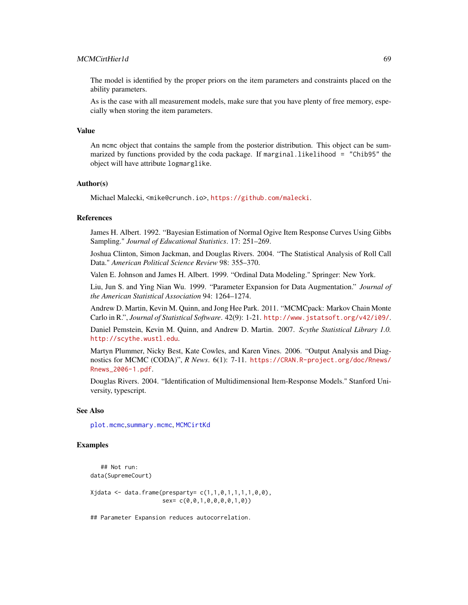# MCMCirtHier1d 69

The model is identified by the proper priors on the item parameters and constraints placed on the ability parameters.

As is the case with all measurement models, make sure that you have plenty of free memory, especially when storing the item parameters.

### Value

An mcmc object that contains the sample from the posterior distribution. This object can be summarized by functions provided by the coda package. If marginal.likelihood = "Chib95" the object will have attribute logmarglike.

# Author(s)

Michael Malecki, <mike@crunch.io>, <https://github.com/malecki>.

# References

James H. Albert. 1992. "Bayesian Estimation of Normal Ogive Item Response Curves Using Gibbs Sampling." *Journal of Educational Statistics*. 17: 251–269.

Joshua Clinton, Simon Jackman, and Douglas Rivers. 2004. "The Statistical Analysis of Roll Call Data." *American Political Science Review* 98: 355–370.

Valen E. Johnson and James H. Albert. 1999. "Ordinal Data Modeling." Springer: New York.

Liu, Jun S. and Ying Nian Wu. 1999. "Parameter Expansion for Data Augmentation." *Journal of the American Statistical Association* 94: 1264–1274.

Andrew D. Martin, Kevin M. Quinn, and Jong Hee Park. 2011. "MCMCpack: Markov Chain Monte Carlo in R.", *Journal of Statistical Software*. 42(9): 1-21. <http://www.jstatsoft.org/v42/i09/>.

Daniel Pemstein, Kevin M. Quinn, and Andrew D. Martin. 2007. *Scythe Statistical Library 1.0.* <http://scythe.wustl.edu>.

Martyn Plummer, Nicky Best, Kate Cowles, and Karen Vines. 2006. "Output Analysis and Diagnostics for MCMC (CODA)", *R News*. 6(1): 7-11. [https://CRAN.R-project.org/doc/Rnews/](https://CRAN.R-project.org/doc/Rnews/Rnews_2006-1.pdf) [Rnews\\_2006-1.pdf](https://CRAN.R-project.org/doc/Rnews/Rnews_2006-1.pdf).

Douglas Rivers. 2004. "Identification of Multidimensional Item-Response Models." Stanford University, typescript.

### See Also

[plot.mcmc](#page-0-0),[summary.mcmc](#page-0-0), [MCMCirtKd](#page-69-0)

## Examples

```
## Not run:
data(SupremeCourt)
```
 $X$ jdata <- data.frame(presparty=  $c(1,1,0,1,1,1,1,0,0)$ , sex= c(0,0,1,0,0,0,0,1,0))

## Parameter Expansion reduces autocorrelation.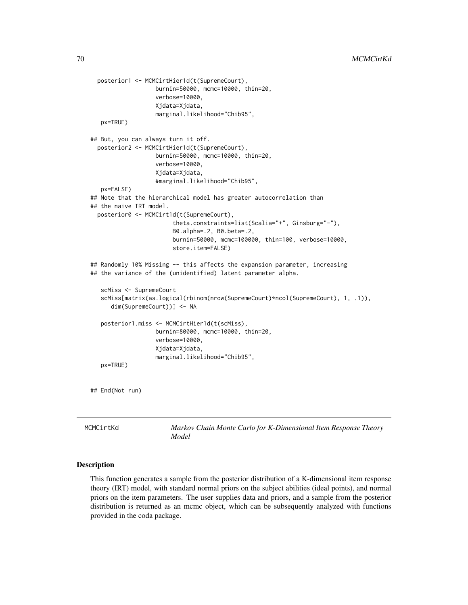```
posterior1 <- MCMCirtHier1d(t(SupremeCourt),
                    burnin=50000, mcmc=10000, thin=20,
                    verbose=10000,
                    Xjdata=Xjdata,
                    marginal.likelihood="Chib95",
    px=TRUE)
 ## But, you can always turn it off.
   posterior2 <- MCMCirtHier1d(t(SupremeCourt),
                    burnin=50000, mcmc=10000, thin=20,
                    verbose=10000,
                    Xjdata=Xjdata,
                    #marginal.likelihood="Chib95",
    px=FALSE)
 ## Note that the hierarchical model has greater autocorrelation than
 ## the naive IRT model.
   posterior0 <- MCMCirt1d(t(SupremeCourt),
                         theta.constraints=list(Scalia="+", Ginsburg="-"),
                         B0.alpha=.2, B0.beta=.2,
                         burnin=50000, mcmc=100000, thin=100, verbose=10000,
                         store.item=FALSE)
 ## Randomly 10% Missing -- this affects the expansion parameter, increasing
 ## the variance of the (unidentified) latent parameter alpha.
    scMiss <- SupremeCourt
    scMiss[matrix(as.logical(rbinom(nrow(SupremeCourt)*ncol(SupremeCourt), 1, .1)),
       dim(SupremeCourt))] <- NA
    posterior1.miss <- MCMCirtHier1d(t(scMiss),
                    burnin=80000, mcmc=10000, thin=20,
                    verbose=10000,
                    Xjdata=Xjdata,
                    marginal.likelihood="Chib95",
    px=TRUE)
 ## End(Not run)
MCMCirtKd Markov Chain Monte Carlo for K-Dimensional Item Response Theory
                         Model
```
#### <span id="page-69-0"></span>Description

This function generates a sample from the posterior distribution of a K-dimensional item response theory (IRT) model, with standard normal priors on the subject abilities (ideal points), and normal priors on the item parameters. The user supplies data and priors, and a sample from the posterior distribution is returned as an mcmc object, which can be subsequently analyzed with functions provided in the coda package.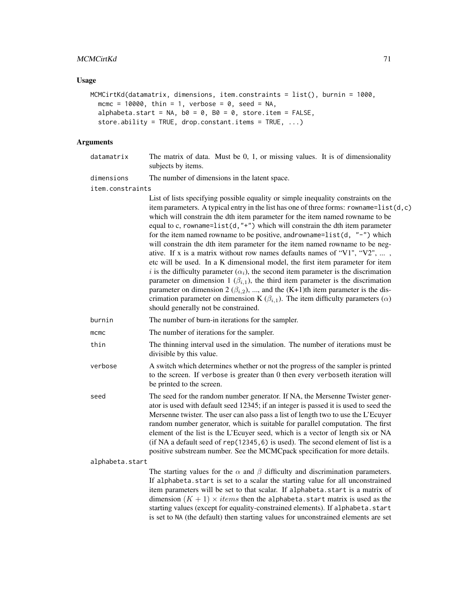# MCMCirtKd 71

# Usage

```
MCMCirtKd(datamatrix, dimensions, item.constraints = list(), burnin = 1000,
 mcmc = 10000, thin = 1, verbose = 0, seed = NA,
 alphabeta.start = NA, b0 = 0, B0 = 0, store.item = FALSE,
  store.ability = TRUE, drop.constant.items = TRUE, ...)
```

| datamatrix       | The matrix of data. Must be 0, 1, or missing values. It is of dimensionality<br>subjects by items.                                                                                                                                                                                                                                                                                                                                                                                                                                                                                                                                                                                                                                                                                                                                                                                                                                                                                                                                                                                                           |
|------------------|--------------------------------------------------------------------------------------------------------------------------------------------------------------------------------------------------------------------------------------------------------------------------------------------------------------------------------------------------------------------------------------------------------------------------------------------------------------------------------------------------------------------------------------------------------------------------------------------------------------------------------------------------------------------------------------------------------------------------------------------------------------------------------------------------------------------------------------------------------------------------------------------------------------------------------------------------------------------------------------------------------------------------------------------------------------------------------------------------------------|
| dimensions       | The number of dimensions in the latent space.                                                                                                                                                                                                                                                                                                                                                                                                                                                                                                                                                                                                                                                                                                                                                                                                                                                                                                                                                                                                                                                                |
| item.constraints |                                                                                                                                                                                                                                                                                                                                                                                                                                                                                                                                                                                                                                                                                                                                                                                                                                                                                                                                                                                                                                                                                                              |
|                  | List of lists specifying possible equality or simple inequality constraints on the<br>item parameters. A typical entry in the list has one of three forms: rowname= $list(d, c)$<br>which will constrain the dth item parameter for the item named rowname to be<br>equal to c, rowname=list(d,"+") which will constrain the dth item parameter<br>for the item named rowname to be positive, and rowname= $list(d, "-'")$ which<br>will constrain the dth item parameter for the item named rowname to be neg-<br>ative. If x is a matrix without row names defaults names of "V1", "V2", ,<br>etc will be used. In a K dimensional model, the first item parameter for item<br>i is the difficulty parameter $(\alpha_i)$ , the second item parameter is the discrimation<br>parameter on dimension 1 $(\beta_{i,1})$ , the third item parameter is the discrimation<br>parameter on dimension 2 ( $\beta_{i,2}$ ), , and the (K+1)th item parameter is the dis-<br>crimation parameter on dimension K $(\beta_{i,1})$ . The item difficulty parameters $(\alpha)$<br>should generally not be constrained. |
| burnin           | The number of burn-in iterations for the sampler.                                                                                                                                                                                                                                                                                                                                                                                                                                                                                                                                                                                                                                                                                                                                                                                                                                                                                                                                                                                                                                                            |
| $m$ c $m$ c      | The number of iterations for the sampler.                                                                                                                                                                                                                                                                                                                                                                                                                                                                                                                                                                                                                                                                                                                                                                                                                                                                                                                                                                                                                                                                    |
| thin             | The thinning interval used in the simulation. The number of iterations must be<br>divisible by this value.                                                                                                                                                                                                                                                                                                                                                                                                                                                                                                                                                                                                                                                                                                                                                                                                                                                                                                                                                                                                   |
| verbose          | A switch which determines whether or not the progress of the sampler is printed<br>to the screen. If verbose is greater than 0 then every verboseth iteration will<br>be printed to the screen.                                                                                                                                                                                                                                                                                                                                                                                                                                                                                                                                                                                                                                                                                                                                                                                                                                                                                                              |
| seed             | The seed for the random number generator. If NA, the Mersenne Twister gener-<br>ator is used with default seed 12345; if an integer is passed it is used to seed the<br>Mersenne twister. The user can also pass a list of length two to use the L'Ecuyer<br>random number generator, which is suitable for parallel computation. The first<br>element of the list is the L'Ecuyer seed, which is a vector of length six or NA<br>(if NA a default seed of $rep(12345, 6)$ is used). The second element of list is a<br>positive substream number. See the MCMCpack specification for more details.                                                                                                                                                                                                                                                                                                                                                                                                                                                                                                          |
| alphabeta.start  |                                                                                                                                                                                                                                                                                                                                                                                                                                                                                                                                                                                                                                                                                                                                                                                                                                                                                                                                                                                                                                                                                                              |
|                  | The starting values for the $\alpha$ and $\beta$ difficulty and discrimination parameters.<br>If alphabeta.start is set to a scalar the starting value for all unconstrained<br>item parameters will be set to that scalar. If alphabeta.start is a matrix of<br>dimension $(K + 1) \times items$ then the alphabeta. start matrix is used as the<br>starting values (except for equality-constrained elements). If alphabeta.start<br>is set to NA (the default) then starting values for unconstrained elements are set                                                                                                                                                                                                                                                                                                                                                                                                                                                                                                                                                                                    |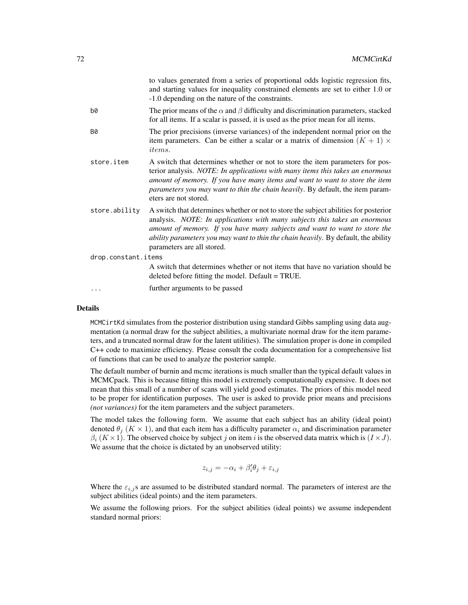|                     |               | to values generated from a series of proportional odds logistic regression fits,<br>and starting values for inequality constrained elements are set to either 1.0 or<br>-1.0 depending on the nature of the constraints.                                                                                                                                           |
|---------------------|---------------|--------------------------------------------------------------------------------------------------------------------------------------------------------------------------------------------------------------------------------------------------------------------------------------------------------------------------------------------------------------------|
|                     | b0            | The prior means of the $\alpha$ and $\beta$ difficulty and discrimination parameters, stacked<br>for all items. If a scalar is passed, it is used as the prior mean for all items.                                                                                                                                                                                 |
|                     | <b>B0</b>     | The prior precisions (inverse variances) of the independent normal prior on the<br>item parameters. Can be either a scalar or a matrix of dimension $(K + 1) \times$<br><i>items.</i>                                                                                                                                                                              |
|                     | store.item    | A switch that determines whether or not to store the item parameters for pos-<br>terior analysis. NOTE: In applications with many items this takes an enormous<br>amount of memory. If you have many items and want to want to store the item<br>parameters you may want to thin the chain heavily. By default, the item param-<br>eters are not stored.           |
|                     | store.ability | A switch that determines whether or not to store the subject abilities for posterior<br>analysis. NOTE: In applications with many subjects this takes an enormous<br>amount of memory. If you have many subjects and want to want to store the<br>ability parameters you may want to thin the chain heavily. By default, the ability<br>parameters are all stored. |
| drop.constant.items |               |                                                                                                                                                                                                                                                                                                                                                                    |
|                     |               | A switch that determines whether or not items that have no variation should be<br>deleted before fitting the model. Default = TRUE.                                                                                                                                                                                                                                |
|                     | $\cdots$      | further arguments to be passed                                                                                                                                                                                                                                                                                                                                     |

MCMCirtKd simulates from the posterior distribution using standard Gibbs sampling using data augmentation (a normal draw for the subject abilities, a multivariate normal draw for the item parameters, and a truncated normal draw for the latent utilities). The simulation proper is done in compiled C++ code to maximize efficiency. Please consult the coda documentation for a comprehensive list of functions that can be used to analyze the posterior sample.

The default number of burnin and mcmc iterations is much smaller than the typical default values in MCMCpack. This is because fitting this model is extremely computationally expensive. It does not mean that this small of a number of scans will yield good estimates. The priors of this model need to be proper for identification purposes. The user is asked to provide prior means and precisions *(not variances)* for the item parameters and the subject parameters.

The model takes the following form. We assume that each subject has an ability (ideal point) denoted  $\theta_i$  (K  $\times$  1), and that each item has a difficulty parameter  $\alpha_i$  and discrimination parameter  $\beta_i$  (K × 1). The observed choice by subject j on item i is the observed data matrix which is  $(I \times J)$ . We assume that the choice is dictated by an unobserved utility:

$$
z_{i,j} = -\alpha_i + \beta_i' \theta_j + \varepsilon_{i,j}
$$

Where the  $\varepsilon_{i,j}$ s are assumed to be distributed standard normal. The parameters of interest are the subject abilities (ideal points) and the item parameters.

We assume the following priors. For the subject abilities (ideal points) we assume independent standard normal priors: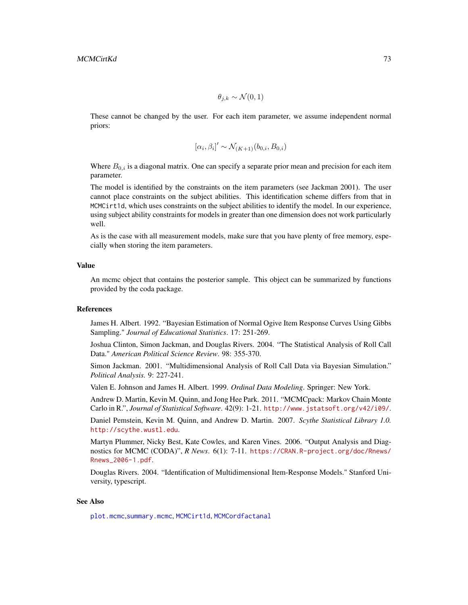$\theta_{i,k} \sim \mathcal{N}(0,1)$ 

These cannot be changed by the user. For each item parameter, we assume independent normal priors:

$$
[\alpha_i, \beta_i]' \sim \mathcal{N}_{(K+1)}(b_{0,i}, B_{0,i})
$$

Where  $B_{0,i}$  is a diagonal matrix. One can specify a separate prior mean and precision for each item parameter.

The model is identified by the constraints on the item parameters (see Jackman 2001). The user cannot place constraints on the subject abilities. This identification scheme differs from that in MCMCirt1d, which uses constraints on the subject abilities to identify the model. In our experience, using subject ability constraints for models in greater than one dimension does not work particularly well.

As is the case with all measurement models, make sure that you have plenty of free memory, especially when storing the item parameters.

#### Value

An mcmc object that contains the posterior sample. This object can be summarized by functions provided by the coda package.

### References

James H. Albert. 1992. "Bayesian Estimation of Normal Ogive Item Response Curves Using Gibbs Sampling." *Journal of Educational Statistics*. 17: 251-269.

Joshua Clinton, Simon Jackman, and Douglas Rivers. 2004. "The Statistical Analysis of Roll Call Data." *American Political Science Review*. 98: 355-370.

Simon Jackman. 2001. "Multidimensional Analysis of Roll Call Data via Bayesian Simulation." *Political Analysis.* 9: 227-241.

Valen E. Johnson and James H. Albert. 1999. *Ordinal Data Modeling*. Springer: New York.

Andrew D. Martin, Kevin M. Quinn, and Jong Hee Park. 2011. "MCMCpack: Markov Chain Monte Carlo in R.", *Journal of Statistical Software*. 42(9): 1-21. <http://www.jstatsoft.org/v42/i09/>.

Daniel Pemstein, Kevin M. Quinn, and Andrew D. Martin. 2007. *Scythe Statistical Library 1.0.* <http://scythe.wustl.edu>.

Martyn Plummer, Nicky Best, Kate Cowles, and Karen Vines. 2006. "Output Analysis and Diagnostics for MCMC (CODA)", *R News*. 6(1): 7-11. [https://CRAN.R-project.org/doc/Rnews/](https://CRAN.R-project.org/doc/Rnews/Rnews_2006-1.pdf) [Rnews\\_2006-1.pdf](https://CRAN.R-project.org/doc/Rnews/Rnews_2006-1.pdf).

Douglas Rivers. 2004. "Identification of Multidimensional Item-Response Models." Stanford University, typescript.

#### See Also

[plot.mcmc](#page-0-0),[summary.mcmc](#page-0-0), [MCMCirt1d](#page-61-0), [MCMCordfactanal](#page-108-0)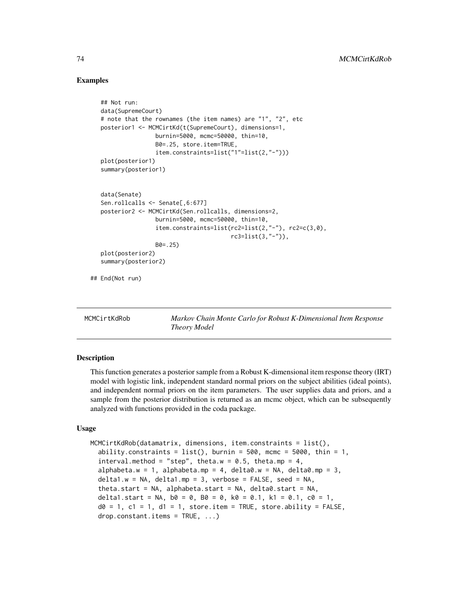# Examples

```
## Not run:
  data(SupremeCourt)
  # note that the rownames (the item names) are "1", "2", etc
  posterior1 <- MCMCirtKd(t(SupremeCourt), dimensions=1,
                  burnin=5000, mcmc=50000, thin=10,
                  B0=.25, store.item=TRUE,
                   item.constraints=list("1"=list(2,"-")))
  plot(posterior1)
  summary(posterior1)
  data(Senate)
  Sen.rollcalls <- Senate[,6:677]
  posterior2 <- MCMCirtKd(Sen.rollcalls, dimensions=2,
                  burnin=5000, mcmc=50000, thin=10,
                   item.constraints=list(rc2=list(2,"-"), rc2=c(3,0),
                                         rc3=list(3,"-")),
                  B0=.25)
  plot(posterior2)
  summary(posterior2)
## End(Not run)
```
MCMCirtKdRob *Markov Chain Monte Carlo for Robust K-Dimensional Item Response Theory Model*

# **Description**

This function generates a posterior sample from a Robust K-dimensional item response theory (IRT) model with logistic link, independent standard normal priors on the subject abilities (ideal points), and independent normal priors on the item parameters. The user supplies data and priors, and a sample from the posterior distribution is returned as an mcmc object, which can be subsequently analyzed with functions provided in the coda package.

#### Usage

```
MCMCirtKdRob(datamatrix, dimensions, item.constraints = list(),
  ability.constraints = list(), burnin = 500, mcmc = 5000, thin = 1,
  interval.method = "step", theta.w = 0.5, theta.mp = 4,
  alphabeta.w = 1, alphabeta.mp = 4, delta0.w = NA, delta0.mp = 3,
  delta1.w = NA, delta1.mp = 3, verbose = FALSE, seed = NA,
  theta.start = NA, alphabeta.start = NA, delta0.start = NA,
  delta1.start = NA, b0 = 0, b0 = 0, k0 = 0.1, k1 = 0.1, c0 = 1,
  d\theta = 1, c1 = 1, d1 = 1, store.item = TRUE, store.ability = FALSE,
  drop.constant.items = TRUE, ...)
```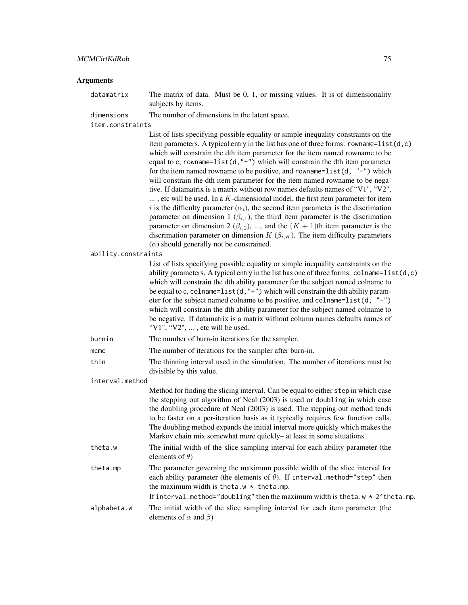# MCMCirtKdRob 75

| Arguments           |                                                                                                                                                                                                                                                                                                                                                                                                                                                                                                                                                                                                                                                                                                                                                                                                                                                                                                                                                                                                                                                                                                                                |
|---------------------|--------------------------------------------------------------------------------------------------------------------------------------------------------------------------------------------------------------------------------------------------------------------------------------------------------------------------------------------------------------------------------------------------------------------------------------------------------------------------------------------------------------------------------------------------------------------------------------------------------------------------------------------------------------------------------------------------------------------------------------------------------------------------------------------------------------------------------------------------------------------------------------------------------------------------------------------------------------------------------------------------------------------------------------------------------------------------------------------------------------------------------|
| datamatrix          | The matrix of data. Must be $0, 1$ , or missing values. It is of dimensionality<br>subjects by items.                                                                                                                                                                                                                                                                                                                                                                                                                                                                                                                                                                                                                                                                                                                                                                                                                                                                                                                                                                                                                          |
| dimensions          | The number of dimensions in the latent space.                                                                                                                                                                                                                                                                                                                                                                                                                                                                                                                                                                                                                                                                                                                                                                                                                                                                                                                                                                                                                                                                                  |
| item.constraints    |                                                                                                                                                                                                                                                                                                                                                                                                                                                                                                                                                                                                                                                                                                                                                                                                                                                                                                                                                                                                                                                                                                                                |
|                     | List of lists specifying possible equality or simple inequality constraints on the<br>item parameters. A typical entry in the list has one of three forms: rowname= $list(d, c)$<br>which will constrain the dth item parameter for the item named rowname to be<br>equal to c, rowname=list(d,"+") which will constrain the dth item parameter<br>for the item named rowname to be positive, and rowname=list(d, "-") which<br>will constrain the dth item parameter for the item named rowname to be nega-<br>tive. If datamatrix is a matrix without row names defaults names of "V1", "V2",<br>$\dots$ , etc will be used. In a $K$ -dimensional model, the first item parameter for item<br>i is the difficulty parameter $(\alpha_i)$ , the second item parameter is the discrimation<br>parameter on dimension 1 $(\beta_{i,1})$ , the third item parameter is the discrimation<br>parameter on dimension 2 ( $\beta_{i,2}$ ), , and the $(K + 1)$ th item parameter is the<br>discrimation parameter on dimension $K(\beta_{i,K})$ . The item difficulty parameters<br>$(\alpha)$ should generally not be constrained. |
| ability.constraints |                                                                                                                                                                                                                                                                                                                                                                                                                                                                                                                                                                                                                                                                                                                                                                                                                                                                                                                                                                                                                                                                                                                                |
|                     | List of lists specifying possible equality or simple inequality constraints on the<br>ability parameters. A typical entry in the list has one of three forms: $\text{colname=list(d, c)}$<br>which will constrain the dth ability parameter for the subject named colname to<br>be equal to c, colname=list(d,"+") which will constrain the dth ability param-<br>eter for the subject named colname to be positive, and colname= $list(d, "-'")$<br>which will constrain the dth ability parameter for the subject named colname to<br>be negative. If datamatrix is a matrix without column names defaults names of<br>"V1", "V2", , etc will be used.                                                                                                                                                                                                                                                                                                                                                                                                                                                                       |
| burnin              | The number of burn-in iterations for the sampler.                                                                                                                                                                                                                                                                                                                                                                                                                                                                                                                                                                                                                                                                                                                                                                                                                                                                                                                                                                                                                                                                              |
| mcmc                | The number of iterations for the sampler after burn-in.                                                                                                                                                                                                                                                                                                                                                                                                                                                                                                                                                                                                                                                                                                                                                                                                                                                                                                                                                                                                                                                                        |
| thin                | The thinning interval used in the simulation. The number of iterations must be<br>divisible by this value.                                                                                                                                                                                                                                                                                                                                                                                                                                                                                                                                                                                                                                                                                                                                                                                                                                                                                                                                                                                                                     |
| interval.method     |                                                                                                                                                                                                                                                                                                                                                                                                                                                                                                                                                                                                                                                                                                                                                                                                                                                                                                                                                                                                                                                                                                                                |
|                     | Method for finding the slicing interval. Can be equal to either step in which case<br>the stepping out algorithm of Neal (2003) is used or doubling in which case<br>the doubling procedure of Neal (2003) is used. The stepping out method tends<br>to be faster on a per-iteration basis as it typically requires few function calls.<br>The doubling method expands the initial interval more quickly which makes the<br>Markov chain mix somewhat more quickly- at least in some situations.                                                                                                                                                                                                                                                                                                                                                                                                                                                                                                                                                                                                                               |
| theta.w             | The initial width of the slice sampling interval for each ability parameter (the<br>elements of $\theta$ )                                                                                                                                                                                                                                                                                                                                                                                                                                                                                                                                                                                                                                                                                                                                                                                                                                                                                                                                                                                                                     |
| theta.mp            | The parameter governing the maximum possible width of the slice interval for<br>each ability parameter (the elements of $\theta$ ). If interval method="step" then<br>the maximum width is theta.w $*$ theta.mp.<br>If interval.method="doubling" then the maximum width is theta.w $*$ 2^theta.mp.                                                                                                                                                                                                                                                                                                                                                                                                                                                                                                                                                                                                                                                                                                                                                                                                                            |
| alphabeta.w         | The initial width of the slice sampling interval for each item parameter (the<br>elements of $\alpha$ and $\beta$ )                                                                                                                                                                                                                                                                                                                                                                                                                                                                                                                                                                                                                                                                                                                                                                                                                                                                                                                                                                                                            |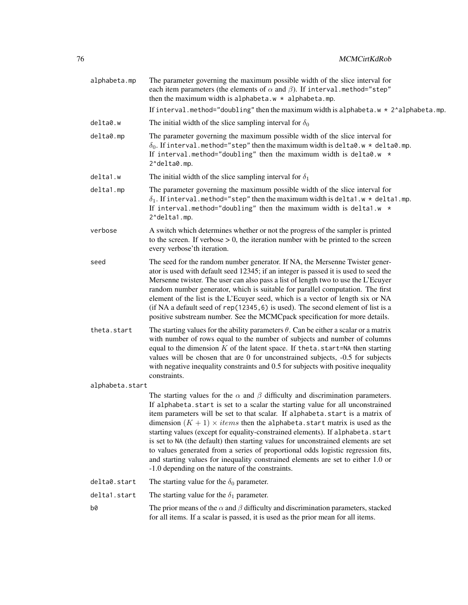| alphabeta.mp    | The parameter governing the maximum possible width of the slice interval for<br>each item parameters (the elements of $\alpha$ and $\beta$ ). If interval method="step"<br>then the maximum width is alphabeta.w $*$ alphabeta.mp.                                                                                                                                                                                                                                                                                                                                                                                                                                                                                                                    |
|-----------------|-------------------------------------------------------------------------------------------------------------------------------------------------------------------------------------------------------------------------------------------------------------------------------------------------------------------------------------------------------------------------------------------------------------------------------------------------------------------------------------------------------------------------------------------------------------------------------------------------------------------------------------------------------------------------------------------------------------------------------------------------------|
|                 | If interval.method="doubling" then the maximum width is alphabeta.w $\star$ 2^alphabeta.mp.                                                                                                                                                                                                                                                                                                                                                                                                                                                                                                                                                                                                                                                           |
| delta0.w        | The initial width of the slice sampling interval for $\delta_0$                                                                                                                                                                                                                                                                                                                                                                                                                                                                                                                                                                                                                                                                                       |
| delta0.mp       | The parameter governing the maximum possible width of the slice interval for<br>$\delta_0$ . If interval.method="step" then the maximum width is delta0.w * delta0.mp.<br>If interval.method="doubling" then the maximum width is delta0.w $\star$<br>2^delta0.mp.                                                                                                                                                                                                                                                                                                                                                                                                                                                                                    |
| delta1.w        | The initial width of the slice sampling interval for $\delta_1$                                                                                                                                                                                                                                                                                                                                                                                                                                                                                                                                                                                                                                                                                       |
| delta1.mp       | The parameter governing the maximum possible width of the slice interval for<br>$\delta_1$ . If interval.method="step" then the maximum width is delta1.w * delta1.mp.<br>If interval.method="doubling" then the maximum width is delta1.w $*$<br>2^delta1.mp.                                                                                                                                                                                                                                                                                                                                                                                                                                                                                        |
| verbose         | A switch which determines whether or not the progress of the sampler is printed<br>to the screen. If verbose $> 0$ , the iteration number with be printed to the screen<br>every verbose'th iteration.                                                                                                                                                                                                                                                                                                                                                                                                                                                                                                                                                |
| seed            | The seed for the random number generator. If NA, the Mersenne Twister gener-<br>ator is used with default seed 12345; if an integer is passed it is used to seed the<br>Mersenne twister. The user can also pass a list of length two to use the L'Ecuyer<br>random number generator, which is suitable for parallel computation. The first<br>element of the list is the L'Ecuyer seed, which is a vector of length six or NA<br>(if NA a default seed of $rep(12345, 6)$ is used). The second element of list is a<br>positive substream number. See the MCMCpack specification for more details.                                                                                                                                                   |
| theta.start     | The starting values for the ability parameters $\theta$ . Can be either a scalar or a matrix<br>with number of rows equal to the number of subjects and number of columns<br>equal to the dimension $K$ of the latent space. If theta. start=NA then starting<br>values will be chosen that are 0 for unconstrained subjects, -0.5 for subjects<br>with negative inequality constraints and 0.5 for subjects with positive inequality<br>constraints.                                                                                                                                                                                                                                                                                                 |
| alphabeta.start |                                                                                                                                                                                                                                                                                                                                                                                                                                                                                                                                                                                                                                                                                                                                                       |
|                 | The starting values for the $\alpha$ and $\beta$ difficulty and discrimination parameters.<br>If alphabeta.start is set to a scalar the starting value for all unconstrained<br>item parameters will be set to that scalar. If alphabeta.start is a matrix of<br>dimension $(K + 1) \times items$ then the alphabeta. start matrix is used as the<br>starting values (except for equality-constrained elements). If alphabeta.start<br>is set to NA (the default) then starting values for unconstrained elements are set<br>to values generated from a series of proportional odds logistic regression fits,<br>and starting values for inequality constrained elements are set to either 1.0 or<br>-1.0 depending on the nature of the constraints. |
| delta0.start    | The starting value for the $\delta_0$ parameter.                                                                                                                                                                                                                                                                                                                                                                                                                                                                                                                                                                                                                                                                                                      |
| delta1.start    | The starting value for the $\delta_1$ parameter.                                                                                                                                                                                                                                                                                                                                                                                                                                                                                                                                                                                                                                                                                                      |
| b0              | The prior means of the $\alpha$ and $\beta$ difficulty and discrimination parameters, stacked<br>for all items. If a scalar is passed, it is used as the prior mean for all items.                                                                                                                                                                                                                                                                                                                                                                                                                                                                                                                                                                    |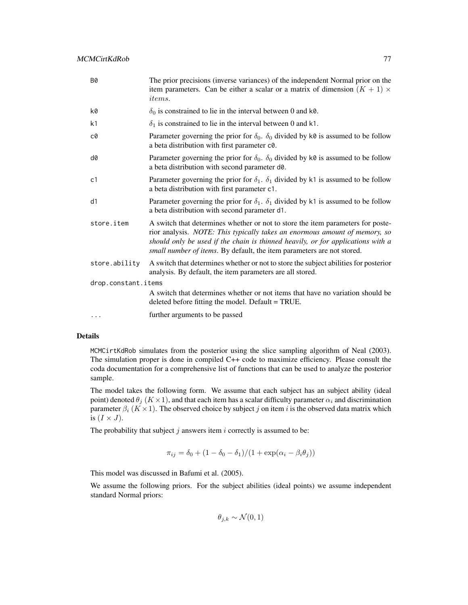| <b>B0</b>           | The prior precisions (inverse variances) of the independent Normal prior on the<br>item parameters. Can be either a scalar or a matrix of dimension $(K + 1) \times$<br><i>items.</i>                                                                                                                                      |
|---------------------|----------------------------------------------------------------------------------------------------------------------------------------------------------------------------------------------------------------------------------------------------------------------------------------------------------------------------|
| k0                  | $\delta_0$ is constrained to lie in the interval between 0 and k0.                                                                                                                                                                                                                                                         |
| k <sub>1</sub>      | $\delta_1$ is constrained to lie in the interval between 0 and k1.                                                                                                                                                                                                                                                         |
| c0                  | Parameter governing the prior for $\delta_0$ . $\delta_0$ divided by k0 is assumed to be follow<br>a beta distribution with first parameter c0.                                                                                                                                                                            |
| d0                  | Parameter governing the prior for $\delta_0$ . $\delta_0$ divided by k0 is assumed to be follow<br>a beta distribution with second parameter d0.                                                                                                                                                                           |
| c1                  | Parameter governing the prior for $\delta_1$ . $\delta_1$ divided by k1 is assumed to be follow<br>a beta distribution with first parameter c1.                                                                                                                                                                            |
| d1                  | Parameter governing the prior for $\delta_1$ . $\delta_1$ divided by k1 is assumed to be follow<br>a beta distribution with second parameter d1.                                                                                                                                                                           |
| store.item          | A switch that determines whether or not to store the item parameters for poste-<br>rior analysis. NOTE: This typically takes an enormous amount of memory, so<br>should only be used if the chain is thinned heavily, or for applications with a<br>small number of items. By default, the item parameters are not stored. |
| store.ability       | A switch that determines whether or not to store the subject abilities for posterior<br>analysis. By default, the item parameters are all stored.                                                                                                                                                                          |
| drop.constant.items |                                                                                                                                                                                                                                                                                                                            |
|                     | A switch that determines whether or not items that have no variation should be<br>deleted before fitting the model. Default = TRUE.                                                                                                                                                                                        |
| $\cdots$            | further arguments to be passed                                                                                                                                                                                                                                                                                             |

MCMCirtKdRob simulates from the posterior using the slice sampling algorithm of Neal (2003). The simulation proper is done in compiled C++ code to maximize efficiency. Please consult the coda documentation for a comprehensive list of functions that can be used to analyze the posterior sample.

The model takes the following form. We assume that each subject has an subject ability (ideal point) denoted  $\theta_j$  ( $K \times 1$ ), and that each item has a scalar difficulty parameter  $\alpha_i$  and discrimination parameter  $\beta_i$  ( $K \times 1$ ). The observed choice by subject j on item i is the observed data matrix which is  $(I \times J)$ .

The probability that subject  $j$  answers item  $i$  correctly is assumed to be:

$$
\pi_{ij} = \delta_0 + (1 - \delta_0 - \delta_1)/(1 + \exp(\alpha_i - \beta_i \theta_j))
$$

This model was discussed in Bafumi et al. (2005).

We assume the following priors. For the subject abilities (ideal points) we assume independent standard Normal priors:

 $\theta_{i,k} \sim \mathcal{N}(0,1)$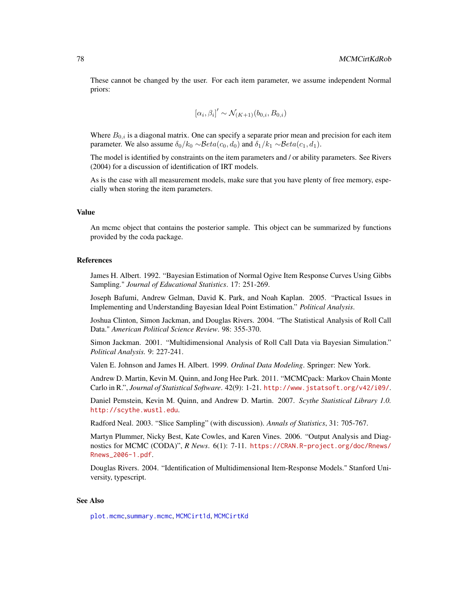These cannot be changed by the user. For each item parameter, we assume independent Normal priors:

$$
[\alpha_i, \beta_i]' \sim \mathcal{N}_{(K+1)}(b_{0,i}, B_{0,i})
$$

Where  $B_{0,i}$  is a diagonal matrix. One can specify a separate prior mean and precision for each item parameter. We also assume  $\delta_0/k_0 \sim \mathcal{B}eta(c_0, d_0)$  and  $\delta_1/k_1 \sim \mathcal{B}eta(c_1, d_1)$ .

The model is identified by constraints on the item parameters and / or ability parameters. See Rivers (2004) for a discussion of identification of IRT models.

As is the case with all measurement models, make sure that you have plenty of free memory, especially when storing the item parameters.

#### Value

An mcmc object that contains the posterior sample. This object can be summarized by functions provided by the coda package.

#### References

James H. Albert. 1992. "Bayesian Estimation of Normal Ogive Item Response Curves Using Gibbs Sampling." *Journal of Educational Statistics*. 17: 251-269.

Joseph Bafumi, Andrew Gelman, David K. Park, and Noah Kaplan. 2005. "Practical Issues in Implementing and Understanding Bayesian Ideal Point Estimation." *Political Analysis*.

Joshua Clinton, Simon Jackman, and Douglas Rivers. 2004. "The Statistical Analysis of Roll Call Data." *American Political Science Review*. 98: 355-370.

Simon Jackman. 2001. "Multidimensional Analysis of Roll Call Data via Bayesian Simulation." *Political Analysis.* 9: 227-241.

Valen E. Johnson and James H. Albert. 1999. *Ordinal Data Modeling*. Springer: New York.

Andrew D. Martin, Kevin M. Quinn, and Jong Hee Park. 2011. "MCMCpack: Markov Chain Monte Carlo in R.", *Journal of Statistical Software*. 42(9): 1-21. <http://www.jstatsoft.org/v42/i09/>.

Daniel Pemstein, Kevin M. Quinn, and Andrew D. Martin. 2007. *Scythe Statistical Library 1.0.* <http://scythe.wustl.edu>.

Radford Neal. 2003. "Slice Sampling" (with discussion). *Annals of Statistics*, 31: 705-767.

Martyn Plummer, Nicky Best, Kate Cowles, and Karen Vines. 2006. "Output Analysis and Diagnostics for MCMC (CODA)", *R News*. 6(1): 7-11. [https://CRAN.R-project.org/doc/Rnews/](https://CRAN.R-project.org/doc/Rnews/Rnews_2006-1.pdf) [Rnews\\_2006-1.pdf](https://CRAN.R-project.org/doc/Rnews/Rnews_2006-1.pdf).

Douglas Rivers. 2004. "Identification of Multidimensional Item-Response Models." Stanford University, typescript.

#### See Also

[plot.mcmc](#page-0-0),[summary.mcmc](#page-0-0), [MCMCirt1d](#page-61-0), [MCMCirtKd](#page-69-0)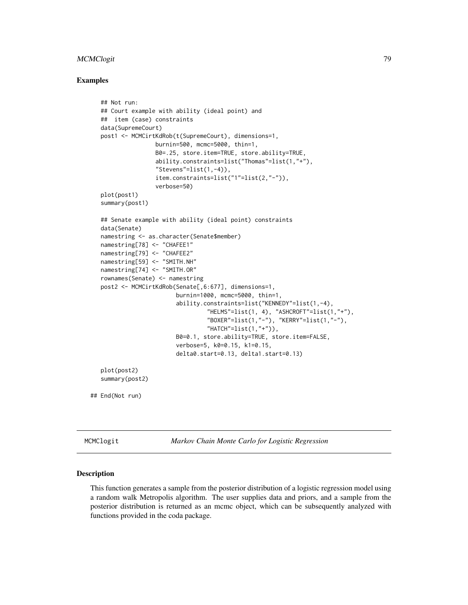# MCMClogit 79

# Examples

```
## Not run:
  ## Court example with ability (ideal point) and
  ## item (case) constraints
  data(SupremeCourt)
  post1 <- MCMCirtKdRob(t(SupremeCourt), dimensions=1,
                  burnin=500, mcmc=5000, thin=1,
                  B0=.25, store.item=TRUE, store.ability=TRUE,
                   ability.constraints=list("Thomas"=list(1,"+"),
                   "Stevens"=list(1,-4)),
                   item.constraints=list("1"=list(2,"-")),
                   verbose=50)
  plot(post1)
  summary(post1)
  ## Senate example with ability (ideal point) constraints
  data(Senate)
  namestring <- as.character(Senate$member)
  namestring[78] <- "CHAFEE1"
  namestring[79] <- "CHAFEE2"
  namestring[59] <- "SMITH.NH"
  namestring[74] <- "SMITH.OR"
  rownames(Senate) <- namestring
  post2 <- MCMCirtKdRob(Senate[,6:677], dimensions=1,
                         burnin=1000, mcmc=5000, thin=1,
                         ability.constraints=list("KENNEDY"=list(1,-4),
                                  "HELMS"=list(1, 4), "ASHCROFT"=list(1,"+"),
                                  "BOXER"=list(1,"-"), "KERRY"=list(1,"-"),
                                  "HATCH"=list(1," +")),
                         B0=0.1, store.ability=TRUE, store.item=FALSE,
                         verbose=5, k0=0.15, k1=0.15,
                         delta0.start=0.13, delta1.start=0.13)
  plot(post2)
  summary(post2)
## End(Not run)
```
MCMClogit *Markov Chain Monte Carlo for Logistic Regression*

#### Description

This function generates a sample from the posterior distribution of a logistic regression model using a random walk Metropolis algorithm. The user supplies data and priors, and a sample from the posterior distribution is returned as an mcmc object, which can be subsequently analyzed with functions provided in the coda package.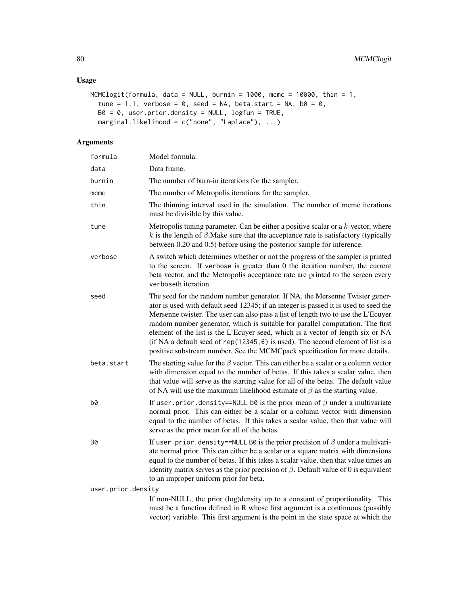# Usage

```
MCMClogit(formula, data = NULL, burnin = 1000, mcmc = 10000, thin = 1,
  tune = 1.1, verbose = 0, seed = NA, beta.start = NA, b0 = 0,
 B0 = 0, user.prior.density = NULL, logfun = TRUE,
 marginal.likelihood = c("none", "Laplace"), ...)
```

| formula            | Model formula.                                                                                                                                                                                                                                                                                                                                                                                                                                                                                                                                                                                    |
|--------------------|---------------------------------------------------------------------------------------------------------------------------------------------------------------------------------------------------------------------------------------------------------------------------------------------------------------------------------------------------------------------------------------------------------------------------------------------------------------------------------------------------------------------------------------------------------------------------------------------------|
| data               | Data frame.                                                                                                                                                                                                                                                                                                                                                                                                                                                                                                                                                                                       |
| burnin             | The number of burn-in iterations for the sampler.                                                                                                                                                                                                                                                                                                                                                                                                                                                                                                                                                 |
| mcmc               | The number of Metropolis iterations for the sampler.                                                                                                                                                                                                                                                                                                                                                                                                                                                                                                                                              |
| thin               | The thinning interval used in the simulation. The number of mcmc iterations<br>must be divisible by this value.                                                                                                                                                                                                                                                                                                                                                                                                                                                                                   |
| tune               | Metropolis tuning parameter. Can be either a positive scalar or a $k$ -vector, where<br>k is the length of $\beta$ . Make sure that the acceptance rate is satisfactory (typically<br>between 0.20 and 0.5) before using the posterior sample for inference.                                                                                                                                                                                                                                                                                                                                      |
| verbose            | A switch which determines whether or not the progress of the sampler is printed<br>to the screen. If verbose is greater than 0 the iteration number, the current<br>beta vector, and the Metropolis acceptance rate are printed to the screen every<br>verboseth iteration.                                                                                                                                                                                                                                                                                                                       |
| seed               | The seed for the random number generator. If NA, the Mersenne Twister gener-<br>ator is used with default seed 12345; if an integer is passed it is used to seed the<br>Mersenne twister. The user can also pass a list of length two to use the L'Ecuyer<br>random number generator, which is suitable for parallel computation. The first<br>element of the list is the L'Ecuyer seed, which is a vector of length six or NA<br>(if NA a default seed of rep(12345, 6) is used). The second element of list is a<br>positive substream number. See the MCMCpack specification for more details. |
| beta.start         | The starting value for the $\beta$ vector. This can either be a scalar or a column vector<br>with dimension equal to the number of betas. If this takes a scalar value, then<br>that value will serve as the starting value for all of the betas. The default value<br>of NA will use the maximum likelihood estimate of $\beta$ as the starting value.                                                                                                                                                                                                                                           |
| b0                 | If user prior density==NULL b0 is the prior mean of $\beta$ under a multivariate<br>normal prior. This can either be a scalar or a column vector with dimension<br>equal to the number of betas. If this takes a scalar value, then that value will<br>serve as the prior mean for all of the betas.                                                                                                                                                                                                                                                                                              |
| Β0                 | If user prior density==NULL B0 is the prior precision of $\beta$ under a multivari-<br>ate normal prior. This can either be a scalar or a square matrix with dimensions<br>equal to the number of betas. If this takes a scalar value, then that value times an<br>identity matrix serves as the prior precision of $\beta$ . Default value of 0 is equivalent<br>to an improper uniform prior for beta.                                                                                                                                                                                          |
| user.prior.density |                                                                                                                                                                                                                                                                                                                                                                                                                                                                                                                                                                                                   |
|                    | If non-NULL, the prior (log)density up to a constant of proportionality. This<br>must be a function defined in R whose first argument is a continuous (possibly<br>vector) variable. This first argument is the point in the state space at which the                                                                                                                                                                                                                                                                                                                                             |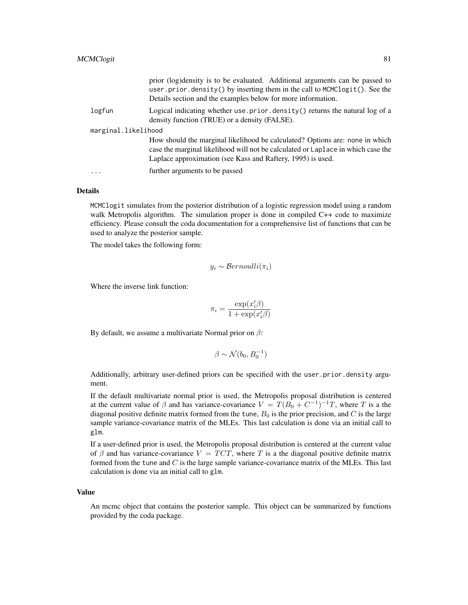|                     | prior (log)density is to be evaluated. Additional arguments can be passed to<br>user.prior.density() by inserting them in the call to MCMClogit(). See the<br>Details section and the examples below for more information.      |  |
|---------------------|---------------------------------------------------------------------------------------------------------------------------------------------------------------------------------------------------------------------------------|--|
| logfun              | Logical indicating whether use prior density () returns the natural log of a<br>density function (TRUE) or a density (FALSE).                                                                                                   |  |
| marginal.likelihood |                                                                                                                                                                                                                                 |  |
|                     | How should the marginal likelihood be calculated? Options are: none in which<br>case the marginal likelihood will not be calculated or Laplace in which case the<br>Laplace approximation (see Kass and Raftery, 1995) is used. |  |
| $\cdots$            | further arguments to be passed                                                                                                                                                                                                  |  |

MCMClogit simulates from the posterior distribution of a logistic regression model using a random walk Metropolis algorithm. The simulation proper is done in compiled C++ code to maximize efficiency. Please consult the coda documentation for a comprehensive list of functions that can be used to analyze the posterior sample.

The model takes the following form:

$$
y_i \sim Bernoulli(\pi_i)
$$

Where the inverse link function:

$$
\pi_i = \frac{\exp(x_i'\beta)}{1 + \exp(x_i'\beta)}
$$

By default, we assume a multivariate Normal prior on  $\beta$ :

$$
\beta \sim \mathcal{N}(b_0, B_0^{-1})
$$

Additionally, arbitrary user-defined priors can be specified with the user.prior.density argument.

If the default multivariate normal prior is used, the Metropolis proposal distribution is centered at the current value of  $\beta$  and has variance-covariance  $V = T(B_0 + C^{-1})^{-1}T$ , where T is a the diagonal positive definite matrix formed from the tune,  $B_0$  is the prior precision, and C is the large sample variance-covariance matrix of the MLEs. This last calculation is done via an initial call to glm.

If a user-defined prior is used, the Metropolis proposal distribution is centered at the current value of  $\beta$  and has variance-covariance  $V = TCT$ , where T is a the diagonal positive definite matrix formed from the tune and  $C$  is the large sample variance-covariance matrix of the MLEs. This last calculation is done via an initial call to glm.

#### Value

An mcmc object that contains the posterior sample. This object can be summarized by functions provided by the coda package.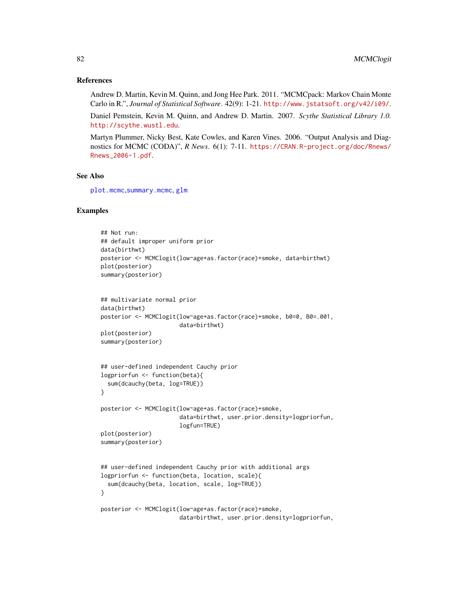#### References

Andrew D. Martin, Kevin M. Quinn, and Jong Hee Park. 2011. "MCMCpack: Markov Chain Monte Carlo in R.", *Journal of Statistical Software*. 42(9): 1-21. <http://www.jstatsoft.org/v42/i09/>.

Daniel Pemstein, Kevin M. Quinn, and Andrew D. Martin. 2007. *Scythe Statistical Library 1.0.* <http://scythe.wustl.edu>.

Martyn Plummer, Nicky Best, Kate Cowles, and Karen Vines. 2006. "Output Analysis and Diagnostics for MCMC (CODA)", *R News*. 6(1): 7-11. [https://CRAN.R-project.org/doc/Rnews/](https://CRAN.R-project.org/doc/Rnews/Rnews_2006-1.pdf) [Rnews\\_2006-1.pdf](https://CRAN.R-project.org/doc/Rnews/Rnews_2006-1.pdf).

# See Also

[plot.mcmc](#page-0-0),[summary.mcmc](#page-0-0), [glm](#page-0-0)

#### Examples

```
## Not run:
## default improper uniform prior
data(birthwt)
posterior <- MCMClogit(low~age+as.factor(race)+smoke, data=birthwt)
plot(posterior)
summary(posterior)
## multivariate normal prior
data(birthwt)
posterior <- MCMClogit(low~age+as.factor(race)+smoke, b0=0, B0=.001,
                       data=birthwt)
plot(posterior)
summary(posterior)
## user-defined independent Cauchy prior
logpriorfun <- function(beta){
  sum(dcauchy(beta, log=TRUE))
}
posterior <- MCMClogit(low~age+as.factor(race)+smoke,
                       data=birthwt, user.prior.density=logpriorfun,
                       logfun=TRUE)
plot(posterior)
summary(posterior)
## user-defined independent Cauchy prior with additional args
logpriorfun <- function(beta, location, scale){
  sum(dcauchy(beta, location, scale, log=TRUE))
}
posterior <- MCMClogit(low~age+as.factor(race)+smoke,
                       data=birthwt, user.prior.density=logpriorfun,
```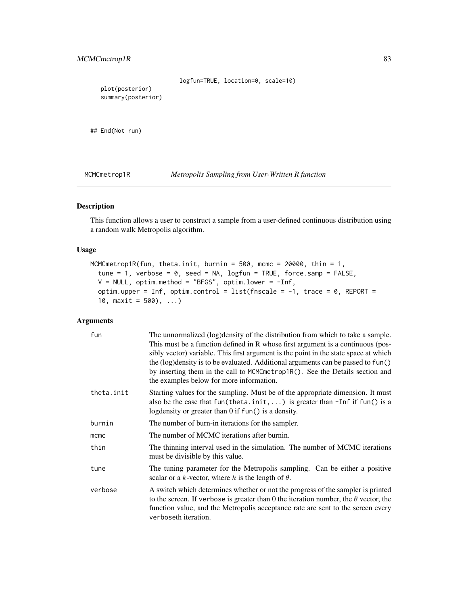```
logfun=TRUE, location=0, scale=10)
  plot(posterior)
  summary(posterior)
## End(Not run)
```
MCMCmetrop1R *Metropolis Sampling from User-Written R function*

# Description

This function allows a user to construct a sample from a user-defined continuous distribution using a random walk Metropolis algorithm.

# Usage

```
MCMCmetrop1R(fun, theta.init, burnin = 500, mcmc = 20000, thin = 1,
  tune = 1, verbose = 0, seed = NA, logfun = TRUE, force.samp = FALSE,
 V = NULL, optim.method = "BFGS", optim.lower = -Inf,
 optim.upper = Inf, optim.control = list(fnscale = -1, trace = 0, REPORT =
  10, maxit = 500, ...)
```

| fun        | The unnormalized (log) density of the distribution from which to take a sample.<br>This must be a function defined in R whose first argument is a continuous (pos-<br>sibly vector) variable. This first argument is the point in the state space at which<br>the (log) density is to be evaluated. Additional arguments can be passed to fun()<br>by inserting them in the call to MCMCmetrop1R(). See the Details section and<br>the examples below for more information. |
|------------|-----------------------------------------------------------------------------------------------------------------------------------------------------------------------------------------------------------------------------------------------------------------------------------------------------------------------------------------------------------------------------------------------------------------------------------------------------------------------------|
| theta.init | Starting values for the sampling. Must be of the appropriate dimension. It must<br>also be the case that fun(theta.init,) is greater than $-Inf$ if fun() is a<br>logdensity or greater than $0$ if $fun()$ is a density.                                                                                                                                                                                                                                                   |
| burnin     | The number of burn-in iterations for the sampler.                                                                                                                                                                                                                                                                                                                                                                                                                           |
| mcmc       | The number of MCMC iterations after burnin.                                                                                                                                                                                                                                                                                                                                                                                                                                 |
| thin       | The thinning interval used in the simulation. The number of MCMC iterations<br>must be divisible by this value.                                                                                                                                                                                                                                                                                                                                                             |
| tune       | The tuning parameter for the Metropolis sampling. Can be either a positive<br>scalar or a k-vector, where k is the length of $\theta$ .                                                                                                                                                                                                                                                                                                                                     |
| verbose    | A switch which determines whether or not the progress of the sampler is printed<br>to the screen. If verbose is greater than 0 the iteration number, the $\theta$ vector, the<br>function value, and the Metropolis acceptance rate are sent to the screen every<br>verboseth iteration.                                                                                                                                                                                    |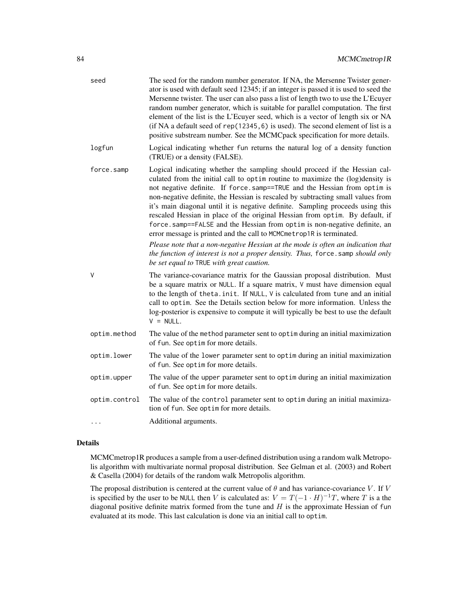| seed          | The seed for the random number generator. If NA, the Mersenne Twister gener-<br>ator is used with default seed 12345; if an integer is passed it is used to seed the<br>Mersenne twister. The user can also pass a list of length two to use the L'Ecuyer<br>random number generator, which is suitable for parallel computation. The first<br>element of the list is the L'Ecuyer seed, which is a vector of length six or NA<br>(if NA a default seed of rep(12345, 6) is used). The second element of list is a<br>positive substream number. See the MCMCpack specification for more details.                                                                                                                                                                                                                                                                    |
|---------------|----------------------------------------------------------------------------------------------------------------------------------------------------------------------------------------------------------------------------------------------------------------------------------------------------------------------------------------------------------------------------------------------------------------------------------------------------------------------------------------------------------------------------------------------------------------------------------------------------------------------------------------------------------------------------------------------------------------------------------------------------------------------------------------------------------------------------------------------------------------------|
| logfun        | Logical indicating whether fun returns the natural log of a density function<br>(TRUE) or a density (FALSE).                                                                                                                                                                                                                                                                                                                                                                                                                                                                                                                                                                                                                                                                                                                                                         |
| force.samp    | Logical indicating whether the sampling should proceed if the Hessian cal-<br>culated from the initial call to optim routine to maximize the (log)density is<br>not negative definite. If force.samp==TRUE and the Hessian from optim is<br>non-negative definite, the Hessian is rescaled by subtracting small values from<br>it's main diagonal until it is negative definite. Sampling proceeds using this<br>rescaled Hessian in place of the original Hessian from optim. By default, if<br>force.samp==FALSE and the Hessian from optim is non-negative definite, an<br>error message is printed and the call to MCMCmetrop1R is terminated.<br>Please note that a non-negative Hessian at the mode is often an indication that<br>the function of interest is not a proper density. Thus, force. samp should only<br>be set equal to TRUE with great caution. |
| V             | The variance-covariance matrix for the Gaussian proposal distribution. Must<br>be a square matrix or NULL. If a square matrix, V must have dimension equal<br>to the length of theta. init. If NULL, V is calculated from tune and an initial<br>call to optim. See the Details section below for more information. Unless the<br>log-posterior is expensive to compute it will typically be best to use the default<br>$V = NULL.$                                                                                                                                                                                                                                                                                                                                                                                                                                  |
| optim.method  | The value of the method parameter sent to optim during an initial maximization<br>of fun. See optim for more details.                                                                                                                                                                                                                                                                                                                                                                                                                                                                                                                                                                                                                                                                                                                                                |
| optim.lower   | The value of the lower parameter sent to optim during an initial maximization<br>of fun. See optim for more details.                                                                                                                                                                                                                                                                                                                                                                                                                                                                                                                                                                                                                                                                                                                                                 |
| optim.upper   | The value of the upper parameter sent to optim during an initial maximization<br>of fun. See optim for more details.                                                                                                                                                                                                                                                                                                                                                                                                                                                                                                                                                                                                                                                                                                                                                 |
| optim.control | The value of the control parameter sent to optim during an initial maximiza-<br>tion of fun. See optim for more details.                                                                                                                                                                                                                                                                                                                                                                                                                                                                                                                                                                                                                                                                                                                                             |
|               | Additional arguments.                                                                                                                                                                                                                                                                                                                                                                                                                                                                                                                                                                                                                                                                                                                                                                                                                                                |

MCMCmetrop1R produces a sample from a user-defined distribution using a random walk Metropolis algorithm with multivariate normal proposal distribution. See Gelman et al. (2003) and Robert & Casella (2004) for details of the random walk Metropolis algorithm.

The proposal distribution is centered at the current value of  $\theta$  and has variance-covariance V. If V is specified by the user to be NULL then V is calculated as:  $V = T(-1 \cdot H)^{-1}T$ , where T is a the diagonal positive definite matrix formed from the tune and  $H$  is the approximate Hessian of fun evaluated at its mode. This last calculation is done via an initial call to optim.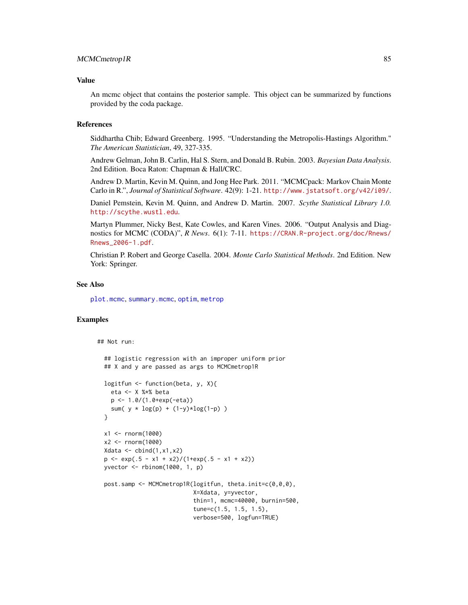#### Value

An mcmc object that contains the posterior sample. This object can be summarized by functions provided by the coda package.

# References

Siddhartha Chib; Edward Greenberg. 1995. "Understanding the Metropolis-Hastings Algorithm." *The American Statistician*, 49, 327-335.

Andrew Gelman, John B. Carlin, Hal S. Stern, and Donald B. Rubin. 2003. *Bayesian Data Analysis*. 2nd Edition. Boca Raton: Chapman & Hall/CRC.

Andrew D. Martin, Kevin M. Quinn, and Jong Hee Park. 2011. "MCMCpack: Markov Chain Monte Carlo in R.", *Journal of Statistical Software*. 42(9): 1-21. <http://www.jstatsoft.org/v42/i09/>.

Daniel Pemstein, Kevin M. Quinn, and Andrew D. Martin. 2007. *Scythe Statistical Library 1.0.* <http://scythe.wustl.edu>.

Martyn Plummer, Nicky Best, Kate Cowles, and Karen Vines. 2006. "Output Analysis and Diagnostics for MCMC (CODA)", *R News*. 6(1): 7-11. [https://CRAN.R-project.org/doc/Rnews/](https://CRAN.R-project.org/doc/Rnews/Rnews_2006-1.pdf) [Rnews\\_2006-1.pdf](https://CRAN.R-project.org/doc/Rnews/Rnews_2006-1.pdf).

Christian P. Robert and George Casella. 2004. *Monte Carlo Statistical Methods*. 2nd Edition. New York: Springer.

#### See Also

[plot.mcmc](#page-0-0), [summary.mcmc](#page-0-0), [optim](#page-0-0), [metrop](#page-0-0)

# Examples

## Not run:

```
## logistic regression with an improper uniform prior
## X and y are passed as args to MCMCmetrop1R
logitfun <- function(beta, y, X){
  eta <- X %*% beta
  p <- 1.0/(1.0+exp(-eta))
  sum( y * log(p) + (1-y)*log(1-p))
}
x1 <- rnorm(1000)
x2 <- rnorm(1000)
Xdata \leftarrow \text{cbind}(1, x1, x2)p \leftarrow \exp(.5 - x1 + x2) / (1 + \exp(.5 - x1 + x2))yvector <- rbinom(1000, 1, p)
post.samp <- MCMCmetrop1R(logitfun, theta.init=c(0,0,0),
                           X=Xdata, y=yvector,
                            thin=1, mcmc=40000, burnin=500,
                            tune=c(1.5, 1.5, 1.5),
                           verbose=500, logfun=TRUE)
```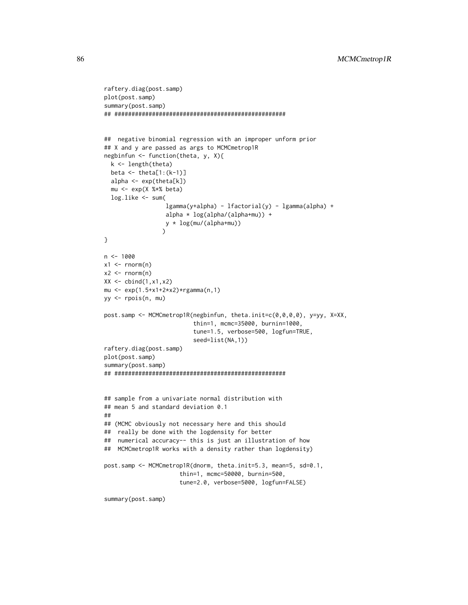```
raftery.diag(post.samp)
plot(post.samp)
summary(post.samp)
## ##################################################
## negative binomial regression with an improper unform prior
## X and y are passed as args to MCMCmetrop1R
negbinfun <- function(theta, y, X){
  k <- length(theta)
  beta \leq theta[1:(k-1)]
  alpha <- exp(theta[k])
  mu <- exp(X %*% beta)
  log.like <- sum(
                  lgamma(y+alpha) - lfactorial(y) - lgamma(alpha) +
                  alpha * log(alpha/(alpha+mu)) +
                  y * log(mu/(alpha+mu))
                  \lambda}
n < - 1000x1 \leftarrow \text{norm}(n)x2 \le rnorm(n)
XX \leftarrow \text{cbind}(1, x1, x2)mu <- exp(1.5+x1+2*x2)*rgamma(n,1)
yy <- rpois(n, mu)
post.samp <- MCMCmetrop1R(negbinfun, theta.init=c(0,0,0,0), y=yy, X=XX,
                           thin=1, mcmc=35000, burnin=1000,
                           tune=1.5, verbose=500, logfun=TRUE,
                           seed=list(NA,1))
raftery.diag(post.samp)
plot(post.samp)
summary(post.samp)
## ##################################################
## sample from a univariate normal distribution with
## mean 5 and standard deviation 0.1
##
## (MCMC obviously not necessary here and this should
## really be done with the logdensity for better
## numerical accuracy-- this is just an illustration of how
## MCMCmetrop1R works with a density rather than logdensity)
post.samp <- MCMCmetrop1R(dnorm, theta.init=5.3, mean=5, sd=0.1,
                       thin=1, mcmc=50000, burnin=500,
                       tune=2.0, verbose=5000, logfun=FALSE)
summary(post.samp)
```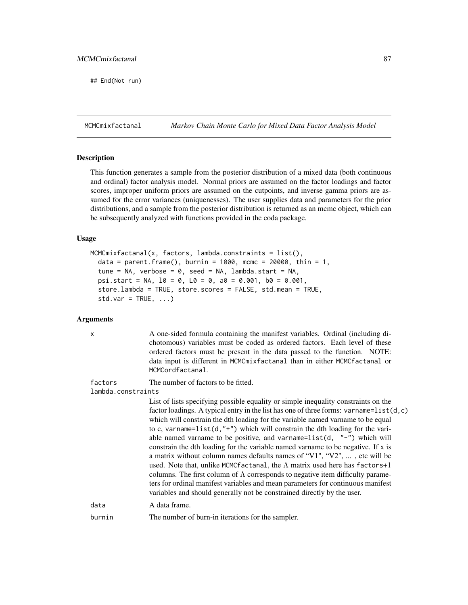## End(Not run)

MCMCmixfactanal *Markov Chain Monte Carlo for Mixed Data Factor Analysis Model*

# Description

This function generates a sample from the posterior distribution of a mixed data (both continuous and ordinal) factor analysis model. Normal priors are assumed on the factor loadings and factor scores, improper uniform priors are assumed on the cutpoints, and inverse gamma priors are assumed for the error variances (uniquenesses). The user supplies data and parameters for the prior distributions, and a sample from the posterior distribution is returned as an mcmc object, which can be subsequently analyzed with functions provided in the coda package.

#### Usage

```
MCMCmixfactanal(x, factors, lambda.constraints = list(),
 data = parent.frame(), burnin = 1000, mcmc = 20000, thin = 1,
  tune = NA, verbose = 0, seed = NA, lambda. start = NA,
  psi.start = NA, 10 = 0, L0 = 0, a0 = 0.001, b0 = 0.001,
 store.lambda = TRUE, store.scores = FALSE, std.mean = TRUE,
  std.var = TRUE, ...
```
### Arguments

x A one-sided formula containing the manifest variables. Ordinal (including dichotomous) variables must be coded as ordered factors. Each level of these ordered factors must be present in the data passed to the function. NOTE: data input is different in MCMCmixfactanal than in either MCMCfactanal or MCMCordfactanal.

factors The number of factors to be fitted.

lambda.constraints

List of lists specifying possible equality or simple inequality constraints on the factor loadings. A typical entry in the list has one of three forms: varname=list(d,c) which will constrain the dth loading for the variable named varname to be equal to c, varname=list(d,"+") which will constrain the dth loading for the variable named varname to be positive, and varname=list(d,  $"$ -") which will constrain the dth loading for the variable named varname to be negative. If x is a matrix without column names defaults names of "V1", "V2", ... , etc will be used. Note that, unlike MCMCfactanal, the  $\Lambda$  matrix used here has factors+1 columns. The first column of  $\Lambda$  corresponds to negative item difficulty parameters for ordinal manifest variables and mean parameters for continuous manifest variables and should generally not be constrained directly by the user.

data A data frame.

```
burnin The number of burn-in iterations for the sampler.
```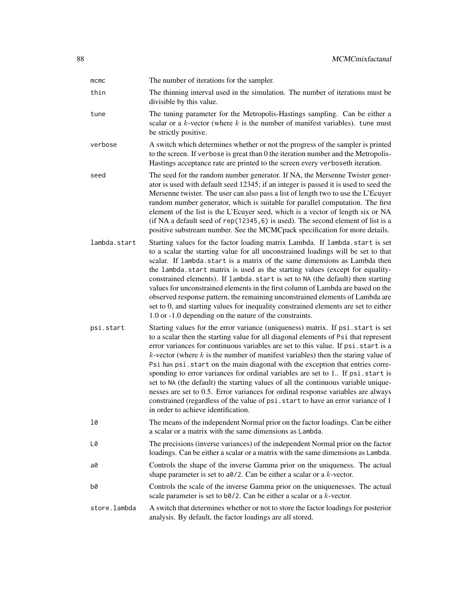| mcmc         | The number of iterations for the sampler.                                                                                                                                                                                                                                                                                                                                                                                                                                                                                                                                                                                                                                                                                                                                                                                       |
|--------------|---------------------------------------------------------------------------------------------------------------------------------------------------------------------------------------------------------------------------------------------------------------------------------------------------------------------------------------------------------------------------------------------------------------------------------------------------------------------------------------------------------------------------------------------------------------------------------------------------------------------------------------------------------------------------------------------------------------------------------------------------------------------------------------------------------------------------------|
| thin         | The thinning interval used in the simulation. The number of iterations must be<br>divisible by this value.                                                                                                                                                                                                                                                                                                                                                                                                                                                                                                                                                                                                                                                                                                                      |
| tune         | The tuning parameter for the Metropolis-Hastings sampling. Can be either a<br>scalar or a $k$ -vector (where $k$ is the number of manifest variables). tune must<br>be strictly positive.                                                                                                                                                                                                                                                                                                                                                                                                                                                                                                                                                                                                                                       |
| verbose      | A switch which determines whether or not the progress of the sampler is printed<br>to the screen. If verbose is great than 0 the iteration number and the Metropolis-<br>Hastings acceptance rate are printed to the screen every verboseth iteration.                                                                                                                                                                                                                                                                                                                                                                                                                                                                                                                                                                          |
| seed         | The seed for the random number generator. If NA, the Mersenne Twister gener-<br>ator is used with default seed 12345; if an integer is passed it is used to seed the<br>Mersenne twister. The user can also pass a list of length two to use the L'Ecuyer<br>random number generator, which is suitable for parallel computation. The first<br>element of the list is the L'Ecuyer seed, which is a vector of length six or NA<br>(if NA a default seed of rep(12345, 6) is used). The second element of list is a<br>positive substream number. See the MCMCpack specification for more details.                                                                                                                                                                                                                               |
| lambda.start | Starting values for the factor loading matrix Lambda. If lambda.start is set<br>to a scalar the starting value for all unconstrained loadings will be set to that<br>scalar. If lambda start is a matrix of the same dimensions as Lambda then<br>the lambda.start matrix is used as the starting values (except for equality-<br>constrained elements). If lambda.start is set to NA (the default) then starting<br>values for unconstrained elements in the first column of Lambda are based on the<br>observed response pattern, the remaining unconstrained elements of Lambda are<br>set to 0, and starting values for inequality constrained elements are set to either<br>1.0 or -1.0 depending on the nature of the constraints.                                                                                        |
| psi.start    | Starting values for the error variance (uniqueness) matrix. If psi.start is set<br>to a scalar then the starting value for all diagonal elements of Psi that represent<br>error variances for continuous variables are set to this value. If psi.start is a<br>$k$ -vector (where $k$ is the number of manifest variables) then the staring value of<br>Psi has psi. start on the main diagonal with the exception that entries corre-<br>sponding to error variances for ordinal variables are set to 1. If psi.start is<br>set to NA (the default) the starting values of all the continuous variable unique-<br>nesses are set to 0.5. Error variances for ordinal response variables are always<br>constrained (regardless of the value of psi. start to have an error variance of 1<br>in order to achieve identification. |
| 10           | The means of the independent Normal prior on the factor loadings. Can be either<br>a scalar or a matrix with the same dimensions as Lambda.                                                                                                                                                                                                                                                                                                                                                                                                                                                                                                                                                                                                                                                                                     |
| L0           | The precisions (inverse variances) of the independent Normal prior on the factor<br>loadings. Can be either a scalar or a matrix with the same dimensions as Lambda.                                                                                                                                                                                                                                                                                                                                                                                                                                                                                                                                                                                                                                                            |
| a0           | Controls the shape of the inverse Gamma prior on the uniqueness. The actual<br>shape parameter is set to $a\theta/2$ . Can be either a scalar or a k-vector.                                                                                                                                                                                                                                                                                                                                                                                                                                                                                                                                                                                                                                                                    |
| b0           | Controls the scale of the inverse Gamma prior on the uniquenesses. The actual<br>scale parameter is set to $b\omega/2$ . Can be either a scalar or a k-vector.                                                                                                                                                                                                                                                                                                                                                                                                                                                                                                                                                                                                                                                                  |
| store.lambda | A switch that determines whether or not to store the factor loadings for posterior<br>analysis. By default, the factor loadings are all stored.                                                                                                                                                                                                                                                                                                                                                                                                                                                                                                                                                                                                                                                                                 |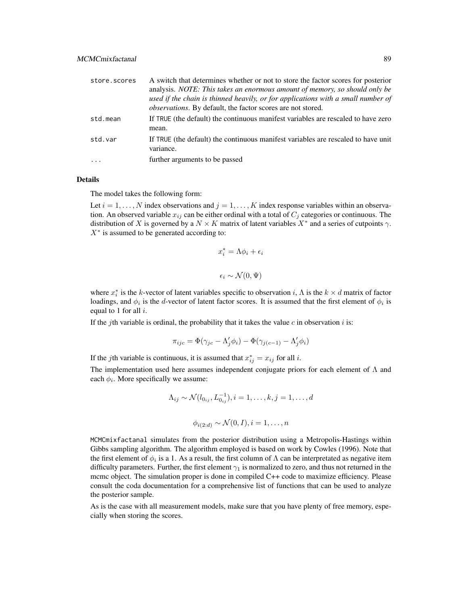| store.scores | A switch that determines whether or not to store the factor scores for posterior<br>analysis. NOTE: This takes an enormous amount of memory, so should only be<br>used if the chain is thinned heavily, or for applications with a small number of<br><i>observations</i> . By default, the factor scores are not stored. |
|--------------|---------------------------------------------------------------------------------------------------------------------------------------------------------------------------------------------------------------------------------------------------------------------------------------------------------------------------|
| std.mean     | If TRUE (the default) the continuous manifest variables are rescaled to have zero<br>mean.                                                                                                                                                                                                                                |
| std.var      | If TRUE (the default) the continuous manifest variables are rescaled to have unit<br>variance.                                                                                                                                                                                                                            |
|              | further arguments to be passed                                                                                                                                                                                                                                                                                            |

The model takes the following form:

Let  $i = 1, \ldots, N$  index observations and  $j = 1, \ldots, K$  index response variables within an observation. An observed variable  $x_{ij}$  can be either ordinal with a total of  $C_i$  categories or continuous. The distribution of X is governed by a  $N \times K$  matrix of latent variables  $X^*$  and a series of cutpoints  $\gamma$ .  $X^*$  is assumed to be generated according to:

$$
x_i^* = \Lambda \phi_i + \epsilon_i
$$

$$
\epsilon_i \sim \mathcal{N}(0, \Psi)
$$

where  $x_i^*$  is the k-vector of latent variables specific to observation i,  $\Lambda$  is the  $k \times d$  matrix of factor loadings, and  $\phi_i$  is the d-vector of latent factor scores. It is assumed that the first element of  $\phi_i$  is equal to 1 for all  $i$ .

If the *j*th variable is ordinal, the probability that it takes the value  $c$  in observation  $i$  is:

$$
\pi_{ijc} = \Phi(\gamma_{jc} - \Lambda'_j \phi_i) - \Phi(\gamma_{j(c-1)} - \Lambda'_j \phi_i)
$$

If the *j*th variable is continuous, it is assumed that  $x_{ij}^* = x_{ij}$  for all *i*.

The implementation used here assumes independent conjugate priors for each element of  $\Lambda$  and each  $\phi_i$ . More specifically we assume:

$$
\Lambda_{ij} \sim \mathcal{N}(l_{0_{ij}}, L_{0_{ij}}^{-1}), i = 1, \dots, k, j = 1, \dots, d
$$
  

$$
\phi_{i(2:d)} \sim \mathcal{N}(0, I), i = 1, \dots, n
$$

MCMCmixfactanal simulates from the posterior distribution using a Metropolis-Hastings within Gibbs sampling algorithm. The algorithm employed is based on work by Cowles (1996). Note that the first element of  $\phi_i$  is a 1. As a result, the first column of  $\Lambda$  can be interpretated as negative item difficulty parameters. Further, the first element  $\gamma_1$  is normalized to zero, and thus not returned in the mcmc object. The simulation proper is done in compiled C++ code to maximize efficiency. Please consult the coda documentation for a comprehensive list of functions that can be used to analyze the posterior sample.

As is the case with all measurement models, make sure that you have plenty of free memory, especially when storing the scores.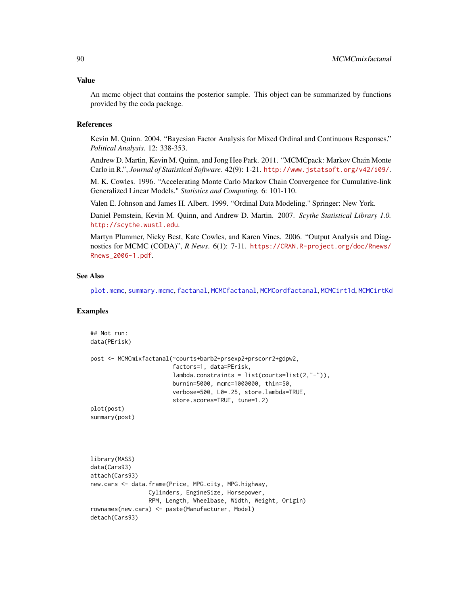An mcmc object that contains the posterior sample. This object can be summarized by functions provided by the coda package.

#### References

Kevin M. Quinn. 2004. "Bayesian Factor Analysis for Mixed Ordinal and Continuous Responses." *Political Analysis*. 12: 338-353.

Andrew D. Martin, Kevin M. Quinn, and Jong Hee Park. 2011. "MCMCpack: Markov Chain Monte Carlo in R.", *Journal of Statistical Software*. 42(9): 1-21. <http://www.jstatsoft.org/v42/i09/>.

M. K. Cowles. 1996. "Accelerating Monte Carlo Markov Chain Convergence for Cumulative-link Generalized Linear Models." *Statistics and Computing.* 6: 101-110.

Valen E. Johnson and James H. Albert. 1999. "Ordinal Data Modeling." Springer: New York.

Daniel Pemstein, Kevin M. Quinn, and Andrew D. Martin. 2007. *Scythe Statistical Library 1.0.* <http://scythe.wustl.edu>.

Martyn Plummer, Nicky Best, Kate Cowles, and Karen Vines. 2006. "Output Analysis and Diagnostics for MCMC (CODA)", *R News*. 6(1): 7-11. [https://CRAN.R-project.org/doc/Rnews/](https://CRAN.R-project.org/doc/Rnews/Rnews_2006-1.pdf) [Rnews\\_2006-1.pdf](https://CRAN.R-project.org/doc/Rnews/Rnews_2006-1.pdf).

#### See Also

[plot.mcmc](#page-0-0), [summary.mcmc](#page-0-0), [factanal](#page-0-0), [MCMCfactanal](#page-41-0), [MCMCordfactanal](#page-108-0), [MCMCirt1d](#page-61-0), [MCMCirtKd](#page-69-0)

#### Examples

```
## Not run:
data(PErisk)
post <- MCMCmixfactanal(~courts+barb2+prsexp2+prscorr2+gdpw2,
                        factors=1, data=PErisk,
                        lambda.constraints = list(courts=list(2,"-")),
                        burnin=5000, mcmc=1000000, thin=50,
                        verbose=500, L0=.25, store.lambda=TRUE,
                        store.scores=TRUE, tune=1.2)
plot(post)
summary(post)
library(MASS)
data(Cars93)
attach(Cars93)
new.cars <- data.frame(Price, MPG.city, MPG.highway,
                 Cylinders, EngineSize, Horsepower,
                 RPM, Length, Wheelbase, Width, Weight, Origin)
rownames(new.cars) <- paste(Manufacturer, Model)
detach(Cars93)
```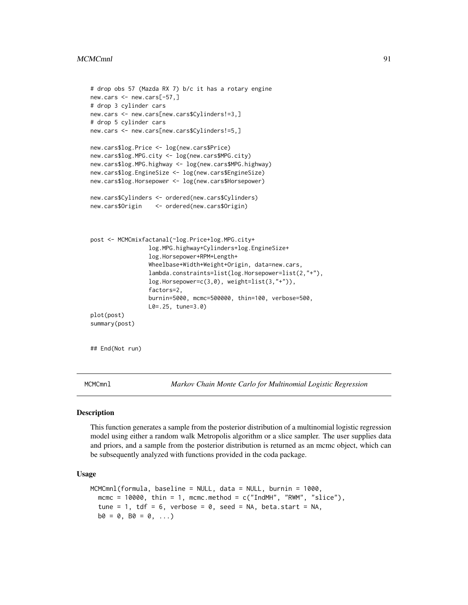#### MCMCmnl 91

```
# drop obs 57 (Mazda RX 7) b/c it has a rotary engine
new.cars <- new.cars[-57,]
# drop 3 cylinder cars
new.cars <- new.cars[new.cars$Cylinders!=3,]
# drop 5 cylinder cars
new.cars <- new.cars[new.cars$Cylinders!=5,]
new.cars$log.Price <- log(new.cars$Price)
new.cars$log.MPG.city <- log(new.cars$MPG.city)
new.cars$log.MPG.highway <- log(new.cars$MPG.highway)
new.cars$log.EngineSize <- log(new.cars$EngineSize)
new.cars$log.Horsepower <- log(new.cars$Horsepower)
new.cars$Cylinders <- ordered(new.cars$Cylinders)
new.cars$Origin <- ordered(new.cars$Origin)
post <- MCMCmixfactanal(~log.Price+log.MPG.city+
                 log.MPG.highway+Cylinders+log.EngineSize+
                 log.Horsepower+RPM+Length+
                 Wheelbase+Width+Weight+Origin, data=new.cars,
                 lambda.constraints=list(log.Horsepower=list(2,"+"),
                 log.Horsepower=c(3,0), weight=list(3,"+")),
                 factors=2,
                 burnin=5000, mcmc=500000, thin=100, verbose=500,
                 L0=.25, tune=3.0)
plot(post)
summary(post)
```

```
## End(Not run)
```
MCMCmnl *Markov Chain Monte Carlo for Multinomial Logistic Regression*

#### **Description**

This function generates a sample from the posterior distribution of a multinomial logistic regression model using either a random walk Metropolis algorithm or a slice sampler. The user supplies data and priors, and a sample from the posterior distribution is returned as an mcmc object, which can be subsequently analyzed with functions provided in the coda package.

#### Usage

```
MCMCmnl(formula, baseline = NULL, data = NULL, burnin = 1000,
 mcmc = 10000, thin = 1, mcmc.method = c("IndMH", "RWM", "slice"),tune = 1, tdf = 6, verbose = 0, seed = NA, beta.start = NA,
  b0 = 0, B0 = 0, ...
```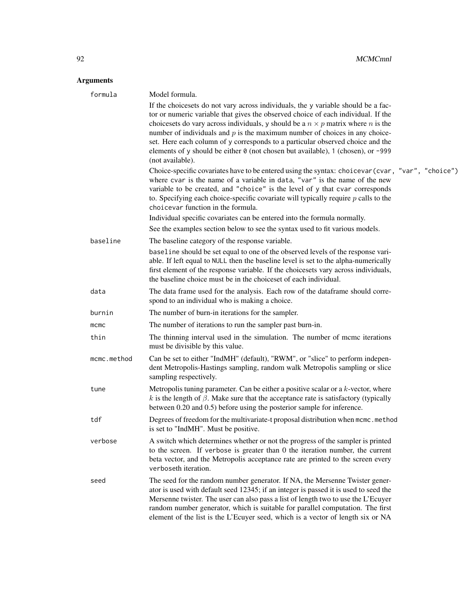| formula     | Model formula.                                                                                                                                                                                                                                                                                                                                                                                                                                                                                                                               |
|-------------|----------------------------------------------------------------------------------------------------------------------------------------------------------------------------------------------------------------------------------------------------------------------------------------------------------------------------------------------------------------------------------------------------------------------------------------------------------------------------------------------------------------------------------------------|
|             | If the choicesets do not vary across individuals, the y variable should be a fac-<br>tor or numeric variable that gives the observed choice of each individual. If the<br>choices ts do vary across individuals, y should be a $n \times p$ matrix where n is the<br>number of individuals and $p$ is the maximum number of choices in any choice-<br>set. Here each column of y corresponds to a particular observed choice and the<br>elements of y should be either 0 (not chosen but available), 1 (chosen), or -999<br>(not available). |
|             | Choice-specific covariates have to be entered using the syntax: choicevar (cvar, "var", "choice")<br>where cvar is the name of a variable in data, "var" is the name of the new<br>variable to be created, and "choice" is the level of y that cvar corresponds<br>to. Specifying each choice-specific covariate will typically require $p$ calls to the<br>choicevar function in the formula.                                                                                                                                               |
|             | Individual specific covariates can be entered into the formula normally.                                                                                                                                                                                                                                                                                                                                                                                                                                                                     |
|             | See the examples section below to see the syntax used to fit various models.                                                                                                                                                                                                                                                                                                                                                                                                                                                                 |
| baseline    | The baseline category of the response variable.                                                                                                                                                                                                                                                                                                                                                                                                                                                                                              |
|             | baseline should be set equal to one of the observed levels of the response vari-<br>able. If left equal to NULL then the baseline level is set to the alpha-numerically<br>first element of the response variable. If the choicesets vary across individuals,<br>the baseline choice must be in the choiceset of each individual.                                                                                                                                                                                                            |
| data        | The data frame used for the analysis. Each row of the dataframe should corre-<br>spond to an individual who is making a choice.                                                                                                                                                                                                                                                                                                                                                                                                              |
| burnin      | The number of burn-in iterations for the sampler.                                                                                                                                                                                                                                                                                                                                                                                                                                                                                            |
| $m$ cmc     | The number of iterations to run the sampler past burn-in.                                                                                                                                                                                                                                                                                                                                                                                                                                                                                    |
| thin        | The thinning interval used in the simulation. The number of mcmc iterations<br>must be divisible by this value.                                                                                                                                                                                                                                                                                                                                                                                                                              |
| mcmc.method | Can be set to either "IndMH" (default), "RWM", or "slice" to perform indepen-<br>dent Metropolis-Hastings sampling, random walk Metropolis sampling or slice<br>sampling respectively.                                                                                                                                                                                                                                                                                                                                                       |
| tune        | Metropolis tuning parameter. Can be either a positive scalar or a $k$ -vector, where<br>k is the length of $\beta$ . Make sure that the acceptance rate is satisfactory (typically<br>between 0.20 and 0.5) before using the posterior sample for inference.                                                                                                                                                                                                                                                                                 |
| tdf         | Degrees of freedom for the multivariate-t proposal distribution when mcmc.method<br>is set to "IndMH". Must be positive.                                                                                                                                                                                                                                                                                                                                                                                                                     |
| verbose     | A switch which determines whether or not the progress of the sampler is printed<br>to the screen. If verbose is greater than 0 the iteration number, the current<br>beta vector, and the Metropolis acceptance rate are printed to the screen every<br>verboseth iteration.                                                                                                                                                                                                                                                                  |
| seed        | The seed for the random number generator. If NA, the Mersenne Twister gener-<br>ator is used with default seed 12345; if an integer is passed it is used to seed the<br>Mersenne twister. The user can also pass a list of length two to use the L'Ecuyer<br>random number generator, which is suitable for parallel computation. The first<br>element of the list is the L'Ecuyer seed, which is a vector of length six or NA                                                                                                               |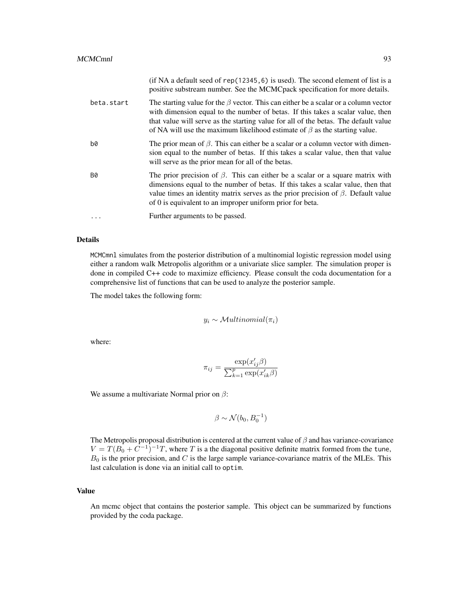|            | (if NA a default seed of rep(12345, 6) is used). The second element of list is a<br>positive substream number. See the MCMC pack specification for more details.                                                                                                                                                                                        |
|------------|---------------------------------------------------------------------------------------------------------------------------------------------------------------------------------------------------------------------------------------------------------------------------------------------------------------------------------------------------------|
| beta.start | The starting value for the $\beta$ vector. This can either be a scalar or a column vector<br>with dimension equal to the number of betas. If this takes a scalar value, then<br>that value will serve as the starting value for all of the betas. The default value<br>of NA will use the maximum likelihood estimate of $\beta$ as the starting value. |
| b0         | The prior mean of $\beta$ . This can either be a scalar or a column vector with dimen-<br>sion equal to the number of betas. If this takes a scalar value, then that value<br>will serve as the prior mean for all of the betas.                                                                                                                        |
| <b>B0</b>  | The prior precision of $\beta$ . This can either be a scalar or a square matrix with<br>dimensions equal to the number of betas. If this takes a scalar value, then that<br>value times an identity matrix serves as the prior precision of $\beta$ . Default value<br>of 0 is equivalent to an improper uniform prior for beta.                        |
| .          | Further arguments to be passed.                                                                                                                                                                                                                                                                                                                         |

MCMCmnl simulates from the posterior distribution of a multinomial logistic regression model using either a random walk Metropolis algorithm or a univariate slice sampler. The simulation proper is done in compiled C++ code to maximize efficiency. Please consult the coda documentation for a comprehensive list of functions that can be used to analyze the posterior sample.

The model takes the following form:

$$
y_i \sim \mathcal{M}ultinomial(\pi_i)
$$

where:

$$
\pi_{ij} = \frac{\exp(x_{ij}'\beta)}{\sum_{k=1}^{p} \exp(x_{ik}'\beta)}
$$

We assume a multivariate Normal prior on  $\beta$ :

$$
\beta \sim \mathcal{N}(b_0, B_0^{-1})
$$

The Metropolis proposal distribution is centered at the current value of  $\beta$  and has variance-covariance  $V = T(B_0 + C^{-1})^{-1}T$ , where T is a the diagonal positive definite matrix formed from the tune,  $B_0$  is the prior precision, and C is the large sample variance-covariance matrix of the MLEs. This last calculation is done via an initial call to optim.

# Value

An mcmc object that contains the posterior sample. This object can be summarized by functions provided by the coda package.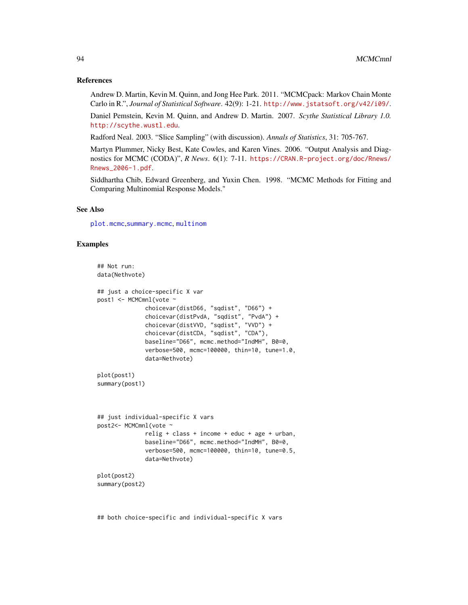#### References

Andrew D. Martin, Kevin M. Quinn, and Jong Hee Park. 2011. "MCMCpack: Markov Chain Monte Carlo in R.", *Journal of Statistical Software*. 42(9): 1-21. <http://www.jstatsoft.org/v42/i09/>.

Daniel Pemstein, Kevin M. Quinn, and Andrew D. Martin. 2007. *Scythe Statistical Library 1.0.* <http://scythe.wustl.edu>.

Radford Neal. 2003. "Slice Sampling" (with discussion). *Annals of Statistics*, 31: 705-767.

Martyn Plummer, Nicky Best, Kate Cowles, and Karen Vines. 2006. "Output Analysis and Diagnostics for MCMC (CODA)", *R News*. 6(1): 7-11. [https://CRAN.R-project.org/doc/Rnews/](https://CRAN.R-project.org/doc/Rnews/Rnews_2006-1.pdf) [Rnews\\_2006-1.pdf](https://CRAN.R-project.org/doc/Rnews/Rnews_2006-1.pdf).

Siddhartha Chib, Edward Greenberg, and Yuxin Chen. 1998. "MCMC Methods for Fitting and Comparing Multinomial Response Models."

#### See Also

[plot.mcmc](#page-0-0),[summary.mcmc](#page-0-0), [multinom](#page-0-0)

#### Examples

```
## Not run:
data(Nethvote)
## just a choice-specific X var
post1 <- MCMCmnl(vote ~
              choicevar(distD66, "sqdist", "D66") +
              choicevar(distPvdA, "sqdist", "PvdA") +
              choicevar(distVVD, "sqdist", "VVD") +
              choicevar(distCDA, "sqdist", "CDA"),
              baseline="D66", mcmc.method="IndMH", B0=0,
              verbose=500, mcmc=100000, thin=10, tune=1.0,
              data=Nethvote)
plot(post1)
summary(post1)
## just individual-specific X vars
post2<- MCMCmnl(vote ~
              relig + class + income + educ + age + urban,
              baseline="D66", mcmc.method="IndMH", B0=0,
              verbose=500, mcmc=100000, thin=10, tune=0.5,
              data=Nethvote)
plot(post2)
summary(post2)
```
## both choice-specific and individual-specific X vars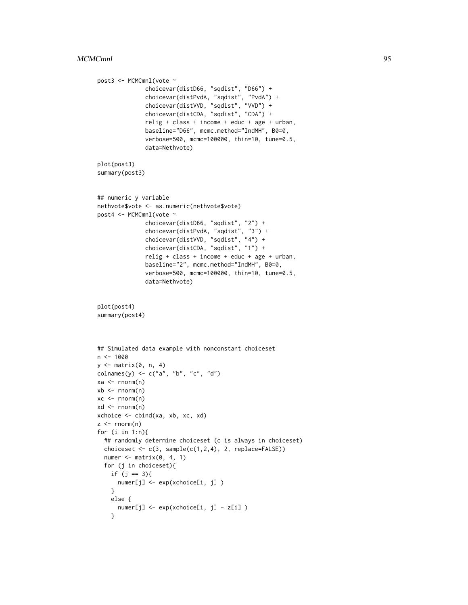```
post3 <- MCMCmnl(vote ~
              choicevar(distD66, "sqdist", "D66") +
              choicevar(distPvdA, "sqdist", "PvdA") +
              choicevar(distVVD, "sqdist", "VVD") +
              choicevar(distCDA, "sqdist", "CDA") +
              relig + class + income + educ + age + urban,
              baseline="D66", mcmc.method="IndMH", B0=0,
              verbose=500, mcmc=100000, thin=10, tune=0.5,
              data=Nethvote)
plot(post3)
summary(post3)
## numeric y variable
nethvote$vote <- as.numeric(nethvote$vote)
post4 <- MCMCmnl(vote ~
              choicevar(distD66, "sqdist", "2") +
              choicevar(distPvdA, "sqdist", "3") +
              choicevar(distVVD, "sqdist", "4") +
              choicevar(distCDA, "sqdist", "1") +
              relig + class + income + educ + age + urban,
              baseline="2", mcmc.method="IndMH", B0=0,
              verbose=500, mcmc=100000, thin=10, tune=0.5,
              data=Nethvote)
plot(post4)
summary(post4)
## Simulated data example with nonconstant choiceset
n < -1000y <- matrix(0, n, 4)
colnames(y) <- c("a", "b", "c", "d")
xa <- rnorm(n)
xb \leftarrow \text{norm}(n)xc <- rnorm(n)
xd <- rnorm(n)
xchoice <- cbind(xa, xb, xc, xd)
z \le- rnorm(n)for (i in 1:n){
  ## randomly determine choiceset (c is always in choiceset)
  choiceset \leq c(3, sample(c(1,2,4), 2, replace=False))numer \leq matrix(0, 4, 1)
  for (j in choiceset){
    if (j == 3){
     numer[j] <- exp(xchoice[i, j] )
    }
    else {
      numer[j] <- exp(xchoice[i, j] - z[i] )
    }
```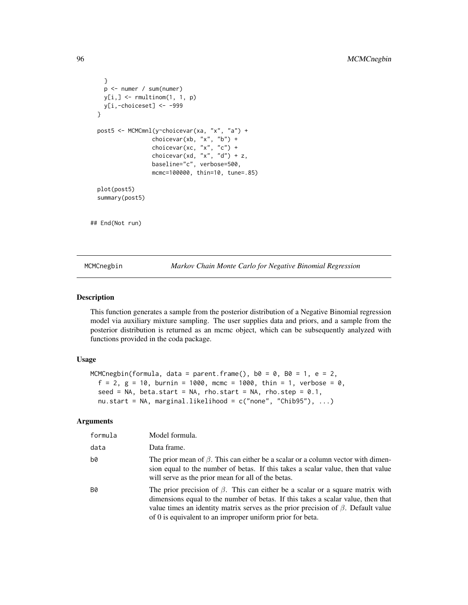```
}
   p <- numer / sum(numer)
   y[i, ] \leftarrow \text{rmultinom}(1, 1, p)y[i,-choiceset] <- -999
 }
 post5 <- MCMCmnl(y~choicevar(xa, "x", "a") +
                  choicevar(xb, "x", "b") +
                   choicevar(xc, "x", "c") +
                   choicevar(xd, "x", "d") + z,
                   baseline="c", verbose=500,
                   mcmc=100000, thin=10, tune=.85)
 plot(post5)
 summary(post5)
## End(Not run)
```
MCMCnegbin *Markov Chain Monte Carlo for Negative Binomial Regression*

### Description

This function generates a sample from the posterior distribution of a Negative Binomial regression model via auxiliary mixture sampling. The user supplies data and priors, and a sample from the posterior distribution is returned as an mcmc object, which can be subsequently analyzed with functions provided in the coda package.

#### Usage

```
MCMCnegbin(formula, data = parent.frame(), b0 = 0, B0 = 1, e = 2,
  f = 2, g = 10, burnin = 1000, mcmc = 1000, thin = 1, verbose = 0,
  seed = NA, beta.start = NA, rho.start = NA, rho.step = 0.1,
  nu.start = NA, marginal.likelihood = c("none", "Chib95"), ...)
```

| formula   | Model formula.                                                                                                                                                                                                                                                                                                                   |
|-----------|----------------------------------------------------------------------------------------------------------------------------------------------------------------------------------------------------------------------------------------------------------------------------------------------------------------------------------|
| data      | Data frame.                                                                                                                                                                                                                                                                                                                      |
| b0        | The prior mean of $\beta$ . This can either be a scalar or a column vector with dimen-<br>sion equal to the number of betas. If this takes a scalar value, then that value<br>will serve as the prior mean for all of the betas.                                                                                                 |
| <b>B0</b> | The prior precision of $\beta$ . This can either be a scalar or a square matrix with<br>dimensions equal to the number of betas. If this takes a scalar value, then that<br>value times an identity matrix serves as the prior precision of $\beta$ . Default value<br>of 0 is equivalent to an improper uniform prior for beta. |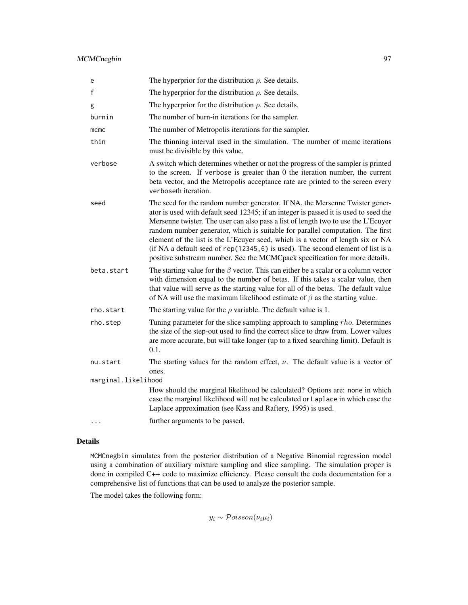MCMCnegbin 97

| e                   | The hyperprior for the distribution $\rho$ . See details.                                                                                                                                                                                                                                                                                                                                                                                                                                                                                                                                           |
|---------------------|-----------------------------------------------------------------------------------------------------------------------------------------------------------------------------------------------------------------------------------------------------------------------------------------------------------------------------------------------------------------------------------------------------------------------------------------------------------------------------------------------------------------------------------------------------------------------------------------------------|
| f                   | The hyperprior for the distribution $\rho$ . See details.                                                                                                                                                                                                                                                                                                                                                                                                                                                                                                                                           |
| g                   | The hyperprior for the distribution $\rho$ . See details.                                                                                                                                                                                                                                                                                                                                                                                                                                                                                                                                           |
| burnin              | The number of burn-in iterations for the sampler.                                                                                                                                                                                                                                                                                                                                                                                                                                                                                                                                                   |
| mcmc                | The number of Metropolis iterations for the sampler.                                                                                                                                                                                                                                                                                                                                                                                                                                                                                                                                                |
| thin                | The thinning interval used in the simulation. The number of mcmc iterations<br>must be divisible by this value.                                                                                                                                                                                                                                                                                                                                                                                                                                                                                     |
| verbose             | A switch which determines whether or not the progress of the sampler is printed<br>to the screen. If verbose is greater than 0 the iteration number, the current<br>beta vector, and the Metropolis acceptance rate are printed to the screen every<br>verboseth iteration.                                                                                                                                                                                                                                                                                                                         |
| seed                | The seed for the random number generator. If NA, the Mersenne Twister gener-<br>ator is used with default seed 12345; if an integer is passed it is used to seed the<br>Mersenne twister. The user can also pass a list of length two to use the L'Ecuyer<br>random number generator, which is suitable for parallel computation. The first<br>element of the list is the L'Ecuyer seed, which is a vector of length six or NA<br>(if NA a default seed of $rep(12345, 6)$ is used). The second element of list is a<br>positive substream number. See the MCMCpack specification for more details. |
| beta.start          | The starting value for the $\beta$ vector. This can either be a scalar or a column vector<br>with dimension equal to the number of betas. If this takes a scalar value, then<br>that value will serve as the starting value for all of the betas. The default value<br>of NA will use the maximum likelihood estimate of $\beta$ as the starting value.                                                                                                                                                                                                                                             |
| rho.start           | The starting value for the $\rho$ variable. The default value is 1.                                                                                                                                                                                                                                                                                                                                                                                                                                                                                                                                 |
| rho.step            | Tuning parameter for the slice sampling approach to sampling rho. Determines<br>the size of the step-out used to find the correct slice to draw from. Lower values<br>are more accurate, but will take longer (up to a fixed searching limit). Default is<br>0.1.                                                                                                                                                                                                                                                                                                                                   |
| nu.start            | The starting values for the random effect, $\nu$ . The default value is a vector of<br>ones.                                                                                                                                                                                                                                                                                                                                                                                                                                                                                                        |
| marginal.likelihood |                                                                                                                                                                                                                                                                                                                                                                                                                                                                                                                                                                                                     |
|                     | How should the marginal likelihood be calculated? Options are: none in which<br>case the marginal likelihood will not be calculated or Laplace in which case the<br>Laplace approximation (see Kass and Raftery, 1995) is used.                                                                                                                                                                                                                                                                                                                                                                     |
| .                   | further arguments to be passed.                                                                                                                                                                                                                                                                                                                                                                                                                                                                                                                                                                     |

# Details

MCMCnegbin simulates from the posterior distribution of a Negative Binomial regression model using a combination of auxiliary mixture sampling and slice sampling. The simulation proper is done in compiled C++ code to maximize efficiency. Please consult the coda documentation for a comprehensive list of functions that can be used to analyze the posterior sample.

The model takes the following form:

 $y_i \sim \mathcal{Poisson}(\nu_i \mu_i)$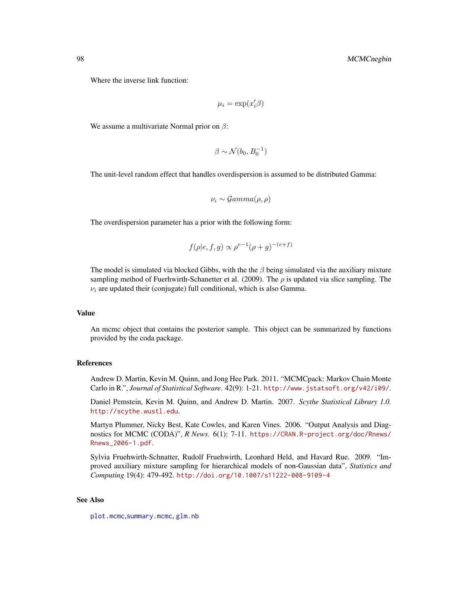Where the inverse link function:

$$
\mu_i = \exp(x_i'\beta)
$$

We assume a multivariate Normal prior on  $\beta$ :

$$
\beta \sim \mathcal{N}(b_0, B_0^{-1})
$$

The unit-level random effect that handles overdispersion is assumed to be distributed Gamma:

$$
\nu_i \sim \mathcal{Gamma}(\rho, \rho)
$$

The overdispersion parameter has a prior with the following form:

$$
f(\rho|e, f, g) \propto \rho^{e-1} (\rho + g)^{-(e+f)}
$$

The model is simulated via blocked Gibbs, with the the  $\beta$  being simulated via the auxiliary mixture sampling method of Fuerhwirth-Schanetter et al. (2009). The  $\rho$  is updated via slice sampling. The  $\nu_i$  are updated their (conjugate) full conditional, which is also Gamma.

#### Value

An mcmc object that contains the posterior sample. This object can be summarized by functions provided by the coda package.

#### References

Andrew D. Martin, Kevin M. Quinn, and Jong Hee Park. 2011. "MCMCpack: Markov Chain Monte Carlo in R.", *Journal of Statistical Software*. 42(9): 1-21. <http://www.jstatsoft.org/v42/i09/>.

Daniel Pemstein, Kevin M. Quinn, and Andrew D. Martin. 2007. *Scythe Statistical Library 1.0.* <http://scythe.wustl.edu>.

Martyn Plummer, Nicky Best, Kate Cowles, and Karen Vines. 2006. "Output Analysis and Diagnostics for MCMC (CODA)", *R News*. 6(1): 7-11. [https://CRAN.R-project.org/doc/Rnews/](https://CRAN.R-project.org/doc/Rnews/Rnews_2006-1.pdf) [Rnews\\_2006-1.pdf](https://CRAN.R-project.org/doc/Rnews/Rnews_2006-1.pdf).

Sylvia Fruehwirth-Schnatter, Rudolf Fruehwirth, Leonhard Held, and Havard Rue. 2009. "Improved auxiliary mixture sampling for hierarchical models of non-Gaussian data", *Statistics and Computing* 19(4): 479-492. <http://doi.org/10.1007/s11222-008-9109-4>

#### See Also

[plot.mcmc](#page-0-0),[summary.mcmc](#page-0-0), [glm.nb](#page-0-0)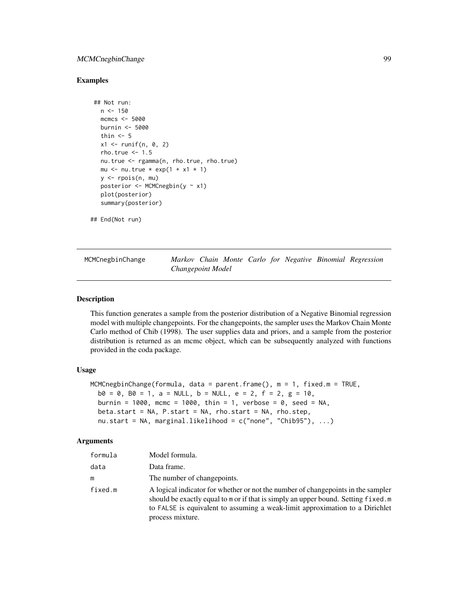# MCMCnegbinChange 99

### Examples

```
## Not run:
 n < -150mcmcs <- 5000
 burnin <- 5000
 thin <-5x1 <- runif(n, 0, 2)
 rho.true \leq -1.5nu.true <- rgamma(n, rho.true, rho.true)
 mu \le nu.true * exp(1 + x1 * 1)
 y \leq - rpois(n, mu)
 posterior <- MCMCnegbin(y ~ x1)
 plot(posterior)
 summary(posterior)
```
## End(Not run)

MCMCnegbinChange *Markov Chain Monte Carlo for Negative Binomial Regression Changepoint Model*

# Description

This function generates a sample from the posterior distribution of a Negative Binomial regression model with multiple changepoints. For the changepoints, the sampler uses the Markov Chain Monte Carlo method of Chib (1998). The user supplies data and priors, and a sample from the posterior distribution is returned as an mcmc object, which can be subsequently analyzed with functions provided in the coda package.

# Usage

```
MCMCnegbinChange(formula, data = parent.frame(), m = 1, fixed.m = TRUE,
  b0 = 0, B0 = 1, a = NULL, b = NULL, e = 2, f = 2, g = 10,
  burnin = 1000, mcmc = 1000, thin = 1, verbose = 0, seed = NA,
 beta.start = NA, P.start = NA, rho.start = NA, rho.step,
 nu.start = NA, marginal.likelihood = c("none", "Chib95"), ...)
```

| formula | Model formula.                                                                                                                                                                                                                                                            |
|---------|---------------------------------------------------------------------------------------------------------------------------------------------------------------------------------------------------------------------------------------------------------------------------|
| data    | Data frame.                                                                                                                                                                                                                                                               |
| m       | The number of changepoints.                                                                                                                                                                                                                                               |
| fixed.m | A logical indicator for whether or not the number of changepoints in the sampler<br>should be exactly equal to m or if that is simply an upper bound. Setting fixed.m<br>to FALSE is equivalent to assuming a weak-limit approximation to a Dirichlet<br>process mixture. |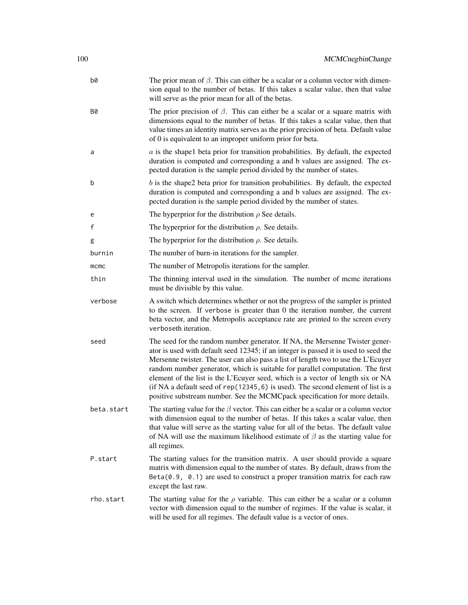| b0         | The prior mean of $\beta$ . This can either be a scalar or a column vector with dimen-<br>sion equal to the number of betas. If this takes a scalar value, then that value<br>will serve as the prior mean for all of the betas.                                                                                                                                                                                                                                                                                                                                                                  |
|------------|---------------------------------------------------------------------------------------------------------------------------------------------------------------------------------------------------------------------------------------------------------------------------------------------------------------------------------------------------------------------------------------------------------------------------------------------------------------------------------------------------------------------------------------------------------------------------------------------------|
| <b>B0</b>  | The prior precision of $\beta$ . This can either be a scalar or a square matrix with<br>dimensions equal to the number of betas. If this takes a scalar value, then that<br>value times an identity matrix serves as the prior precision of beta. Default value<br>of 0 is equivalent to an improper uniform prior for beta.                                                                                                                                                                                                                                                                      |
| a          | $a$ is the shapel beta prior for transition probabilities. By default, the expected<br>duration is computed and corresponding a and b values are assigned. The ex-<br>pected duration is the sample period divided by the number of states.                                                                                                                                                                                                                                                                                                                                                       |
| b          | $b$ is the shape2 beta prior for transition probabilities. By default, the expected<br>duration is computed and corresponding a and b values are assigned. The ex-<br>pected duration is the sample period divided by the number of states.                                                                                                                                                                                                                                                                                                                                                       |
| e          | The hyperprior for the distribution $\rho$ See details.                                                                                                                                                                                                                                                                                                                                                                                                                                                                                                                                           |
| f          | The hyperprior for the distribution $\rho$ . See details.                                                                                                                                                                                                                                                                                                                                                                                                                                                                                                                                         |
| g          | The hyperprior for the distribution $\rho$ . See details.                                                                                                                                                                                                                                                                                                                                                                                                                                                                                                                                         |
| burnin     | The number of burn-in iterations for the sampler.                                                                                                                                                                                                                                                                                                                                                                                                                                                                                                                                                 |
| mcmc       | The number of Metropolis iterations for the sampler.                                                                                                                                                                                                                                                                                                                                                                                                                                                                                                                                              |
| thin       | The thinning interval used in the simulation. The number of mcmc iterations<br>must be divisible by this value.                                                                                                                                                                                                                                                                                                                                                                                                                                                                                   |
| verbose    | A switch which determines whether or not the progress of the sampler is printed<br>to the screen. If verbose is greater than 0 the iteration number, the current<br>beta vector, and the Metropolis acceptance rate are printed to the screen every<br>verboseth iteration.                                                                                                                                                                                                                                                                                                                       |
| seed       | The seed for the random number generator. If NA, the Mersenne Twister gener-<br>ator is used with default seed 12345; if an integer is passed it is used to seed the<br>Mersenne twister. The user can also pass a list of length two to use the L'Ecuyer<br>random number generator, which is suitable for parallel computation. The first<br>element of the list is the L'Ecuyer seed, which is a vector of length six or NA<br>(if NA a default seed of rep(12345, 6) is used). The second element of list is a<br>positive substream number. See the MCMCpack specification for more details. |
| beta.start | The starting value for the $\beta$ vector. This can either be a scalar or a column vector<br>with dimension equal to the number of betas. If this takes a scalar value, then<br>that value will serve as the starting value for all of the betas. The default value<br>of NA will use the maximum likelihood estimate of $\beta$ as the starting value for<br>all regimes.                                                                                                                                                                                                                        |
| P.start    | The starting values for the transition matrix. A user should provide a square<br>matrix with dimension equal to the number of states. By default, draws from the<br>$Beta(0.9, 0.1)$ are used to construct a proper transition matrix for each raw<br>except the last raw.                                                                                                                                                                                                                                                                                                                        |
| rho.start  | The starting value for the $\rho$ variable. This can either be a scalar or a column<br>vector with dimension equal to the number of regimes. If the value is scalar, it<br>will be used for all regimes. The default value is a vector of ones.                                                                                                                                                                                                                                                                                                                                                   |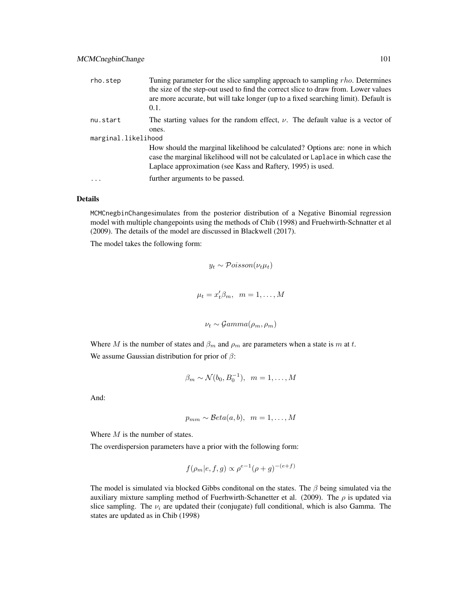| rho.step            | Tuning parameter for the slice sampling approach to sampling rho. Determines<br>the size of the step-out used to find the correct slice to draw from. Lower values<br>are more accurate, but will take longer (up to a fixed searching limit). Default is<br>0.1. |
|---------------------|-------------------------------------------------------------------------------------------------------------------------------------------------------------------------------------------------------------------------------------------------------------------|
| nu.start            | The starting values for the random effect, $\nu$ . The default value is a vector of                                                                                                                                                                               |
|                     | ones.                                                                                                                                                                                                                                                             |
| marginal.likelihood |                                                                                                                                                                                                                                                                   |
|                     | How should the marginal likelihood be calculated? Options are: none in which<br>case the marginal likelihood will not be calculated or Laplace in which case the<br>Laplace approximation (see Kass and Raftery, 1995) is used.                                   |
| $\cdot$             | further arguments to be passed.                                                                                                                                                                                                                                   |

MCMCnegbinChangesimulates from the posterior distribution of a Negative Binomial regression model with multiple changepoints using the methods of Chib (1998) and Fruehwirth-Schnatter et al (2009). The details of the model are discussed in Blackwell (2017).

The model takes the following form:

$$
y_t \sim \mathcal{Poisson}(\nu_t \mu_t)
$$
  

$$
\mu_t = x_t' \beta_m, \quad m = 1, ..., M
$$
  

$$
\nu_t \sim \mathcal{G}amma(\rho_m, \rho_m)
$$

Where M is the number of states and  $\beta_m$  and  $\rho_m$  are parameters when a state is m at t. We assume Gaussian distribution for prior of  $\beta$ :

$$
\beta_m \sim \mathcal{N}(b_0, B_0^{-1}), \quad m = 1, \dots, M
$$

And:

$$
p_{mm} \sim \mathcal{B}eta(a, b), \ \ m = 1, \dots, M
$$

Where  $M$  is the number of states.

The overdispersion parameters have a prior with the following form:

$$
f(\rho_m|e, f, g) \propto \rho^{e-1}(\rho + g)^{-(e+f)}
$$

The model is simulated via blocked Gibbs conditional on the states. The  $\beta$  being simulated via the auxiliary mixture sampling method of Fuerhwirth-Schanetter et al. (2009). The  $\rho$  is updated via slice sampling. The  $\nu_i$  are updated their (conjugate) full conditional, which is also Gamma. The states are updated as in Chib (1998)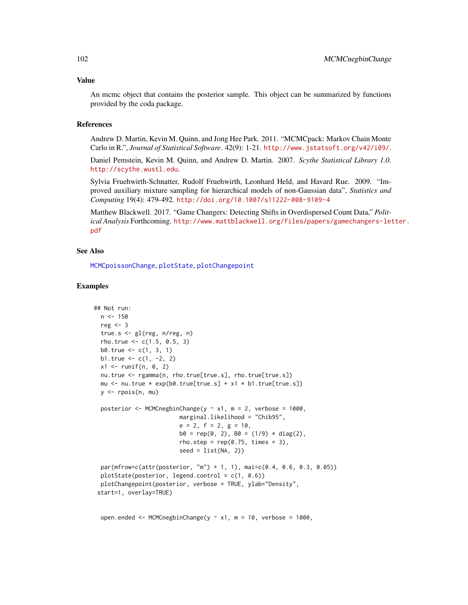#### Value

An mcmc object that contains the posterior sample. This object can be summarized by functions provided by the coda package.

#### **References**

Andrew D. Martin, Kevin M. Quinn, and Jong Hee Park. 2011. "MCMCpack: Markov Chain Monte Carlo in R.", *Journal of Statistical Software*. 42(9): 1-21. <http://www.jstatsoft.org/v42/i09/>.

Daniel Pemstein, Kevin M. Quinn, and Andrew D. Martin. 2007. *Scythe Statistical Library 1.0.* <http://scythe.wustl.edu>.

Sylvia Fruehwirth-Schnatter, Rudolf Fruehwirth, Leonhard Held, and Havard Rue. 2009. "Improved auxiliary mixture sampling for hierarchical models of non-Gaussian data", *Statistics and Computing* 19(4): 479-492. <http://doi.org/10.1007/s11222-008-9109-4>

Matthew Blackwell. 2017. "Game Changers: Detecting Shifts in Overdispersed Count Data," *Political Analysis* Forthcoming. [http://www.mattblackwell.org/files/papers/gamechangers-let](http://www.mattblackwell.org/files/papers/gamechangers-letter.pdf)ter. [pdf](http://www.mattblackwell.org/files/papers/gamechangers-letter.pdf)

# See Also

[MCMCpoissonChange](#page-114-0), [plotState](#page-151-0), [plotChangepoint](#page-150-0)

#### Examples

```
## Not run:
 n < -150reg <-3true.s <- gl(reg, n/reg, n)
 rho.true <-c(1.5, 0.5, 3)b0.true <- c(1, 3, 1)b1.true <-c(1, -2, 2)x1 \leftarrow runif(n, 0, 2)nu.true <- rgamma(n, rho.true[true.s], rho.true[true.s])
 mu \le nu.true * exp(b0.true[true.s] + x1 * b1.true[true.s])
 y <- rpois(n, mu)
 posterior <- MCMCnegbinChange(y \sim x1, m = 2, verbose = 1000,
                         marginal.likelihood = "Chib95",
                         e = 2, f = 2, g = 10,
                         b0 = rep(0, 2), B0 = (1/9) * diag(2),rho.step = rep(0.75, times = 3),
                         seed = list(NA, 2)par(mfrow=c(attr(posterior, "m") + 1, 1), mai=c(0.4, 0.6, 0.3, 0.05))
 plotState(posterior, legend.control = c(1, 0.6))
 plotChangepoint(posterior, verbose = TRUE, ylab="Density",
start=1, overlay=TRUE)
```
open.ended <- MCMCnegbinChange( $y \sim x1$ , m = 10, verbose = 1000,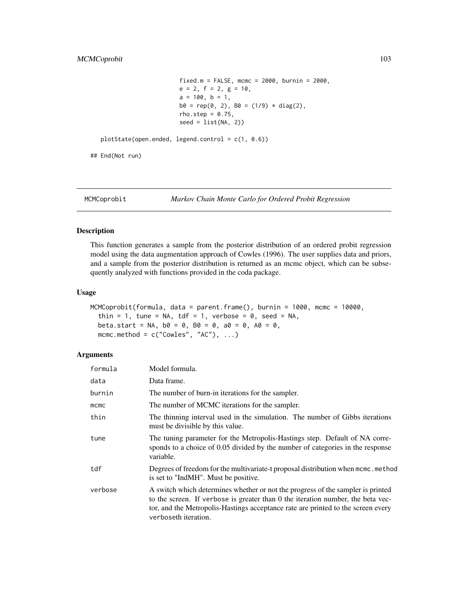```
fixed.m = FALSE, mcmc = 2000, burnin = 2000,e = 2, f = 2, g = 10,a = 100, b = 1,b0 = rep(0, 2), B0 = (1/9) * diag(2),rho.step = 0.75,
seed = list(NA, 2))
```

```
plotState(open.ended, legend.control = c(1, 0.6))
```
## End(Not run)

MCMCoprobit *Markov Chain Monte Carlo for Ordered Probit Regression*

# Description

This function generates a sample from the posterior distribution of an ordered probit regression model using the data augmentation approach of Cowles (1996). The user supplies data and priors, and a sample from the posterior distribution is returned as an mcmc object, which can be subsequently analyzed with functions provided in the coda package.

### Usage

```
MCMCoprobit(formula, data = parent.frame(), burnin = 1000, mcmc = 10000,
  thin = 1, tune = NA, tdf = 1, verbose = \theta, seed = NA,
 beta.start = NA, b0 = 0, b0 = 0, a0 = 0, A0 = 0,
  mcmc.method = c("Cowles", "AC"), ...
```

| formula | Model formula.                                                                                                                                                                                                                                                                 |
|---------|--------------------------------------------------------------------------------------------------------------------------------------------------------------------------------------------------------------------------------------------------------------------------------|
| data    | Data frame.                                                                                                                                                                                                                                                                    |
| burnin  | The number of burn-in iterations for the sampler.                                                                                                                                                                                                                              |
| mcmc    | The number of MCMC iterations for the sampler.                                                                                                                                                                                                                                 |
| thin    | The thinning interval used in the simulation. The number of Gibbs iterations<br>must be divisible by this value.                                                                                                                                                               |
| tune    | The tuning parameter for the Metropolis-Hastings step. Default of NA corre-<br>sponds to a choice of 0.05 divided by the number of categories in the response<br>variable.                                                                                                     |
| tdf     | Degrees of freedom for the multivariate-t proposal distribution when mcmc.method<br>is set to "IndMH". Must be positive.                                                                                                                                                       |
| verbose | A switch which determines whether or not the progress of the sampler is printed<br>to the screen. If verbose is greater than 0 the iteration number, the beta vec-<br>tor, and the Metropolis-Hastings acceptance rate are printed to the screen every<br>verboseth iteration. |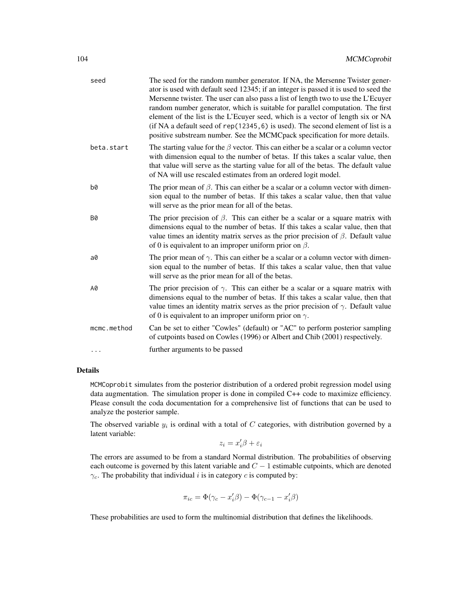| seed        | The seed for the random number generator. If NA, the Mersenne Twister gener-<br>ator is used with default seed 12345; if an integer is passed it is used to seed the<br>Mersenne twister. The user can also pass a list of length two to use the L'Ecuyer<br>random number generator, which is suitable for parallel computation. The first<br>element of the list is the L'Ecuyer seed, which is a vector of length six or NA<br>(if NA a default seed of $rep(12345, 6)$ is used). The second element of list is a<br>positive substream number. See the MCMCpack specification for more details. |
|-------------|-----------------------------------------------------------------------------------------------------------------------------------------------------------------------------------------------------------------------------------------------------------------------------------------------------------------------------------------------------------------------------------------------------------------------------------------------------------------------------------------------------------------------------------------------------------------------------------------------------|
| beta.start  | The starting value for the $\beta$ vector. This can either be a scalar or a column vector<br>with dimension equal to the number of betas. If this takes a scalar value, then<br>that value will serve as the starting value for all of the betas. The default value<br>of NA will use rescaled estimates from an ordered logit model.                                                                                                                                                                                                                                                               |
| b0          | The prior mean of $\beta$ . This can either be a scalar or a column vector with dimen-<br>sion equal to the number of betas. If this takes a scalar value, then that value<br>will serve as the prior mean for all of the betas.                                                                                                                                                                                                                                                                                                                                                                    |
| <b>B0</b>   | The prior precision of $\beta$ . This can either be a scalar or a square matrix with<br>dimensions equal to the number of betas. If this takes a scalar value, then that<br>value times an identity matrix serves as the prior precision of $\beta$ . Default value<br>of 0 is equivalent to an improper uniform prior on $\beta$ .                                                                                                                                                                                                                                                                 |
| $a\theta$   | The prior mean of $\gamma$ . This can either be a scalar or a column vector with dimen-<br>sion equal to the number of betas. If this takes a scalar value, then that value<br>will serve as the prior mean for all of the betas.                                                                                                                                                                                                                                                                                                                                                                   |
| A0          | The prior precision of $\gamma$ . This can either be a scalar or a square matrix with<br>dimensions equal to the number of betas. If this takes a scalar value, then that<br>value times an identity matrix serves as the prior precision of $\gamma$ . Default value<br>of 0 is equivalent to an improper uniform prior on $\gamma$ .                                                                                                                                                                                                                                                              |
| mcmc.method | Can be set to either "Cowles" (default) or "AC" to perform posterior sampling<br>of cutpoints based on Cowles (1996) or Albert and Chib (2001) respectively.                                                                                                                                                                                                                                                                                                                                                                                                                                        |
| $\cdots$    | further arguments to be passed                                                                                                                                                                                                                                                                                                                                                                                                                                                                                                                                                                      |

MCMCoprobit simulates from the posterior distribution of a ordered probit regression model using data augmentation. The simulation proper is done in compiled C++ code to maximize efficiency. Please consult the coda documentation for a comprehensive list of functions that can be used to analyze the posterior sample.

The observed variable  $y_i$  is ordinal with a total of C categories, with distribution governed by a latent variable:

$$
z_i=x_i'\beta+\varepsilon_i
$$

The errors are assumed to be from a standard Normal distribution. The probabilities of observing each outcome is governed by this latent variable and  $C - 1$  estimable cutpoints, which are denoted  $\gamma_c$ . The probability that individual *i* is in category *c* is computed by:

$$
\pi_{ic} = \Phi(\gamma_c - x_i'\beta) - \Phi(\gamma_{c-1} - x_i'\beta)
$$

These probabilities are used to form the multinomial distribution that defines the likelihoods.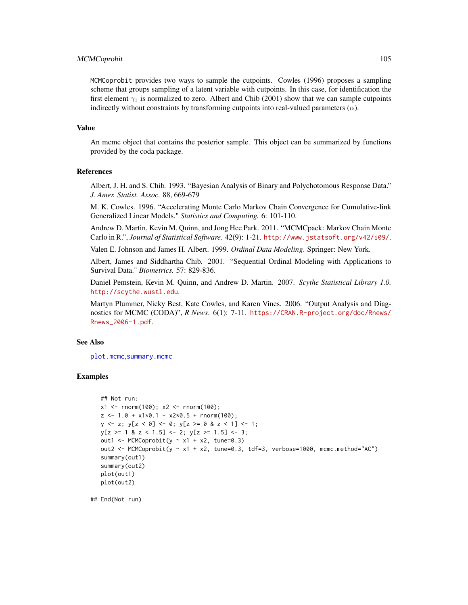# MCMCoprobit 105

MCMCoprobit provides two ways to sample the cutpoints. Cowles (1996) proposes a sampling scheme that groups sampling of a latent variable with cutpoints. In this case, for identification the first element  $\gamma_1$  is normalized to zero. Albert and Chib (2001) show that we can sample cutpoints indirectly without constraints by transforming cutpoints into real-valued parameters  $(\alpha)$ .

#### Value

An mcmc object that contains the posterior sample. This object can be summarized by functions provided by the coda package.

#### References

Albert, J. H. and S. Chib. 1993. "Bayesian Analysis of Binary and Polychotomous Response Data." *J. Amer. Statist. Assoc.* 88, 669-679

M. K. Cowles. 1996. "Accelerating Monte Carlo Markov Chain Convergence for Cumulative-link Generalized Linear Models." *Statistics and Computing.* 6: 101-110.

Andrew D. Martin, Kevin M. Quinn, and Jong Hee Park. 2011. "MCMCpack: Markov Chain Monte Carlo in R.", *Journal of Statistical Software*. 42(9): 1-21. <http://www.jstatsoft.org/v42/i09/>.

Valen E. Johnson and James H. Albert. 1999. *Ordinal Data Modeling*. Springer: New York.

Albert, James and Siddhartha Chib. 2001. "Sequential Ordinal Modeling with Applications to Survival Data." *Biometrics.* 57: 829-836.

Daniel Pemstein, Kevin M. Quinn, and Andrew D. Martin. 2007. *Scythe Statistical Library 1.0.* <http://scythe.wustl.edu>.

Martyn Plummer, Nicky Best, Kate Cowles, and Karen Vines. 2006. "Output Analysis and Diagnostics for MCMC (CODA)", *R News*. 6(1): 7-11. [https://CRAN.R-project.org/doc/Rnews/](https://CRAN.R-project.org/doc/Rnews/Rnews_2006-1.pdf) [Rnews\\_2006-1.pdf](https://CRAN.R-project.org/doc/Rnews/Rnews_2006-1.pdf).

#### See Also

[plot.mcmc](#page-0-0),[summary.mcmc](#page-0-0)

#### Examples

```
## Not run:
x1 \le - rnorm(100); x2 \le - rnorm(100);
z \le -1.0 + x1*0.1 - x2*0.5 + \text{norm}(100);y \leftarrow z; y[z \leftarrow \emptyset] \leftarrow \emptyset; y[z \leftarrow \emptyset \& z \leftarrow 1] \leftarrow 1;
y[z \ge 1 \& z < 1.5] \le 2; y[z \ge 1.5] \le 3;
out1 <- MCMCoprobit(y \sim x1 + x2, tune=0.3)
out2 <- MCMCoprobit(y \sim x1 + x2, tune=0.3, tdf=3, verbose=1000, mcmc.method="AC")
summary(out1)
summary(out2)
plot(out1)
plot(out2)
```
## End(Not run)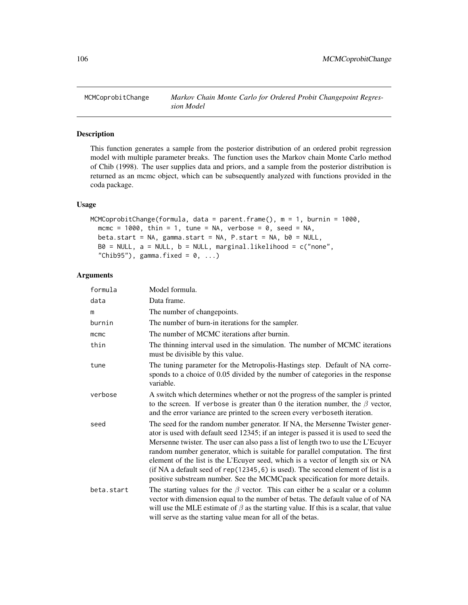# Description

This function generates a sample from the posterior distribution of an ordered probit regression model with multiple parameter breaks. The function uses the Markov chain Monte Carlo method of Chib (1998). The user supplies data and priors, and a sample from the posterior distribution is returned as an mcmc object, which can be subsequently analyzed with functions provided in the coda package.

# Usage

```
MCMCoprobitChange(formula, data = parent.frame(), m = 1, burnin = 1000,
 mcmc = 1000, thin = 1, tune = NA, verbose = 0, seed = NA,
 beta.start = NA, gamma.start = NA, P.start = NA, b0 = NULL,
 B0 = NULL, a = NULL, b = NULL, marginal.likelihood = c("none",
  "Chib95"), gamma.fixed = 0, ...
```

| formula     | Model formula.                                                                                                                                                                                                                                                                                                                                                                                                                                                                                                                                                                                      |
|-------------|-----------------------------------------------------------------------------------------------------------------------------------------------------------------------------------------------------------------------------------------------------------------------------------------------------------------------------------------------------------------------------------------------------------------------------------------------------------------------------------------------------------------------------------------------------------------------------------------------------|
| data        | Data frame.                                                                                                                                                                                                                                                                                                                                                                                                                                                                                                                                                                                         |
| m           | The number of changepoints.                                                                                                                                                                                                                                                                                                                                                                                                                                                                                                                                                                         |
| burnin      | The number of burn-in iterations for the sampler.                                                                                                                                                                                                                                                                                                                                                                                                                                                                                                                                                   |
| $m$ c $m$ c | The number of MCMC iterations after burnin.                                                                                                                                                                                                                                                                                                                                                                                                                                                                                                                                                         |
| thin        | The thinning interval used in the simulation. The number of MCMC iterations<br>must be divisible by this value.                                                                                                                                                                                                                                                                                                                                                                                                                                                                                     |
| tune        | The tuning parameter for the Metropolis-Hastings step. Default of NA corre-<br>sponds to a choice of 0.05 divided by the number of categories in the response<br>variable.                                                                                                                                                                                                                                                                                                                                                                                                                          |
| verbose     | A switch which determines whether or not the progress of the sampler is printed<br>to the screen. If verbose is greater than 0 the iteration number, the $\beta$ vector,<br>and the error variance are printed to the screen every verboseth iteration.                                                                                                                                                                                                                                                                                                                                             |
| seed        | The seed for the random number generator. If NA, the Mersenne Twister gener-<br>ator is used with default seed 12345; if an integer is passed it is used to seed the<br>Mersenne twister. The user can also pass a list of length two to use the L'Ecuyer<br>random number generator, which is suitable for parallel computation. The first<br>element of the list is the L'Ecuyer seed, which is a vector of length six or NA<br>(if NA a default seed of $rep(12345, 6)$ is used). The second element of list is a<br>positive substream number. See the MCMCpack specification for more details. |
| beta.start  | The starting values for the $\beta$ vector. This can either be a scalar or a column<br>vector with dimension equal to the number of betas. The default value of of NA<br>will use the MLE estimate of $\beta$ as the starting value. If this is a scalar, that value<br>will serve as the starting value mean for all of the betas.                                                                                                                                                                                                                                                                 |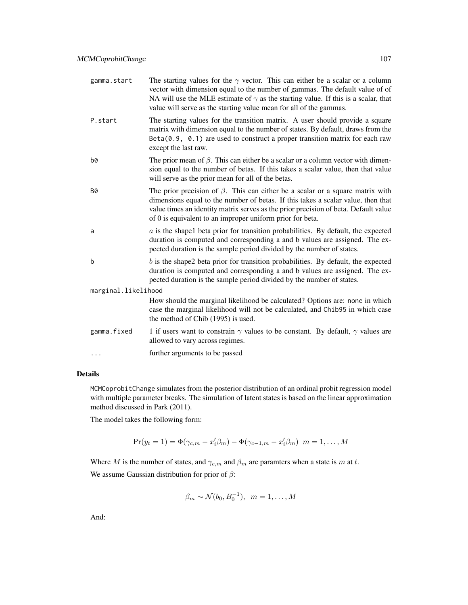| gamma.start         | The starting values for the $\gamma$ vector. This can either be a scalar or a column<br>vector with dimension equal to the number of gammas. The default value of of<br>NA will use the MLE estimate of $\gamma$ as the starting value. If this is a scalar, that<br>value will serve as the starting value mean for all of the gammas. |
|---------------------|-----------------------------------------------------------------------------------------------------------------------------------------------------------------------------------------------------------------------------------------------------------------------------------------------------------------------------------------|
| P.start             | The starting values for the transition matrix. A user should provide a square<br>matrix with dimension equal to the number of states. By default, draws from the<br>$Beta(0.9, 0.1)$ are used to construct a proper transition matrix for each raw<br>except the last raw.                                                              |
| b0                  | The prior mean of $\beta$ . This can either be a scalar or a column vector with dimen-<br>sion equal to the number of betas. If this takes a scalar value, then that value<br>will serve as the prior mean for all of the betas.                                                                                                        |
| <b>B0</b>           | The prior precision of $\beta$ . This can either be a scalar or a square matrix with<br>dimensions equal to the number of betas. If this takes a scalar value, then that<br>value times an identity matrix serves as the prior precision of beta. Default value<br>of 0 is equivalent to an improper uniform prior for beta.            |
| a                   | $a$ is the shapel beta prior for transition probabilities. By default, the expected<br>duration is computed and corresponding a and b values are assigned. The ex-<br>pected duration is the sample period divided by the number of states.                                                                                             |
| b                   | $b$ is the shape2 beta prior for transition probabilities. By default, the expected<br>duration is computed and corresponding a and b values are assigned. The ex-<br>pected duration is the sample period divided by the number of states.                                                                                             |
| marginal.likelihood |                                                                                                                                                                                                                                                                                                                                         |
|                     | How should the marginal likelihood be calculated? Options are: none in which<br>case the marginal likelihood will not be calculated, and Chib95 in which case<br>the method of Chib (1995) is used.                                                                                                                                     |
| gamma.fixed         | 1 if users want to constrain $\gamma$ values to be constant. By default, $\gamma$ values are<br>allowed to vary across regimes.                                                                                                                                                                                                         |
| .                   | further arguments to be passed                                                                                                                                                                                                                                                                                                          |
|                     |                                                                                                                                                                                                                                                                                                                                         |

MCMCoprobitChange simulates from the posterior distribution of an ordinal probit regression model with multiple parameter breaks. The simulation of latent states is based on the linear approximation method discussed in Park (2011).

The model takes the following form:

$$
Pr(y_t = 1) = \Phi(\gamma_{c,m} - x'_i \beta_m) - \Phi(\gamma_{c-1,m} - x'_i \beta_m) \ \ m = 1, ..., M
$$

Where M is the number of states, and  $\gamma_{c,m}$  and  $\beta_m$  are paramters when a state is m at t. We assume Gaussian distribution for prior of  $\beta$ :

$$
\beta_m \sim \mathcal{N}(b_0, B_0^{-1}), \ \ m = 1, \dots, M
$$

And: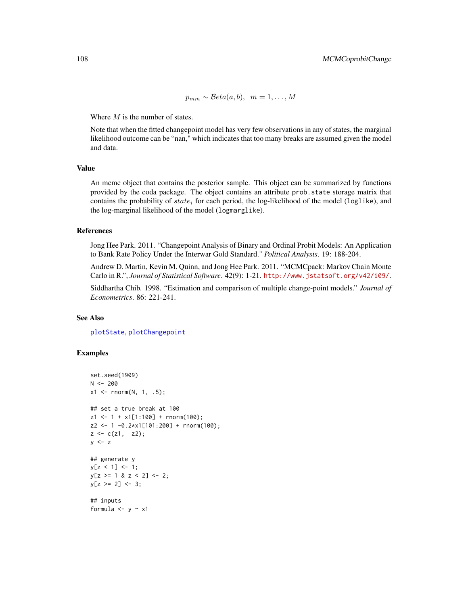$p_{mm} \sim \mathcal{B}eta(a, b), \ \ m = 1, \ldots, M$ 

Where  $M$  is the number of states.

Note that when the fitted changepoint model has very few observations in any of states, the marginal likelihood outcome can be "nan," which indicates that too many breaks are assumed given the model and data.

# Value

An mcmc object that contains the posterior sample. This object can be summarized by functions provided by the coda package. The object contains an attribute prob.state storage matrix that contains the probability of  $state_i$  for each period, the log-likelihood of the model (log1ike), and the log-marginal likelihood of the model (logmarglike).

# References

Jong Hee Park. 2011. "Changepoint Analysis of Binary and Ordinal Probit Models: An Application to Bank Rate Policy Under the Interwar Gold Standard." *Political Analysis*. 19: 188-204.

Andrew D. Martin, Kevin M. Quinn, and Jong Hee Park. 2011. "MCMCpack: Markov Chain Monte Carlo in R.", *Journal of Statistical Software*. 42(9): 1-21. <http://www.jstatsoft.org/v42/i09/>.

Siddhartha Chib. 1998. "Estimation and comparison of multiple change-point models." *Journal of Econometrics*. 86: 221-241.

### See Also

[plotState](#page-151-0), [plotChangepoint](#page-150-0)

#### Examples

```
set.seed(1909)
N < -200x1 \le rnorm(N, 1, .5);
## set a true break at 100
z1 \le -1 + x1[1:100] + \text{rnorm}(100);z2 <- 1 -0.2*x1[101:200] + rnorm(100);
z \leq c(z1, z2);y \leq z## generate y
y[z < 1] <- 1;
y[z \ge 1 \& z < 2] \le 2;y[z \ge 2] <- 3;
## inputs
formula <-y \sim x1
```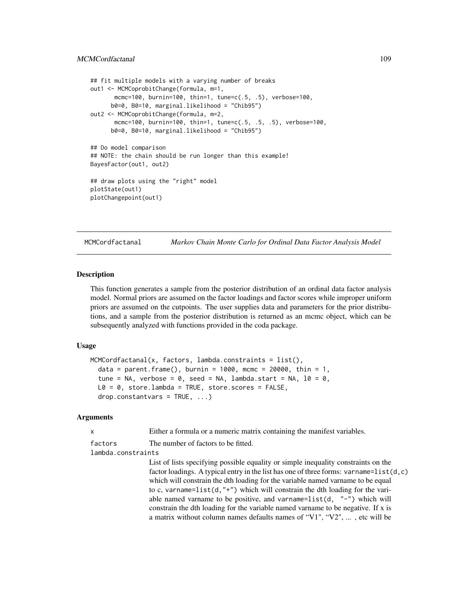```
## fit multiple models with a varying number of breaks
out1 <- MCMCoprobitChange(formula, m=1,
      mcmc=100, burnin=100, thin=1, tune=c(.5, .5), verbose=100,
      b0=0, B0=10, marginal.likelihood = "Chib95")
out2 <- MCMCoprobitChange(formula, m=2,
      mcmc=100, burnin=100, thin=1, tune=c(.5, .5, .5), verbose=100,
     b0=0, B0=10, marginal.likelihood = "Chib95")
## Do model comparison
## NOTE: the chain should be run longer than this example!
BayesFactor(out1, out2)
## draw plots using the "right" model
plotState(out1)
plotChangepoint(out1)
```
MCMCordfactanal *Markov Chain Monte Carlo for Ordinal Data Factor Analysis Model*

#### Description

This function generates a sample from the posterior distribution of an ordinal data factor analysis model. Normal priors are assumed on the factor loadings and factor scores while improper uniform priors are assumed on the cutpoints. The user supplies data and parameters for the prior distributions, and a sample from the posterior distribution is returned as an mcmc object, which can be subsequently analyzed with functions provided in the coda package.

#### Usage

```
MCMCordfactanal(x, factors, lambda.constraints = list(),
  data = parent.frame(), burnin = 1000, mcmc = 20000, thin = 1,
  tune = NA, verbose = 0, seed = NA, lambda.start = NA, 10 = 0,
 L0 = 0, store.lambda = TRUE, store.scores = FALSE,
  drop. constantvars = TRUE, ...
```
#### Arguments

x Either a formula or a numeric matrix containing the manifest variables.

factors The number of factors to be fitted.

# lambda.constraints

List of lists specifying possible equality or simple inequality constraints on the factor loadings. A typical entry in the list has one of three forms: varname=list( $d, c$ ) which will constrain the dth loading for the variable named varname to be equal to c, varname=list(d,"+") which will constrain the dth loading for the variable named varname to be positive, and varname=list(d,  $"$ -") which will constrain the dth loading for the variable named varname to be negative. If x is a matrix without column names defaults names of "V1", "V2", ... , etc will be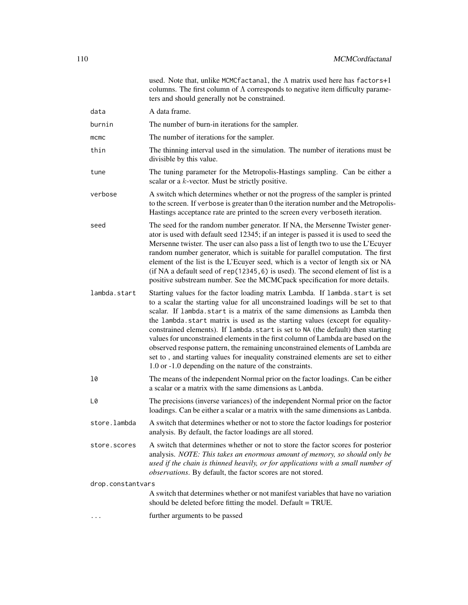|                   | used. Note that, unlike MCMCfactanal, the $\Lambda$ matrix used here has factors+1<br>columns. The first column of $\Lambda$ corresponds to negative item difficulty parame-<br>ters and should generally not be constrained.                                                                                                                                                                                                                                                                                                                                                                                                                                                                                                          |
|-------------------|----------------------------------------------------------------------------------------------------------------------------------------------------------------------------------------------------------------------------------------------------------------------------------------------------------------------------------------------------------------------------------------------------------------------------------------------------------------------------------------------------------------------------------------------------------------------------------------------------------------------------------------------------------------------------------------------------------------------------------------|
| data              | A data frame.                                                                                                                                                                                                                                                                                                                                                                                                                                                                                                                                                                                                                                                                                                                          |
| burnin            | The number of burn-in iterations for the sampler.                                                                                                                                                                                                                                                                                                                                                                                                                                                                                                                                                                                                                                                                                      |
| $m$ $cm$ $c$      | The number of iterations for the sampler.                                                                                                                                                                                                                                                                                                                                                                                                                                                                                                                                                                                                                                                                                              |
| thin              | The thinning interval used in the simulation. The number of iterations must be<br>divisible by this value.                                                                                                                                                                                                                                                                                                                                                                                                                                                                                                                                                                                                                             |
| tune              | The tuning parameter for the Metropolis-Hastings sampling. Can be either a<br>scalar or a $k$ -vector. Must be strictly positive.                                                                                                                                                                                                                                                                                                                                                                                                                                                                                                                                                                                                      |
| verbose           | A switch which determines whether or not the progress of the sampler is printed<br>to the screen. If verbose is greater than 0 the iteration number and the Metropolis-<br>Hastings acceptance rate are printed to the screen every verboseth iteration.                                                                                                                                                                                                                                                                                                                                                                                                                                                                               |
| seed              | The seed for the random number generator. If NA, the Mersenne Twister gener-<br>ator is used with default seed 12345; if an integer is passed it is used to seed the<br>Mersenne twister. The user can also pass a list of length two to use the L'Ecuyer<br>random number generator, which is suitable for parallel computation. The first<br>element of the list is the L'Ecuyer seed, which is a vector of length six or NA<br>(if NA a default seed of rep(12345, 6) is used). The second element of list is a<br>positive substream number. See the MCMCpack specification for more details.                                                                                                                                      |
| lambda.start      | Starting values for the factor loading matrix Lambda. If lambda.start is set<br>to a scalar the starting value for all unconstrained loadings will be set to that<br>scalar. If lambda start is a matrix of the same dimensions as Lambda then<br>the lambda.start matrix is used as the starting values (except for equality-<br>constrained elements). If lambda.start is set to NA (the default) then starting<br>values for unconstrained elements in the first column of Lambda are based on the<br>observed response pattern, the remaining unconstrained elements of Lambda are<br>set to, and starting values for inequality constrained elements are set to either<br>1.0 or -1.0 depending on the nature of the constraints. |
| 10                | The means of the independent Normal prior on the factor loadings. Can be either<br>a scalar or a matrix with the same dimensions as Lambda.                                                                                                                                                                                                                                                                                                                                                                                                                                                                                                                                                                                            |
| L0                | The precisions (inverse variances) of the independent Normal prior on the factor<br>loadings. Can be either a scalar or a matrix with the same dimensions as Lambda.                                                                                                                                                                                                                                                                                                                                                                                                                                                                                                                                                                   |
| store.lambda      | A switch that determines whether or not to store the factor loadings for posterior<br>analysis. By default, the factor loadings are all stored.                                                                                                                                                                                                                                                                                                                                                                                                                                                                                                                                                                                        |
| store.scores      | A switch that determines whether or not to store the factor scores for posterior<br>analysis. NOTE: This takes an enormous amount of memory, so should only be<br>used if the chain is thinned heavily, or for applications with a small number of<br>observations. By default, the factor scores are not stored.                                                                                                                                                                                                                                                                                                                                                                                                                      |
| drop.constantvars |                                                                                                                                                                                                                                                                                                                                                                                                                                                                                                                                                                                                                                                                                                                                        |
|                   | A switch that determines whether or not manifest variables that have no variation<br>should be deleted before fitting the model. Default = TRUE.                                                                                                                                                                                                                                                                                                                                                                                                                                                                                                                                                                                       |
|                   | further arguments to be passed                                                                                                                                                                                                                                                                                                                                                                                                                                                                                                                                                                                                                                                                                                         |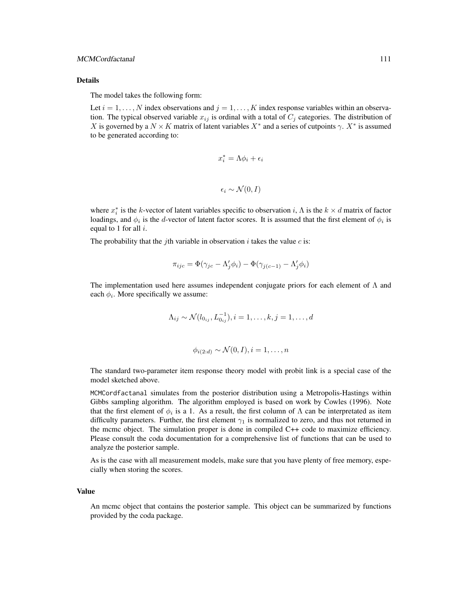#### MCMCordfactanal 111

#### Details

The model takes the following form:

Let  $i = 1, ..., N$  index observations and  $j = 1, ..., K$  index response variables within an observation. The typical observed variable  $x_{ij}$  is ordinal with a total of  $C_j$  categories. The distribution of X is governed by a  $N \times K$  matrix of latent variables  $X^*$  and a series of cutpoints  $\gamma$ .  $X^*$  is assumed to be generated according to:

$$
x_i^* = \Lambda \phi_i + \epsilon_i
$$

$$
\epsilon_i \sim \mathcal{N}(0, I)
$$

where  $x_i^*$  is the k-vector of latent variables specific to observation i,  $\Lambda$  is the  $k \times d$  matrix of factor loadings, and  $\phi_i$  is the *d*-vector of latent factor scores. It is assumed that the first element of  $\phi_i$  is equal to 1 for all  $i$ .

The probability that the *j*th variable in observation *i* takes the value *c* is:

$$
\pi_{ijc} = \Phi(\gamma_{jc} - \Lambda'_j \phi_i) - \Phi(\gamma_{j(c-1)} - \Lambda'_j \phi_i)
$$

The implementation used here assumes independent conjugate priors for each element of  $\Lambda$  and each  $\phi_i$ . More specifically we assume:

$$
\Lambda_{ij} \sim \mathcal{N}(l_{0_{ij}}, L_{0_{ij}}^{-1}), i = 1, \dots, k, j = 1, \dots, d
$$

$$
\phi_{i(2:d)} \sim \mathcal{N}(0, I), i = 1, \dots, n
$$

The standard two-parameter item response theory model with probit link is a special case of the model sketched above.

MCMCordfactanal simulates from the posterior distribution using a Metropolis-Hastings within Gibbs sampling algorithm. The algorithm employed is based on work by Cowles (1996). Note that the first element of  $\phi_i$  is a 1. As a result, the first column of  $\Lambda$  can be interpretated as item difficulty parameters. Further, the first element  $\gamma_1$  is normalized to zero, and thus not returned in the mcmc object. The simulation proper is done in compiled C++ code to maximize efficiency. Please consult the coda documentation for a comprehensive list of functions that can be used to analyze the posterior sample.

As is the case with all measurement models, make sure that you have plenty of free memory, especially when storing the scores.

#### Value

An mcmc object that contains the posterior sample. This object can be summarized by functions provided by the coda package.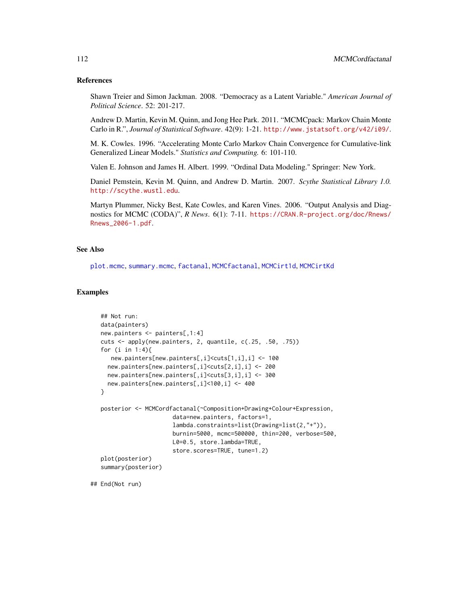#### References

Shawn Treier and Simon Jackman. 2008. "Democracy as a Latent Variable." *American Journal of Political Science*. 52: 201-217.

Andrew D. Martin, Kevin M. Quinn, and Jong Hee Park. 2011. "MCMCpack: Markov Chain Monte Carlo in R.", *Journal of Statistical Software*. 42(9): 1-21. <http://www.jstatsoft.org/v42/i09/>.

M. K. Cowles. 1996. "Accelerating Monte Carlo Markov Chain Convergence for Cumulative-link Generalized Linear Models." *Statistics and Computing.* 6: 101-110.

Valen E. Johnson and James H. Albert. 1999. "Ordinal Data Modeling." Springer: New York.

Daniel Pemstein, Kevin M. Quinn, and Andrew D. Martin. 2007. *Scythe Statistical Library 1.0.* <http://scythe.wustl.edu>.

Martyn Plummer, Nicky Best, Kate Cowles, and Karen Vines. 2006. "Output Analysis and Diagnostics for MCMC (CODA)", *R News*. 6(1): 7-11. [https://CRAN.R-project.org/doc/Rnews/](https://CRAN.R-project.org/doc/Rnews/Rnews_2006-1.pdf) [Rnews\\_2006-1.pdf](https://CRAN.R-project.org/doc/Rnews/Rnews_2006-1.pdf).

## See Also

[plot.mcmc](#page-0-0), [summary.mcmc](#page-0-0), [factanal](#page-0-0), [MCMCfactanal](#page-41-0), [MCMCirt1d](#page-61-0), [MCMCirtKd](#page-69-0)

## Examples

```
## Not run:
data(painters)
new.painters <- painters[,1:4]
cuts <- apply(new.painters, 2, quantile, c(.25, .50, .75))
for (i in 1:4){
   new.painters[new.painters[,i]<cuts[1,i],i] <- 100
  new.painters[new.painters[,i]<cuts[2,i],i] <- 200
  new.painters[new.painters[,i]<cuts[3,i],i] <- 300
  new.painters[new.painters[,i]<100,i] <- 400
}
posterior <- MCMCordfactanal(~Composition+Drawing+Colour+Expression,
                     data=new.painters, factors=1,
                     lambda.constraints=list(Drawing=list(2,"+")),
                     burnin=5000, mcmc=500000, thin=200, verbose=500,
                     L0=0.5, store.lambda=TRUE,
                     store.scores=TRUE, tune=1.2)
plot(posterior)
summary(posterior)
```
## End(Not run)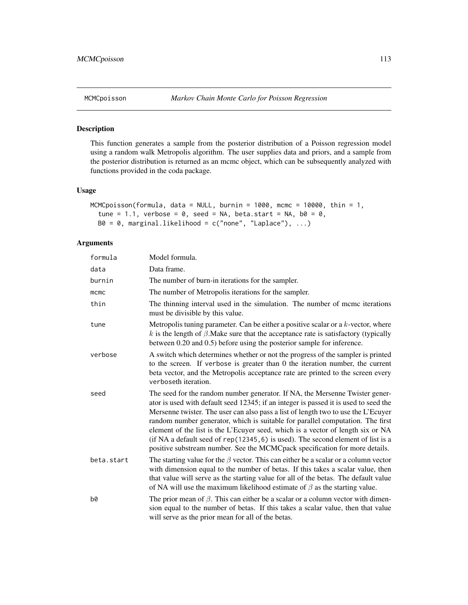## Description

This function generates a sample from the posterior distribution of a Poisson regression model using a random walk Metropolis algorithm. The user supplies data and priors, and a sample from the posterior distribution is returned as an mcmc object, which can be subsequently analyzed with functions provided in the coda package.

# Usage

```
MCMCpoisson(formula, data = NULL, burnin = 1000, mcmc = 10000, thin = 1,
  tune = 1.1, verbose = 0, seed = NA, beta.start = NA, b0 = 0,
 B0 = 0, marginal.likelihood = c("none", "Laplace"), ...)
```

| formula    | Model formula.                                                                                                                                                                                                                                                                                                                                                                                                                                                                                                                                                                                    |
|------------|---------------------------------------------------------------------------------------------------------------------------------------------------------------------------------------------------------------------------------------------------------------------------------------------------------------------------------------------------------------------------------------------------------------------------------------------------------------------------------------------------------------------------------------------------------------------------------------------------|
| data       | Data frame.                                                                                                                                                                                                                                                                                                                                                                                                                                                                                                                                                                                       |
| burnin     | The number of burn-in iterations for the sampler.                                                                                                                                                                                                                                                                                                                                                                                                                                                                                                                                                 |
| mcmc       | The number of Metropolis iterations for the sampler.                                                                                                                                                                                                                                                                                                                                                                                                                                                                                                                                              |
| thin       | The thinning interval used in the simulation. The number of mcmc iterations<br>must be divisible by this value.                                                                                                                                                                                                                                                                                                                                                                                                                                                                                   |
| tune       | Metropolis tuning parameter. Can be either a positive scalar or a $k$ -vector, where<br>k is the length of $\beta$ . Make sure that the acceptance rate is satisfactory (typically<br>between 0.20 and 0.5) before using the posterior sample for inference.                                                                                                                                                                                                                                                                                                                                      |
| verbose    | A switch which determines whether or not the progress of the sampler is printed<br>to the screen. If verbose is greater than 0 the iteration number, the current<br>beta vector, and the Metropolis acceptance rate are printed to the screen every<br>verboseth iteration.                                                                                                                                                                                                                                                                                                                       |
| seed       | The seed for the random number generator. If NA, the Mersenne Twister gener-<br>ator is used with default seed 12345; if an integer is passed it is used to seed the<br>Mersenne twister. The user can also pass a list of length two to use the L'Ecuyer<br>random number generator, which is suitable for parallel computation. The first<br>element of the list is the L'Ecuyer seed, which is a vector of length six or NA<br>(if NA a default seed of rep(12345, 6) is used). The second element of list is a<br>positive substream number. See the MCMCpack specification for more details. |
| beta.start | The starting value for the $\beta$ vector. This can either be a scalar or a column vector<br>with dimension equal to the number of betas. If this takes a scalar value, then<br>that value will serve as the starting value for all of the betas. The default value<br>of NA will use the maximum likelihood estimate of $\beta$ as the starting value.                                                                                                                                                                                                                                           |
| b0         | The prior mean of $\beta$ . This can either be a scalar or a column vector with dimen-<br>sion equal to the number of betas. If this takes a scalar value, then that value<br>will serve as the prior mean for all of the betas.                                                                                                                                                                                                                                                                                                                                                                  |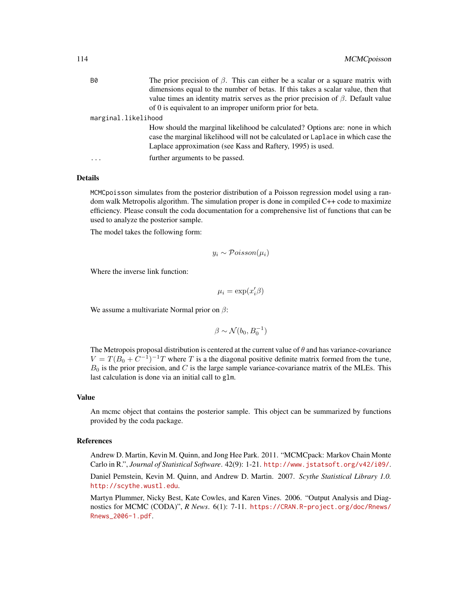| <b>B0</b>           | The prior precision of $\beta$ . This can either be a scalar or a square matrix with                                                                                                                                            |  |
|---------------------|---------------------------------------------------------------------------------------------------------------------------------------------------------------------------------------------------------------------------------|--|
|                     | dimensions equal to the number of betas. If this takes a scalar value, then that                                                                                                                                                |  |
|                     | value times an identity matrix serves as the prior precision of $\beta$ . Default value                                                                                                                                         |  |
|                     | of 0 is equivalent to an improper uniform prior for beta.                                                                                                                                                                       |  |
| marginal.likelihood |                                                                                                                                                                                                                                 |  |
|                     | How should the marginal likelihood be calculated? Options are: none in which<br>case the marginal likelihood will not be calculated or Laplace in which case the<br>Laplace approximation (see Kass and Raftery, 1995) is used. |  |
|                     | further arguments to be passed.                                                                                                                                                                                                 |  |

MCMCpoisson simulates from the posterior distribution of a Poisson regression model using a random walk Metropolis algorithm. The simulation proper is done in compiled C++ code to maximize efficiency. Please consult the coda documentation for a comprehensive list of functions that can be used to analyze the posterior sample.

The model takes the following form:

$$
y_i \sim \mathcal{Poisson}(\mu_i)
$$

Where the inverse link function:

$$
\mu_i = \exp(x_i'\beta)
$$

We assume a multivariate Normal prior on  $\beta$ :

$$
\beta \sim \mathcal{N}(b_0, B_0^{-1})
$$

The Metropois proposal distribution is centered at the current value of  $\theta$  and has variance-covariance  $V = T(B_0 + C^{-1})^{-1}T$  where T is a the diagonal positive definite matrix formed from the tune,  $B_0$  is the prior precision, and C is the large sample variance-covariance matrix of the MLEs. This last calculation is done via an initial call to glm.

#### Value

An mcmc object that contains the posterior sample. This object can be summarized by functions provided by the coda package.

## References

Andrew D. Martin, Kevin M. Quinn, and Jong Hee Park. 2011. "MCMCpack: Markov Chain Monte Carlo in R.", *Journal of Statistical Software*. 42(9): 1-21. <http://www.jstatsoft.org/v42/i09/>.

Daniel Pemstein, Kevin M. Quinn, and Andrew D. Martin. 2007. *Scythe Statistical Library 1.0.* <http://scythe.wustl.edu>.

Martyn Plummer, Nicky Best, Kate Cowles, and Karen Vines. 2006. "Output Analysis and Diagnostics for MCMC (CODA)", *R News*. 6(1): 7-11. [https://CRAN.R-project.org/doc/Rnews/](https://CRAN.R-project.org/doc/Rnews/Rnews_2006-1.pdf) [Rnews\\_2006-1.pdf](https://CRAN.R-project.org/doc/Rnews/Rnews_2006-1.pdf).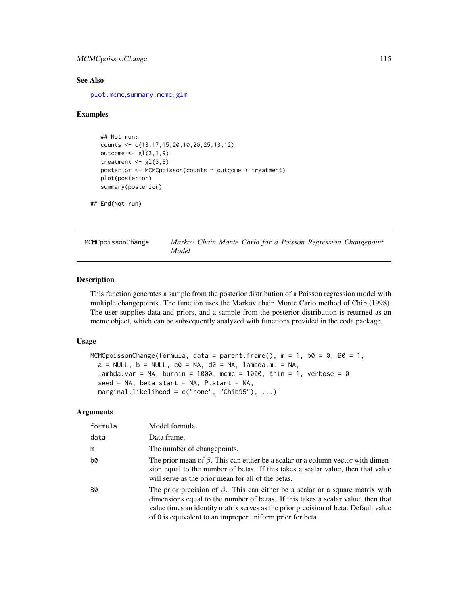# MCMCpoissonChange 115

## See Also

[plot.mcmc](#page-0-0),[summary.mcmc](#page-0-0), [glm](#page-0-0)

## Examples

```
## Not run:
counts <- c(18,17,15,20,10,20,25,13,12)
outcome \leq gl(3,1,9)
treatment \leq gl(3,3)
posterior <- MCMCpoisson(counts ~ outcome + treatment)
plot(posterior)
summary(posterior)
```

```
## End(Not run)
```
MCMCpoissonChange *Markov Chain Monte Carlo for a Poisson Regression Changepoint Model*

# Description

This function generates a sample from the posterior distribution of a Poisson regression model with multiple changepoints. The function uses the Markov chain Monte Carlo method of Chib (1998). The user supplies data and priors, and a sample from the posterior distribution is returned as an mcmc object, which can be subsequently analyzed with functions provided in the coda package.

# Usage

```
MCMCpoissonChange(formula, data = parent.frame(), m = 1, b0 = 0, B0 = 1,
  a = NULL, b = NULL, c0 = NA, d0 = NA, lambda.mu = NA,
  lambda.var = NA, burnin = 1000, mcmc = 1000, thin = 1, verbose = 0,
  seed = NA, beta.start = NA, P.start = NA,
 marginal.likelihood = c("none", "Chib95"), ...)
```

| formula | Model formula.                                                                                                                                                                                                                                                                                                               |
|---------|------------------------------------------------------------------------------------------------------------------------------------------------------------------------------------------------------------------------------------------------------------------------------------------------------------------------------|
| data    | Data frame.                                                                                                                                                                                                                                                                                                                  |
| m       | The number of changepoints.                                                                                                                                                                                                                                                                                                  |
| b0      | The prior mean of $\beta$ . This can either be a scalar or a column vector with dimen-<br>sion equal to the number of betas. If this takes a scalar value, then that value<br>will serve as the prior mean for all of the betas.                                                                                             |
| B0      | The prior precision of $\beta$ . This can either be a scalar or a square matrix with<br>dimensions equal to the number of betas. If this takes a scalar value, then that<br>value times an identity matrix serves as the prior precision of beta. Default value<br>of 0 is equivalent to an improper uniform prior for beta. |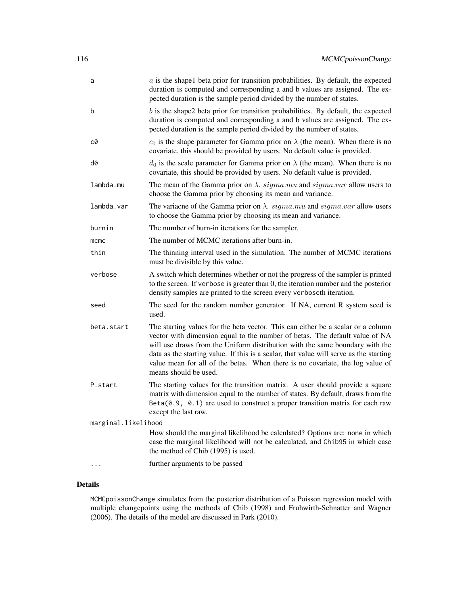| a                   | $a$ is the shapel beta prior for transition probabilities. By default, the expected<br>duration is computed and corresponding a and b values are assigned. The ex-<br>pected duration is the sample period divided by the number of states.                                                                                                                                                                                                         |
|---------------------|-----------------------------------------------------------------------------------------------------------------------------------------------------------------------------------------------------------------------------------------------------------------------------------------------------------------------------------------------------------------------------------------------------------------------------------------------------|
| b                   | $b$ is the shape2 beta prior for transition probabilities. By default, the expected<br>duration is computed and corresponding a and b values are assigned. The ex-<br>pected duration is the sample period divided by the number of states.                                                                                                                                                                                                         |
| c0                  | $c_0$ is the shape parameter for Gamma prior on $\lambda$ (the mean). When there is no<br>covariate, this should be provided by users. No default value is provided.                                                                                                                                                                                                                                                                                |
| d0                  | $d_0$ is the scale parameter for Gamma prior on $\lambda$ (the mean). When there is no<br>covariate, this should be provided by users. No default value is provided.                                                                                                                                                                                                                                                                                |
| lambda.mu           | The mean of the Gamma prior on $\lambda$ . sigma.mu and sigma.var allow users to<br>choose the Gamma prior by choosing its mean and variance.                                                                                                                                                                                                                                                                                                       |
| lambda.var          | The variance of the Gamma prior on $\lambda$ . sigma.mu and sigma.var allow users<br>to choose the Gamma prior by choosing its mean and variance.                                                                                                                                                                                                                                                                                                   |
| burnin              | The number of burn-in iterations for the sampler.                                                                                                                                                                                                                                                                                                                                                                                                   |
| $m$ $cm$ $c$        | The number of MCMC iterations after burn-in.                                                                                                                                                                                                                                                                                                                                                                                                        |
| thin                | The thinning interval used in the simulation. The number of MCMC iterations<br>must be divisible by this value.                                                                                                                                                                                                                                                                                                                                     |
| verbose             | A switch which determines whether or not the progress of the sampler is printed<br>to the screen. If verbose is greater than 0, the iteration number and the posterior<br>density samples are printed to the screen every verboseth iteration.                                                                                                                                                                                                      |
| seed                | The seed for the random number generator. If NA, current R system seed is<br>used.                                                                                                                                                                                                                                                                                                                                                                  |
| beta.start          | The starting values for the beta vector. This can either be a scalar or a column<br>vector with dimension equal to the number of betas. The default value of NA<br>will use draws from the Uniform distribution with the same boundary with the<br>data as the starting value. If this is a scalar, that value will serve as the starting<br>value mean for all of the betas. When there is no covariate, the log value of<br>means should be used. |
| P.start             | The starting values for the transition matrix. A user should provide a square<br>matrix with dimension equal to the number of states. By default, draws from the<br>$Beta(0.9, 0.1)$ are used to construct a proper transition matrix for each raw<br>except the last raw.                                                                                                                                                                          |
| marginal.likelihood |                                                                                                                                                                                                                                                                                                                                                                                                                                                     |
|                     | How should the marginal likelihood be calculated? Options are: none in which<br>case the marginal likelihood will not be calculated, and Chib95 in which case<br>the method of Chib (1995) is used.                                                                                                                                                                                                                                                 |
|                     | further arguments to be passed                                                                                                                                                                                                                                                                                                                                                                                                                      |

MCMCpoissonChange simulates from the posterior distribution of a Poisson regression model with multiple changepoints using the methods of Chib (1998) and Fruhwirth-Schnatter and Wagner (2006). The details of the model are discussed in Park (2010).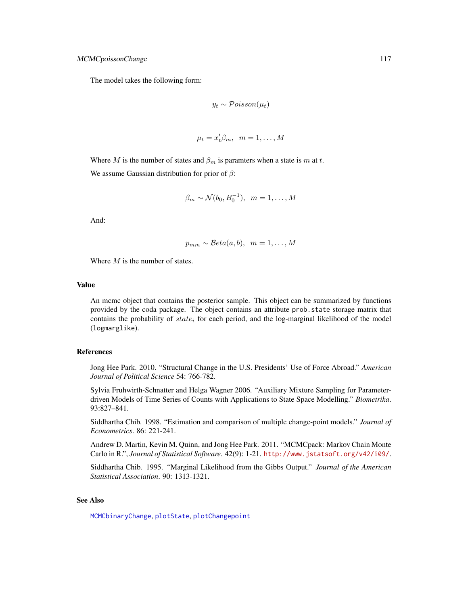The model takes the following form:

$$
y_t \sim \mathcal{Poisson}(\mu_t)
$$

$$
\mu_t = x_t' \beta_m, \ \ m = 1, \dots, M
$$

Where M is the number of states and  $\beta_m$  is paramters when a state is m at t. We assume Gaussian distribution for prior of  $\beta$ :

$$
\beta_m \sim \mathcal{N}(b_0, B_0^{-1}), \ \ m = 1, \dots, M
$$

And:

$$
p_{mm} \sim \mathcal{B}eta(a, b), \ \ m = 1, \ldots, M
$$

Where  $M$  is the number of states.

#### Value

An mcmc object that contains the posterior sample. This object can be summarized by functions provided by the coda package. The object contains an attribute prob.state storage matrix that contains the probability of  $state_i$  for each period, and the log-marginal likelihood of the model (logmarglike).

#### References

Jong Hee Park. 2010. "Structural Change in the U.S. Presidents' Use of Force Abroad." *American Journal of Political Science* 54: 766-782.

Sylvia Fruhwirth-Schnatter and Helga Wagner 2006. "Auxiliary Mixture Sampling for Parameterdriven Models of Time Series of Counts with Applications to State Space Modelling." *Biometrika*. 93:827–841.

Siddhartha Chib. 1998. "Estimation and comparison of multiple change-point models." *Journal of Econometrics*. 86: 221-241.

Andrew D. Martin, Kevin M. Quinn, and Jong Hee Park. 2011. "MCMCpack: Markov Chain Monte Carlo in R.", *Journal of Statistical Software*. 42(9): 1-21. <http://www.jstatsoft.org/v42/i09/>.

Siddhartha Chib. 1995. "Marginal Likelihood from the Gibbs Output." *Journal of the American Statistical Association*. 90: 1313-1321.

# See Also

[MCMCbinaryChange](#page-30-0), [plotState](#page-151-0), [plotChangepoint](#page-150-0)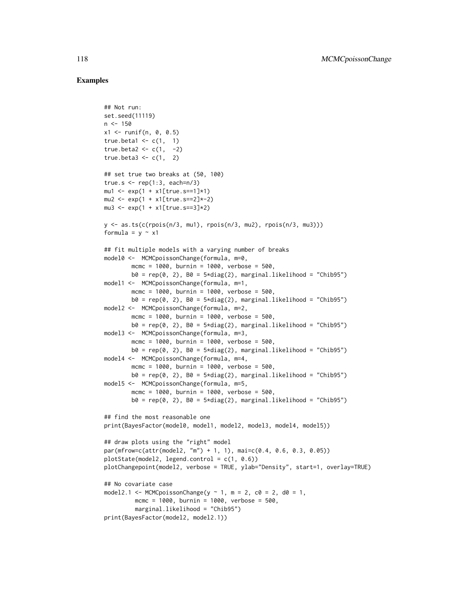## Examples

```
## Not run:
set.seed(11119)
n < -150x1 \le runif(n, 0, 0.5)
true.beta1 \leq c(1, 1)true.beta2 <- c(1, -2)true.beta3 \leq c(1, 2)## set true two breaks at (50, 100)
true.s \leq rep(1:3, each=n/3)
mu1 <- exp(1 + x1[true.s==1]*1)
mu2 \le - exp(1 + x1[true.s == 2]*-2)mu3 \le - exp(1 + x1[true.s == 3]*2)y <- as.ts(c(rpois(n/3, mu1), rpois(n/3, mu2), rpois(n/3, mu3)))
formula = y \sim x1## fit multiple models with a varying number of breaks
model0 <- MCMCpoissonChange(formula, m=0,
        mcmc = 1000, burnin = 1000, verbose = 500,
        b0 = rep(0, 2), B0 = 5*diag(2), marginal.likelihood = "Chib95")
model1 <- MCMCpoissonChange(formula, m=1,
        mcmc = 1000, burnin = 1000, verbose = 500,
        b0 = rep(0, 2), B0 = 5*diag(2), marginal.likelihood = "Chib95")model2 <- MCMCpoissonChange(formula, m=2,
        mcmc = 1000, burnin = 1000, verbose = 500,
        b0 = rep(0, 2), B0 = 5 \star diag(2), marginal.likelihood = "Chib95")
model3 <- MCMCpoissonChange(formula, m=3,
        mcmc = 1000, burnin = 1000, verbose = 500,
        b0 = rep(0, 2), B0 = 5 \star diag(2), marginal.likelihood = "Chib95")
model4 <- MCMCpoissonChange(formula, m=4,
        mcmc = 1000, burnin = 1000, verbose = 500,
        b0 = rep(0, 2), B0 = 5 \star diag(2), marginal.likelihood = "Chib95")
model5 <- MCMCpoissonChange(formula, m=5,
        mcmc = 1000, burnin = 1000, verbose = 500,
        b0 = rep(0, 2), B0 = 5*diag(2), marginal.likelihood = "Chib95")## find the most reasonable one
print(BayesFactor(model0, model1, model2, model3, model4, model5))
## draw plots using the "right" model
par(mfrow=c(attr(model2, "m") + 1, 1), mai=c(0.4, 0.6, 0.3, 0.05))
plotState(model2, legend.contrib = c(1, 0.6))plotChangepoint(model2, verbose = TRUE, ylab="Density", start=1, overlay=TRUE)
## No covariate case
model2.1 <- MCMCpoissonChange(y \sim 1, m = 2, c0 = 2, d0 = 1,
         mcmc = 1000, burnin = 1000, verbose = 500,
         marginal.likelihood = "Chib95")
print(BayesFactor(model2, model2.1))
```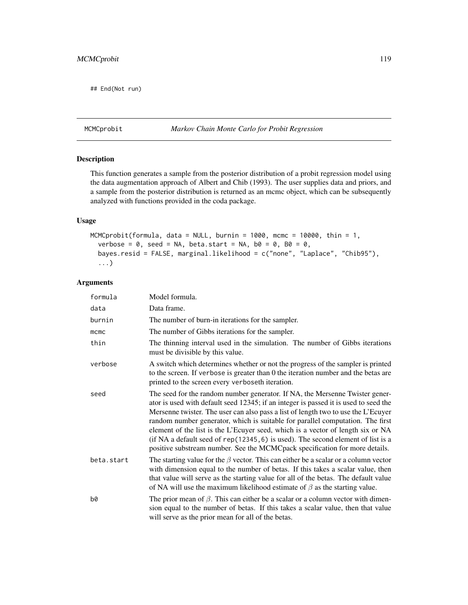## End(Not run)

# MCMCprobit *Markov Chain Monte Carlo for Probit Regression*

# Description

This function generates a sample from the posterior distribution of a probit regression model using the data augmentation approach of Albert and Chib (1993). The user supplies data and priors, and a sample from the posterior distribution is returned as an mcmc object, which can be subsequently analyzed with functions provided in the coda package.

### Usage

```
MCMCprobit(formula, data = NULL, burnin = 1000, mcmc = 10000, thin = 1,
  verbose = 0, seed = NA, beta.start = NA, b0 = 0, B0 = 0,
 bayes.resid = FALSE, marginal.likelihood = c("none", "Laplace", "Chib95"),
  ...)
```

| formula    | Model formula.                                                                                                                                                                                                                                                                                                                                                                                                                                                                                                                                                                                      |
|------------|-----------------------------------------------------------------------------------------------------------------------------------------------------------------------------------------------------------------------------------------------------------------------------------------------------------------------------------------------------------------------------------------------------------------------------------------------------------------------------------------------------------------------------------------------------------------------------------------------------|
| data       | Data frame.                                                                                                                                                                                                                                                                                                                                                                                                                                                                                                                                                                                         |
| burnin     | The number of burn-in iterations for the sampler.                                                                                                                                                                                                                                                                                                                                                                                                                                                                                                                                                   |
| mcmc       | The number of Gibbs iterations for the sampler.                                                                                                                                                                                                                                                                                                                                                                                                                                                                                                                                                     |
| thin       | The thinning interval used in the simulation. The number of Gibbs iterations<br>must be divisible by this value.                                                                                                                                                                                                                                                                                                                                                                                                                                                                                    |
| verbose    | A switch which determines whether or not the progress of the sampler is printed<br>to the screen. If verbose is greater than 0 the iteration number and the betas are<br>printed to the screen every verboseth iteration.                                                                                                                                                                                                                                                                                                                                                                           |
| seed       | The seed for the random number generator. If NA, the Mersenne Twister gener-<br>ator is used with default seed 12345; if an integer is passed it is used to seed the<br>Mersenne twister. The user can also pass a list of length two to use the L'Ecuyer<br>random number generator, which is suitable for parallel computation. The first<br>element of the list is the L'Ecuyer seed, which is a vector of length six or NA<br>(if NA a default seed of $rep(12345, 6)$ is used). The second element of list is a<br>positive substream number. See the MCMCpack specification for more details. |
| beta.start | The starting value for the $\beta$ vector. This can either be a scalar or a column vector<br>with dimension equal to the number of betas. If this takes a scalar value, then<br>that value will serve as the starting value for all of the betas. The default value<br>of NA will use the maximum likelihood estimate of $\beta$ as the starting value.                                                                                                                                                                                                                                             |
| b0         | The prior mean of $\beta$ . This can either be a scalar or a column vector with dimen-<br>sion equal to the number of betas. If this takes a scalar value, then that value<br>will serve as the prior mean for all of the betas.                                                                                                                                                                                                                                                                                                                                                                    |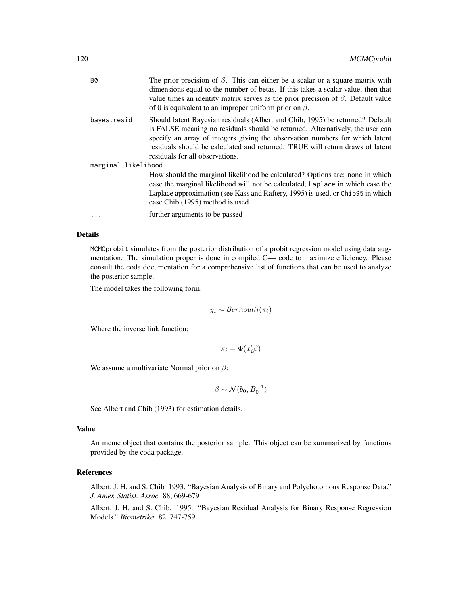| В0                  | The prior precision of $\beta$ . This can either be a scalar or a square matrix with<br>dimensions equal to the number of betas. If this takes a scalar value, then that<br>value times an identity matrix serves as the prior precision of $\beta$ . Default value<br>of 0 is equivalent to an improper uniform prior on $\beta$ .                                |  |
|---------------------|--------------------------------------------------------------------------------------------------------------------------------------------------------------------------------------------------------------------------------------------------------------------------------------------------------------------------------------------------------------------|--|
| bayes.resid         | Should latent Bayesian residuals (Albert and Chib, 1995) be returned? Default<br>is FALSE meaning no residuals should be returned. Alternatively, the user can<br>specify an array of integers giving the observation numbers for which latent<br>residuals should be calculated and returned. TRUE will return draws of latent<br>residuals for all observations. |  |
| marginal.likelihood |                                                                                                                                                                                                                                                                                                                                                                    |  |
|                     | How should the marginal likelihood be calculated? Options are: none in which<br>case the marginal likelihood will not be calculated, Laplace in which case the<br>Laplace approximation (see Kass and Raftery, 1995) is used, or Chib95 in which<br>case Chib (1995) method is used.                                                                               |  |
| .                   | further arguments to be passed                                                                                                                                                                                                                                                                                                                                     |  |
|                     |                                                                                                                                                                                                                                                                                                                                                                    |  |

MCMCprobit simulates from the posterior distribution of a probit regression model using data augmentation. The simulation proper is done in compiled C++ code to maximize efficiency. Please consult the coda documentation for a comprehensive list of functions that can be used to analyze the posterior sample.

The model takes the following form:

$$
y_i \sim Bernoulli(\pi_i)
$$

Where the inverse link function:

 $\pi_i = \Phi(x_i' \beta)$ 

We assume a multivariate Normal prior on  $\beta$ :

 $\beta \sim \mathcal{N}(b_0, B_0^{-1})$ 

See Albert and Chib (1993) for estimation details.

#### Value

An mcmc object that contains the posterior sample. This object can be summarized by functions provided by the coda package.

# References

Albert, J. H. and S. Chib. 1993. "Bayesian Analysis of Binary and Polychotomous Response Data." *J. Amer. Statist. Assoc.* 88, 669-679

Albert, J. H. and S. Chib. 1995. "Bayesian Residual Analysis for Binary Response Regression Models." *Biometrika.* 82, 747-759.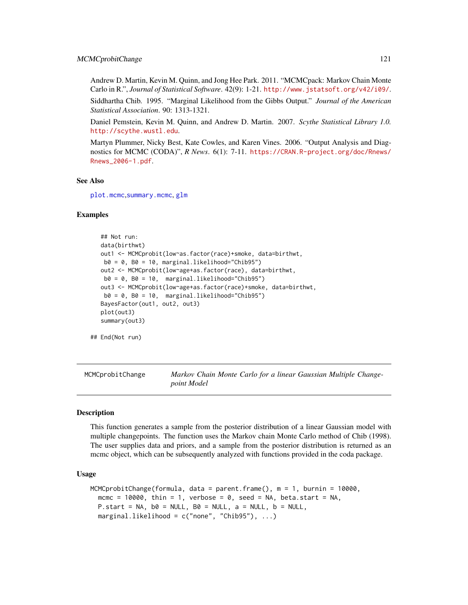Andrew D. Martin, Kevin M. Quinn, and Jong Hee Park. 2011. "MCMCpack: Markov Chain Monte Carlo in R.", *Journal of Statistical Software*. 42(9): 1-21. <http://www.jstatsoft.org/v42/i09/>.

Siddhartha Chib. 1995. "Marginal Likelihood from the Gibbs Output." *Journal of the American Statistical Association*. 90: 1313-1321.

Daniel Pemstein, Kevin M. Quinn, and Andrew D. Martin. 2007. *Scythe Statistical Library 1.0.* <http://scythe.wustl.edu>.

Martyn Plummer, Nicky Best, Kate Cowles, and Karen Vines. 2006. "Output Analysis and Diagnostics for MCMC (CODA)", *R News*. 6(1): 7-11. [https://CRAN.R-project.org/doc/Rnews/](https://CRAN.R-project.org/doc/Rnews/Rnews_2006-1.pdf) [Rnews\\_2006-1.pdf](https://CRAN.R-project.org/doc/Rnews/Rnews_2006-1.pdf).

#### See Also

[plot.mcmc](#page-0-0),[summary.mcmc](#page-0-0), [glm](#page-0-0)

## Examples

```
## Not run:
data(birthwt)
out1 <- MCMCprobit(low~as.factor(race)+smoke, data=birthwt,
b0 = 0, B0 = 10, marginal.likelihood="Chib95")
out2 <- MCMCprobit(low~age+as.factor(race), data=birthwt,
b0 = 0, B0 = 10, marginal.likelihood="Chib95")
out3 <- MCMCprobit(low~age+as.factor(race)+smoke, data=birthwt,
b0 = 0, B0 = 10, marginal.likelihood="Chib95")
BayesFactor(out1, out2, out3)
plot(out3)
summary(out3)
```
## End(Not run)

MCMCprobitChange *Markov Chain Monte Carlo for a linear Gaussian Multiple Changepoint Model*

#### **Description**

This function generates a sample from the posterior distribution of a linear Gaussian model with multiple changepoints. The function uses the Markov chain Monte Carlo method of Chib (1998). The user supplies data and priors, and a sample from the posterior distribution is returned as an mcmc object, which can be subsequently analyzed with functions provided in the coda package.

#### Usage

```
MCMCprobitChange(formula, data = parent.frame(), m = 1, burnin = 10000,
  mcmc = 10000, thin = 1, verbose = 0, seed = NA, beta.start = NA,
 P.start = NA, b0 = NULL, B0 = NULL, a = NULL, b = NULL,
  marginal.likelihood = c("none", "Chib95"), ...)
```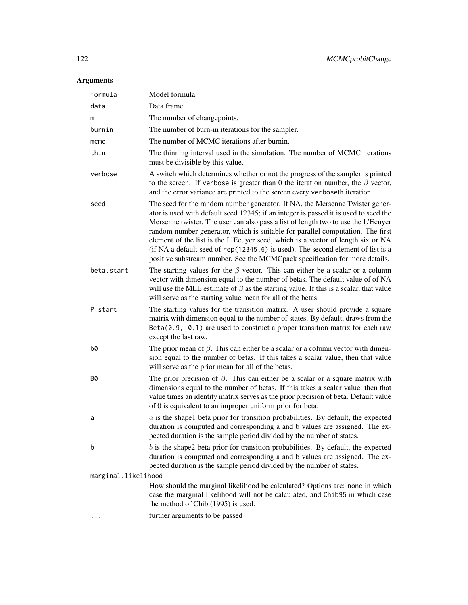| formula             | Model formula.                                                                                                                                                                                                                                                                                                                                                                                                                                                                                                                                                                                      |
|---------------------|-----------------------------------------------------------------------------------------------------------------------------------------------------------------------------------------------------------------------------------------------------------------------------------------------------------------------------------------------------------------------------------------------------------------------------------------------------------------------------------------------------------------------------------------------------------------------------------------------------|
| data                | Data frame.                                                                                                                                                                                                                                                                                                                                                                                                                                                                                                                                                                                         |
| m                   | The number of changepoints.                                                                                                                                                                                                                                                                                                                                                                                                                                                                                                                                                                         |
| burnin              | The number of burn-in iterations for the sampler.                                                                                                                                                                                                                                                                                                                                                                                                                                                                                                                                                   |
| mcmc                | The number of MCMC iterations after burnin.                                                                                                                                                                                                                                                                                                                                                                                                                                                                                                                                                         |
| thin                | The thinning interval used in the simulation. The number of MCMC iterations<br>must be divisible by this value.                                                                                                                                                                                                                                                                                                                                                                                                                                                                                     |
| verbose             | A switch which determines whether or not the progress of the sampler is printed<br>to the screen. If verbose is greater than 0 the iteration number, the $\beta$ vector,<br>and the error variance are printed to the screen every verboseth iteration.                                                                                                                                                                                                                                                                                                                                             |
| seed                | The seed for the random number generator. If NA, the Mersenne Twister gener-<br>ator is used with default seed 12345; if an integer is passed it is used to seed the<br>Mersenne twister. The user can also pass a list of length two to use the L'Ecuyer<br>random number generator, which is suitable for parallel computation. The first<br>element of the list is the L'Ecuyer seed, which is a vector of length six or NA<br>(if NA a default seed of $rep(12345, 6)$ is used). The second element of list is a<br>positive substream number. See the MCMCpack specification for more details. |
| beta.start          | The starting values for the $\beta$ vector. This can either be a scalar or a column<br>vector with dimension equal to the number of betas. The default value of of NA<br>will use the MLE estimate of $\beta$ as the starting value. If this is a scalar, that value<br>will serve as the starting value mean for all of the betas.                                                                                                                                                                                                                                                                 |
| P.start             | The starting values for the transition matrix. A user should provide a square<br>matrix with dimension equal to the number of states. By default, draws from the<br>$Beta(0.9, 0.1)$ are used to construct a proper transition matrix for each raw<br>except the last raw.                                                                                                                                                                                                                                                                                                                          |
| b0                  | The prior mean of $\beta$ . This can either be a scalar or a column vector with dimen-<br>sion equal to the number of betas. If this takes a scalar value, then that value<br>will serve as the prior mean for all of the betas.                                                                                                                                                                                                                                                                                                                                                                    |
| B0                  | The prior precision of $\beta$ . This can either be a scalar or a square matrix with<br>dimensions equal to the number of betas. If this takes a scalar value, then that<br>value times an identity matrix serves as the prior precision of beta. Default value<br>of 0 is equivalent to an improper uniform prior for beta.                                                                                                                                                                                                                                                                        |
| a                   | $a$ is the shape1 beta prior for transition probabilities. By default, the expected<br>duration is computed and corresponding a and b values are assigned. The ex-<br>pected duration is the sample period divided by the number of states.                                                                                                                                                                                                                                                                                                                                                         |
| b                   | $b$ is the shape2 beta prior for transition probabilities. By default, the expected<br>duration is computed and corresponding a and b values are assigned. The ex-<br>pected duration is the sample period divided by the number of states.                                                                                                                                                                                                                                                                                                                                                         |
| marginal.likelihood |                                                                                                                                                                                                                                                                                                                                                                                                                                                                                                                                                                                                     |
|                     | How should the marginal likelihood be calculated? Options are: none in which<br>case the marginal likelihood will not be calculated, and Chib95 in which case<br>the method of Chib (1995) is used.                                                                                                                                                                                                                                                                                                                                                                                                 |
|                     | further arguments to be passed                                                                                                                                                                                                                                                                                                                                                                                                                                                                                                                                                                      |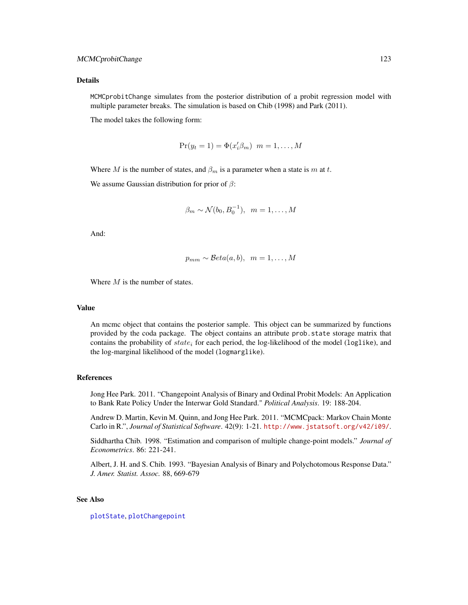MCMCprobitChange simulates from the posterior distribution of a probit regression model with multiple parameter breaks. The simulation is based on Chib (1998) and Park (2011).

The model takes the following form:

$$
Pr(y_t = 1) = \Phi(x'_i \beta_m) \ \ m = 1, \dots, M
$$

Where M is the number of states, and  $\beta_m$  is a parameter when a state is m at t.

We assume Gaussian distribution for prior of  $\beta$ :

$$
\beta_m \sim \mathcal{N}(b_0, B_0^{-1}), \ \ m = 1, \dots, M
$$

And:

$$
p_{mm} \sim \mathcal{B}eta(a, b), \ \ m = 1, \ldots, M
$$

Where  $M$  is the number of states.

#### Value

An mcmc object that contains the posterior sample. This object can be summarized by functions provided by the coda package. The object contains an attribute prob.state storage matrix that contains the probability of  $state_i$  for each period, the log-likelihood of the model (loglike), and the log-marginal likelihood of the model (logmarglike).

## References

Jong Hee Park. 2011. "Changepoint Analysis of Binary and Ordinal Probit Models: An Application to Bank Rate Policy Under the Interwar Gold Standard." *Political Analysis*. 19: 188-204.

Andrew D. Martin, Kevin M. Quinn, and Jong Hee Park. 2011. "MCMCpack: Markov Chain Monte Carlo in R.", *Journal of Statistical Software*. 42(9): 1-21. <http://www.jstatsoft.org/v42/i09/>.

Siddhartha Chib. 1998. "Estimation and comparison of multiple change-point models." *Journal of Econometrics*. 86: 221-241.

Albert, J. H. and S. Chib. 1993. "Bayesian Analysis of Binary and Polychotomous Response Data." *J. Amer. Statist. Assoc.* 88, 669-679

# See Also

[plotState](#page-151-0), [plotChangepoint](#page-150-0)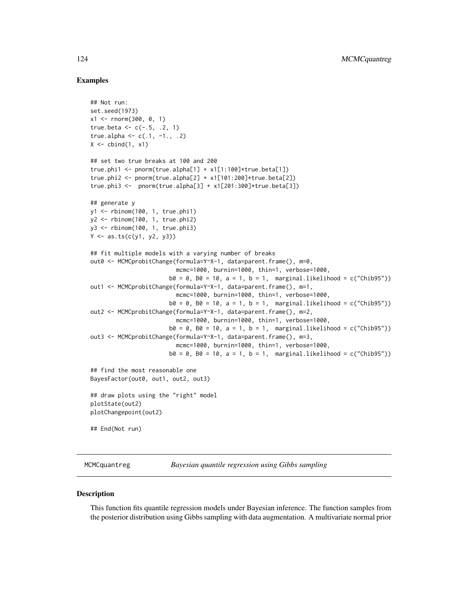## Examples

```
## Not run:
set.seed(1973)
x1 \le rnorm(300, 0, 1)
true.beta <- c(-.5, .2, 1)true.alpha <- c(.1, -1., .2)X \leftarrow \text{cbind}(1, x1)## set two true breaks at 100 and 200
true.phi1 <- pnorm(true.alpha[1] + x1[1:100]*true.beta[1])
true.phi2 <- pnorm(true.alpha[2] + x1[101:200]*true.beta[2])
true.phi3 <- pnorm(true.alpha[3] + x1[201:300] * true.beta[3])## generate y
y1 <- rbinom(100, 1, true.phi1)
y2 <- rbinom(100, 1, true.phi2)
y3 <- rbinom(100, 1, true.phi3)
Y \leftarrow as.ts(c(y1, y2, y3))## fit multiple models with a varying number of breaks
out0 <- MCMCprobitChange(formula=Y~X-1, data=parent.frame(), m=0,
                         mcmc=1000, burnin=1000, thin=1, verbose=1000,
                       b0 = 0, B0 = 10, a = 1, b = 1, marginal.likelihood = c("Chib95"))
out1 <- MCMCprobitChange(formula=Y~X-1, data=parent.frame(), m=1,
                         mcmc=1000, burnin=1000, thin=1, verbose=1000,
                       b0 = 0, B0 = 10, a = 1, b = 1, marginal.likelihood = c("Chib95"))
out2 <- MCMCprobitChange(formula=Y~X-1, data=parent.frame(), m=2,
                         mcmc=1000, burnin=1000, thin=1, verbose=1000,
                       b0 = 0, B0 = 10, a = 1, b = 1, marginal.likelihood = c("Chib95"))
out3 <- MCMCprobitChange(formula=Y~X-1, data=parent.frame(), m=3,
                         mcmc=1000, burnin=1000, thin=1, verbose=1000,
                       b0 = 0, B0 = 10, a = 1, b = 1, marginal.likelihood = c("Chib95"))
## find the most reasonable one
BayesFactor(out0, out1, out2, out3)
## draw plots using the "right" model
plotState(out2)
plotChangepoint(out2)
## End(Not run)
```
MCMCquantreg *Bayesian quantile regression using Gibbs sampling*

#### **Description**

This function fits quantile regression models under Bayesian inference. The function samples from the posterior distribution using Gibbs sampling with data augmentation. A multivariate normal prior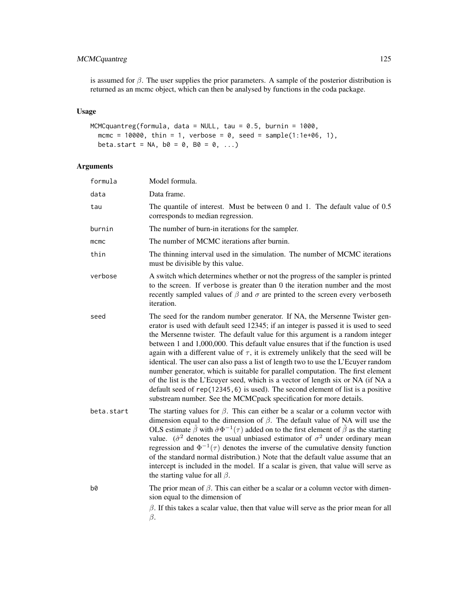# MCMCquantreg 125

is assumed for  $\beta$ . The user supplies the prior parameters. A sample of the posterior distribution is returned as an mcmc object, which can then be analysed by functions in the coda package.

# Usage

```
MCMCquantreg(formula, data = NULL, tau = 0.5, burnin = 1000,
 mcmc = 10000, thin = 1, verbose = 0, seed = sample(1:1e+06, 1),
 beta.start = NA, b0 = 0, B0 = 0, ...)
```

| formula    | Model formula.                                                                                                                                                                                                                                                                                                                                                                                                                                                                                                                                                                                                                                                                                                                                                                                                                                         |
|------------|--------------------------------------------------------------------------------------------------------------------------------------------------------------------------------------------------------------------------------------------------------------------------------------------------------------------------------------------------------------------------------------------------------------------------------------------------------------------------------------------------------------------------------------------------------------------------------------------------------------------------------------------------------------------------------------------------------------------------------------------------------------------------------------------------------------------------------------------------------|
| data       | Data frame.                                                                                                                                                                                                                                                                                                                                                                                                                                                                                                                                                                                                                                                                                                                                                                                                                                            |
| tau        | The quantile of interest. Must be between $0$ and $1$ . The default value of $0.5$<br>corresponds to median regression.                                                                                                                                                                                                                                                                                                                                                                                                                                                                                                                                                                                                                                                                                                                                |
| burnin     | The number of burn-in iterations for the sampler.                                                                                                                                                                                                                                                                                                                                                                                                                                                                                                                                                                                                                                                                                                                                                                                                      |
| mcmc       | The number of MCMC iterations after burnin.                                                                                                                                                                                                                                                                                                                                                                                                                                                                                                                                                                                                                                                                                                                                                                                                            |
| thin       | The thinning interval used in the simulation. The number of MCMC iterations<br>must be divisible by this value.                                                                                                                                                                                                                                                                                                                                                                                                                                                                                                                                                                                                                                                                                                                                        |
| verbose    | A switch which determines whether or not the progress of the sampler is printed<br>to the screen. If verbose is greater than $0$ the iteration number and the most<br>recently sampled values of $\beta$ and $\sigma$ are printed to the screen every verboseth<br>iteration.                                                                                                                                                                                                                                                                                                                                                                                                                                                                                                                                                                          |
| seed       | The seed for the random number generator. If NA, the Mersenne Twister gen-<br>erator is used with default seed 12345; if an integer is passed it is used to seed<br>the Mersenne twister. The default value for this argument is a random integer<br>between 1 and 1,000,000. This default value ensures that if the function is used<br>again with a different value of $\tau$ , it is extremely unlikely that the seed will be<br>identical. The user can also pass a list of length two to use the L'Ecuyer random<br>number generator, which is suitable for parallel computation. The first element<br>of the list is the L'Ecuyer seed, which is a vector of length six or NA (if NA a<br>default seed of rep(12345, 6) is used). The second element of list is a positive<br>substream number. See the MCMCpack specification for more details. |
| beta.start | The starting values for $\beta$ . This can either be a scalar or a column vector with<br>dimension equal to the dimension of $\beta$ . The default value of NA will use the<br>OLS estimate $\hat{\beta}$ with $\hat{\sigma}\Phi^{-1}(\tau)$ added on to the first element of $\hat{\beta}$ as the starting<br>value. ( $\hat{\sigma}^2$ denotes the usual unbiased estimator of $\sigma^2$ under ordinary mean<br>regression and $\Phi^{-1}(\tau)$ denotes the inverse of the cumulative density function<br>of the standard normal distribution.) Note that the default value assume that an<br>intercept is included in the model. If a scalar is given, that value will serve as<br>the starting value for all $\beta$ .                                                                                                                           |
| b0         | The prior mean of $\beta$ . This can either be a scalar or a column vector with dimen-<br>sion equal to the dimension of                                                                                                                                                                                                                                                                                                                                                                                                                                                                                                                                                                                                                                                                                                                               |
|            | $\beta$ . If this takes a scalar value, then that value will serve as the prior mean for all<br>$\beta$ .                                                                                                                                                                                                                                                                                                                                                                                                                                                                                                                                                                                                                                                                                                                                              |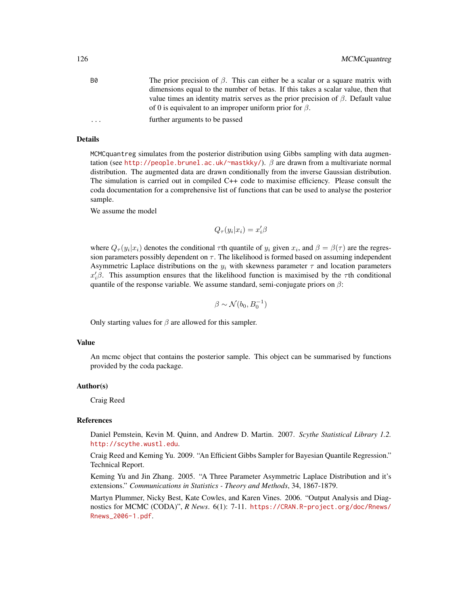| В0        | The prior precision of $\beta$ . This can either be a scalar or a square matrix with    |
|-----------|-----------------------------------------------------------------------------------------|
|           | dimensions equal to the number of betas. If this takes a scalar value, then that        |
|           | value times an identity matrix serves as the prior precision of $\beta$ . Default value |
|           | of 0 is equivalent to an improper uniform prior for $\beta$ .                           |
| $\ddotsc$ | further arguments to be passed                                                          |

MCMCquantreg simulates from the posterior distribution using Gibbs sampling with data augmentation (see <http://people.brunel.ac.uk/~mastkky/>).  $\beta$  are drawn from a multivariate normal distribution. The augmented data are drawn conditionally from the inverse Gaussian distribution. The simulation is carried out in compiled C++ code to maximise efficiency. Please consult the coda documentation for a comprehensive list of functions that can be used to analyse the posterior sample.

We assume the model

 $Q_{\tau}(y_i|x_i) = x_i'\beta$ 

where  $Q_{\tau}(y_i|x_i)$  denotes the conditional  $\tau$ th quantile of  $y_i$  given  $x_i$ , and  $\beta = \beta(\tau)$  are the regression parameters possibly dependent on  $\tau$ . The likelihood is formed based on assuming independent Asymmetric Laplace distributions on the  $y_i$  with skewness parameter  $\tau$  and location parameters  $x_i/\beta$ . This assumption ensures that the likelihood function is maximised by the  $\tau$ th conditional quantile of the response variable. We assume standard, semi-conjugate priors on  $\beta$ :

$$
\beta \sim \mathcal{N}(b_0, B_0^{-1})
$$

Only starting values for  $\beta$  are allowed for this sampler.

#### Value

An mcmc object that contains the posterior sample. This object can be summarised by functions provided by the coda package.

## Author(s)

Craig Reed

## References

Daniel Pemstein, Kevin M. Quinn, and Andrew D. Martin. 2007. *Scythe Statistical Library 1.2.* <http://scythe.wustl.edu>.

Craig Reed and Keming Yu. 2009. "An Efficient Gibbs Sampler for Bayesian Quantile Regression." Technical Report.

Keming Yu and Jin Zhang. 2005. "A Three Parameter Asymmetric Laplace Distribution and it's extensions." *Communications in Statistics - Theory and Methods*, 34, 1867-1879.

Martyn Plummer, Nicky Best, Kate Cowles, and Karen Vines. 2006. "Output Analysis and Diagnostics for MCMC (CODA)", *R News*. 6(1): 7-11. [https://CRAN.R-project.org/doc/Rnews/](https://CRAN.R-project.org/doc/Rnews/Rnews_2006-1.pdf) [Rnews\\_2006-1.pdf](https://CRAN.R-project.org/doc/Rnews/Rnews_2006-1.pdf).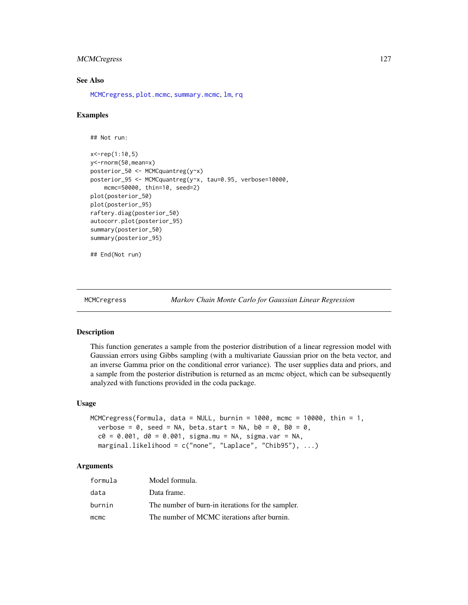# MCMCregress 127

# See Also

[MCMCregress](#page-126-0), [plot.mcmc](#page-0-0), [summary.mcmc](#page-0-0), [lm](#page-0-0), [rq](#page-0-0)

#### Examples

```
## Not run:
```

```
x<-rep(1:10,5)
y<-rnorm(50,mean=x)
posterior_50 <- MCMCquantreg(y~x)
posterior_95 <- MCMCquantreg(y~x, tau=0.95, verbose=10000,
    mcmc=50000, thin=10, seed=2)
plot(posterior_50)
plot(posterior_95)
raftery.diag(posterior_50)
autocorr.plot(posterior_95)
summary(posterior_50)
summary(posterior_95)
```

```
## End(Not run)
```
<span id="page-126-0"></span>

#### MCMCregress *Markov Chain Monte Carlo for Gaussian Linear Regression*

#### Description

This function generates a sample from the posterior distribution of a linear regression model with Gaussian errors using Gibbs sampling (with a multivariate Gaussian prior on the beta vector, and an inverse Gamma prior on the conditional error variance). The user supplies data and priors, and a sample from the posterior distribution is returned as an mcmc object, which can be subsequently analyzed with functions provided in the coda package.

#### Usage

```
MCMCregress(formula, data = NULL, burnin = 1000, mcmc = 10000, thin = 1,
  verbose = 0, seed = NA, beta.start = NA, b0 = 0, B0 = 0,
  c0 = 0.001, d0 = 0.001, sigma.mu = NA, sigma.var = NA,
 marginal.likelihood = c("none", "Laplace", "Chib95"), ...)
```

| formula | Model formula.                                    |
|---------|---------------------------------------------------|
| data    | Data frame.                                       |
| burnin  | The number of burn-in iterations for the sampler. |
| $m$ cmc | The number of MCMC iterations after burnin.       |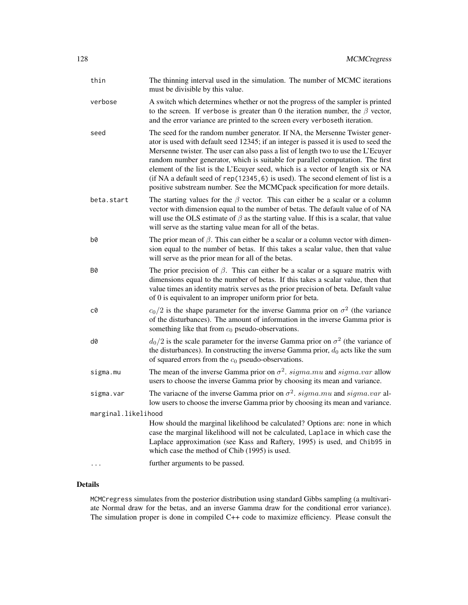| thin                | The thinning interval used in the simulation. The number of MCMC iterations<br>must be divisible by this value.                                                                                                                                                                                                                                                                                                                                                                                                                                                                                   |  |
|---------------------|---------------------------------------------------------------------------------------------------------------------------------------------------------------------------------------------------------------------------------------------------------------------------------------------------------------------------------------------------------------------------------------------------------------------------------------------------------------------------------------------------------------------------------------------------------------------------------------------------|--|
| verbose             | A switch which determines whether or not the progress of the sampler is printed<br>to the screen. If verbose is greater than 0 the iteration number, the $\beta$ vector,<br>and the error variance are printed to the screen every verboseth iteration.                                                                                                                                                                                                                                                                                                                                           |  |
| seed                | The seed for the random number generator. If NA, the Mersenne Twister gener-<br>ator is used with default seed 12345; if an integer is passed it is used to seed the<br>Mersenne twister. The user can also pass a list of length two to use the L'Ecuyer<br>random number generator, which is suitable for parallel computation. The first<br>element of the list is the L'Ecuyer seed, which is a vector of length six or NA<br>(if NA a default seed of rep(12345, 6) is used). The second element of list is a<br>positive substream number. See the MCMCpack specification for more details. |  |
| beta.start          | The starting values for the $\beta$ vector. This can either be a scalar or a column<br>vector with dimension equal to the number of betas. The default value of of NA<br>will use the OLS estimate of $\beta$ as the starting value. If this is a scalar, that value<br>will serve as the starting value mean for all of the betas.                                                                                                                                                                                                                                                               |  |
| b0                  | The prior mean of $\beta$ . This can either be a scalar or a column vector with dimen-<br>sion equal to the number of betas. If this takes a scalar value, then that value<br>will serve as the prior mean for all of the betas.                                                                                                                                                                                                                                                                                                                                                                  |  |
| B0                  | The prior precision of $\beta$ . This can either be a scalar or a square matrix with<br>dimensions equal to the number of betas. If this takes a scalar value, then that<br>value times an identity matrix serves as the prior precision of beta. Default value<br>of 0 is equivalent to an improper uniform prior for beta.                                                                                                                                                                                                                                                                      |  |
| c0                  | $c_0/2$ is the shape parameter for the inverse Gamma prior on $\sigma^2$ (the variance<br>of the disturbances). The amount of information in the inverse Gamma prior is<br>something like that from $c_0$ pseudo-observations.                                                                                                                                                                                                                                                                                                                                                                    |  |
| d0                  | $d_0/2$ is the scale parameter for the inverse Gamma prior on $\sigma^2$ (the variance of<br>the disturbances). In constructing the inverse Gamma prior, $d_0$ acts like the sum<br>of squared errors from the $c_0$ pseudo-observations.                                                                                                                                                                                                                                                                                                                                                         |  |
| sigma.mu            | The mean of the inverse Gamma prior on $\sigma^2$ . sigma.mu and sigma.var allow<br>users to choose the inverse Gamma prior by choosing its mean and variance.                                                                                                                                                                                                                                                                                                                                                                                                                                    |  |
| sigma.var           | The variance of the inverse Gamma prior on $\sigma^2$ . sigma.mu and sigma.var al-<br>low users to choose the inverse Gamma prior by choosing its mean and variance.                                                                                                                                                                                                                                                                                                                                                                                                                              |  |
| marginal.likelihood |                                                                                                                                                                                                                                                                                                                                                                                                                                                                                                                                                                                                   |  |
|                     | How should the marginal likelihood be calculated? Options are: none in which<br>case the marginal likelihood will not be calculated, Laplace in which case the<br>Laplace approximation (see Kass and Raftery, 1995) is used, and Chib95 in<br>which case the method of Chib (1995) is used.                                                                                                                                                                                                                                                                                                      |  |
| $\cdot$             | further arguments to be passed.                                                                                                                                                                                                                                                                                                                                                                                                                                                                                                                                                                   |  |

MCMCregress simulates from the posterior distribution using standard Gibbs sampling (a multivariate Normal draw for the betas, and an inverse Gamma draw for the conditional error variance). The simulation proper is done in compiled C++ code to maximize efficiency. Please consult the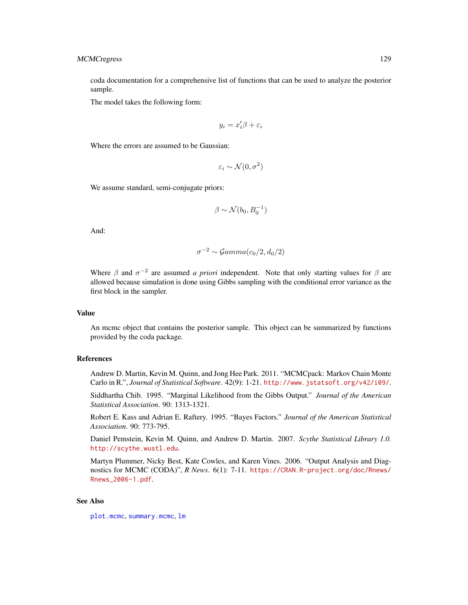coda documentation for a comprehensive list of functions that can be used to analyze the posterior sample.

The model takes the following form:

$$
y_i = x_i'\beta + \varepsilon_i
$$

Where the errors are assumed to be Gaussian:

$$
\varepsilon_i \sim \mathcal{N}(0, \sigma^2)
$$

We assume standard, semi-conjugate priors:

$$
\beta \sim \mathcal{N}(b_0, B_0^{-1})
$$

And:

$$
\sigma^{-2} \sim \mathcal{Gamma}(c_0/2, d_0/2)
$$

Where  $\beta$  and  $\sigma^{-2}$  are assumed *a priori* independent. Note that only starting values for  $\beta$  are allowed because simulation is done using Gibbs sampling with the conditional error variance as the first block in the sampler.

## Value

An mcmc object that contains the posterior sample. This object can be summarized by functions provided by the coda package.

#### References

Andrew D. Martin, Kevin M. Quinn, and Jong Hee Park. 2011. "MCMCpack: Markov Chain Monte Carlo in R.", *Journal of Statistical Software*. 42(9): 1-21. <http://www.jstatsoft.org/v42/i09/>.

Siddhartha Chib. 1995. "Marginal Likelihood from the Gibbs Output." *Journal of the American Statistical Association*. 90: 1313-1321.

Robert E. Kass and Adrian E. Raftery. 1995. "Bayes Factors." *Journal of the American Statistical Association*. 90: 773-795.

Daniel Pemstein, Kevin M. Quinn, and Andrew D. Martin. 2007. *Scythe Statistical Library 1.0.* <http://scythe.wustl.edu>.

Martyn Plummer, Nicky Best, Kate Cowles, and Karen Vines. 2006. "Output Analysis and Diagnostics for MCMC (CODA)", *R News*. 6(1): 7-11. [https://CRAN.R-project.org/doc/Rnews/](https://CRAN.R-project.org/doc/Rnews/Rnews_2006-1.pdf) [Rnews\\_2006-1.pdf](https://CRAN.R-project.org/doc/Rnews/Rnews_2006-1.pdf).

## See Also

[plot.mcmc](#page-0-0), [summary.mcmc](#page-0-0), [lm](#page-0-0)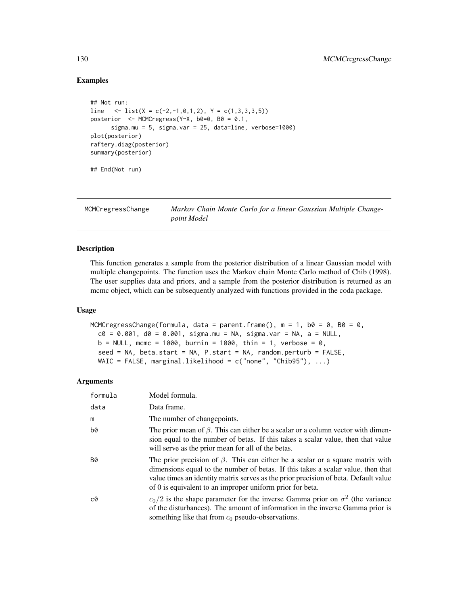# Examples

```
## Not run:
line \langle -\text{list}(X = c(-2, -1, 0, 1, 2), Y = c(1, 3, 3, 3, 5)) \rangleposterior <- MCMCregress(Y~X, b0=0, B0 = 0.1,
      sigma.mu = 5, sigma.var = 25, data=line, verbose=1000)
plot(posterior)
raftery.diag(posterior)
summary(posterior)
## End(Not run)
```
MCMCregressChange *Markov Chain Monte Carlo for a linear Gaussian Multiple Changepoint Model*

# Description

This function generates a sample from the posterior distribution of a linear Gaussian model with multiple changepoints. The function uses the Markov chain Monte Carlo method of Chib (1998). The user supplies data and priors, and a sample from the posterior distribution is returned as an mcmc object, which can be subsequently analyzed with functions provided in the coda package.

#### Usage

```
MCMCregressChange(formula, data = parent.frame(), m = 1, b0 = 0, B0 = 0,
  c0 = 0.001, d0 = 0.001, sigma.mu = NA, sigma.var = NA, a = NULL,
 b = NULL, mcmc = 1000, burnin = 1000, thin = 1, verbose = 0,
  seed = NA, beta.start = NA, P.start = NA, random.perturb = FALSE,
 WAIC = FALSE, marginal.likelihood = c("none", "Chib95"), ...)
```

| formula   | Model formula.                                                                                                                                                                                                                                                                                                               |
|-----------|------------------------------------------------------------------------------------------------------------------------------------------------------------------------------------------------------------------------------------------------------------------------------------------------------------------------------|
| data      | Data frame.                                                                                                                                                                                                                                                                                                                  |
| m         | The number of changepoints.                                                                                                                                                                                                                                                                                                  |
| b0        | The prior mean of $\beta$ . This can either be a scalar or a column vector with dimen-<br>sion equal to the number of betas. If this takes a scalar value, then that value<br>will serve as the prior mean for all of the betas.                                                                                             |
| <b>B0</b> | The prior precision of $\beta$ . This can either be a scalar or a square matrix with<br>dimensions equal to the number of betas. If this takes a scalar value, then that<br>value times an identity matrix serves as the prior precision of beta. Default value<br>of 0 is equivalent to an improper uniform prior for beta. |
| c0        | $c_0/2$ is the shape parameter for the inverse Gamma prior on $\sigma^2$ (the variance<br>of the disturbances). The amount of information in the inverse Gamma prior is<br>something like that from $c_0$ pseudo-observations.                                                                                               |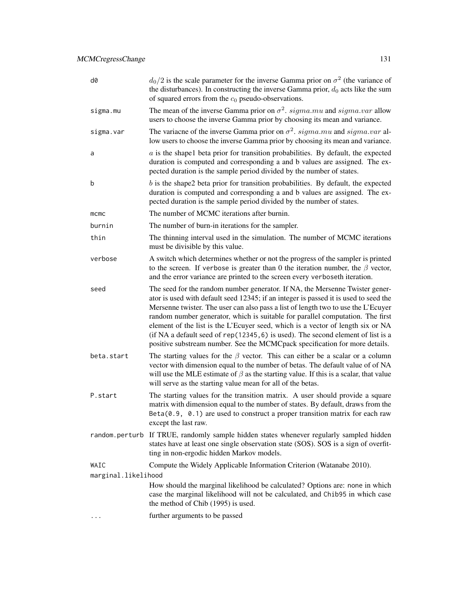| d0                  | $d_0/2$ is the scale parameter for the inverse Gamma prior on $\sigma^2$ (the variance of<br>the disturbances). In constructing the inverse Gamma prior, $d_0$ acts like the sum<br>of squared errors from the $c_0$ pseudo-observations.                                                                                                                                                                                                                                                                                                                                                         |  |
|---------------------|---------------------------------------------------------------------------------------------------------------------------------------------------------------------------------------------------------------------------------------------------------------------------------------------------------------------------------------------------------------------------------------------------------------------------------------------------------------------------------------------------------------------------------------------------------------------------------------------------|--|
| sigma.mu            | The mean of the inverse Gamma prior on $\sigma^2$ . sigma.mu and sigma.var allow<br>users to choose the inverse Gamma prior by choosing its mean and variance.                                                                                                                                                                                                                                                                                                                                                                                                                                    |  |
| sigma.var           | The variance of the inverse Gamma prior on $\sigma^2$ . sigma.mu and sigma.var al-<br>low users to choose the inverse Gamma prior by choosing its mean and variance.                                                                                                                                                                                                                                                                                                                                                                                                                              |  |
| a                   | $a$ is the shapel beta prior for transition probabilities. By default, the expected<br>duration is computed and corresponding a and b values are assigned. The ex-<br>pected duration is the sample period divided by the number of states.                                                                                                                                                                                                                                                                                                                                                       |  |
| b                   | $b$ is the shape2 beta prior for transition probabilities. By default, the expected<br>duration is computed and corresponding a and b values are assigned. The ex-<br>pected duration is the sample period divided by the number of states.                                                                                                                                                                                                                                                                                                                                                       |  |
| mcmc                | The number of MCMC iterations after burnin.                                                                                                                                                                                                                                                                                                                                                                                                                                                                                                                                                       |  |
| burnin              | The number of burn-in iterations for the sampler.                                                                                                                                                                                                                                                                                                                                                                                                                                                                                                                                                 |  |
| thin                | The thinning interval used in the simulation. The number of MCMC iterations<br>must be divisible by this value.                                                                                                                                                                                                                                                                                                                                                                                                                                                                                   |  |
| verbose             | A switch which determines whether or not the progress of the sampler is printed<br>to the screen. If verbose is greater than 0 the iteration number, the $\beta$ vector,<br>and the error variance are printed to the screen every verboseth iteration.                                                                                                                                                                                                                                                                                                                                           |  |
| seed                | The seed for the random number generator. If NA, the Mersenne Twister gener-<br>ator is used with default seed 12345; if an integer is passed it is used to seed the<br>Mersenne twister. The user can also pass a list of length two to use the L'Ecuyer<br>random number generator, which is suitable for parallel computation. The first<br>element of the list is the L'Ecuyer seed, which is a vector of length six or NA<br>(if NA a default seed of rep(12345, 6) is used). The second element of list is a<br>positive substream number. See the MCMCpack specification for more details. |  |
| beta.start          | The starting values for the $\beta$ vector. This can either be a scalar or a column<br>vector with dimension equal to the number of betas. The default value of of NA<br>will use the MLE estimate of $\beta$ as the starting value. If this is a scalar, that value<br>will serve as the starting value mean for all of the betas.                                                                                                                                                                                                                                                               |  |
| P.start             | The starting values for the transition matrix. A user should provide a square<br>matrix with dimension equal to the number of states. By default, draws from the<br>$Beta(0.9, 0.1)$ are used to construct a proper transition matrix for each raw<br>except the last raw.                                                                                                                                                                                                                                                                                                                        |  |
|                     | random.perturb If TRUE, randomly sample hidden states whenever regularly sampled hidden<br>states have at least one single observation state (SOS). SOS is a sign of overfit-<br>ting in non-ergodic hidden Markov models.                                                                                                                                                                                                                                                                                                                                                                        |  |
| WAIC                | Compute the Widely Applicable Information Criterion (Watanabe 2010).                                                                                                                                                                                                                                                                                                                                                                                                                                                                                                                              |  |
| marginal.likelihood |                                                                                                                                                                                                                                                                                                                                                                                                                                                                                                                                                                                                   |  |
|                     | How should the marginal likelihood be calculated? Options are: none in which<br>case the marginal likelihood will not be calculated, and Chib95 in which case<br>the method of Chib (1995) is used.                                                                                                                                                                                                                                                                                                                                                                                               |  |
| .                   | further arguments to be passed                                                                                                                                                                                                                                                                                                                                                                                                                                                                                                                                                                    |  |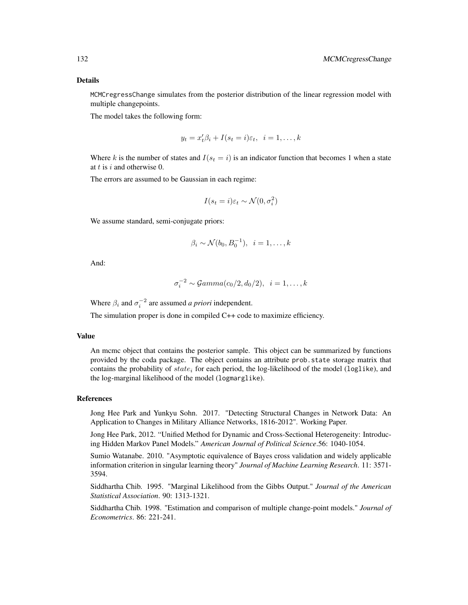MCMCregressChange simulates from the posterior distribution of the linear regression model with multiple changepoints.

The model takes the following form:

$$
y_t = x_t'\beta_i + I(s_t = i)\varepsilon_t, \ \ i = 1, \dots, k
$$

Where k is the number of states and  $I(s_t = i)$  is an indicator function that becomes 1 when a state at  $t$  is  $i$  and otherwise 0.

The errors are assumed to be Gaussian in each regime:

$$
I(s_t = i)\varepsilon_t \sim \mathcal{N}(0, \sigma_i^2)
$$

We assume standard, semi-conjugate priors:

$$
\beta_i \sim \mathcal{N}(b_0, B_0^{-1}), \quad i=1,\ldots,k
$$

And:

$$
\sigma_i^{-2} \sim \mathcal{G}amma(c_0/2, d_0/2), \ \ i=1,\ldots,k
$$

Where  $\beta_i$  and  $\sigma_i^{-2}$  are assumed *a priori* independent.

The simulation proper is done in compiled C++ code to maximize efficiency.

#### Value

An mcmc object that contains the posterior sample. This object can be summarized by functions provided by the coda package. The object contains an attribute prob.state storage matrix that contains the probability of  $state_i$  for each period, the log-likelihood of the model (log1ike), and the log-marginal likelihood of the model (logmarglike).

#### References

Jong Hee Park and Yunkyu Sohn. 2017. "Detecting Structural Changes in Network Data: An Application to Changes in Military Alliance Networks, 1816-2012". Working Paper.

Jong Hee Park, 2012. "Unified Method for Dynamic and Cross-Sectional Heterogeneity: Introducing Hidden Markov Panel Models." *American Journal of Political Science*.56: 1040-1054.

Sumio Watanabe. 2010. "Asymptotic equivalence of Bayes cross validation and widely applicable information criterion in singular learning theory" *Journal of Machine Learning Research*. 11: 3571- 3594.

Siddhartha Chib. 1995. "Marginal Likelihood from the Gibbs Output." *Journal of the American Statistical Association*. 90: 1313-1321.

Siddhartha Chib. 1998. "Estimation and comparison of multiple change-point models." *Journal of Econometrics*. 86: 221-241.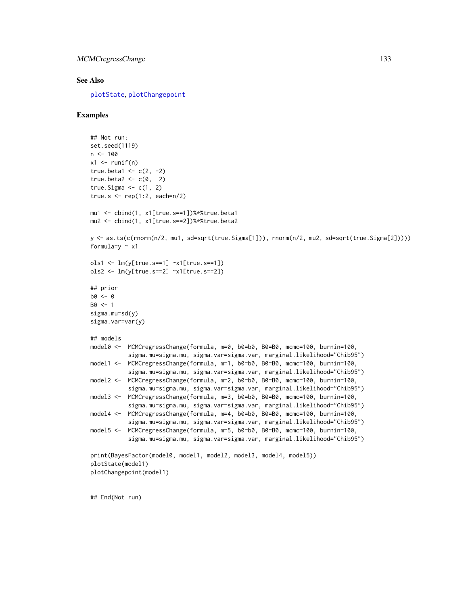#### See Also

[plotState](#page-151-0), [plotChangepoint](#page-150-0)

## Examples

```
## Not run:
set.seed(1119)
n < -100x1 \leftarrow runif(n)true.beta1 <- c(2, -2)true.beta2 < -c(0, 2)true. Sigma \leq c(1, 2)
true.s \leq rep(1:2, each=n/2)
mu1 <- cbind(1, x1[true.s==1])%*%true.beta1
mu2 <- cbind(1, x1[true.s==2])%*%true.beta2
y <- as.ts(c(rnorm(n/2, mu1, sd=sqrt(true.Sigma[1])), rnorm(n/2, mu2, sd=sqrt(true.Sigma[2]))))
formula=y \sim x1ols1 <- lm(y[true.s==1] ~x1[true.s==1])
ols2 <- lm(y[true.s==2] ~x1[true.s==2])
## prior
b0 <- 0
B0 < -1sigma.mu=sd(y)
sigma.var=var(y)
## models
model0 <- MCMCregressChange(formula, m=0, b0=b0, B0=B0, mcmc=100, burnin=100,
           sigma.mu=sigma.mu, sigma.var=sigma.var, marginal.likelihood="Chib95")
model1 <- MCMCregressChange(formula, m=1, b0=b0, B0=B0, mcmc=100, burnin=100,
           sigma.mu=sigma.mu, sigma.var=sigma.var, marginal.likelihood="Chib95")
model2 <- MCMCregressChange(formula, m=2, b0=b0, B0=B0, mcmc=100, burnin=100,
           sigma.mu=sigma.mu, sigma.var=sigma.var, marginal.likelihood="Chib95")
model3 <- MCMCregressChange(formula, m=3, b0=b0, B0=B0, mcmc=100, burnin=100,
           sigma.mu=sigma.mu, sigma.var=sigma.var, marginal.likelihood="Chib95")
model4 <- MCMCregressChange(formula, m=4, b0=b0, B0=B0, mcmc=100, burnin=100,
           sigma.mu=sigma.mu, sigma.var=sigma.var, marginal.likelihood="Chib95")
model5 <- MCMCregressChange(formula, m=5, b0=b0, B0=B0, mcmc=100, burnin=100,
           sigma.mu=sigma.mu, sigma.var=sigma.var, marginal.likelihood="Chib95")
print(BayesFactor(model0, model1, model2, model3, model4, model5))
plotState(model1)
plotChangepoint(model1)
```
## End(Not run)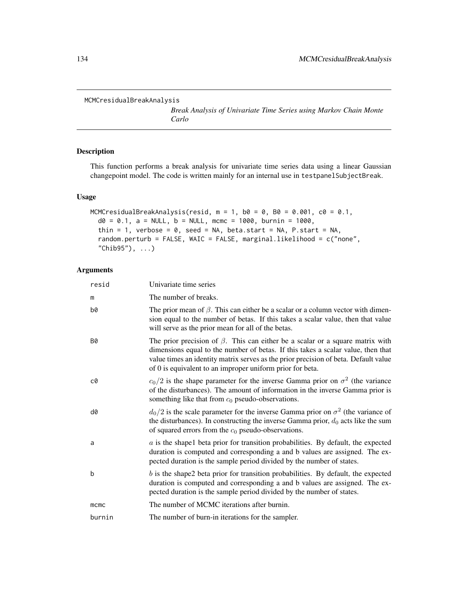```
MCMCresidualBreakAnalysis
```
*Break Analysis of Univariate Time Series using Markov Chain Monte Carlo*

# Description

This function performs a break analysis for univariate time series data using a linear Gaussian changepoint model. The code is written mainly for an internal use in testpanelSubjectBreak.

## Usage

```
MCMCresidualBreakAnalysis(resid, m = 1, b0 = 0, B0 = 0.001, c0 = 0.1,
  d0 = 0.1, a = NULL, b = NULL, mcmc = 1000, burnin = 1000,
  thin = 1, verbose = 0, seed = NA, beta.start = NA, P.start = NA,
  random.perturb = FALSE, WAIC = FALSE, marginal.likelihood = c("none",
  "Chib95"), ...)
```

| resid     | Univariate time series                                                                                                                                                                                                                                                                                                       |
|-----------|------------------------------------------------------------------------------------------------------------------------------------------------------------------------------------------------------------------------------------------------------------------------------------------------------------------------------|
| m         | The number of breaks.                                                                                                                                                                                                                                                                                                        |
| b0        | The prior mean of $\beta$ . This can either be a scalar or a column vector with dimen-<br>sion equal to the number of betas. If this takes a scalar value, then that value<br>will serve as the prior mean for all of the betas.                                                                                             |
| <b>B0</b> | The prior precision of $\beta$ . This can either be a scalar or a square matrix with<br>dimensions equal to the number of betas. If this takes a scalar value, then that<br>value times an identity matrix serves as the prior precision of beta. Default value<br>of 0 is equivalent to an improper uniform prior for beta. |
| c0        | $c_0/2$ is the shape parameter for the inverse Gamma prior on $\sigma^2$ (the variance<br>of the disturbances). The amount of information in the inverse Gamma prior is<br>something like that from $c_0$ pseudo-observations.                                                                                               |
| d0        | $d_0/2$ is the scale parameter for the inverse Gamma prior on $\sigma^2$ (the variance of<br>the disturbances). In constructing the inverse Gamma prior, $d_0$ acts like the sum<br>of squared errors from the $c_0$ pseudo-observations.                                                                                    |
| a         | $\alpha$ is the shapel beta prior for transition probabilities. By default, the expected<br>duration is computed and corresponding a and b values are assigned. The ex-<br>pected duration is the sample period divided by the number of states.                                                                             |
| þ         | $b$ is the shape2 beta prior for transition probabilities. By default, the expected<br>duration is computed and corresponding a and b values are assigned. The ex-<br>pected duration is the sample period divided by the number of states.                                                                                  |
| mcmc      | The number of MCMC iterations after burnin.                                                                                                                                                                                                                                                                                  |
| burnin    | The number of burn-in iterations for the sampler.                                                                                                                                                                                                                                                                            |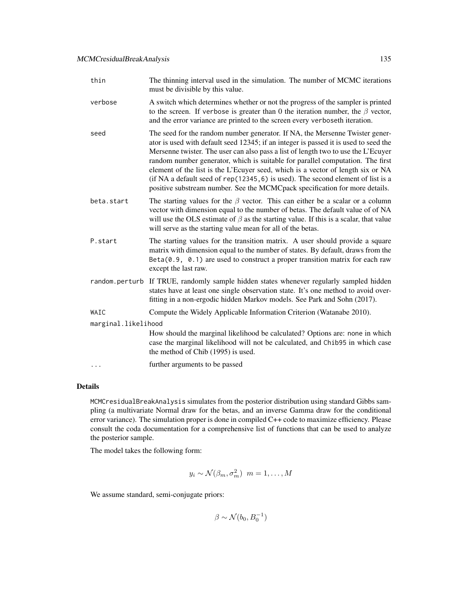| thin                | The thinning interval used in the simulation. The number of MCMC iterations<br>must be divisible by this value.                                                                                                                                                                                                                                                                                                                                                                                                                                                                                   |  |
|---------------------|---------------------------------------------------------------------------------------------------------------------------------------------------------------------------------------------------------------------------------------------------------------------------------------------------------------------------------------------------------------------------------------------------------------------------------------------------------------------------------------------------------------------------------------------------------------------------------------------------|--|
| verbose             | A switch which determines whether or not the progress of the sampler is printed<br>to the screen. If verbose is greater than 0 the iteration number, the $\beta$ vector,<br>and the error variance are printed to the screen every verboseth iteration.                                                                                                                                                                                                                                                                                                                                           |  |
| seed                | The seed for the random number generator. If NA, the Mersenne Twister gener-<br>ator is used with default seed 12345; if an integer is passed it is used to seed the<br>Mersenne twister. The user can also pass a list of length two to use the L'Ecuyer<br>random number generator, which is suitable for parallel computation. The first<br>element of the list is the L'Ecuyer seed, which is a vector of length six or NA<br>(if NA a default seed of rep(12345, 6) is used). The second element of list is a<br>positive substream number. See the MCMCpack specification for more details. |  |
| beta.start          | The starting values for the $\beta$ vector. This can either be a scalar or a column<br>vector with dimension equal to the number of betas. The default value of of NA<br>will use the OLS estimate of $\beta$ as the starting value. If this is a scalar, that value<br>will serve as the starting value mean for all of the betas.                                                                                                                                                                                                                                                               |  |
| P.start             | The starting values for the transition matrix. A user should provide a square<br>matrix with dimension equal to the number of states. By default, draws from the<br>$Beta(0.9, 0.1)$ are used to construct a proper transition matrix for each raw<br>except the last raw.                                                                                                                                                                                                                                                                                                                        |  |
|                     | random perturb If TRUE, randomly sample hidden states whenever regularly sampled hidden<br>states have at least one single observation state. It's one method to avoid over-<br>fitting in a non-ergodic hidden Markov models. See Park and Sohn (2017).                                                                                                                                                                                                                                                                                                                                          |  |
| WAIC                | Compute the Widely Applicable Information Criterion (Watanabe 2010).                                                                                                                                                                                                                                                                                                                                                                                                                                                                                                                              |  |
| marginal.likelihood |                                                                                                                                                                                                                                                                                                                                                                                                                                                                                                                                                                                                   |  |
|                     | How should the marginal likelihood be calculated? Options are: none in which<br>case the marginal likelihood will not be calculated, and Chib95 in which case<br>the method of Chib (1995) is used.                                                                                                                                                                                                                                                                                                                                                                                               |  |
| $\cdots$            | further arguments to be passed                                                                                                                                                                                                                                                                                                                                                                                                                                                                                                                                                                    |  |

MCMCresidualBreakAnalysis simulates from the posterior distribution using standard Gibbs sampling (a multivariate Normal draw for the betas, and an inverse Gamma draw for the conditional error variance). The simulation proper is done in compiled C++ code to maximize efficiency. Please consult the coda documentation for a comprehensive list of functions that can be used to analyze the posterior sample.

The model takes the following form:

$$
y_i \sim \mathcal{N}(\beta_m, \sigma_m^2) \ \ m = 1, \dots, M
$$

We assume standard, semi-conjugate priors:

 $\beta \sim \mathcal{N}(b_0, B_0^{-1})$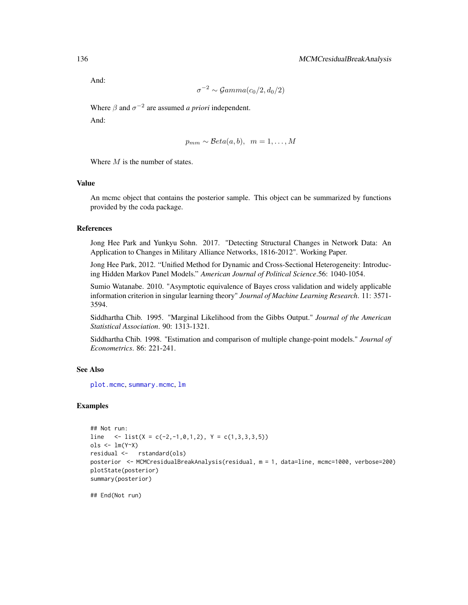And:

$$
\sigma^{-2} \sim \mathcal{Gamma}(c_0/2, d_0/2)
$$

Where  $\beta$  and  $\sigma^{-2}$  are assumed *a priori* independent.

And:

$$
p_{mm} \sim \mathcal{B}eta(a, b), \ \ m = 1, \ldots, M
$$

Where  $M$  is the number of states.

#### Value

An mcmc object that contains the posterior sample. This object can be summarized by functions provided by the coda package.

# References

Jong Hee Park and Yunkyu Sohn. 2017. "Detecting Structural Changes in Network Data: An Application to Changes in Military Alliance Networks, 1816-2012". Working Paper.

Jong Hee Park, 2012. "Unified Method for Dynamic and Cross-Sectional Heterogeneity: Introducing Hidden Markov Panel Models." *American Journal of Political Science*.56: 1040-1054.

Sumio Watanabe. 2010. "Asymptotic equivalence of Bayes cross validation and widely applicable information criterion in singular learning theory" *Journal of Machine Learning Research*. 11: 3571- 3594.

Siddhartha Chib. 1995. "Marginal Likelihood from the Gibbs Output." *Journal of the American Statistical Association*. 90: 1313-1321.

Siddhartha Chib. 1998. "Estimation and comparison of multiple change-point models." *Journal of Econometrics*. 86: 221-241.

# See Also

[plot.mcmc](#page-0-0), [summary.mcmc](#page-0-0), [lm](#page-0-0)

# Examples

```
## Not run:
line \langle -1 \text{list}(X = c(-2, -1, 0, 1, 2), Y = c(1, 3, 3, 3, 5)) \rangleols <- lm(Y~X)
residual <- rstandard(ols)
posterior <- MCMCresidualBreakAnalysis(residual, m = 1, data=line, mcmc=1000, verbose=200)
plotState(posterior)
summary(posterior)
```
## End(Not run)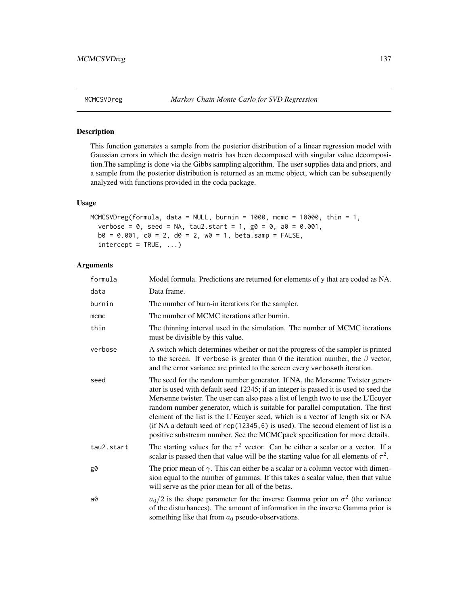# Description

This function generates a sample from the posterior distribution of a linear regression model with Gaussian errors in which the design matrix has been decomposed with singular value decomposition.The sampling is done via the Gibbs sampling algorithm. The user supplies data and priors, and a sample from the posterior distribution is returned as an mcmc object, which can be subsequently analyzed with functions provided in the coda package.

# Usage

```
MCMCSVDreg(formula, data = NULL, burnin = 1000, mcmc = 10000, thin = 1,
  verbose = 0, seed = NA, tau2.start = 1, g0 = 0, a0 = 0.001,
 b0 = 0.001, c0 = 2, d0 = 2, w0 = 1, beta.samp = FALSE,
  intercept = TRUE, ...
```

| formula    | Model formula. Predictions are returned for elements of y that are coded as NA.                                                                                                                                                                                                                                                                                                                                                                                                                                                                                                                   |  |
|------------|---------------------------------------------------------------------------------------------------------------------------------------------------------------------------------------------------------------------------------------------------------------------------------------------------------------------------------------------------------------------------------------------------------------------------------------------------------------------------------------------------------------------------------------------------------------------------------------------------|--|
| data       | Data frame.                                                                                                                                                                                                                                                                                                                                                                                                                                                                                                                                                                                       |  |
| burnin     | The number of burn-in iterations for the sampler.                                                                                                                                                                                                                                                                                                                                                                                                                                                                                                                                                 |  |
| mcmc       | The number of MCMC iterations after burnin.                                                                                                                                                                                                                                                                                                                                                                                                                                                                                                                                                       |  |
| thin       | The thinning interval used in the simulation. The number of MCMC iterations<br>must be divisible by this value.                                                                                                                                                                                                                                                                                                                                                                                                                                                                                   |  |
| verbose    | A switch which determines whether or not the progress of the sampler is printed<br>to the screen. If verbose is greater than 0 the iteration number, the $\beta$ vector,<br>and the error variance are printed to the screen every verboseth iteration.                                                                                                                                                                                                                                                                                                                                           |  |
| seed       | The seed for the random number generator. If NA, the Mersenne Twister gener-<br>ator is used with default seed 12345; if an integer is passed it is used to seed the<br>Mersenne twister. The user can also pass a list of length two to use the L'Ecuyer<br>random number generator, which is suitable for parallel computation. The first<br>element of the list is the L'Ecuyer seed, which is a vector of length six or NA<br>(if NA a default seed of rep(12345, 6) is used). The second element of list is a<br>positive substream number. See the MCMCpack specification for more details. |  |
| tau2.start | The starting values for the $\tau^2$ vector. Can be either a scalar or a vector. If a<br>scalar is passed then that value will be the starting value for all elements of $\tau^2$ .                                                                                                                                                                                                                                                                                                                                                                                                               |  |
| g0         | The prior mean of $\gamma$ . This can either be a scalar or a column vector with dimen-<br>sion equal to the number of gammas. If this takes a scalar value, then that value<br>will serve as the prior mean for all of the betas.                                                                                                                                                                                                                                                                                                                                                                |  |
| a0         | $a_0/2$ is the shape parameter for the inverse Gamma prior on $\sigma^2$ (the variance<br>of the disturbances). The amount of information in the inverse Gamma prior is<br>something like that from $a_0$ pseudo-observations.                                                                                                                                                                                                                                                                                                                                                                    |  |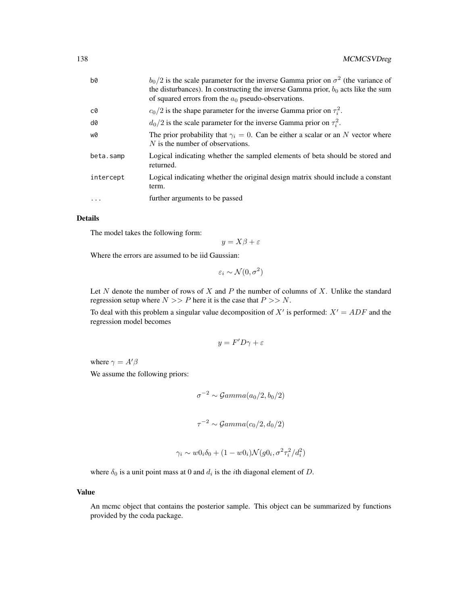| b0        | $b_0/2$ is the scale parameter for the inverse Gamma prior on $\sigma^2$ (the variance of                                                    |  |
|-----------|----------------------------------------------------------------------------------------------------------------------------------------------|--|
|           | the disturbances). In constructing the inverse Gamma prior, $b_0$ acts like the sum<br>of squared errors from the $a_0$ pseudo-observations. |  |
| c0        | $c_0/2$ is the shape parameter for the inverse Gamma prior on $\tau_i^2$ .                                                                   |  |
| d0        | $d_0/2$ is the scale parameter for the inverse Gamma prior on $\tau_i^2$ .                                                                   |  |
| w0        | The prior probability that $\gamma_i = 0$ . Can be either a scalar or an N vector where<br>$N$ is the number of observations.                |  |
| beta.samp | Logical indicating whether the sampled elements of beta should be stored and<br>returned.                                                    |  |
| intercept | Logical indicating whether the original design matrix should include a constant<br>term.                                                     |  |
| $\cdots$  | further arguments to be passed                                                                                                               |  |

The model takes the following form:

$$
y = X\beta + \varepsilon
$$

Where the errors are assumed to be iid Gaussian:

$$
\varepsilon_i \sim \mathcal{N}(0, \sigma^2)
$$

Let  $N$  denote the number of rows of  $X$  and  $P$  the number of columns of  $X$ . Unlike the standard regression setup where  $N >> P$  here it is the case that  $P >> N$ .

To deal with this problem a singular value decomposition of  $X'$  is performed:  $X' = ADF$  and the regression model becomes

$$
y = F'D\gamma + \varepsilon
$$

where  $\gamma = A'\beta$ 

We assume the following priors:

$$
\sigma^{-2} \sim \mathcal{G}amma(a_0/2, b_0/2)
$$
  

$$
\tau^{-2} \sim \mathcal{G}amma(c_0/2, d_0/2)
$$

$$
\gamma_i \sim w0_i \delta_0 + (1 - w0_i) \mathcal{N}(g0_i, \sigma^2 \tau_i^2 / d_i^2)
$$

where  $\delta_0$  is a unit point mass at 0 and  $d_i$  is the *i*th diagonal element of D.

## Value

An mcmc object that contains the posterior sample. This object can be summarized by functions provided by the coda package.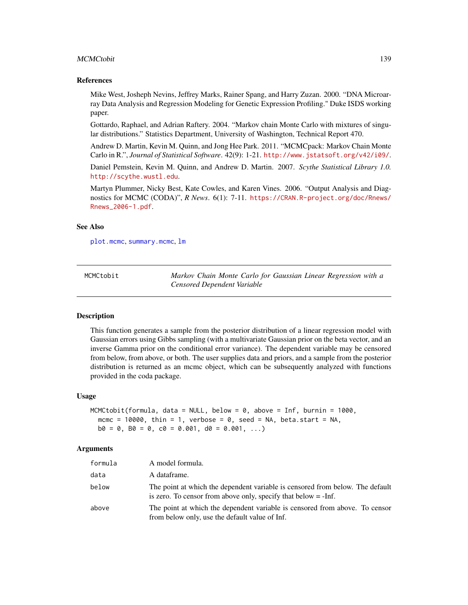#### MCMCtobit 139

#### References

Mike West, Josheph Nevins, Jeffrey Marks, Rainer Spang, and Harry Zuzan. 2000. "DNA Microarray Data Analysis and Regression Modeling for Genetic Expression Profiling." Duke ISDS working paper.

Gottardo, Raphael, and Adrian Raftery. 2004. "Markov chain Monte Carlo with mixtures of singular distributions." Statistics Department, University of Washington, Technical Report 470.

Andrew D. Martin, Kevin M. Quinn, and Jong Hee Park. 2011. "MCMCpack: Markov Chain Monte Carlo in R.", *Journal of Statistical Software*. 42(9): 1-21. <http://www.jstatsoft.org/v42/i09/>.

Daniel Pemstein, Kevin M. Quinn, and Andrew D. Martin. 2007. *Scythe Statistical Library 1.0.* <http://scythe.wustl.edu>.

Martyn Plummer, Nicky Best, Kate Cowles, and Karen Vines. 2006. "Output Analysis and Diagnostics for MCMC (CODA)", *R News*. 6(1): 7-11. [https://CRAN.R-project.org/doc/Rnews/](https://CRAN.R-project.org/doc/Rnews/Rnews_2006-1.pdf) [Rnews\\_2006-1.pdf](https://CRAN.R-project.org/doc/Rnews/Rnews_2006-1.pdf).

#### See Also

[plot.mcmc](#page-0-0), [summary.mcmc](#page-0-0), [lm](#page-0-0)

MCMCtobit *Markov Chain Monte Carlo for Gaussian Linear Regression with a Censored Dependent Variable*

#### **Description**

This function generates a sample from the posterior distribution of a linear regression model with Gaussian errors using Gibbs sampling (with a multivariate Gaussian prior on the beta vector, and an inverse Gamma prior on the conditional error variance). The dependent variable may be censored from below, from above, or both. The user supplies data and priors, and a sample from the posterior distribution is returned as an mcmc object, which can be subsequently analyzed with functions provided in the coda package.

#### Usage

```
MCMCtobit(formula, data = NULL, below = 0, above = Inf, burnin = 1000,
 mcmc = 10000, thin = 1, verbose = 0, seed = NA, beta.start = NA,
 b0 = 0, b0 = 0, c0 = 0.001, d0 = 0.001, ...)
```

| formula | A model formula.                                                                                                                                         |
|---------|----------------------------------------------------------------------------------------------------------------------------------------------------------|
| data    | A dataframe.                                                                                                                                             |
| below   | The point at which the dependent variable is censored from below. The default<br>is zero. To censor from above only, specify that below $= -\text{Inf.}$ |
| above   | The point at which the dependent variable is censored from above. To censor<br>from below only, use the default value of Inf.                            |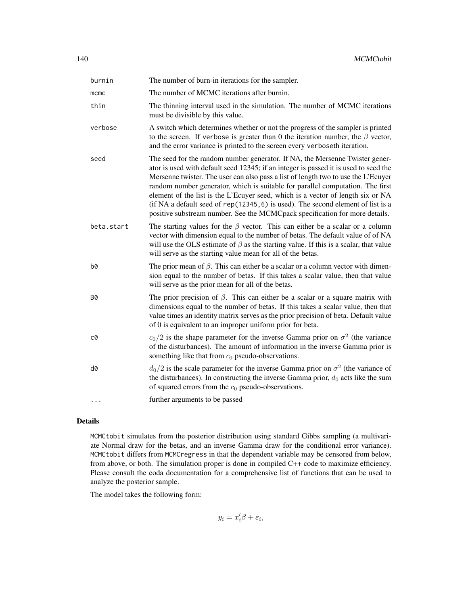| burnin       | The number of burn-in iterations for the sampler.                                                                                                                                                                                                                                                                                                                                                                                                                                                                                                                                                 |
|--------------|---------------------------------------------------------------------------------------------------------------------------------------------------------------------------------------------------------------------------------------------------------------------------------------------------------------------------------------------------------------------------------------------------------------------------------------------------------------------------------------------------------------------------------------------------------------------------------------------------|
| $m$ $cm$ $c$ | The number of MCMC iterations after burnin.                                                                                                                                                                                                                                                                                                                                                                                                                                                                                                                                                       |
| thin         | The thinning interval used in the simulation. The number of MCMC iterations<br>must be divisible by this value.                                                                                                                                                                                                                                                                                                                                                                                                                                                                                   |
| verbose      | A switch which determines whether or not the progress of the sampler is printed<br>to the screen. If verbose is greater than 0 the iteration number, the $\beta$ vector,<br>and the error variance is printed to the screen every verboseth iteration.                                                                                                                                                                                                                                                                                                                                            |
| seed         | The seed for the random number generator. If NA, the Mersenne Twister gener-<br>ator is used with default seed 12345; if an integer is passed it is used to seed the<br>Mersenne twister. The user can also pass a list of length two to use the L'Ecuyer<br>random number generator, which is suitable for parallel computation. The first<br>element of the list is the L'Ecuyer seed, which is a vector of length six or NA<br>(if NA a default seed of rep(12345, 6) is used). The second element of list is a<br>positive substream number. See the MCMCpack specification for more details. |
| beta.start   | The starting values for the $\beta$ vector. This can either be a scalar or a column<br>vector with dimension equal to the number of betas. The default value of of NA<br>will use the OLS estimate of $\beta$ as the starting value. If this is a scalar, that value<br>will serve as the starting value mean for all of the betas.                                                                                                                                                                                                                                                               |
| b0           | The prior mean of $\beta$ . This can either be a scalar or a column vector with dimen-<br>sion equal to the number of betas. If this takes a scalar value, then that value<br>will serve as the prior mean for all of the betas.                                                                                                                                                                                                                                                                                                                                                                  |
| <b>B0</b>    | The prior precision of $\beta$ . This can either be a scalar or a square matrix with<br>dimensions equal to the number of betas. If this takes a scalar value, then that<br>value times an identity matrix serves as the prior precision of beta. Default value<br>of 0 is equivalent to an improper uniform prior for beta.                                                                                                                                                                                                                                                                      |
| c0           | $c_0/2$ is the shape parameter for the inverse Gamma prior on $\sigma^2$ (the variance<br>of the disturbances). The amount of information in the inverse Gamma prior is<br>something like that from $c_0$ pseudo-observations.                                                                                                                                                                                                                                                                                                                                                                    |
| d0           | $d_0/2$ is the scale parameter for the inverse Gamma prior on $\sigma^2$ (the variance of<br>the disturbances). In constructing the inverse Gamma prior, $d_0$ acts like the sum<br>of squared errors from the $c_0$ pseudo-observations.                                                                                                                                                                                                                                                                                                                                                         |
| $\cdots$     | further arguments to be passed                                                                                                                                                                                                                                                                                                                                                                                                                                                                                                                                                                    |

MCMCtobit simulates from the posterior distribution using standard Gibbs sampling (a multivariate Normal draw for the betas, and an inverse Gamma draw for the conditional error variance). MCMCtobit differs from MCMCregress in that the dependent variable may be censored from below, from above, or both. The simulation proper is done in compiled C++ code to maximize efficiency. Please consult the coda documentation for a comprehensive list of functions that can be used to analyze the posterior sample.

The model takes the following form:

 $y_i = x_i' \beta + \varepsilon_i,$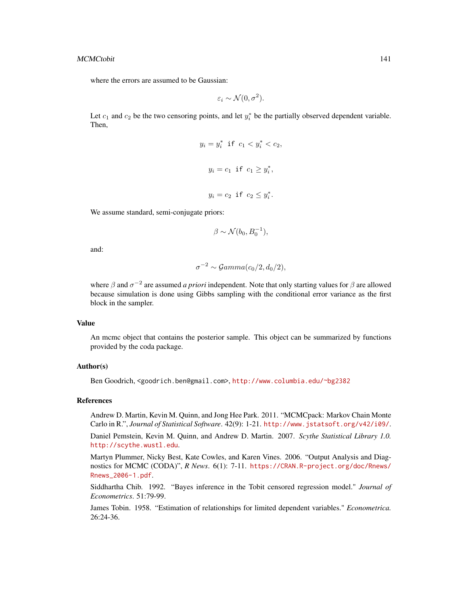where the errors are assumed to be Gaussian:

$$
\varepsilon_i \sim \mathcal{N}(0, \sigma^2).
$$

Let  $c_1$  and  $c_2$  be the two censoring points, and let  $y_i^*$  be the partially observed dependent variable. Then,

$$
y_i = y_i^* \text{ if } c_1 < y_i^* < c_2,
$$
\n
$$
y_i = c_1 \text{ if } c_1 \ge y_i^*,
$$
\n
$$
y_i = c_2 \text{ if } c_2 \le y_i^*.
$$

We assume standard, semi-conjugate priors:

$$
\beta \sim \mathcal{N}(b_0, B_0^{-1}),
$$

and:

$$
\sigma^{-2} \sim \mathcal{G}amma(c_0/2, d_0/2),
$$

where  $\beta$  and  $\sigma^{-2}$  are assumed *a priori* independent. Note that only starting values for  $\beta$  are allowed because simulation is done using Gibbs sampling with the conditional error variance as the first block in the sampler.

# Value

An mcmc object that contains the posterior sample. This object can be summarized by functions provided by the coda package.

#### Author(s)

Ben Goodrich, <goodrich.ben@gmail.com>, <http://www.columbia.edu/~bg2382>

#### References

Andrew D. Martin, Kevin M. Quinn, and Jong Hee Park. 2011. "MCMCpack: Markov Chain Monte Carlo in R.", *Journal of Statistical Software*. 42(9): 1-21. <http://www.jstatsoft.org/v42/i09/>.

Daniel Pemstein, Kevin M. Quinn, and Andrew D. Martin. 2007. *Scythe Statistical Library 1.0.* <http://scythe.wustl.edu>.

Martyn Plummer, Nicky Best, Kate Cowles, and Karen Vines. 2006. "Output Analysis and Diagnostics for MCMC (CODA)", *R News*. 6(1): 7-11. [https://CRAN.R-project.org/doc/Rnews/](https://CRAN.R-project.org/doc/Rnews/Rnews_2006-1.pdf) [Rnews\\_2006-1.pdf](https://CRAN.R-project.org/doc/Rnews/Rnews_2006-1.pdf).

Siddhartha Chib. 1992. "Bayes inference in the Tobit censored regression model." *Journal of Econometrics*. 51:79-99.

James Tobin. 1958. "Estimation of relationships for limited dependent variables." *Econometrica.* 26:24-36.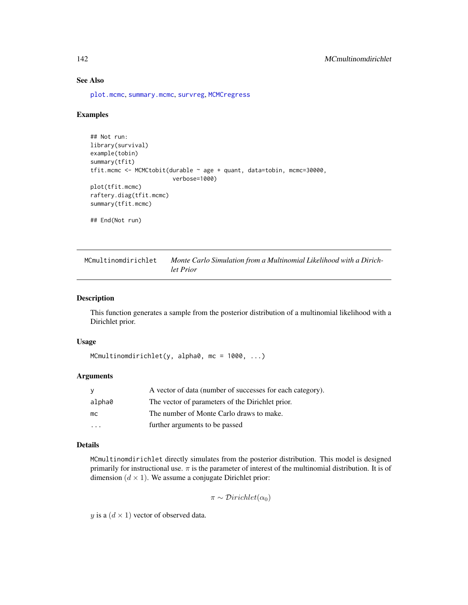# See Also

[plot.mcmc](#page-0-0), [summary.mcmc](#page-0-0), [survreg](#page-0-0), [MCMCregress](#page-126-0)

## Examples

```
## Not run:
library(survival)
example(tobin)
summary(tfit)
tfit.mcmc <- MCMCtobit(durable ~ age + quant, data=tobin, mcmc=30000,
                        verbose=1000)
plot(tfit.mcmc)
raftery.diag(tfit.mcmc)
summary(tfit.mcmc)
## End(Not run)
```

| MCmultinomdirichlet | Monte Carlo Simulation from a Multinomial Likelihood with a Dirich- |
|---------------------|---------------------------------------------------------------------|
|                     | let Prior                                                           |

## Description

This function generates a sample from the posterior distribution of a multinomial likelihood with a Dirichlet prior.

#### Usage

```
MCmultinomdirichlet(y, alpha0, mc = 1000, ...)
```
## Arguments

| <b>V</b> | A vector of data (number of successes for each category). |
|----------|-----------------------------------------------------------|
| alpha0   | The vector of parameters of the Dirichlet prior.          |
| mc       | The number of Monte Carlo draws to make.                  |
|          | further arguments to be passed                            |

# Details

MCmultinomdirichlet directly simulates from the posterior distribution. This model is designed primarily for instructional use.  $\pi$  is the parameter of interest of the multinomial distribution. It is of dimension  $(d \times 1)$ . We assume a conjugate Dirichlet prior:

 $\pi \sim Dirichlet(\alpha_0)$ 

y is a  $(d \times 1)$  vector of observed data.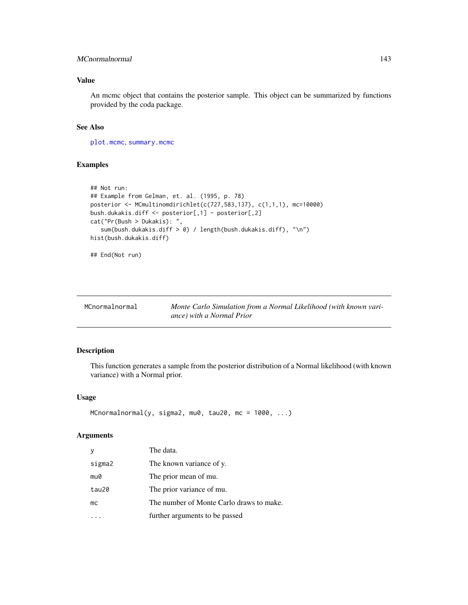# MCnormalnormal 143

# Value

An mcmc object that contains the posterior sample. This object can be summarized by functions provided by the coda package.

## See Also

[plot.mcmc](#page-0-0), [summary.mcmc](#page-0-0)

## Examples

```
## Not run:
## Example from Gelman, et. al. (1995, p. 78)
posterior <- MCmultinomdirichlet(c(727,583,137), c(1,1,1), mc=10000)
bush.dukakis.diff <- posterior[,1] - posterior[,2]
cat("Pr(Bush > Dukakis): ",
   sum(bush.dukakis.diff > 0) / length(bush.dukakis.diff), "\n")
hist(bush.dukakis.diff)
```

```
## End(Not run)
```

| MCnormalnormal | Monte Carlo Simulation from a Normal Likelihood (with known vari- |
|----------------|-------------------------------------------------------------------|
|                | ance) with a Normal Prior                                         |

# Description

This function generates a sample from the posterior distribution of a Normal likelihood (with known variance) with a Normal prior.

## Usage

```
MCnormalnormal(y, sigma2, mu0, tau20, mc = 1000, ...)
```

| y      | The data.                                |
|--------|------------------------------------------|
| sigma2 | The known variance of y.                 |
| mu0    | The prior mean of mu.                    |
| tau20  | The prior variance of mu.                |
| mc     | The number of Monte Carlo draws to make. |
|        | further arguments to be passed           |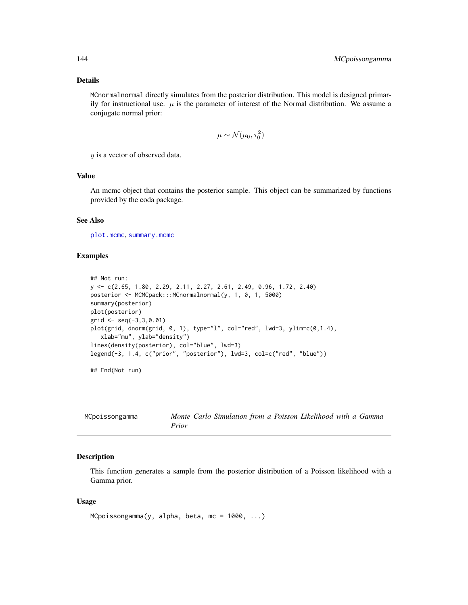MCnormalnormal directly simulates from the posterior distribution. This model is designed primarily for instructional use.  $\mu$  is the parameter of interest of the Normal distribution. We assume a conjugate normal prior:

$$
\mu \sim \mathcal{N}(\mu_0, \tau_0^2)
$$

y is a vector of observed data.

# Value

An mcmc object that contains the posterior sample. This object can be summarized by functions provided by the coda package.

## See Also

[plot.mcmc](#page-0-0), [summary.mcmc](#page-0-0)

## Examples

```
## Not run:
y <- c(2.65, 1.80, 2.29, 2.11, 2.27, 2.61, 2.49, 0.96, 1.72, 2.40)
posterior <- MCMCpack:::MCnormalnormal(y, 1, 0, 1, 5000)
summary(posterior)
plot(posterior)
grid \leq seq(-3, 3, 0.01)plot(grid, dnorm(grid, 0, 1), type="l", col="red", lwd=3, ylim=c(0,1.4),
   xlab="mu", ylab="density")
lines(density(posterior), col="blue", lwd=3)
legend(-3, 1.4, c("prior", "posterior"), lwd=3, col=c("red", "blue"))
## End(Not run)
```

| MCpoissongamma | Monte Carlo Simulation from a Poisson Likelihood with a Gamma |
|----------------|---------------------------------------------------------------|
|                | Prior                                                         |

#### Description

This function generates a sample from the posterior distribution of a Poisson likelihood with a Gamma prior.

#### Usage

```
MCpoissongamma(y, alpha, beta, mc = 1000, ...)
```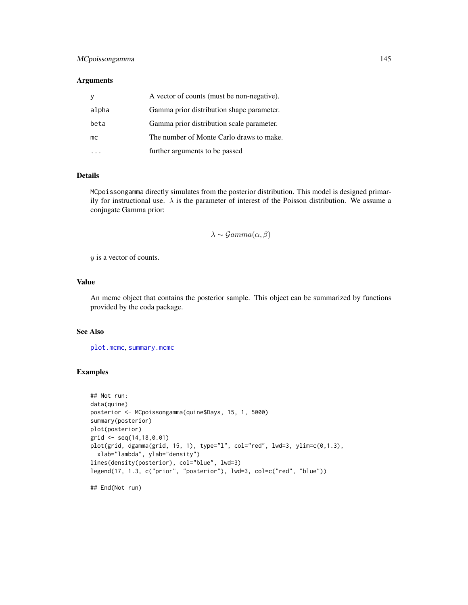# <span id="page-144-0"></span>MCpoissongamma 145

## Arguments

|       | A vector of counts (must be non-negative). |
|-------|--------------------------------------------|
| alpha | Gamma prior distribution shape parameter.  |
| beta  | Gamma prior distribution scale parameter.  |
| mc    | The number of Monte Carlo draws to make.   |
|       | further arguments to be passed             |

# Details

MCpoissongamma directly simulates from the posterior distribution. This model is designed primarily for instructional use.  $\lambda$  is the parameter of interest of the Poisson distribution. We assume a conjugate Gamma prior:

## $\lambda \sim \mathcal{Gamma}(\alpha, \beta)$

y is a vector of counts.

# Value

An mcmc object that contains the posterior sample. This object can be summarized by functions provided by the coda package.

# See Also

[plot.mcmc](#page-0-0), [summary.mcmc](#page-0-0)

## Examples

```
## Not run:
data(quine)
posterior <- MCpoissongamma(quine$Days, 15, 1, 5000)
summary(posterior)
plot(posterior)
grid <- seq(14,18,0.01)
plot(grid, dgamma(grid, 15, 1), type="l", col="red", lwd=3, ylim=c(0,1.3),
  xlab="lambda", ylab="density")
lines(density(posterior), col="blue", lwd=3)
legend(17, 1.3, c("prior", "posterior"), lwd=3, col=c("red", "blue"))
## End(Not run)
```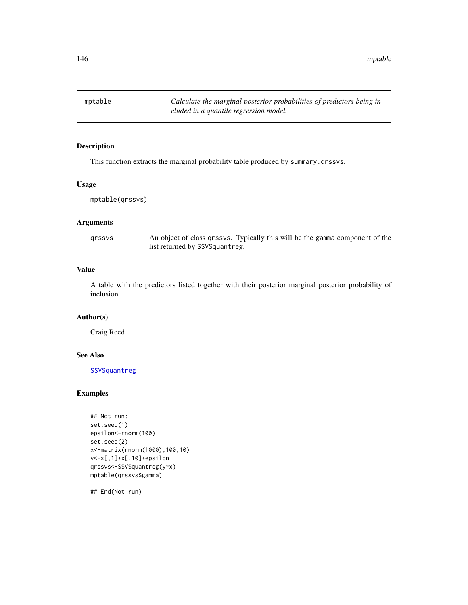<span id="page-145-1"></span>146 mptable metals and the set of the set of the set of the set of the set of the set of the set of the set of the set of the set of the set of the set of the set of the set of the set of the set of the set of the set of t

<span id="page-145-0"></span>mptable *Calculate the marginal posterior probabilities of predictors being included in a quantile regression model.*

# Description

This function extracts the marginal probability table produced by summary.qrssvs.

# Usage

```
mptable(qrssvs)
```
# Arguments

| qrssvs | An object of class qrssvs. Typically this will be the gamma component of the |  |  |  |
|--------|------------------------------------------------------------------------------|--|--|--|
|        | list returned by SSVSquantreg.                                               |  |  |  |

# Value

A table with the predictors listed together with their posterior marginal posterior probability of inclusion.

# Author(s)

Craig Reed

#### See Also

[SSVSquantreg](#page-156-0)

# Examples

```
## Not run:
set.seed(1)
epsilon<-rnorm(100)
set.seed(2)
x<-matrix(rnorm(1000),100,10)
y<-x[,1]+x[,10]+epsilon
qrssvs<-SSVSquantreg(y~x)
mptable(qrssvs$gamma)
```
## End(Not run)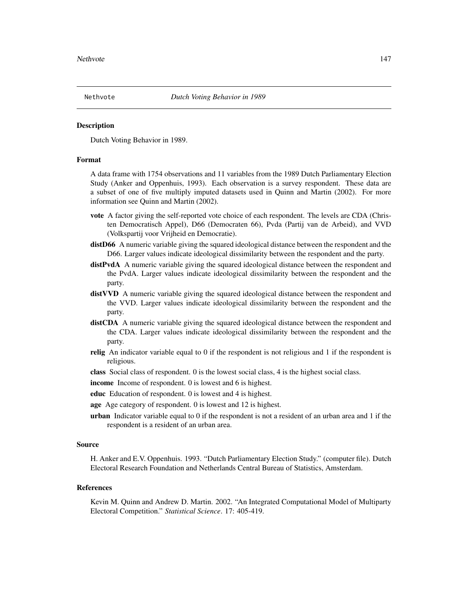<span id="page-146-0"></span>

Dutch Voting Behavior in 1989.

# Format

A data frame with 1754 observations and 11 variables from the 1989 Dutch Parliamentary Election Study (Anker and Oppenhuis, 1993). Each observation is a survey respondent. These data are a subset of one of five multiply imputed datasets used in Quinn and Martin (2002). For more information see Quinn and Martin (2002).

- vote A factor giving the self-reported vote choice of each respondent. The levels are CDA (Christen Democratisch Appel), D66 (Democraten 66), Pvda (Partij van de Arbeid), and VVD (Volkspartij voor Vrijheid en Democratie).
- distD66 A numeric variable giving the squared ideological distance between the respondent and the D66. Larger values indicate ideological dissimilarity between the respondent and the party.
- distPvdA A numeric variable giving the squared ideological distance between the respondent and the PvdA. Larger values indicate ideological dissimilarity between the respondent and the party.
- distVVD A numeric variable giving the squared ideological distance between the respondent and the VVD. Larger values indicate ideological dissimilarity between the respondent and the party.
- distCDA A numeric variable giving the squared ideological distance between the respondent and the CDA. Larger values indicate ideological dissimilarity between the respondent and the party.
- relig An indicator variable equal to 0 if the respondent is not religious and 1 if the respondent is religious.
- class Social class of respondent. 0 is the lowest social class, 4 is the highest social class.

income Income of respondent. 0 is lowest and 6 is highest.

- educ Education of respondent. 0 is lowest and 4 is highest.
- age Age category of respondent. 0 is lowest and 12 is highest.
- **urban** Indicator variable equal to  $0$  if the respondent is not a resident of an urban area and  $1$  if the respondent is a resident of an urban area.

#### Source

H. Anker and E.V. Oppenhuis. 1993. "Dutch Parliamentary Election Study." (computer file). Dutch Electoral Research Foundation and Netherlands Central Bureau of Statistics, Amsterdam.

#### References

Kevin M. Quinn and Andrew D. Martin. 2002. "An Integrated Computational Model of Multiparty Electoral Competition." *Statistical Science*. 17: 405-419.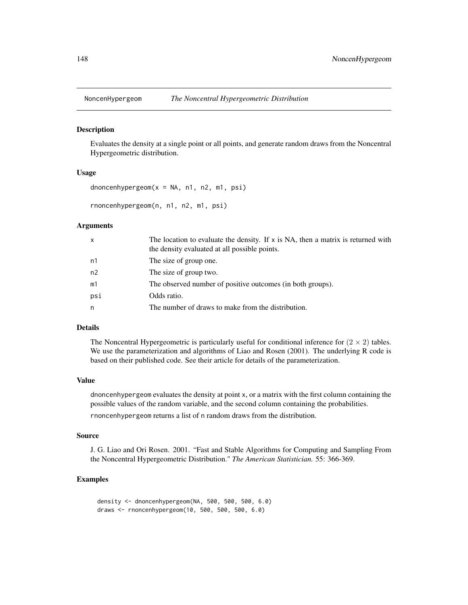<span id="page-147-0"></span>

Evaluates the density at a single point or all points, and generate random draws from the Noncentral Hypergeometric distribution.

#### Usage

```
dnoncenhypergeom(x = NA, n1, n2, m1, psi)
```
rnoncenhypergeom(n, n1, n2, m1, psi)

#### Arguments

| $\mathsf{x}$ | The location to evaluate the density. If $x$ is NA, then a matrix is returned with<br>the density evaluated at all possible points. |
|--------------|-------------------------------------------------------------------------------------------------------------------------------------|
| n1           | The size of group one.                                                                                                              |
| n2           | The size of group two.                                                                                                              |
| m1           | The observed number of positive outcomes (in both groups).                                                                          |
| psi          | Odds ratio.                                                                                                                         |
| n            | The number of draws to make from the distribution.                                                                                  |

# Details

The Noncentral Hypergeometric is particularly useful for conditional inference for  $(2 \times 2)$  tables. We use the parameterization and algorithms of Liao and Rosen (2001). The underlying R code is based on their published code. See their article for details of the parameterization.

#### Value

dnoncenhypergeom evaluates the density at point x, or a matrix with the first column containing the possible values of the random variable, and the second column containing the probabilities.

rnoncenhypergeom returns a list of n random draws from the distribution.

#### Source

J. G. Liao and Ori Rosen. 2001. "Fast and Stable Algorithms for Computing and Sampling From the Noncentral Hypergeometric Distribution." *The American Statistician.* 55: 366-369.

# Examples

density <- dnoncenhypergeom(NA, 500, 500, 500, 6.0) draws <- rnoncenhypergeom(10, 500, 500, 500, 6.0)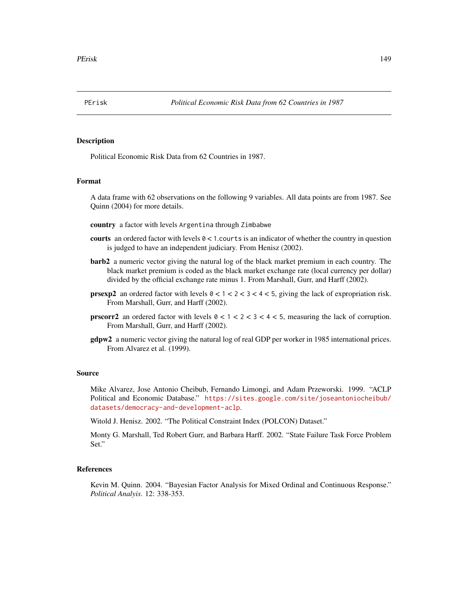<span id="page-148-0"></span>

Political Economic Risk Data from 62 Countries in 1987.

#### Format

A data frame with 62 observations on the following 9 variables. All data points are from 1987. See Quinn (2004) for more details.

country a factor with levels Argentina through Zimbabwe

- courts an ordered factor with levels  $0 < 1$  courts is an indicator of whether the country in question is judged to have an independent judiciary. From Henisz (2002).
- barb2 a numeric vector giving the natural log of the black market premium in each country. The black market premium is coded as the black market exchange rate (local currency per dollar) divided by the official exchange rate minus 1. From Marshall, Gurr, and Harff (2002).
- **prsexp2** an ordered factor with levels  $0 < 1 < 2 < 3 < 4 < 5$ , giving the lack of expropriation risk. From Marshall, Gurr, and Harff (2002).
- **prscorr2** an ordered factor with levels  $0 < 1 < 2 < 3 < 4 < 5$ , measuring the lack of corruption. From Marshall, Gurr, and Harff (2002).
- gdpw2 a numeric vector giving the natural log of real GDP per worker in 1985 international prices. From Alvarez et al. (1999).

#### Source

Mike Alvarez, Jose Antonio Cheibub, Fernando Limongi, and Adam Przeworski. 1999. "ACLP Political and Economic Database." [https://sites.google.com/site/joseantoniocheibub/](https://sites.google.com/site/joseantoniocheibub/datasets/democracy-and-development-aclp) [datasets/democracy-and-development-aclp](https://sites.google.com/site/joseantoniocheibub/datasets/democracy-and-development-aclp).

Witold J. Henisz. 2002. "The Political Constraint Index (POLCON) Dataset."

Monty G. Marshall, Ted Robert Gurr, and Barbara Harff. 2002. "State Failure Task Force Problem Set."

# References

Kevin M. Quinn. 2004. "Bayesian Factor Analysis for Mixed Ordinal and Continuous Response." *Political Analyis*. 12: 338-353.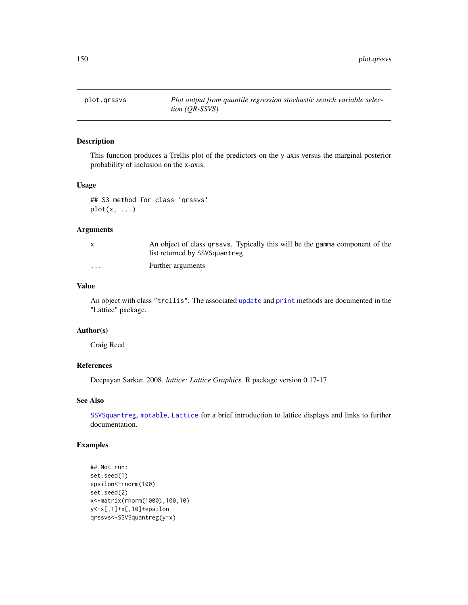<span id="page-149-1"></span><span id="page-149-0"></span>

This function produces a Trellis plot of the predictors on the y-axis versus the marginal posterior probability of inclusion on the x-axis.

# Usage

## S3 method for class 'qrssvs'  $plot(x, \ldots)$ 

#### Arguments

|                         | An object of class grssvs. Typically this will be the gamma component of the |
|-------------------------|------------------------------------------------------------------------------|
|                         | list returned by SSVSquantreg.                                               |
| $\cdot$ $\cdot$ $\cdot$ | Further arguments                                                            |

#### Value

An object with class "trellis". The associated [update](#page-0-0) and [print](#page-0-0) methods are documented in the "Lattice" package.

#### Author(s)

Craig Reed

# References

Deepayan Sarkar. 2008. *lattice: Lattice Graphics.* R package version 0.17-17

## See Also

[SSVSquantreg](#page-156-0), [mptable](#page-145-0), [Lattice](#page-0-0) for a brief introduction to lattice displays and links to further documentation.

# Examples

```
## Not run:
set.seed(1)
epsilon<-rnorm(100)
set.seed(2)
x<-matrix(rnorm(1000),100,10)
y<-x[,1]+x[,10]+epsilon
qrssvs<-SSVSquantreg(y~x)
```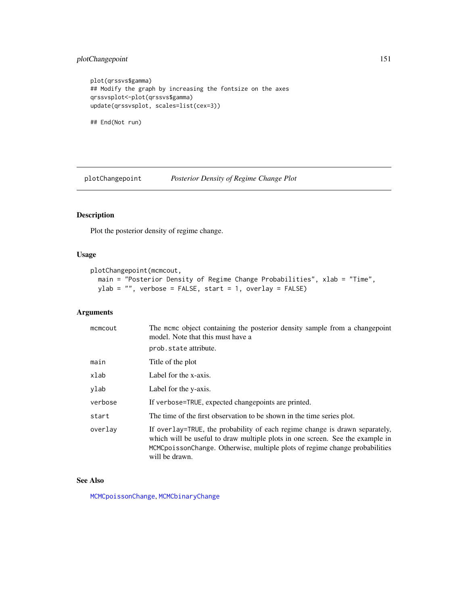# <span id="page-150-0"></span>plotChangepoint 151

```
plot(qrssvs$gamma)
## Modify the graph by increasing the fontsize on the axes
qrssvsplot<-plot(qrssvs$gamma)
update(qrssvsplot, scales=list(cex=3))
```

```
## End(Not run)
```
plotChangepoint *Posterior Density of Regime Change Plot*

# Description

Plot the posterior density of regime change.

# Usage

```
plotChangepoint(mcmcout,
 main = "Posterior Density of Regime Change Probabilities", xlab = "Time",
 ylab = "", verbose = FALSE, start = 1, overlay = FALSE)
```
# Arguments

| mcmcout | The meme object containing the posterior density sample from a changepoint<br>model. Note that this must have a                                                                                                                                               |
|---------|---------------------------------------------------------------------------------------------------------------------------------------------------------------------------------------------------------------------------------------------------------------|
|         | prob.state attribute.                                                                                                                                                                                                                                         |
| main    | Title of the plot                                                                                                                                                                                                                                             |
| xlab    | Label for the x-axis.                                                                                                                                                                                                                                         |
| ylab    | Label for the y-axis.                                                                                                                                                                                                                                         |
| verbose | If verbose=TRUE, expected changepoints are printed.                                                                                                                                                                                                           |
| start   | The time of the first observation to be shown in the time series plot.                                                                                                                                                                                        |
| overlay | If overlay=TRUE, the probability of each regime change is drawn separately,<br>which will be useful to draw multiple plots in one screen. See the example in<br>MCMCpoissonChange. Otherwise, multiple plots of regime change probabilities<br>will be drawn. |

## See Also

[MCMCpoissonChange](#page-114-0), [MCMCbinaryChange](#page-30-0)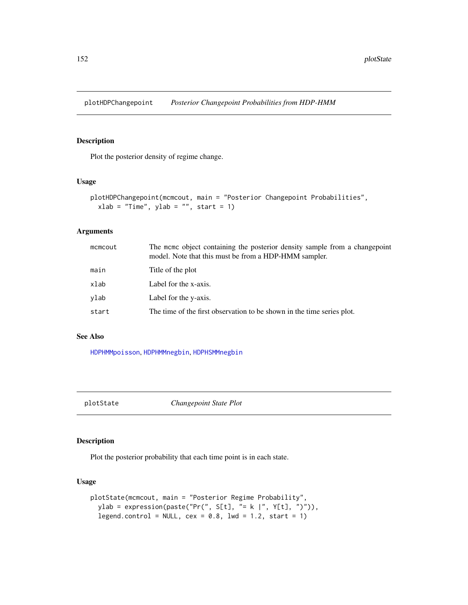<span id="page-151-0"></span>plotHDPChangepoint *Posterior Changepoint Probabilities from HDP-HMM*

# Description

Plot the posterior density of regime change.

## Usage

```
plotHDPChangepoint(mcmcout, main = "Posterior Changepoint Probabilities",
  xlab = "Time", ylab = "", start = 1)
```
# Arguments

| The mome object containing the posterior density sample from a changepoint<br>model. Note that this must be from a HDP-HMM sampler. |
|-------------------------------------------------------------------------------------------------------------------------------------|
| Title of the plot                                                                                                                   |
| Label for the x-axis.                                                                                                               |
| Label for the y-axis.                                                                                                               |
| The time of the first observation to be shown in the time series plot.                                                              |
|                                                                                                                                     |

# See Also

[HDPHMMpoisson](#page-11-0), [HDPHMMnegbin](#page-7-0), [HDPHSMMnegbin](#page-14-0)

plotState *Changepoint State Plot*

# Description

Plot the posterior probability that each time point is in each state.

#### Usage

```
plotState(mcmcout, main = "Posterior Regime Probability",
 ylab = expression(paste("Pr(", S[t], "= k |", Y[t], ")")),
  legend.control = NULL, cex = 0.8, lwd = 1.2, start = 1)
```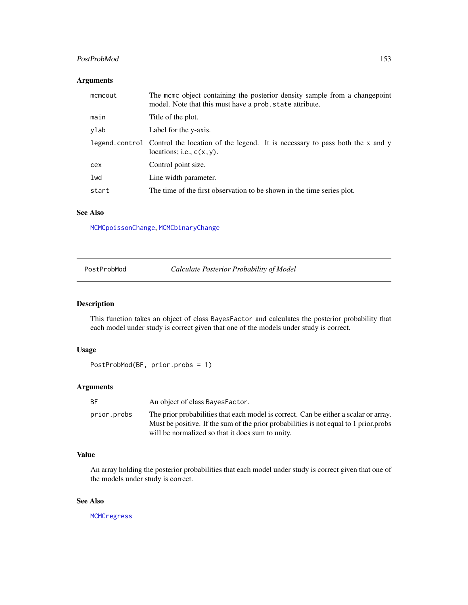# <span id="page-152-0"></span>PostProbMod 153

# Arguments

| mcmcout | The mome object containing the posterior density sample from a changepoint<br>model. Note that this must have a prob. state attribute. |
|---------|----------------------------------------------------------------------------------------------------------------------------------------|
| main    | Title of the plot.                                                                                                                     |
| ylab    | Label for the y-axis.                                                                                                                  |
|         | legend.control Control the location of the legend. It is necessary to pass both the x and y<br>locations; i.e., $c(x, y)$ .            |
| cex     | Control point size.                                                                                                                    |
| lwd     | Line width parameter.                                                                                                                  |
| start   | The time of the first observation to be shown in the time series plot.                                                                 |

# See Also

[MCMCpoissonChange](#page-114-0), [MCMCbinaryChange](#page-30-0)

**Calculate Posterior Probability of Model** 

# Description

This function takes an object of class BayesFactor and calculates the posterior probability that each model under study is correct given that one of the models under study is correct.

# Usage

```
PostProbMod(BF, prior.probs = 1)
```
# Arguments

| BF.         | An object of class Bayes Factor.                                                                                                                                                                                                  |
|-------------|-----------------------------------------------------------------------------------------------------------------------------------------------------------------------------------------------------------------------------------|
| prior.probs | The prior probabilities that each model is correct. Can be either a scalar or array.<br>Must be positive. If the sum of the prior probabilities is not equal to 1 prior probs<br>will be normalized so that it does sum to unity. |

# Value

An array holding the posterior probabilities that each model under study is correct given that one of the models under study is correct.

# See Also

[MCMCregress](#page-126-0)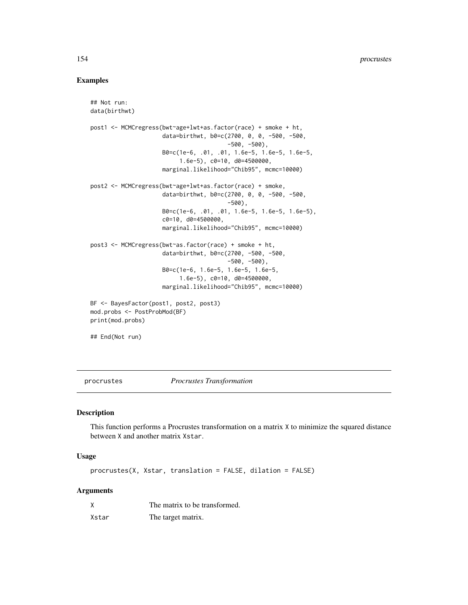# Examples

```
## Not run:
data(birthwt)
post1 <- MCMCregress(bwt~age+lwt+as.factor(race) + smoke + ht,
                     data=birthwt, b0=c(2700, 0, 0, -500, -500,
                                        -500, -500),
                     B0=c(1e-6, .01, .01, 1.6e-5, 1.6e-5, 1.6e-5,
                          1.6e-5), c0=10, d0=4500000,
                     marginal.likelihood="Chib95", mcmc=10000)
post2 <- MCMCregress(bwt~age+lwt+as.factor(race) + smoke,
                     data=birthwt, b0=c(2700, 0, 0, -500, -500,
                                        -500),
                     B0=c(1e-6, .01, .01, 1.6e-5, 1.6e-5, 1.6e-5),
                     c0=10, d0=4500000,
                     marginal.likelihood="Chib95", mcmc=10000)
post3 <- MCMCregress(bwt~as.factor(race) + smoke + ht,
                     data=birthwt, b0=c(2700, -500, -500,
                                        -500, -500),
                     B0=c(1e-6, 1.6e-5, 1.6e-5, 1.6e-5,
                          1.6e-5), c0=10, d0=4500000,
                     marginal.likelihood="Chib95", mcmc=10000)
BF <- BayesFactor(post1, post2, post3)
mod.probs <- PostProbMod(BF)
print(mod.probs)
## End(Not run)
```
procrustes *Procrustes Transformation*

#### Description

This function performs a Procrustes transformation on a matrix X to minimize the squared distance between X and another matrix Xstar.

# Usage

procrustes(X, Xstar, translation = FALSE, dilation = FALSE)

# Arguments

| χ     | The matrix to be transformed. |
|-------|-------------------------------|
| Xstar | The target matrix.            |

<span id="page-153-0"></span>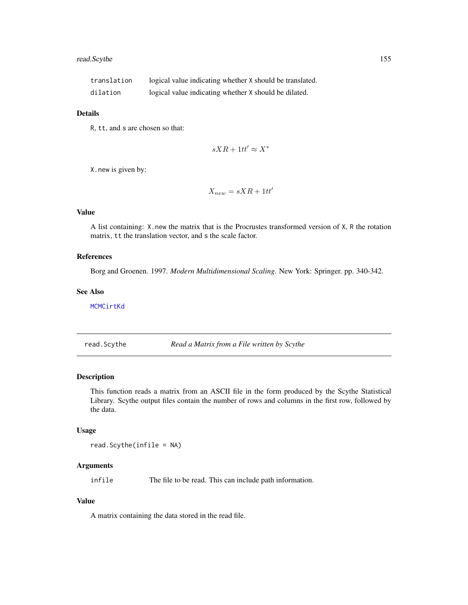# <span id="page-154-0"></span>read.Scythe 155

| translation | logical value indicating whether X should be translated. |
|-------------|----------------------------------------------------------|
| dilation    | logical value indicating whether X should be dilated.    |

## Details

R, tt, and s are chosen so that:

$$
sXR + 1tt' \approx X^*
$$

X.new is given by:

 $X_{new} = sXR + 1tt'$ 

# Value

A list containing: X.new the matrix that is the Procrustes transformed version of X, R the rotation matrix, tt the translation vector, and s the scale factor.

# References

Borg and Groenen. 1997. *Modern Multidimensional Scaling*. New York: Springer. pp. 340-342.

#### See Also

[MCMCirtKd](#page-69-0)

read.Scythe *Read a Matrix from a File written by Scythe*

#### Description

This function reads a matrix from an ASCII file in the form produced by the Scythe Statistical Library. Scythe output files contain the number of rows and columns in the first row, followed by the data.

#### Usage

read.Scythe(infile = NA)

## Arguments

infile The file to be read. This can include path information.

## Value

A matrix containing the data stored in the read file.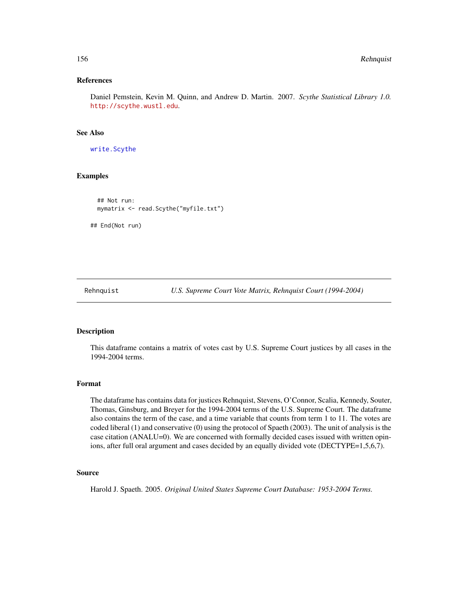#### References

Daniel Pemstein, Kevin M. Quinn, and Andrew D. Martin. 2007. *Scythe Statistical Library 1.0.* <http://scythe.wustl.edu>.

## See Also

[write.Scythe](#page-171-0)

# Examples

```
## Not run:
mymatrix <- read.Scythe("myfile.txt")
```
## End(Not run)

Rehnquist *U.S. Supreme Court Vote Matrix, Rehnquist Court (1994-2004)*

## Description

This dataframe contains a matrix of votes cast by U.S. Supreme Court justices by all cases in the 1994-2004 terms.

## Format

The dataframe has contains data for justices Rehnquist, Stevens, O'Connor, Scalia, Kennedy, Souter, Thomas, Ginsburg, and Breyer for the 1994-2004 terms of the U.S. Supreme Court. The dataframe also contains the term of the case, and a time variable that counts from term 1 to 11. The votes are coded liberal (1) and conservative (0) using the protocol of Spaeth (2003). The unit of analysis is the case citation (ANALU=0). We are concerned with formally decided cases issued with written opinions, after full oral argument and cases decided by an equally divided vote (DECTYPE=1,5,6,7).

# Source

Harold J. Spaeth. 2005. *Original United States Supreme Court Database: 1953-2004 Terms.*

<span id="page-155-0"></span>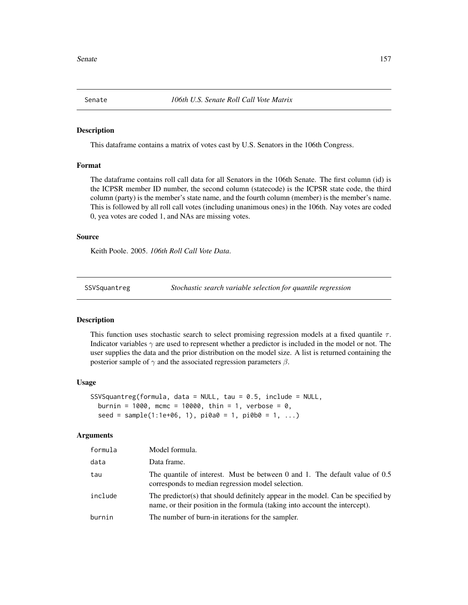<span id="page-156-1"></span>

This dataframe contains a matrix of votes cast by U.S. Senators in the 106th Congress.

#### Format

The dataframe contains roll call data for all Senators in the 106th Senate. The first column (id) is the ICPSR member ID number, the second column (statecode) is the ICPSR state code, the third column (party) is the member's state name, and the fourth column (member) is the member's name. This is followed by all roll call votes (including unanimous ones) in the 106th. Nay votes are coded 0, yea votes are coded 1, and NAs are missing votes.

## Source

Keith Poole. 2005. *106th Roll Call Vote Data*.

<span id="page-156-0"></span>SSVSquantreg *Stochastic search variable selection for quantile regression*

## Description

This function uses stochastic search to select promising regression models at a fixed quantile  $\tau$ . Indicator variables  $\gamma$  are used to represent whether a predictor is included in the model or not. The user supplies the data and the prior distribution on the model size. A list is returned containing the posterior sample of  $\gamma$  and the associated regression parameters  $\beta$ .

## Usage

```
SSVSquantreg(formula, data = NULL, tau = 0.5, include = NULL,
 burnin = 1000, mcmc = 10000, thin = 1, verbose = 0,
  seed = sample(1:1e+06, 1), pioa0 = 1, piob0 = 1, ...)
```
#### Arguments

| formula | Model formula.                                                                                                                                                  |
|---------|-----------------------------------------------------------------------------------------------------------------------------------------------------------------|
| data    | Data frame.                                                                                                                                                     |
| tau     | The quantile of interest. Must be between 0 and 1. The default value of 0.5<br>corresponds to median regression model selection.                                |
| include | The predictor(s) that should definitely appear in the model. Can be specified by<br>name, or their position in the formula (taking into account the intercept). |
| burnin  | The number of burn-in iterations for the sampler.                                                                                                               |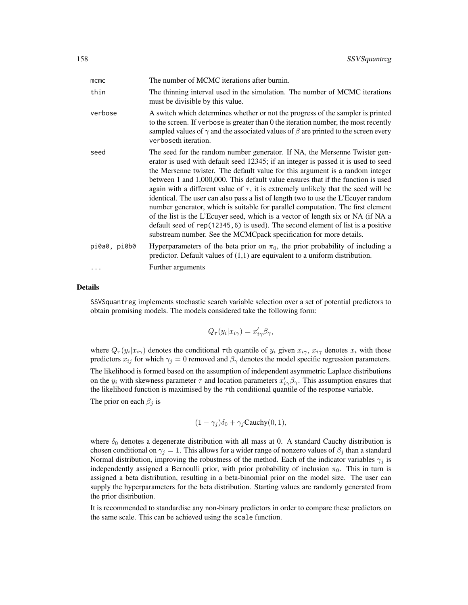| mcmc                     | The number of MCMC iterations after burnin.                                                                                                                                                                                                                                                                                                                                                                                                                                                                                                                                                                                                                                                                                                                                                                                                            |
|--------------------------|--------------------------------------------------------------------------------------------------------------------------------------------------------------------------------------------------------------------------------------------------------------------------------------------------------------------------------------------------------------------------------------------------------------------------------------------------------------------------------------------------------------------------------------------------------------------------------------------------------------------------------------------------------------------------------------------------------------------------------------------------------------------------------------------------------------------------------------------------------|
| thin                     | The thinning interval used in the simulation. The number of MCMC iterations<br>must be divisible by this value.                                                                                                                                                                                                                                                                                                                                                                                                                                                                                                                                                                                                                                                                                                                                        |
| verbose                  | A switch which determines whether or not the progress of the sampler is printed<br>to the screen. If verbose is greater than 0 the iteration number, the most recently<br>sampled values of $\gamma$ and the associated values of $\beta$ are printed to the screen every<br>verboseth iteration.                                                                                                                                                                                                                                                                                                                                                                                                                                                                                                                                                      |
| seed                     | The seed for the random number generator. If NA, the Mersenne Twister gen-<br>erator is used with default seed 12345; if an integer is passed it is used to seed<br>the Mersenne twister. The default value for this argument is a random integer<br>between 1 and 1,000,000. This default value ensures that if the function is used<br>again with a different value of $\tau$ , it is extremely unlikely that the seed will be<br>identical. The user can also pass a list of length two to use the L'Ecuver random<br>number generator, which is suitable for parallel computation. The first element<br>of the list is the L'Ecuyer seed, which is a vector of length six or NA (if NA a<br>default seed of rep(12345, 6) is used). The second element of list is a positive<br>substream number. See the MCMCpack specification for more details. |
| pi0a0, pi0b0<br>$\ddots$ | Hyperparameters of the beta prior on $\pi_0$ , the prior probability of including a<br>predictor. Default values of $(1,1)$ are equivalent to a uniform distribution.<br>Further arguments                                                                                                                                                                                                                                                                                                                                                                                                                                                                                                                                                                                                                                                             |
|                          |                                                                                                                                                                                                                                                                                                                                                                                                                                                                                                                                                                                                                                                                                                                                                                                                                                                        |

#### Details

SSVSquantreg implements stochastic search variable selection over a set of potential predictors to obtain promising models. The models considered take the following form:

$$
Q_{\tau}(y_i|x_{i\gamma}) = x'_{i\gamma}\beta_{\gamma},
$$

where  $Q_{\tau}(y_i|x_{i\gamma})$  denotes the conditional  $\tau$ th quantile of  $y_i$  given  $x_{i\gamma}$ ,  $x_{i\gamma}$  denotes  $x_i$  with those predictors  $x_{ij}$  for which  $\gamma_i = 0$  removed and  $\beta_\gamma$  denotes the model specific regression parameters. The likelihood is formed based on the assumption of independent asymmetric Laplace distributions on the  $y_i$  with skewness parameter  $\tau$  and location parameters  $x'_{i\gamma}\beta_{\gamma}$ . This assumption ensures that the likelihood function is maximised by the  $\tau$ th conditional quantile of the response variable.

The prior on each  $\beta_i$  is

$$
(1 - \gamma_j)\delta_0 + \gamma_j
$$
Cauchy $(0, 1)$ ,

where  $\delta_0$  denotes a degenerate distribution with all mass at 0. A standard Cauchy distribution is chosen conditional on  $\gamma_i = 1$ . This allows for a wider range of nonzero values of  $\beta_i$  than a standard Normal distribution, improving the robustness of the method. Each of the indicator variables  $\gamma_i$  is independently assigned a Bernoulli prior, with prior probability of inclusion  $\pi_0$ . This in turn is assigned a beta distribution, resulting in a beta-binomial prior on the model size. The user can supply the hyperparameters for the beta distribution. Starting values are randomly generated from the prior distribution.

It is recommended to standardise any non-binary predictors in order to compare these predictors on the same scale. This can be achieved using the scale function.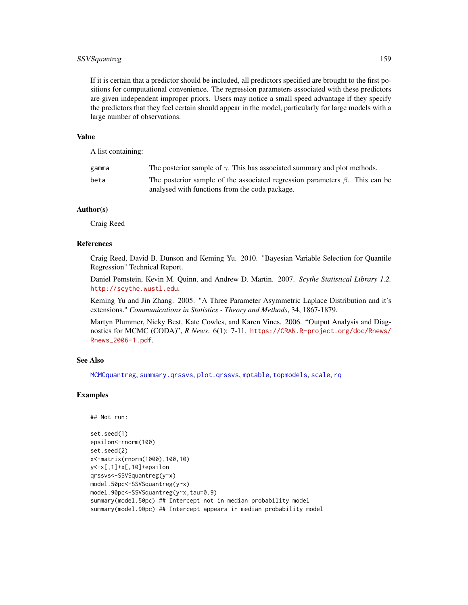# <span id="page-158-0"></span>SSVSquantreg 159

If it is certain that a predictor should be included, all predictors specified are brought to the first positions for computational convenience. The regression parameters associated with these predictors are given independent improper priors. Users may notice a small speed advantage if they specify the predictors that they feel certain should appear in the model, particularly for large models with a large number of observations.

#### Value

A list containing:

| gamma | The posterior sample of $\gamma$ . This has associated summary and plot methods.                                                     |
|-------|--------------------------------------------------------------------------------------------------------------------------------------|
| beta  | The posterior sample of the associated regression parameters $\beta$ . This can be<br>analysed with functions from the coda package. |

## Author(s)

Craig Reed

# References

Craig Reed, David B. Dunson and Keming Yu. 2010. "Bayesian Variable Selection for Quantile Regression" Technical Report.

Daniel Pemstein, Kevin M. Quinn, and Andrew D. Martin. 2007. *Scythe Statistical Library 1.2.* <http://scythe.wustl.edu>.

Keming Yu and Jin Zhang. 2005. "A Three Parameter Asymmetric Laplace Distribution and it's extensions." *Communications in Statistics - Theory and Methods*, 34, 1867-1879.

Martyn Plummer, Nicky Best, Kate Cowles, and Karen Vines. 2006. "Output Analysis and Diagnostics for MCMC (CODA)", *R News*. 6(1): 7-11. [https://CRAN.R-project.org/doc/Rnews/](https://CRAN.R-project.org/doc/Rnews/Rnews_2006-1.pdf) [Rnews\\_2006-1.pdf](https://CRAN.R-project.org/doc/Rnews/Rnews_2006-1.pdf).

#### See Also

[MCMCquantreg](#page-123-0), [summary.qrssvs](#page-159-0), [plot.qrssvs](#page-149-0), [mptable](#page-145-0), [topmodels](#page-169-0), [scale](#page-0-0), [rq](#page-0-0)

# Examples

```
## Not run:
```

```
set.seed(1)
epsilon<-rnorm(100)
set.seed(2)
x<-matrix(rnorm(1000),100,10)
y<-x[,1]+x[,10]+epsilon
qrssvs<-SSVSquantreg(y~x)
model.50pc<-SSVSquantreg(y~x)
model.90pc<-SSVSquantreg(y~x,tau=0.9)
summary(model.50pc) ## Intercept not in median probability model
summary(model.90pc) ## Intercept appears in median probability model
```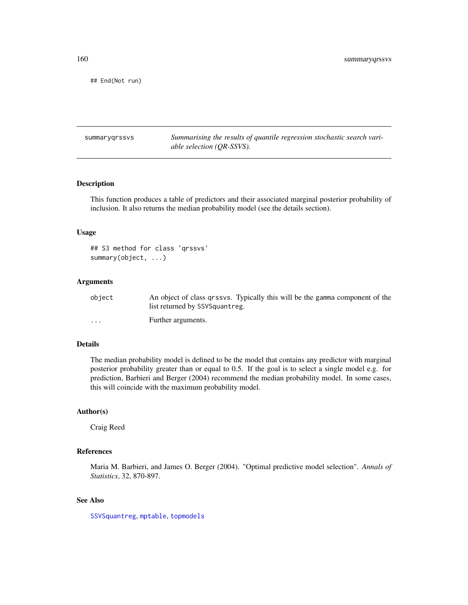## End(Not run)

summaryqrssvs *Summarising the results of quantile regression stochastic search variable selection (QR-SSVS).*

#### <span id="page-159-0"></span>Description

This function produces a table of predictors and their associated marginal posterior probability of inclusion. It also returns the median probability model (see the details section).

# Usage

```
## S3 method for class 'qrssvs'
summary(object, ...)
```
## Arguments

| object   | An object of class grssvs. Typically this will be the gamma component of the |
|----------|------------------------------------------------------------------------------|
|          | list returned by SSVSquantreg.                                               |
| $\cdots$ | Further arguments.                                                           |

# Details

The median probability model is defined to be the model that contains any predictor with marginal posterior probability greater than or equal to 0.5. If the goal is to select a single model e.g. for prediction, Barbieri and Berger (2004) recommend the median probability model. In some cases, this will coincide with the maximum probability model.

# Author(s)

Craig Reed

#### References

Maria M. Barbieri, and James O. Berger (2004). "Optimal predictive model selection". *Annals of Statistics*, 32, 870-897.

# See Also

[SSVSquantreg](#page-156-0), [mptable](#page-145-0), [topmodels](#page-169-0)

<span id="page-159-1"></span>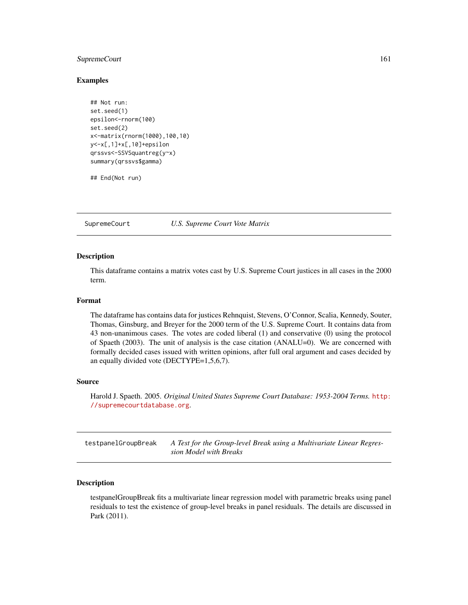# <span id="page-160-0"></span>SupremeCourt 161

#### Examples

```
## Not run:
set.seed(1)
epsilon<-rnorm(100)
set.seed(2)
x<-matrix(rnorm(1000),100,10)
y<-x[,1]+x[,10]+epsilon
qrssvs<-SSVSquantreg(y~x)
summary(qrssvs$gamma)
```
## End(Not run)

SupremeCourt *U.S. Supreme Court Vote Matrix*

#### Description

This dataframe contains a matrix votes cast by U.S. Supreme Court justices in all cases in the 2000 term.

#### Format

The dataframe has contains data for justices Rehnquist, Stevens, O'Connor, Scalia, Kennedy, Souter, Thomas, Ginsburg, and Breyer for the 2000 term of the U.S. Supreme Court. It contains data from 43 non-unanimous cases. The votes are coded liberal (1) and conservative (0) using the protocol of Spaeth (2003). The unit of analysis is the case citation (ANALU=0). We are concerned with formally decided cases issued with written opinions, after full oral argument and cases decided by an equally divided vote (DECTYPE=1,5,6,7).

## Source

Harold J. Spaeth. 2005. *Original United States Supreme Court Database: 1953-2004 Terms.* [http:](http://supremecourtdatabase.org) [//supremecourtdatabase.org](http://supremecourtdatabase.org).

testpanelGroupBreak *A Test for the Group-level Break using a Multivariate Linear Regression Model with Breaks*

## Description

testpanelGroupBreak fits a multivariate linear regression model with parametric breaks using panel residuals to test the existence of group-level breaks in panel residuals. The details are discussed in Park (2011).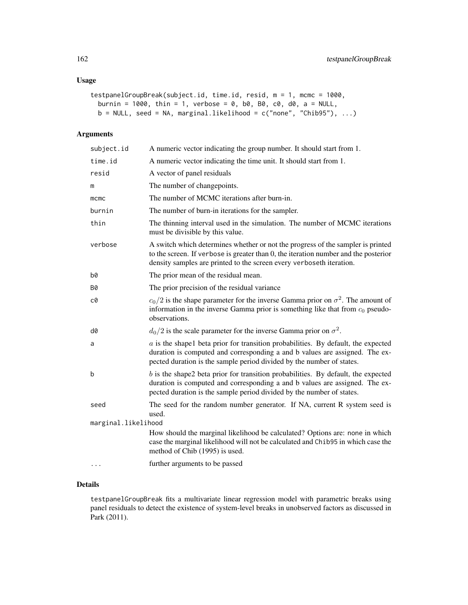# Usage

```
testpanelGroupBreak(subject.id, time.id, resid, m = 1, mcmc = 1000,
 burnin = 1000, thin = 1, verbose = 0, b0, B0, c0, d0, a = NULL,
 b = NULL, seed = NA, marginal.likelihood = c("none", "Chib95"), ...)
```
# Arguments

| subject.id          | A numeric vector indicating the group number. It should start from 1.                                                                                                                                                                             |  |
|---------------------|---------------------------------------------------------------------------------------------------------------------------------------------------------------------------------------------------------------------------------------------------|--|
| time.id             | A numeric vector indicating the time unit. It should start from 1.                                                                                                                                                                                |  |
| resid               | A vector of panel residuals                                                                                                                                                                                                                       |  |
| m                   | The number of changepoints.                                                                                                                                                                                                                       |  |
| mcmc                | The number of MCMC iterations after burn-in.                                                                                                                                                                                                      |  |
| burnin              | The number of burn-in iterations for the sampler.                                                                                                                                                                                                 |  |
| thin                | The thinning interval used in the simulation. The number of MCMC iterations<br>must be divisible by this value.                                                                                                                                   |  |
| verbose             | A switch which determines whether or not the progress of the sampler is printed<br>to the screen. If verbose is greater than $0$ , the iteration number and the posterior<br>density samples are printed to the screen every verboseth iteration. |  |
| b0                  | The prior mean of the residual mean.                                                                                                                                                                                                              |  |
| Β0                  | The prior precision of the residual variance                                                                                                                                                                                                      |  |
| c0                  | $c_0/2$ is the shape parameter for the inverse Gamma prior on $\sigma^2$ . The amount of<br>information in the inverse Gamma prior is something like that from $c_0$ pseudo-<br>observations.                                                     |  |
| d0                  | $d_0/2$ is the scale parameter for the inverse Gamma prior on $\sigma^2$ .                                                                                                                                                                        |  |
| a                   | $a$ is the shapel beta prior for transition probabilities. By default, the expected<br>duration is computed and corresponding a and b values are assigned. The ex-<br>pected duration is the sample period divided by the number of states.       |  |
| b                   | $b$ is the shape2 beta prior for transition probabilities. By default, the expected<br>duration is computed and corresponding a and b values are assigned. The ex-<br>pected duration is the sample period divided by the number of states.       |  |
| seed                | The seed for the random number generator. If NA, current R system seed is<br>used.                                                                                                                                                                |  |
| marginal.likelihood |                                                                                                                                                                                                                                                   |  |
|                     | How should the marginal likelihood be calculated? Options are: none in which<br>case the marginal likelihood will not be calculated and Chib95 in which case the<br>method of Chib (1995) is used.                                                |  |
|                     | further arguments to be passed                                                                                                                                                                                                                    |  |

# Details

testpanelGroupBreak fits a multivariate linear regression model with parametric breaks using panel residuals to detect the existence of system-level breaks in unobserved factors as discussed in Park (2011).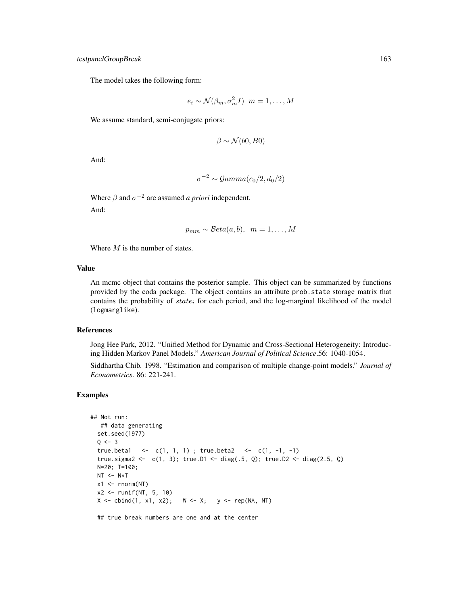# testpanelGroupBreak 163

The model takes the following form:

$$
e_i \sim \mathcal{N}(\beta_m, \sigma_m^2 I) \ \ m = 1, \dots, M
$$

We assume standard, semi-conjugate priors:

$$
\beta \sim \mathcal{N}(b0, B0)
$$

And:

$$
\sigma^{-2} \sim \mathcal{Gamma}(c_0/2, d_0/2)
$$

Where  $\beta$  and  $\sigma^{-2}$  are assumed *a priori* independent.

And:

$$
p_{mm} \sim \mathcal{B}eta(a, b), \ \ m = 1, \ldots, M
$$

Where  $M$  is the number of states.

# Value

An mcmc object that contains the posterior sample. This object can be summarized by functions provided by the coda package. The object contains an attribute prob.state storage matrix that contains the probability of  $state_i$  for each period, and the log-marginal likelihood of the model (logmarglike).

#### References

Jong Hee Park, 2012. "Unified Method for Dynamic and Cross-Sectional Heterogeneity: Introducing Hidden Markov Panel Models." *American Journal of Political Science*.56: 1040-1054.

Siddhartha Chib. 1998. "Estimation and comparison of multiple change-point models." *Journal of Econometrics*. 86: 221-241.

## Examples

```
## Not run:
   ## data generating
  set.seed(1977)
  Q \le -3true.beta1 <- c(1, 1, 1) ; true.beta2 <- c(1, -1, -1)
  true.sigma2 <- c(1, 3); true.D1 <- diag(.5, Q); true.D2 <- diag(2.5, Q)
  N=20; T=100;
  NT < - N*Tx1 \leftarrow \text{norm}(NT)x2 \le runif(NT, 5, 10)
  X \leftarrow \text{cbind}(1, x1, x2); \quad W \leftarrow X; \quad y \leftarrow \text{rep}(NA, NT)
```
## true break numbers are one and at the center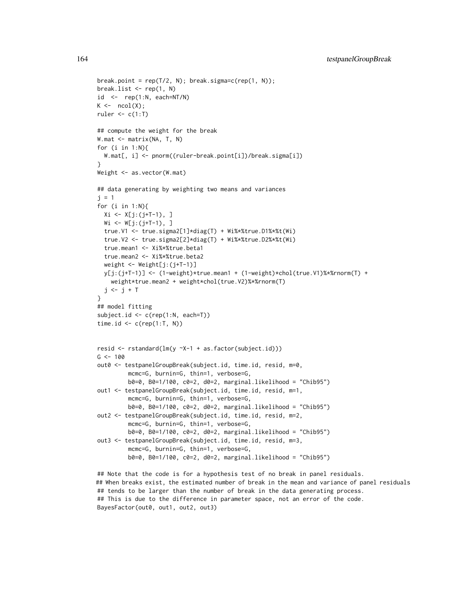```
break.point = rep(T/2, N); break.sigma=c(rep(1, N));
break.list <- rep(1, N)
id \leftarrow rep(1:N, each=NT/N)K \leftarrow \text{ncol}(X);ruler \leq c(1:T)## compute the weight for the break
W.mat <- matrix(NA, T, N)
for (i \text{ in } 1:N)W.mat[, i] <- pnorm((ruler-break.point[i])/break.sigma[i])
}
Weight <- as.vector(W.mat)
## data generating by weighting two means and variances
j = 1for (i in 1:N){
 Xi <- X[j:(j+T-1), ]
 Wi <- W[j:(j+T-1), ]true.V1 <- true.sigma2[1]*diag(T) + Wi%*%true.D1%*%t(Wi)
  true.V2 <- true.sigma2[2]*diag(T) + Wi%*%true.D2%*%t(Wi)
  true.mean1 <- Xi%*%true.beta1
  true.mean2 <- Xi%*%true.beta2
  weight <- Weight[j:(j+T-1)]
 y[j:(j+T-1)] <- (1-weight)*true.mean1 + (1-weight)*chol(true.V1)%*%rnorm(T) +
    weight*true.mean2 + weight*chol(true.V2)%*%rnorm(T)
 j \leftarrow j + T}
## model fitting
subject.id <- c(rep(1:N, each=T))
time.id \leq c(rep(1:T, N))
resid <- rstandard(lm(y ~X-1 + as.factor(subject.id)))
G <- 100
out0 <- testpanelGroupBreak(subject.id, time.id, resid, m=0,
         mcmc=G, burnin=G, thin=1, verbose=G,
         b0=0, B0=1/100, c0=2, d0=2, marginal.likelihood = "Chib95")
out1 <- testpanelGroupBreak(subject.id, time.id, resid, m=1,
         mcmc=G, burnin=G, thin=1, verbose=G,
         b0=0, B0=1/100, c0=2, d0=2, marginal.likelihood = "Chib95")
out2 <- testpanelGroupBreak(subject.id, time.id, resid, m=2,
         mcmc=G, burnin=G, thin=1, verbose=G,
         b0=0, B0=1/100, c0=2, d0=2, marginal.likelihood = "Chib95")
out3 <- testpanelGroupBreak(subject.id, time.id, resid, m=3,
         mcmc=G, burnin=G, thin=1, verbose=G,
         b0=0, B0=1/100, c0=2, d0=2, marginal.likelihood = "Chib95")
```
## Note that the code is for a hypothesis test of no break in panel residuals. ## When breaks exist, the estimated number of break in the mean and variance of panel residuals ## tends to be larger than the number of break in the data generating process. ## This is due to the difference in parameter space, not an error of the code. BayesFactor(out0, out1, out2, out3)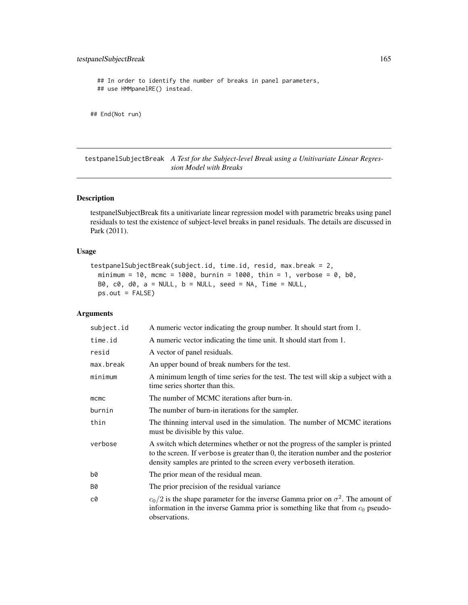# <span id="page-164-0"></span>testpanelSubjectBreak 165

## In order to identify the number of breaks in panel parameters, ## use HMMpanelRE() instead.

```
## End(Not run)
```
testpanelSubjectBreak *A Test for the Subject-level Break using a Unitivariate Linear Regression Model with Breaks*

# Description

testpanelSubjectBreak fits a unitivariate linear regression model with parametric breaks using panel residuals to test the existence of subject-level breaks in panel residuals. The details are discussed in Park (2011).

# Usage

```
testpanelSubjectBreak(subject.id, time.id, resid, max.break = 2,
 minimum = 10, mcmc = 1000, burnin = 1000, thin = 1, verbose = 0, b0,
 B0, c0, d0, a = NULL, b = NULL, seed = NA, Time = NULL,
 ps.out = FALSE)
```
# Arguments

| subject.id | A numeric vector indicating the group number. It should start from 1.                                                                                                                                                                          |  |
|------------|------------------------------------------------------------------------------------------------------------------------------------------------------------------------------------------------------------------------------------------------|--|
| time.id    | A numeric vector indicating the time unit. It should start from 1.                                                                                                                                                                             |  |
| resid      | A vector of panel residuals.                                                                                                                                                                                                                   |  |
| max.break  | An upper bound of break numbers for the test.                                                                                                                                                                                                  |  |
| minimum    | A minimum length of time series for the test. The test will skip a subject with a<br>time series shorter than this.                                                                                                                            |  |
| mcmc       | The number of MCMC iterations after burn-in.                                                                                                                                                                                                   |  |
| burnin     | The number of burn-in iterations for the sampler.                                                                                                                                                                                              |  |
| thin       | The thinning interval used in the simulation. The number of MCMC iterations<br>must be divisible by this value.                                                                                                                                |  |
| verbose    | A switch which determines whether or not the progress of the sampler is printed<br>to the screen. If verbose is greater than 0, the iteration number and the posterior<br>density samples are printed to the screen every verboseth iteration. |  |
| b0         | The prior mean of the residual mean.                                                                                                                                                                                                           |  |
| B0         | The prior precision of the residual variance                                                                                                                                                                                                   |  |
| c0         | $c_0/2$ is the shape parameter for the inverse Gamma prior on $\sigma^2$ . The amount of<br>information in the inverse Gamma prior is something like that from $c_0$ pseudo-<br>observations.                                                  |  |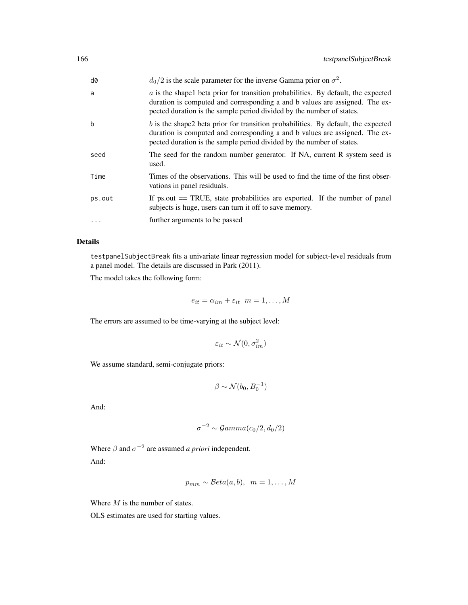| d0      | $d_0/2$ is the scale parameter for the inverse Gamma prior on $\sigma^2$ .                                                                                                                                                                       |
|---------|--------------------------------------------------------------------------------------------------------------------------------------------------------------------------------------------------------------------------------------------------|
| a       | $\alpha$ is the shapel beta prior for transition probabilities. By default, the expected<br>duration is computed and corresponding a and b values are assigned. The ex-<br>pected duration is the sample period divided by the number of states. |
| b       | $b$ is the shape2 beta prior for transition probabilities. By default, the expected<br>duration is computed and corresponding a and b values are assigned. The ex-<br>pected duration is the sample period divided by the number of states.      |
| seed    | The seed for the random number generator. If NA, current R system seed is<br>used.                                                                                                                                                               |
| Time    | Times of the observations. This will be used to find the time of the first obser-<br>vations in panel residuals.                                                                                                                                 |
| ps.out  | If $ps.out == TRUE$ , state probabilities are exported. If the number of panel<br>subjects is huge, users can turn it off to save memory.                                                                                                        |
| $\cdot$ | further arguments to be passed                                                                                                                                                                                                                   |

# Details

testpanelSubjectBreak fits a univariate linear regression model for subject-level residuals from a panel model. The details are discussed in Park (2011).

The model takes the following form:

$$
e_{it} = \alpha_{im} + \varepsilon_{it} \ \ m = 1, \ldots, M
$$

The errors are assumed to be time-varying at the subject level:

$$
\varepsilon_{it} \sim \mathcal{N}(0, \sigma_{im}^2)
$$

We assume standard, semi-conjugate priors:

$$
\beta \sim \mathcal{N}(b_0, B_0^{-1})
$$

And:

$$
\sigma^{-2} \sim \mathcal{G}amma(c_0/2, d_0/2)
$$

Where  $\beta$  and  $\sigma^{-2}$  are assumed *a priori* independent. And:

$$
p_{mm} \sim \mathcal{B}eta(a, b), \ \ m = 1, \ldots, M
$$

Where  $M$  is the number of states.

OLS estimates are used for starting values.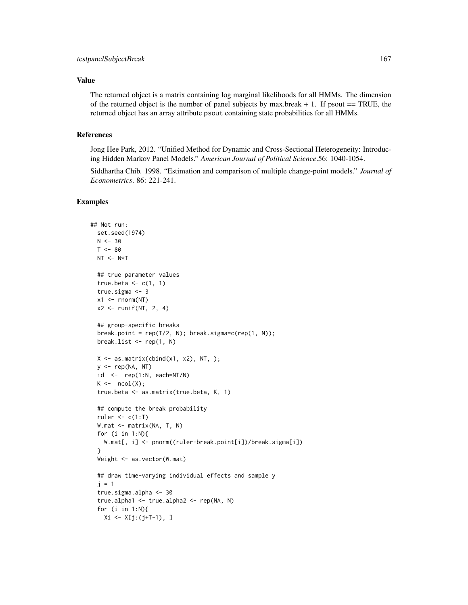## Value

The returned object is a matrix containing log marginal likelihoods for all HMMs. The dimension of the returned object is the number of panel subjects by max.break  $+ 1$ . If psout  $= = TRUE$ , the returned object has an array attribute psout containing state probabilities for all HMMs.

## References

Jong Hee Park, 2012. "Unified Method for Dynamic and Cross-Sectional Heterogeneity: Introducing Hidden Markov Panel Models." *American Journal of Political Science*.56: 1040-1054.

Siddhartha Chib. 1998. "Estimation and comparison of multiple change-point models." *Journal of Econometrics*. 86: 221-241.

# Examples

```
## Not run:
  set.seed(1974)
  N < -30T < - 80NT < - N*T## true parameter values
  true.beta \leftarrow c(1, 1)true.sigma <- 3
  x1 \leftarrow \text{rnorm}(NT)x2 \le- runif(NT, 2, 4)
  ## group-specific breaks
  break.point = rep(T/2, N); break.sigma=c(rep(1, N));
  break.list <- rep(1, N)
  X \leftarrow \text{as_matrix}(\text{cbind}(x1, x2), NT, );
  y \leq -rep(NA, NT)id \leq rep(1:N, each=NT/N)
  K \leftarrow \text{ncol}(X);true.beta <- as.matrix(true.beta, K, 1)
  ## compute the break probability
  ruler \leq c(1:T)
  W.mat <- matrix(NA, T, N)
  for (i in 1:N){
    W.mat[, i] <- pnorm((ruler-break.point[i])/break.sigma[i])
  }
  Weight <- as.vector(W.mat)
  ## draw time-varying individual effects and sample y
  j = 1true.sigma.alpha <- 30
  true.alpha1 <- true.alpha2 <- rep(NA, N)
  for (i in 1:N){
    Xi <- X[j:(j+T-1), ]
```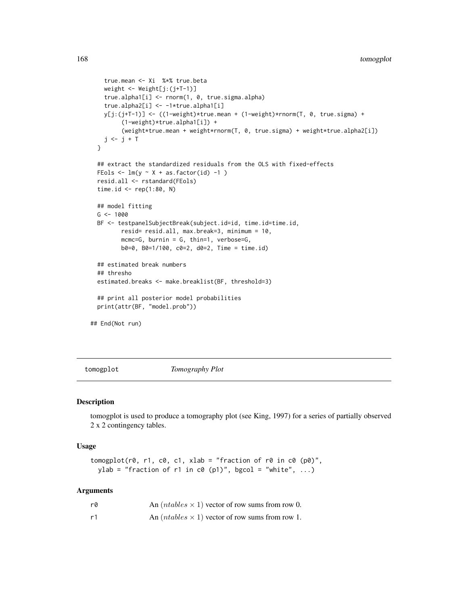```
true.mean <- Xi %*% true.beta
   weight <- Weight[j:(j+T-1)]
   true.alpha1[i] <- rnorm(1, 0, true.sigma.alpha)
   true.alpha2[i] <- -1*true.alpha1[i]
   y[j:(j+T-1)] <- ((1-weight)*true.mean + (1-weight)*rnorm(T, 0, true.sigma) +
         (1-weight)*true.alpha1[i]) +
         (weight*true.mean + weight*rnorm(T, 0, true.sigma) + weight*true.alpha2[i])
   j \leftarrow j + T}
 ## extract the standardized residuals from the OLS with fixed-effects
 FEols \leftarrow lm(y \sim X + as.factor(id) -1 )
 resid.all <- rstandard(FEols)
 time.id \leq rep(1:80, N)
 ## model fitting
 G <- 1000
 BF <- testpanelSubjectBreak(subject.id=id, time.id=time.id,
        resid= resid.all, max.break=3, minimum = 10,
        mcmc=G, burnin = G, thin=1, verbose=G,
         b0=0, B0=1/100, c0=2, d0=2, Time = time.id)
 ## estimated break numbers
 ## thresho
 estimated.breaks <- make.breaklist(BF, threshold=3)
 ## print all posterior model probabilities
 print(attr(BF, "model.prob"))
## End(Not run)
```
tomogplot *Tomography Plot*

#### Description

tomogplot is used to produce a tomography plot (see King, 1997) for a series of partially observed 2 x 2 contingency tables.

#### Usage

```
tomogplot(r0, r1, c0, c1, xlab = "fraction of r0 in c0 (p0)",
 ylab = "fraction of r1 in c0 (p1)", bgcol = "white", ...)
```
#### **Arguments**

| r0 | An $(ntables \times 1)$ vector of row sums from row 0. |
|----|--------------------------------------------------------|
| r1 | An $(ntables \times 1)$ vector of row sums from row 1. |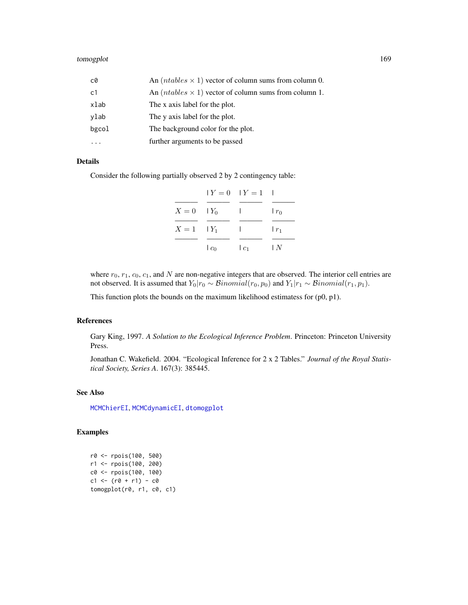<span id="page-168-0"></span>

| c0             | An $(ntables \times 1)$ vector of column sums from column 0. |
|----------------|--------------------------------------------------------------|
| c <sub>1</sub> | An $(ntables \times 1)$ vector of column sums from column 1. |
| xlab           | The x axis label for the plot.                               |
| ylab           | The y axis label for the plot.                               |
| bgcol          | The background color for the plot.                           |
|                | further arguments to be passed                               |

#### Details

Consider the following partially observed 2 by 2 contingency table:

|                  |         | $Y = 0$ $Y = 1$ |                       |
|------------------|---------|-----------------|-----------------------|
| $X = 0$ $ Y_0 $  |         | ı               | $r_0$                 |
| $X=1$ $\mid Y_1$ |         | $\mathbf{L}$    | $\lfloor r_1 \rfloor$ |
|                  | $ c_0 $ | $ c_1 $         | l N                   |

where  $r_0$ ,  $r_1$ ,  $c_0$ ,  $c_1$ , and N are non-negative integers that are observed. The interior cell entries are not observed. It is assumed that  $Y_0|r_0 \sim Binomial(r_0, p_0)$  and  $Y_1|r_1 \sim Binomial(r_1, p_1)$ .

This function plots the bounds on the maximum likelihood estimatess for (p0, p1).

# References

Gary King, 1997. *A Solution to the Ecological Inference Problem*. Princeton: Princeton University Press.

Jonathan C. Wakefield. 2004. "Ecological Inference for 2 x 2 Tables." *Journal of the Royal Statistical Society, Series A*. 167(3): 385445.

## See Also

[MCMChierEI](#page-44-0), [MCMCdynamicEI](#page-33-0), [dtomogplot](#page-5-0)

# Examples

```
r0 <- rpois(100, 500)
r1 <- rpois(100, 200)
c0 <- rpois(100, 100)
c1 \le - (r0 + r1) - c0tomogplot(r0, r1, c0, c1)
```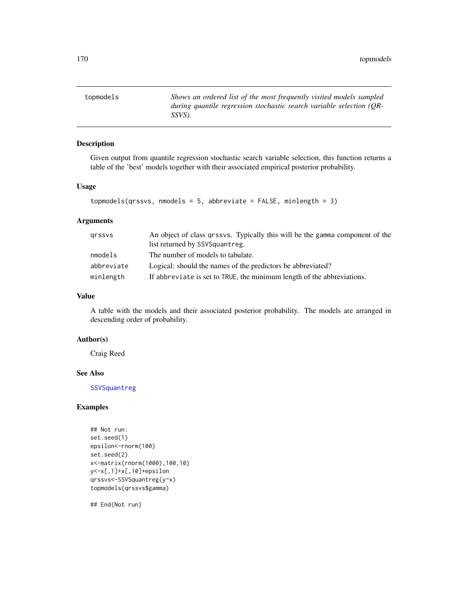<span id="page-169-1"></span><span id="page-169-0"></span>topmodels *Shows an ordered list of the most frequently visited models sampled during quantile regression stochastic search variable selection (QR-SSVS).*

# Description

Given output from quantile regression stochastic search variable selection, this function returns a table of the 'best' models together with their associated empirical posterior probability.

## Usage

```
topmodels(qrssvs, nmodels = 5, abbreviate = FALSE, minlength = 3)
```
# Arguments

| grssys     | An object of class grssvs. Typically this will be the gamma component of the |
|------------|------------------------------------------------------------------------------|
|            | list returned by SSVSquantreg.                                               |
| nmodels    | The number of models to tabulate.                                            |
| abbreviate | Logical: should the names of the predictors be abbreviated?                  |
| minlength  | If abbreviate is set to TRUE, the minimum length of the abbreviations.       |

#### Value

A table with the models and their associated posterior probability. The models are arranged in descending order of probability.

## Author(s)

Craig Reed

## See Also

[SSVSquantreg](#page-156-0)

# Examples

```
## Not run:
set.seed(1)
epsilon<-rnorm(100)
set.seed(2)
x<-matrix(rnorm(1000),100,10)
y<-x[,1]+x[,10]+epsilon
qrssvs<-SSVSquantreg(y~x)
topmodels(qrssvs$gamma)
```
## End(Not run)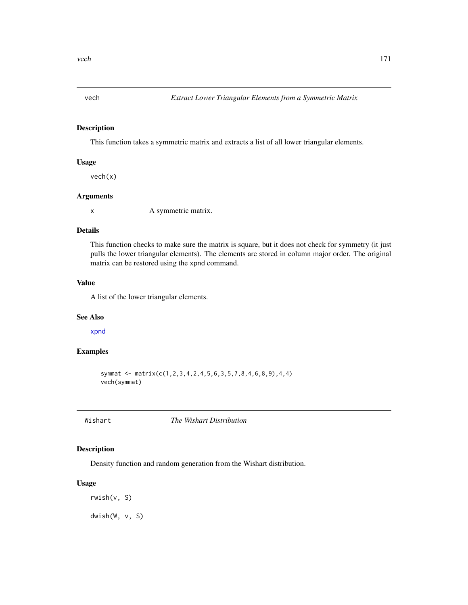<span id="page-170-1"></span><span id="page-170-0"></span>

This function takes a symmetric matrix and extracts a list of all lower triangular elements.

## Usage

vech(x)

## Arguments

x A symmetric matrix.

# Details

This function checks to make sure the matrix is square, but it does not check for symmetry (it just pulls the lower triangular elements). The elements are stored in column major order. The original matrix can be restored using the xpnd command.

## Value

A list of the lower triangular elements.

#### See Also

[xpnd](#page-172-0)

## Examples

symmat <- matrix(c(1,2,3,4,2,4,5,6,3,5,7,8,4,6,8,9),4,4) vech(symmat)

Wishart *The Wishart Distribution*

# Description

Density function and random generation from the Wishart distribution.

#### Usage

rwish(v, S) dwish(W, v, S)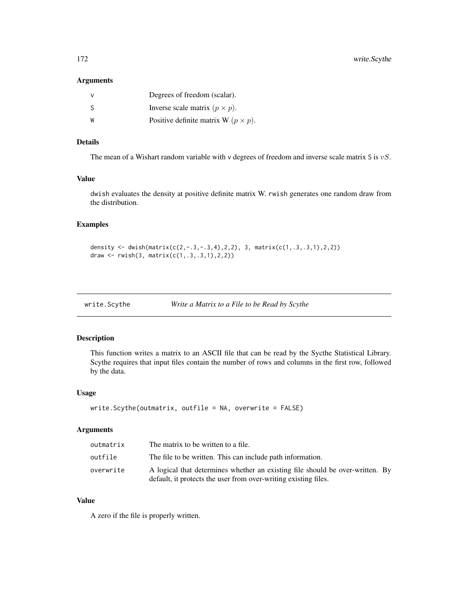## <span id="page-171-1"></span>Arguments

|    | Degrees of freedom (scalar).                 |
|----|----------------------------------------------|
| -S | Inverse scale matrix $(p \times p)$ .        |
| W  | Positive definite matrix W ( $p \times p$ ). |

# Details

The mean of a Wishart random variable with v degrees of freedom and inverse scale matrix  $S$  is  $vS$ .

# Value

dwish evaluates the density at positive definite matrix W. rwish generates one random draw from the distribution.

# Examples

```
density <- dwish(matrix(c(2,-.3,-.3,4),2,2), 3, matrix(c(1,.3,.3,1),2,2))
draw <- rwish(3, matrix(c(1,.3,.3,1),2,2))
```
<span id="page-171-0"></span>

```
write.Scythe Write a Matrix to a File to be Read by Scythe
```
#### Description

This function writes a matrix to an ASCII file that can be read by the Sycthe Statistical Library. Scythe requires that input files contain the number of rows and columns in the first row, followed by the data.

#### Usage

```
write.Scythe(outmatrix, outfile = NA, overwrite = FALSE)
```
# Arguments

| outmatrix | The matrix to be written to a file.                                                                                                              |
|-----------|--------------------------------------------------------------------------------------------------------------------------------------------------|
| outfile   | The file to be written. This can include path information.                                                                                       |
| overwrite | A logical that determines whether an existing file should be over-written. By<br>default, it protects the user from over-writing existing files. |

# Value

A zero if the file is properly written.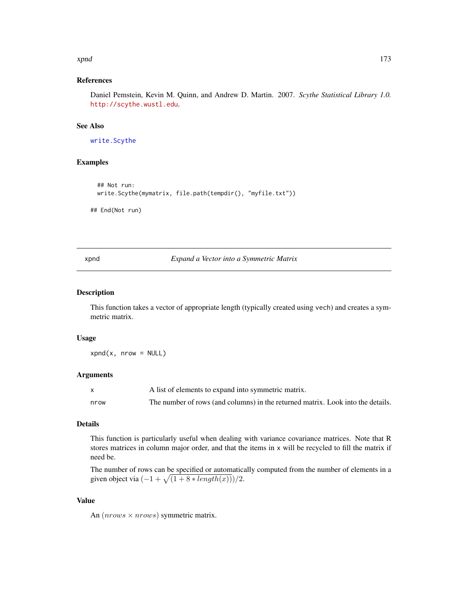#### <span id="page-172-1"></span>xpnd 173

## References

Daniel Pemstein, Kevin M. Quinn, and Andrew D. Martin. 2007. *Scythe Statistical Library 1.0.* <http://scythe.wustl.edu>.

# See Also

[write.Scythe](#page-171-0)

#### Examples

```
## Not run:
write.Scythe(mymatrix, file.path(tempdir(), "myfile.txt"))
```
## End(Not run)

<span id="page-172-0"></span>xpnd *Expand a Vector into a Symmetric Matrix*

## Description

This function takes a vector of appropriate length (typically created using vech) and creates a symmetric matrix.

#### Usage

 $xpnd(x, nrow = NULL)$ 

#### Arguments

|      | A list of elements to expand into symmetric matrix.                             |
|------|---------------------------------------------------------------------------------|
| nrow | The number of rows (and columns) in the returned matrix. Look into the details. |

# Details

This function is particularly useful when dealing with variance covariance matrices. Note that R stores matrices in column major order, and that the items in x will be recycled to fill the matrix if need be.

The number of rows can be specified or automatically computed from the number of elements in a given object via  $\left(-1+\sqrt{(1+8*length(x))}\right)/2$ .

# Value

An  $(nrows \times nrows)$  symmetric matrix.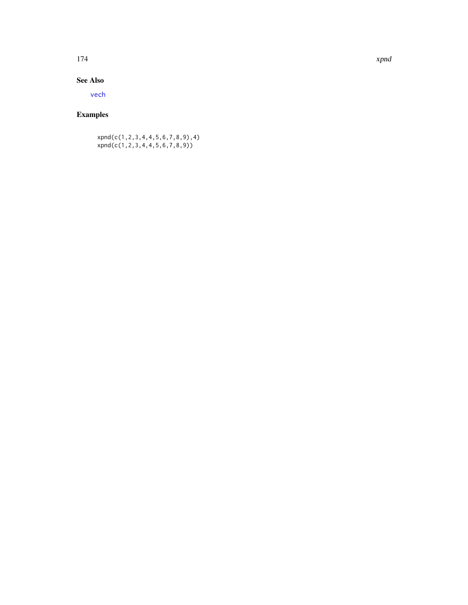#### <span id="page-173-0"></span>174 xpnd

# See Also

[vech](#page-170-0)

# Examples

xpnd(c(1,2,3,4,4,5,6,7,8,9),4) xpnd(c(1,2,3,4,4,5,6,7,8,9))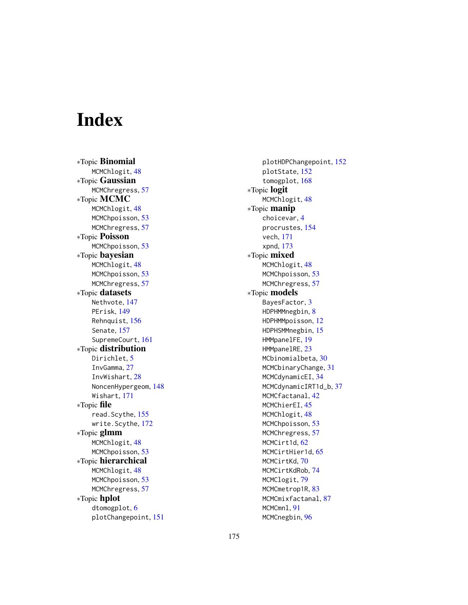# Index

∗Topic Binomial MCMChlogit, [48](#page-47-0) ∗Topic Gaussian MCMChregress, [57](#page-56-0) ∗Topic MCMC MCMChlogit, [48](#page-47-0) MCMChpoisson, [53](#page-52-0) MCMChregress, [57](#page-56-0) ∗Topic Poisson MCMChpoisson, [53](#page-52-0) ∗Topic bayesian MCMChlogit, [48](#page-47-0) MCMChpoisson, [53](#page-52-0) MCMChregress, [57](#page-56-0) ∗Topic datasets Nethvote, [147](#page-146-0) PErisk, [149](#page-148-0) Rehnquist, [156](#page-155-0) Senate, [157](#page-156-1) SupremeCourt, [161](#page-160-0) ∗Topic distribution Dirichlet, [5](#page-4-0) InvGamma, [27](#page-26-0) InvWishart, [28](#page-27-0) NoncenHypergeom, [148](#page-147-0) Wishart, [171](#page-170-1) ∗Topic file read.Scythe, [155](#page-154-0) write.Scythe, [172](#page-171-1) ∗Topic glmm MCMChlogit, [48](#page-47-0) MCMChpoisson, [53](#page-52-0) ∗Topic hierarchical MCMChlogit, [48](#page-47-0) MCMChpoisson, [53](#page-52-0) MCMChregress, [57](#page-56-0) ∗Topic hplot dtomogplot, [6](#page-5-1) plotChangepoint, [151](#page-150-0)

plotHDPChangepoint, [152](#page-151-0) plotState, [152](#page-151-0) tomogplot, [168](#page-167-0) ∗Topic logit MCMChlogit, [48](#page-47-0) ∗Topic manip choicevar, [4](#page-3-0) procrustes, [154](#page-153-0) vech, [171](#page-170-1) xpnd, [173](#page-172-1) ∗Topic mixed MCMChlogit, [48](#page-47-0) MCMChpoisson, [53](#page-52-0) MCMChregress, [57](#page-56-0) ∗Topic models BayesFactor, [3](#page-2-0) HDPHMMnegbin, [8](#page-7-1) HDPHMMpoisson, [12](#page-11-1) HDPHSMMnegbin, [15](#page-14-1) HMMpanelFE, [19](#page-18-0) HMMpanelRE, [23](#page-22-0) MCbinomialbeta, [30](#page-29-0) MCMCbinaryChange, [31](#page-30-1) MCMCdynamicEI, [34](#page-33-1) MCMCdynamicIRT1d\_b, [37](#page-36-0) MCMCfactanal, [42](#page-41-0) MCMChierEI, [45](#page-44-1) MCMChlogit, [48](#page-47-0) MCMChpoisson, [53](#page-52-0) MCMChregress, [57](#page-56-0) MCMCirt1d, [62](#page-61-0) MCMCirtHier1d, [65](#page-64-0) MCMCirtKd, [70](#page-69-1) MCMCirtKdRob, [74](#page-73-0) MCMClogit, [79](#page-78-0) MCMCmetrop1R, [83](#page-82-0) MCMCmixfactanal, [87](#page-86-0) MCMCmnl, [91](#page-90-0) MCMCnegbin, [96](#page-95-0)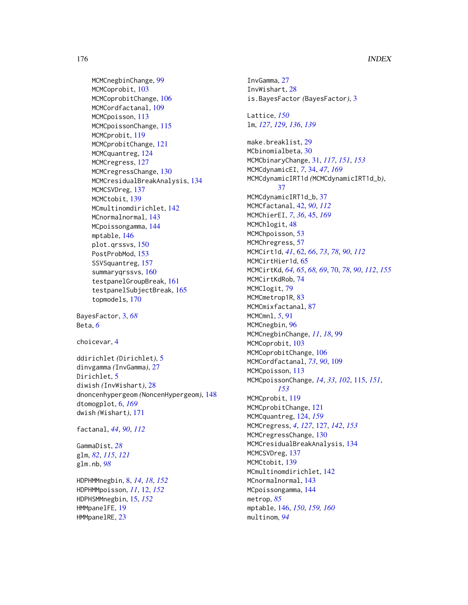MCMCnegbinChange, [99](#page-98-0) MCMCoprobit, [103](#page-102-0) MCMCoprobitChange, [106](#page-105-0) MCMCordfactanal, [109](#page-108-0) MCMCpoisson, [113](#page-112-0) MCMCpoissonChange, [115](#page-114-1) MCMCprobit, [119](#page-118-0) MCMCprobitChange, [121](#page-120-0) MCMCquantreg, [124](#page-123-1) MCMCregress, [127](#page-126-1) MCMCregressChange, [130](#page-129-0) MCMCresidualBreakAnalysis, [134](#page-133-0) MCMCSVDreg, [137](#page-136-0) MCMCtobit, [139](#page-138-0) MCmultinomdirichlet, [142](#page-141-0) MCnormalnormal, [143](#page-142-0) MCpoissongamma, [144](#page-143-0) mptable, [146](#page-145-1) plot.qrssvs, [150](#page-149-1) PostProbMod, [153](#page-152-0) SSVSquantreg, [157](#page-156-1) summaryqrssvs, [160](#page-159-1) testpanelGroupBreak, [161](#page-160-0) testpanelSubjectBreak, [165](#page-164-0) topmodels, [170](#page-169-1) BayesFactor, [3,](#page-2-0) *[68](#page-67-0)*

Beta, *[6](#page-5-1)*

choicevar, [4](#page-3-0)

ddirichlet *(*Dirichlet*)*, [5](#page-4-0) dinvgamma *(*InvGamma*)*, [27](#page-26-0) Dirichlet, [5](#page-4-0) diwish *(*InvWishart*)*, [28](#page-27-0) dnoncenhypergeom *(*NoncenHypergeom*)*, [148](#page-147-0) dtomogplot, [6,](#page-5-1) *[169](#page-168-0)* dwish *(*Wishart*)*, [171](#page-170-1)

factanal, *[44](#page-43-0)*, *[90](#page-89-0)*, *[112](#page-111-0)*

GammaDist, *[28](#page-27-0)* glm, *[82](#page-81-0)*, *[115](#page-114-1)*, *[121](#page-120-0)* glm.nb, *[98](#page-97-0)*

HDPHMMnegbin, [8,](#page-7-1) *[14](#page-13-0)*, *[18](#page-17-0)*, *[152](#page-151-0)* HDPHMMpoisson, *[11](#page-10-0)*, [12,](#page-11-1) *[152](#page-151-0)* HDPHSMMnegbin, [15,](#page-14-1) *[152](#page-151-0)* HMMpanelFE, [19](#page-18-0) HMMpanelRE, [23](#page-22-0)

InvGamma, [27](#page-26-0) InvWishart, [28](#page-27-0) is.BayesFactor *(*BayesFactor*)*, [3](#page-2-0) Lattice, *[150](#page-149-1)* lm, *[127](#page-126-1)*, *[129](#page-128-0)*, *[136](#page-135-0)*, *[139](#page-138-0)* make.breaklist, [29](#page-28-0) MCbinomialbeta, [30](#page-29-0) MCMCbinaryChange, [31,](#page-30-1) *[117](#page-116-0)*, *[151](#page-150-0)*, *[153](#page-152-0)* MCMCdynamicEI, *[7](#page-6-0)*, [34,](#page-33-1) *[47](#page-46-0)*, *[169](#page-168-0)* MCMCdynamicIRT1d *(*MCMCdynamicIRT1d\_b*)*, [37](#page-36-0) MCMCdynamicIRT1d\_b, [37](#page-36-0) MCMCfactanal, [42,](#page-41-0) *[90](#page-89-0)*, *[112](#page-111-0)* MCMChierEI, *[7](#page-6-0)*, *[36](#page-35-0)*, [45,](#page-44-1) *[169](#page-168-0)* MCMChlogit, [48](#page-47-0) MCMChpoisson, [53](#page-52-0) MCMChregress, [57](#page-56-0) MCMCirt1d, *[41](#page-40-0)*, [62,](#page-61-0) *[66](#page-65-0)*, *[73](#page-72-0)*, *[78](#page-77-0)*, *[90](#page-89-0)*, *[112](#page-111-0)* MCMCirtHier1d, [65](#page-64-0) MCMCirtKd, *[64,](#page-63-0) [65](#page-64-0)*, *[68,](#page-67-0) [69](#page-68-0)*, [70,](#page-69-1) *[78](#page-77-0)*, *[90](#page-89-0)*, *[112](#page-111-0)*, *[155](#page-154-0)* MCMCirtKdRob, [74](#page-73-0) MCMClogit, [79](#page-78-0) MCMCmetrop1R, [83](#page-82-0) MCMCmixfactanal, [87](#page-86-0) MCMCmnl, *[5](#page-4-0)*, [91](#page-90-0) MCMCnegbin, [96](#page-95-0) MCMCnegbinChange, *[11](#page-10-0)*, *[18](#page-17-0)*, [99](#page-98-0) MCMCoprobit, [103](#page-102-0) MCMCoprobitChange, [106](#page-105-0) MCMCordfactanal, *[73](#page-72-0)*, *[90](#page-89-0)*, [109](#page-108-0) MCMCpoisson, [113](#page-112-0) MCMCpoissonChange, *[14](#page-13-0)*, *[33](#page-32-0)*, *[102](#page-101-0)*, [115,](#page-114-1) *[151](#page-150-0)*, *[153](#page-152-0)* MCMCprobit, [119](#page-118-0) MCMCprobitChange, [121](#page-120-0) MCMCquantreg, [124,](#page-123-1) *[159](#page-158-0)* MCMCregress, *[4](#page-3-0)*, *[127](#page-126-1)*, [127,](#page-126-1) *[142](#page-141-0)*, *[153](#page-152-0)* MCMCregressChange, [130](#page-129-0) MCMCresidualBreakAnalysis, [134](#page-133-0) MCMCSVDreg, [137](#page-136-0) MCMCtobit, [139](#page-138-0) MCmultinomdirichlet, [142](#page-141-0) MCnormalnormal, [143](#page-142-0) MCpoissongamma, [144](#page-143-0) metrop, *[85](#page-84-0)* mptable, [146,](#page-145-1) *[150](#page-149-1)*, *[159,](#page-158-0) [160](#page-159-1)* multinom, *[94](#page-93-0)*